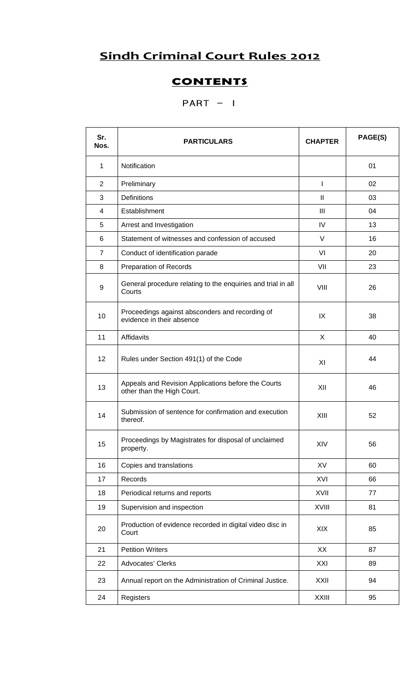## **Sindh Criminal Court Rules 2012**

## **CONTENTS**

## $PART - I$

| Sr.<br>Nos.    | <b>PARTICULARS</b>                                                                | <b>CHAPTER</b> | PAGE(S) |
|----------------|-----------------------------------------------------------------------------------|----------------|---------|
| $\mathbf{1}$   | Notification                                                                      |                | 01      |
| $\overline{2}$ | Preliminary                                                                       | I              | 02      |
| 3              | <b>Definitions</b>                                                                | Ш              | 03      |
| $\overline{4}$ | Establishment                                                                     | III            | 04      |
| 5              | Arrest and Investigation                                                          | IV             | 13      |
| 6              | Statement of witnesses and confession of accused                                  | V              | 16      |
| $\overline{7}$ | Conduct of identification parade                                                  | VI             | 20      |
| 8              | <b>Preparation of Records</b>                                                     | VII            | 23      |
| 9              | General procedure relating to the enquiries and trial in all<br>Courts            | VIII           | 26      |
| 10             | Proceedings against absconders and recording of<br>evidence in their absence      | IX             | 38      |
| 11             | Affidavits                                                                        | X              | 40      |
| 12             | Rules under Section 491(1) of the Code                                            | XI             | 44      |
| 13             | Appeals and Revision Applications before the Courts<br>other than the High Court. | XII            | 46      |
| 14             | Submission of sentence for confirmation and execution<br>thereof.                 | XIII           | 52      |
| 15             | Proceedings by Magistrates for disposal of unclaimed<br>property.                 | XIV            | 56      |
| 16             | Copies and translations                                                           | XV             | 60      |
| 17             | Records                                                                           | XVI            | 66      |
| 18             | Periodical returns and reports                                                    | XVII           | 77      |
| 19             | Supervision and inspection                                                        | <b>XVIII</b>   | 81      |
| 20             | Production of evidence recorded in digital video disc in<br>Court                 | XIX            | 85      |
| 21             | <b>Petition Writers</b>                                                           | XX             | 87      |
| 22             | Advocates' Clerks                                                                 | XXI            | 89      |
| 23             | Annual report on the Administration of Criminal Justice.                          | XXII           | 94      |
| 24             | Registers                                                                         | <b>XXIII</b>   | 95      |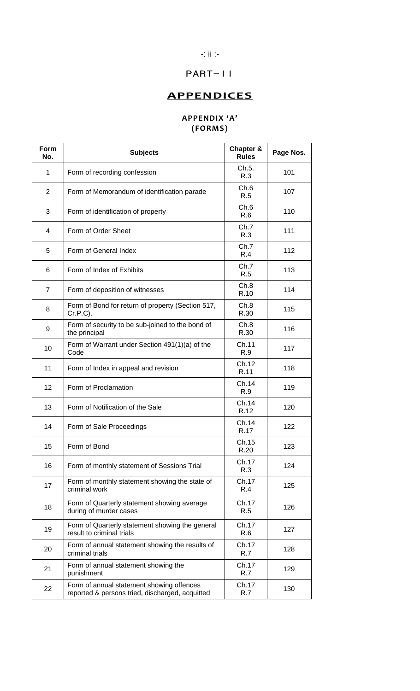### -: ii :-

## PART-II

## **APPENDICES**

### **APPENDIX 'A' (FORMS)**

| Form<br>No.    | <b>Subjects</b>                                                                              | Chapter &<br><b>Rules</b> | Page Nos. |
|----------------|----------------------------------------------------------------------------------------------|---------------------------|-----------|
| 1              | Form of recording confession                                                                 | Ch.5.<br>R.3              | 101       |
| 2              | Form of Memorandum of identification parade                                                  | Ch.6<br>R.5               | 107       |
| 3              | Form of identification of property                                                           | Ch.6<br>R.6               | 110       |
| 4              | Form of Order Sheet                                                                          | Ch.7<br>R.3               | 111       |
| 5              | Form of General Index                                                                        | Ch.7<br>R.4               | 112       |
| 6              | Form of Index of Exhibits                                                                    | Ch.7<br>R.5               | 113       |
| $\overline{7}$ | Form of deposition of witnesses                                                              | Ch.8<br>R.10              | 114       |
| 8              | Form of Bond for return of property (Section 517,<br>$Cr.P.C$ ).                             | Ch.8<br>R.30              | 115       |
| 9              | Form of security to be sub-joined to the bond of<br>the principal                            | Ch.8<br>R.30              | 116       |
| 10             | Form of Warrant under Section 491(1)(a) of the<br>Code                                       | Ch.11<br>R.9              | 117       |
| 11             | Form of Index in appeal and revision                                                         | Ch.12<br>R.11             | 118       |
| 12             | Form of Proclamation                                                                         | Ch.14<br>R.9              | 119       |
| 13             | Form of Notification of the Sale                                                             | Ch.14<br>R.12             | 120       |
| 14             | Form of Sale Proceedings                                                                     | Ch.14<br>R.17             | 122       |
| 15             | Form of Bond                                                                                 | Ch.15<br>R.20             | 123       |
| 16             | Form of monthly statement of Sessions Trial                                                  | Ch.17<br>R.3              | 124       |
| 17             | Form of monthly statement showing the state of<br>criminal work                              | Ch.17<br>R.4              | 125       |
| 18             | Form of Quarterly statement showing average<br>during of murder cases                        | Ch.17<br>R.5              | 126       |
| 19             | Form of Quarterly statement showing the general<br>result to criminal trials                 | Ch.17<br>R.6              | 127       |
| 20             | Form of annual statement showing the results of<br>criminal trials                           | Ch.17<br>R.7              | 128       |
| 21             | Form of annual statement showing the<br>punishment                                           | Ch.17<br>R.7              | 129       |
| 22             | Form of annual statement showing offences<br>reported & persons tried, discharged, acquitted | Ch.17<br>R.7              | 130       |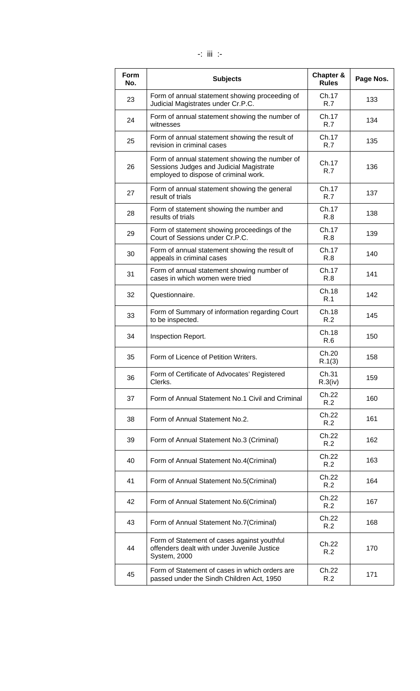| Form<br>No. | <b>Subjects</b>                                                                                                                    | Chapter &<br><b>Rules</b> | Page Nos. |
|-------------|------------------------------------------------------------------------------------------------------------------------------------|---------------------------|-----------|
| 23          | Form of annual statement showing proceeding of<br>Judicial Magistrates under Cr.P.C.                                               | Ch.17<br>R.7              | 133       |
| 24          | Form of annual statement showing the number of<br>witnesses                                                                        | Ch.17<br>R.7              | 134       |
| 25          | Form of annual statement showing the result of<br>revision in criminal cases                                                       | Ch.17<br>R.7              | 135       |
| 26          | Form of annual statement showing the number of<br>Sessions Judges and Judicial Magistrate<br>employed to dispose of criminal work. | Ch.17<br>R.7              | 136       |
| 27          | Form of annual statement showing the general<br>result of trials                                                                   | Ch.17<br>R.7              | 137       |
| 28          | Form of statement showing the number and<br>results of trials                                                                      | Ch.17<br>R.8              | 138       |
| 29          | Form of statement showing proceedings of the<br>Court of Sessions under Cr.P.C.                                                    | Ch.17<br>R.8              | 139       |
| 30          | Form of annual statement showing the result of<br>appeals in criminal cases                                                        | Ch.17<br>R.8              | 140       |
| 31          | Form of annual statement showing number of<br>cases in which women were tried                                                      | Ch.17<br>R.8              | 141       |
| 32          | Questionnaire.                                                                                                                     | Ch.18<br>R.1              | 142       |
| 33          | Form of Summary of information regarding Court<br>to be inspected.                                                                 | Ch.18<br>R.2              | 145       |
| 34          | Inspection Report.                                                                                                                 | Ch.18<br>R.6              | 150       |
| 35          | Form of Licence of Petition Writers.                                                                                               | Ch.20<br>R.1(3)           | 158       |
| 36          | Form of Certificate of Advocates' Registered<br>Clerks.                                                                            | Ch.31<br>R.3(iv)          | 159       |
| 37          | Form of Annual Statement No.1 Civil and Criminal                                                                                   | Ch.22<br>R.2              | 160       |
| 38          | Form of Annual Statement No.2.                                                                                                     | Ch.22<br>R.2              | 161       |
| 39          | Form of Annual Statement No.3 (Criminal)                                                                                           | Ch.22<br>R.2              | 162       |
| 40          | Form of Annual Statement No.4(Criminal)                                                                                            | Ch.22<br>R.2              | 163       |
| 41          | Form of Annual Statement No.5(Criminal)                                                                                            | Ch.22<br>R.2              | 164       |
| 42          | Form of Annual Statement No.6(Criminal)                                                                                            | Ch.22<br>R.2              | 167       |
| 43          | Form of Annual Statement No.7(Criminal)                                                                                            | Ch.22<br>R.2              | 168       |
| 44          | Form of Statement of cases against youthful<br>offenders dealt with under Juvenile Justice<br>System, 2000                         | Ch.22<br>R.2              | 170       |
| 45          | Form of Statement of cases in which orders are<br>passed under the Sindh Children Act, 1950                                        | Ch.22<br>R.2              | 171       |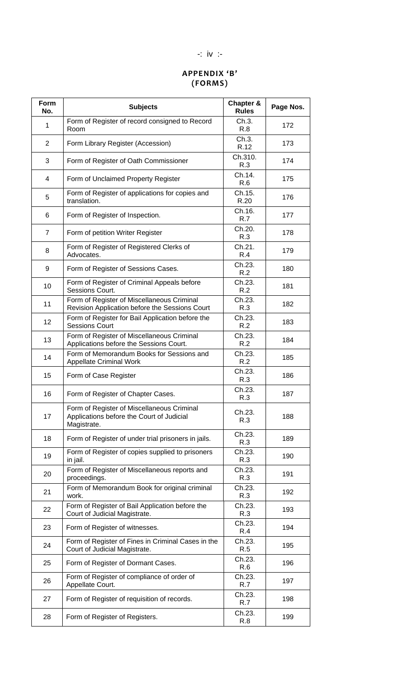### -: iv :-

### **APPENDIX 'B' (FORMS)**

| Form<br>No.    | <b>Subjects</b>                                                                                        | Chapter &<br><b>Rules</b> | Page Nos. |
|----------------|--------------------------------------------------------------------------------------------------------|---------------------------|-----------|
| 1              | Form of Register of record consigned to Record<br>Room                                                 | Ch.3.<br>R.8              | 172       |
| $\overline{2}$ | Form Library Register (Accession)                                                                      | Ch.3.<br>R.12             | 173       |
| 3              | Form of Register of Oath Commissioner                                                                  | Ch.310.<br>R.3            | 174       |
| 4              | Form of Unclaimed Property Register                                                                    | Ch.14.<br>R.6             | 175       |
| 5              | Form of Register of applications for copies and<br>translation.                                        | Ch.15.<br>R.20            | 176       |
| 6              | Form of Register of Inspection.                                                                        | Ch.16.<br>R.7             | 177       |
| $\overline{7}$ | Form of petition Writer Register                                                                       | Ch.20.<br>R.3             | 178       |
| 8              | Form of Register of Registered Clerks of<br>Advocates.                                                 | Ch.21.<br>R.4             | 179       |
| 9              | Form of Register of Sessions Cases.                                                                    | Ch.23.<br>R.2             | 180       |
| 10             | Form of Register of Criminal Appeals before<br>Sessions Court.                                         | Ch.23.<br>R.2             | 181       |
| 11             | Form of Register of Miscellaneous Criminal<br>Revision Application before the Sessions Court           | Ch.23.<br>R.3             | 182       |
| 12             | Form of Register for Bail Application before the<br><b>Sessions Court</b>                              | Ch.23.<br>R.2             | 183       |
| 13             | Form of Register of Miscellaneous Criminal<br>Applications before the Sessions Court.                  | Ch.23.<br>R.2             | 184       |
| 14             | Form of Memorandum Books for Sessions and<br><b>Appellate Criminal Work</b>                            | Ch.23.<br>R.2             | 185       |
| 15             | Form of Case Register                                                                                  | Ch.23.<br>R.3             | 186       |
| 16             | Form of Register of Chapter Cases.                                                                     | Ch.23.<br>R.3             | 187       |
| 17             | Form of Register of Miscellaneous Criminal<br>Applications before the Court of Judicial<br>Magistrate. | Ch.23.<br>R.3             | 188       |
| 18             | Form of Register of under trial prisoners in jails.                                                    | Ch.23.<br>R.3             | 189       |
| 19             | Form of Register of copies supplied to prisoners<br>in jail.                                           | Ch.23.<br>R.3             | 190       |
| 20             | Form of Register of Miscellaneous reports and<br>proceedings.                                          | Ch.23.<br>R.3             | 191       |
| 21             | Form of Memorandum Book for original criminal<br>work.                                                 | Ch.23.<br>R.3             | 192       |
| 22             | Form of Register of Bail Application before the<br>Court of Judicial Magistrate.                       | Ch.23.<br>R.3             | 193       |
| 23             | Form of Register of witnesses.                                                                         | Ch.23.<br>R.4             | 194       |
| 24             | Form of Register of Fines in Criminal Cases in the<br>Court of Judicial Magistrate.                    | Ch.23.<br>R.5             | 195       |
| 25             | Form of Register of Dormant Cases.                                                                     | Ch.23.<br>R.6             | 196       |
| 26             | Form of Register of compliance of order of<br>Appellate Court.                                         | Ch.23.<br>R.7             | 197       |
| 27             | Form of Register of requisition of records.                                                            | Ch.23.<br>R.7             | 198       |
| 28             | Form of Register of Registers.                                                                         | Ch.23.<br>R.8             | 199       |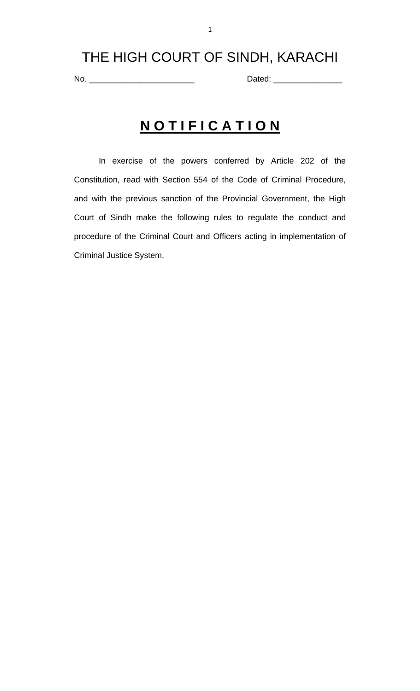## THE HIGH COURT OF SINDH, KARACHI

No. \_\_\_\_\_\_\_\_\_\_\_\_\_\_\_\_\_\_\_\_\_\_\_ Dated: \_\_\_\_\_\_\_\_\_\_\_\_\_\_\_

# **N O T I F I C A T I O N**

 In exercise of the powers conferred by Article 202 of the Constitution, read with Section 554 of the Code of Criminal Procedure, and with the previous sanction of the Provincial Government, the High Court of Sindh make the following rules to regulate the conduct and procedure of the Criminal Court and Officers acting in implementation of Criminal Justice System.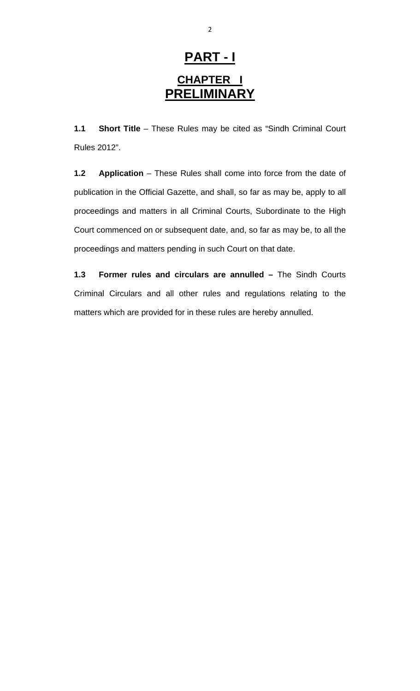# **PART - I CHAPTER I PRELIMINARY**

**1.1 Short Title** – These Rules may be cited as "Sindh Criminal Court Rules 2012".

**1.2 Application** – These Rules shall come into force from the date of publication in the Official Gazette, and shall, so far as may be, apply to all proceedings and matters in all Criminal Courts, Subordinate to the High Court commenced on or subsequent date, and, so far as may be, to all the proceedings and matters pending in such Court on that date.

**1.3 Former rules and circulars are annulled –** The Sindh Courts Criminal Circulars and all other rules and regulations relating to the matters which are provided for in these rules are hereby annulled.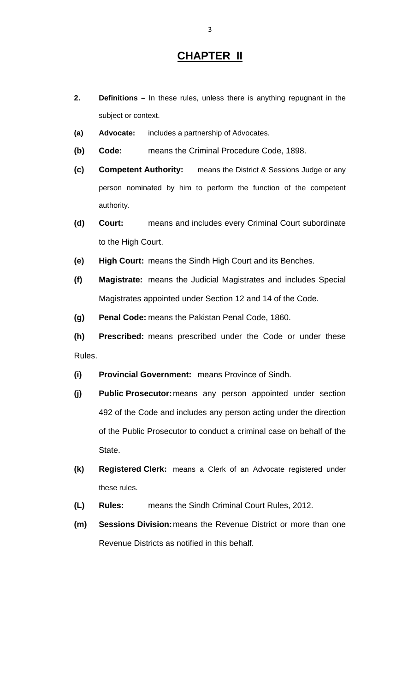### **CHAPTER II**

- **2. Definitions –** In these rules, unless there is anything repugnant in the subject or context.
- **(a) Advocate:** includes a partnership of Advocates.
- **(b) Code:** means the Criminal Procedure Code, 1898.
- **(c) Competent Authority:** means the District & Sessions Judge or any person nominated by him to perform the function of the competent authority.
- **(d) Court:** means and includes every Criminal Court subordinate to the High Court.
- **(e) High Court:** means the Sindh High Court and its Benches.
- **(f) Magistrate:** means the Judicial Magistrates and includes Special Magistrates appointed under Section 12 and 14 of the Code.
- **(g) Penal Code:** means the Pakistan Penal Code, 1860.
- **(h) Prescribed:** means prescribed under the Code or under these Rules.
- **(i) Provincial Government:** means Province of Sindh.
- **(j) Public Prosecutor:** means any person appointed under section 492 of the Code and includes any person acting under the direction of the Public Prosecutor to conduct a criminal case on behalf of the State.
- **(k) Registered Clerk:** means a Clerk of an Advocate registered under these rules.
- **(L) Rules:** means the Sindh Criminal Court Rules, 2012.
- **(m) Sessions Division:** means the Revenue District or more than one Revenue Districts as notified in this behalf.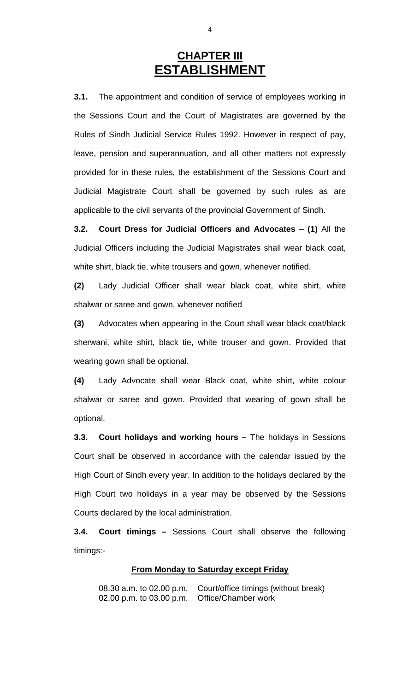## **CHAPTER III ESTABLISHMENT**

**3.1.** The appointment and condition of service of employees working in the Sessions Court and the Court of Magistrates are governed by the Rules of Sindh Judicial Service Rules 1992. However in respect of pay, leave, pension and superannuation, and all other matters not expressly provided for in these rules, the establishment of the Sessions Court and Judicial Magistrate Court shall be governed by such rules as are applicable to the civil servants of the provincial Government of Sindh.

**3.2. Court Dress for Judicial Officers and Advocates** – **(1)** All the Judicial Officers including the Judicial Magistrates shall wear black coat, white shirt, black tie, white trousers and gown, whenever notified.

**(2)** Lady Judicial Officer shall wear black coat, white shirt, white shalwar or saree and gown, whenever notified

**(3)** Advocates when appearing in the Court shall wear black coat/black sherwani, white shirt, black tie, white trouser and gown. Provided that wearing gown shall be optional.

**(4)** Lady Advocate shall wear Black coat, white shirt, white colour shalwar or saree and gown. Provided that wearing of gown shall be optional.

**3.3. Court holidays and working hours** *–* The holidays in Sessions Court shall be observed in accordance with the calendar issued by the High Court of Sindh every year. In addition to the holidays declared by the High Court two holidays in a year may be observed by the Sessions Courts declared by the local administration.

**3.4. Court timings** *–* Sessions Court shall observe the following timings:-

#### **From Monday to Saturday except Friday**

08.30 a.m. to 02.00 p.m. Court/office timings (without break) 02.00 p.m. to 03.00 p.m. Office/Chamber work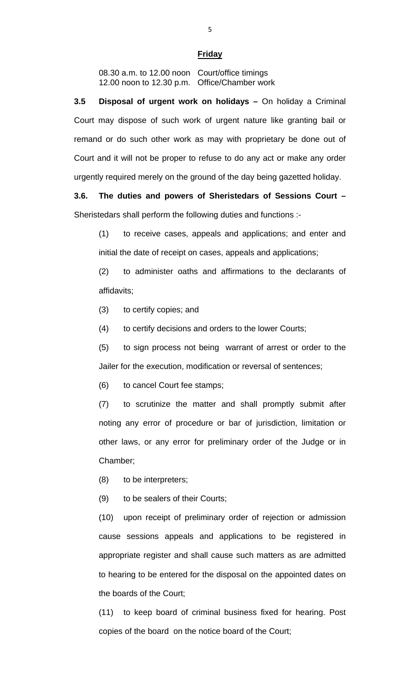#### **Friday**

08.30 a.m. to 12.00 noon Court/office timings 12.00 noon to 12.30 p.m. Office/Chamber work

**3.5 Disposal of urgent work on holidays –** On holiday a Criminal Court may dispose of such work of urgent nature like granting bail or remand or do such other work as may with proprietary be done out of Court and it will not be proper to refuse to do any act or make any order urgently required merely on the ground of the day being gazetted holiday.

**3.6. The duties and powers of Sheristedars of Sessions Court** *–* Sheristedars shall perform the following duties and functions :-

(1) to receive cases, appeals and applications; and enter and initial the date of receipt on cases, appeals and applications;

(2) to administer oaths and affirmations to the declarants of affidavits;

(3) to certify copies; and

(4) to certify decisions and orders to the lower Courts;

(5) to sign process not being warrant of arrest or order to the Jailer for the execution, modification or reversal of sentences;

(6) to cancel Court fee stamps;

(7) to scrutinize the matter and shall promptly submit after noting any error of procedure or bar of jurisdiction, limitation or other laws, or any error for preliminary order of the Judge or in Chamber;

(8) to be interpreters;

(9) to be sealers of their Courts;

(10) upon receipt of preliminary order of rejection or admission cause sessions appeals and applications to be registered in appropriate register and shall cause such matters as are admitted to hearing to be entered for the disposal on the appointed dates on the boards of the Court;

(11) to keep board of criminal business fixed for hearing. Post copies of the board on the notice board of the Court;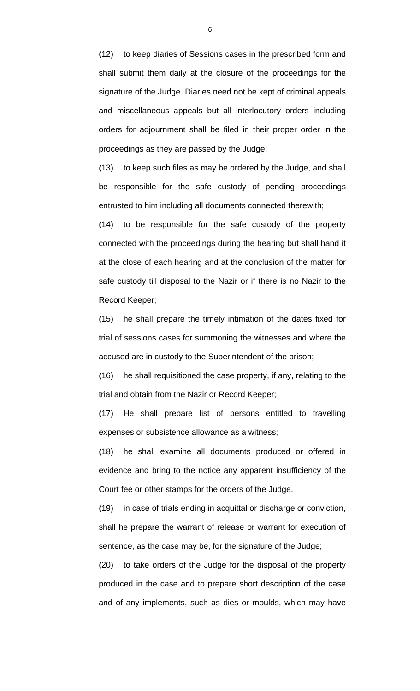(12) to keep diaries of Sessions cases in the prescribed form and shall submit them daily at the closure of the proceedings for the signature of the Judge. Diaries need not be kept of criminal appeals and miscellaneous appeals but all interlocutory orders including orders for adjournment shall be filed in their proper order in the proceedings as they are passed by the Judge;

(13) to keep such files as may be ordered by the Judge, and shall be responsible for the safe custody of pending proceedings entrusted to him including all documents connected therewith;

(14) to be responsible for the safe custody of the property connected with the proceedings during the hearing but shall hand it at the close of each hearing and at the conclusion of the matter for safe custody till disposal to the Nazir or if there is no Nazir to the Record Keeper;

(15) he shall prepare the timely intimation of the dates fixed for trial of sessions cases for summoning the witnesses and where the accused are in custody to the Superintendent of the prison;

(16) he shall requisitioned the case property, if any, relating to the trial and obtain from the Nazir or Record Keeper;

(17) He shall prepare list of persons entitled to travelling expenses or subsistence allowance as a witness;

(18) he shall examine all documents produced or offered in evidence and bring to the notice any apparent insufficiency of the Court fee or other stamps for the orders of the Judge.

(19) in case of trials ending in acquittal or discharge or conviction, shall he prepare the warrant of release or warrant for execution of sentence, as the case may be, for the signature of the Judge;

(20) to take orders of the Judge for the disposal of the property produced in the case and to prepare short description of the case and of any implements, such as dies or moulds, which may have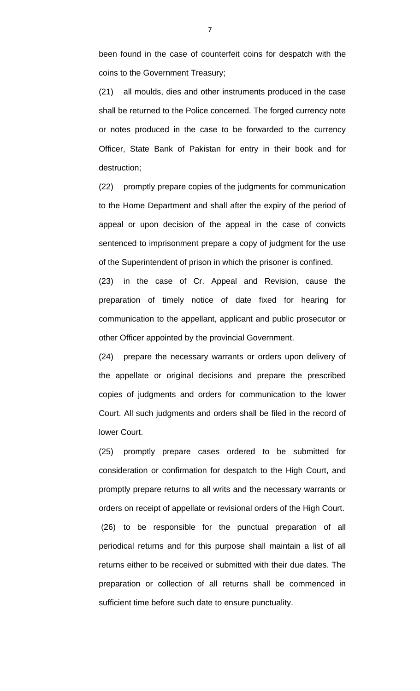been found in the case of counterfeit coins for despatch with the coins to the Government Treasury;

(21) all moulds, dies and other instruments produced in the case shall be returned to the Police concerned. The forged currency note or notes produced in the case to be forwarded to the currency Officer, State Bank of Pakistan for entry in their book and for destruction;

(22) promptly prepare copies of the judgments for communication to the Home Department and shall after the expiry of the period of appeal or upon decision of the appeal in the case of convicts sentenced to imprisonment prepare a copy of judgment for the use of the Superintendent of prison in which the prisoner is confined.

(23) in the case of Cr. Appeal and Revision, cause the preparation of timely notice of date fixed for hearing for communication to the appellant, applicant and public prosecutor or other Officer appointed by the provincial Government.

(24) prepare the necessary warrants or orders upon delivery of the appellate or original decisions and prepare the prescribed copies of judgments and orders for communication to the lower Court. All such judgments and orders shall be filed in the record of lower Court.

(25) promptly prepare cases ordered to be submitted for consideration or confirmation for despatch to the High Court, and promptly prepare returns to all writs and the necessary warrants or orders on receipt of appellate or revisional orders of the High Court. (26) to be responsible for the punctual preparation of all periodical returns and for this purpose shall maintain a list of all returns either to be received or submitted with their due dates. The preparation or collection of all returns shall be commenced in sufficient time before such date to ensure punctuality.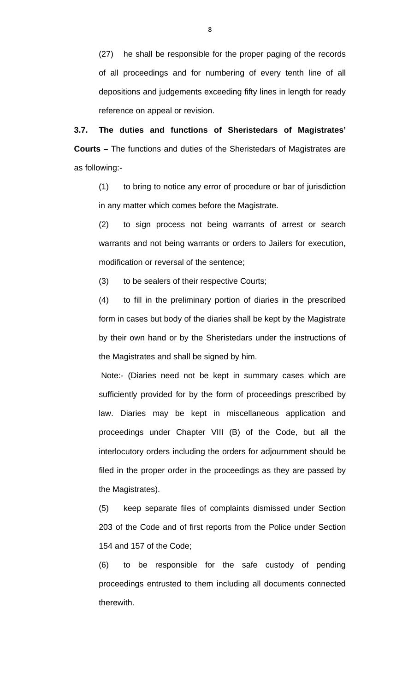(27) he shall be responsible for the proper paging of the records of all proceedings and for numbering of every tenth line of all depositions and judgements exceeding fifty lines in length for ready reference on appeal or revision.

**3.7. The duties and functions of Sheristedars of Magistrates' Courts** *–* The functions and duties of the Sheristedars of Magistrates are as following:-

(1) to bring to notice any error of procedure or bar of jurisdiction in any matter which comes before the Magistrate.

(2) to sign process not being warrants of arrest or search warrants and not being warrants or orders to Jailers for execution, modification or reversal of the sentence;

(3) to be sealers of their respective Courts;

(4) to fill in the preliminary portion of diaries in the prescribed form in cases but body of the diaries shall be kept by the Magistrate by their own hand or by the Sheristedars under the instructions of the Magistrates and shall be signed by him.

 Note:- (Diaries need not be kept in summary cases which are sufficiently provided for by the form of proceedings prescribed by law. Diaries may be kept in miscellaneous application and proceedings under Chapter VIII (B) of the Code, but all the interlocutory orders including the orders for adjournment should be filed in the proper order in the proceedings as they are passed by the Magistrates).

(5) keep separate files of complaints dismissed under Section 203 of the Code and of first reports from the Police under Section 154 and 157 of the Code;

(6) to be responsible for the safe custody of pending proceedings entrusted to them including all documents connected therewith.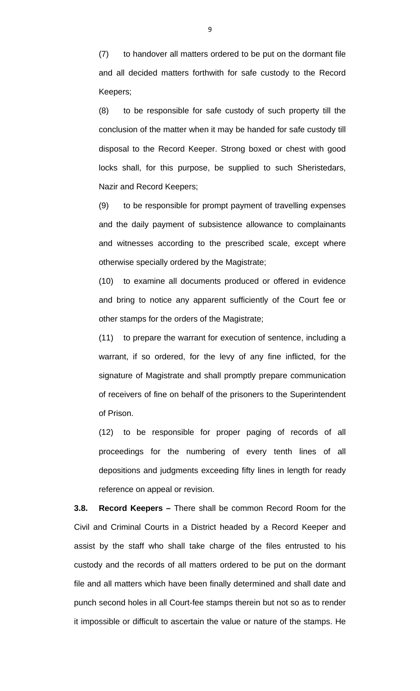(7) to handover all matters ordered to be put on the dormant file and all decided matters forthwith for safe custody to the Record Keepers;

(8) to be responsible for safe custody of such property till the conclusion of the matter when it may be handed for safe custody till disposal to the Record Keeper. Strong boxed or chest with good locks shall, for this purpose, be supplied to such Sheristedars, Nazir and Record Keepers;

(9) to be responsible for prompt payment of travelling expenses and the daily payment of subsistence allowance to complainants and witnesses according to the prescribed scale, except where otherwise specially ordered by the Magistrate;

(10) to examine all documents produced or offered in evidence and bring to notice any apparent sufficiently of the Court fee or other stamps for the orders of the Magistrate;

(11) to prepare the warrant for execution of sentence, including a warrant, if so ordered, for the levy of any fine inflicted, for the signature of Magistrate and shall promptly prepare communication of receivers of fine on behalf of the prisoners to the Superintendent of Prison.

(12) to be responsible for proper paging of records of all proceedings for the numbering of every tenth lines of all depositions and judgments exceeding fifty lines in length for ready reference on appeal or revision.

**3.8. Record Keepers –** There shall be common Record Room for the Civil and Criminal Courts in a District headed by a Record Keeper and assist by the staff who shall take charge of the files entrusted to his custody and the records of all matters ordered to be put on the dormant file and all matters which have been finally determined and shall date and punch second holes in all Court-fee stamps therein but not so as to render it impossible or difficult to ascertain the value or nature of the stamps. He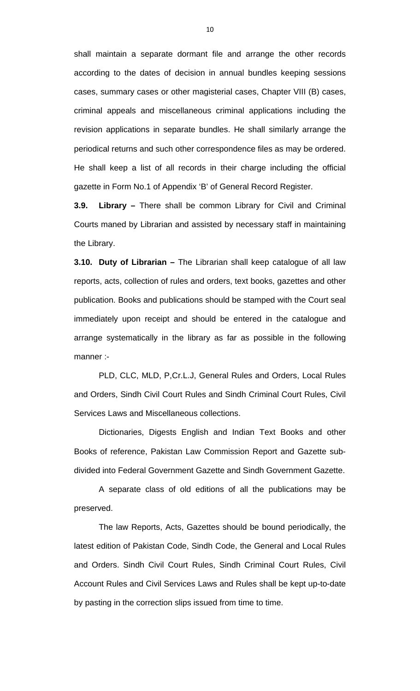shall maintain a separate dormant file and arrange the other records according to the dates of decision in annual bundles keeping sessions cases, summary cases or other magisterial cases, Chapter VIII (B) cases, criminal appeals and miscellaneous criminal applications including the revision applications in separate bundles. He shall similarly arrange the periodical returns and such other correspondence files as may be ordered. He shall keep a list of all records in their charge including the official gazette in Form No.1 of Appendix 'B' of General Record Register.

**3.9. Library –** There shall be common Library for Civil and Criminal Courts maned by Librarian and assisted by necessary staff in maintaining the Library.

**3.10. Duty of Librarian –** The Librarian shall keep catalogue of all law reports, acts, collection of rules and orders, text books, gazettes and other publication. Books and publications should be stamped with the Court seal immediately upon receipt and should be entered in the catalogue and arrange systematically in the library as far as possible in the following manner :-

 PLD, CLC, MLD, P,Cr.L.J, General Rules and Orders, Local Rules and Orders, Sindh Civil Court Rules and Sindh Criminal Court Rules, Civil Services Laws and Miscellaneous collections.

 Dictionaries, Digests English and Indian Text Books and other Books of reference, Pakistan Law Commission Report and Gazette subdivided into Federal Government Gazette and Sindh Government Gazette.

 A separate class of old editions of all the publications may be preserved.

 The law Reports, Acts, Gazettes should be bound periodically, the latest edition of Pakistan Code, Sindh Code, the General and Local Rules and Orders. Sindh Civil Court Rules, Sindh Criminal Court Rules, Civil Account Rules and Civil Services Laws and Rules shall be kept up-to-date by pasting in the correction slips issued from time to time.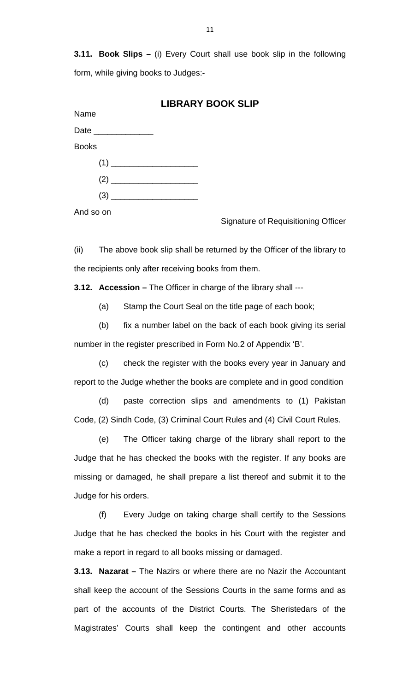**3.11. Book Slips –** (i) Every Court shall use book slip in the following form, while giving books to Judges:-

|                      | <b>LIBRARY BOOK SLIP</b>                                                                                                                                                                                                             |
|----------------------|--------------------------------------------------------------------------------------------------------------------------------------------------------------------------------------------------------------------------------------|
| Name                 |                                                                                                                                                                                                                                      |
| Date _______________ |                                                                                                                                                                                                                                      |
| <b>Books</b>         |                                                                                                                                                                                                                                      |
|                      |                                                                                                                                                                                                                                      |
|                      |                                                                                                                                                                                                                                      |
| (3)                  | <u>and the control of the control of the control of the control of the control of the control of the control of the control of the control of the control of the control of the control of the control of the control of the con</u> |

And so on

Signature of Requisitioning Officer

(ii) The above book slip shall be returned by the Officer of the library to the recipients only after receiving books from them.

**3.12. Accession –** The Officer in charge of the library shall ---

(a) Stamp the Court Seal on the title page of each book;

 (b) fix a number label on the back of each book giving its serial number in the register prescribed in Form No.2 of Appendix 'B'.

 (c) check the register with the books every year in January and report to the Judge whether the books are complete and in good condition

 (d) paste correction slips and amendments to (1) Pakistan Code, (2) Sindh Code, (3) Criminal Court Rules and (4) Civil Court Rules.

 (e) The Officer taking charge of the library shall report to the Judge that he has checked the books with the register. If any books are missing or damaged, he shall prepare a list thereof and submit it to the Judge for his orders.

 (f) Every Judge on taking charge shall certify to the Sessions Judge that he has checked the books in his Court with the register and make a report in regard to all books missing or damaged.

**3.13. Nazarat –** The Nazirs or where there are no Nazir the Accountant shall keep the account of the Sessions Courts in the same forms and as part of the accounts of the District Courts. The Sheristedars of the Magistrates' Courts shall keep the contingent and other accounts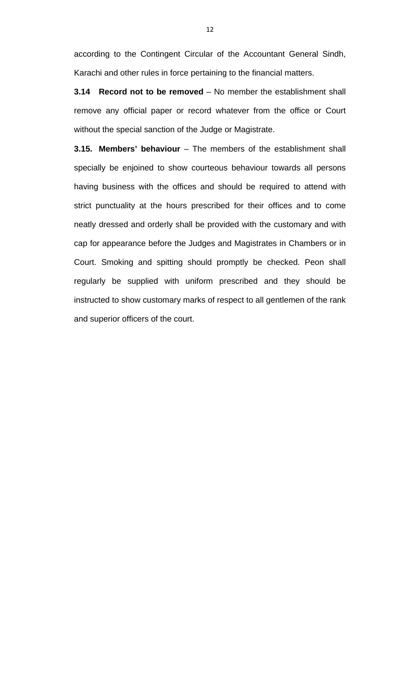according to the Contingent Circular of the Accountant General Sindh, Karachi and other rules in force pertaining to the financial matters.

**3.14 Record not to be removed** – No member the establishment shall remove any official paper or record whatever from the office or Court without the special sanction of the Judge or Magistrate.

**3.15. Members' behaviour** – The members of the establishment shall specially be enjoined to show courteous behaviour towards all persons having business with the offices and should be required to attend with strict punctuality at the hours prescribed for their offices and to come neatly dressed and orderly shall be provided with the customary and with cap for appearance before the Judges and Magistrates in Chambers or in Court. Smoking and spitting should promptly be checked. Peon shall regularly be supplied with uniform prescribed and they should be instructed to show customary marks of respect to all gentlemen of the rank and superior officers of the court.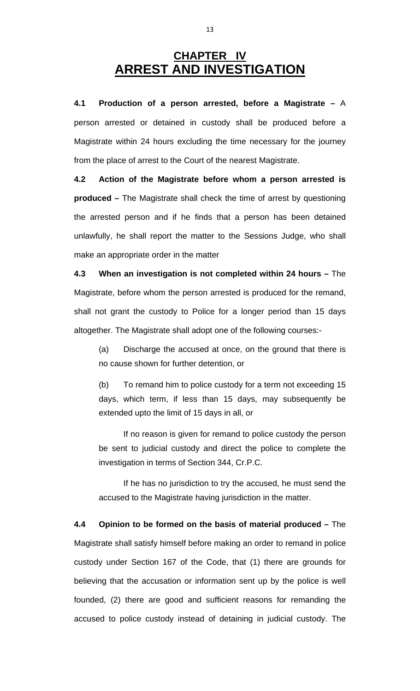## **CHAPTER IV ARREST AND INVESTIGATION**

**4.1 Production of a person arrested, before a Magistrate –** A person arrested or detained in custody shall be produced before a Magistrate within 24 hours excluding the time necessary for the journey from the place of arrest to the Court of the nearest Magistrate.

**4.2 Action of the Magistrate before whom a person arrested is produced –** The Magistrate shall check the time of arrest by questioning the arrested person and if he finds that a person has been detained unlawfully, he shall report the matter to the Sessions Judge, who shall make an appropriate order in the matter

**4.3 When an investigation is not completed within 24 hours –** The Magistrate, before whom the person arrested is produced for the remand, shall not grant the custody to Police for a longer period than 15 days altogether. The Magistrate shall adopt one of the following courses:-

(a) Discharge the accused at once, on the ground that there is no cause shown for further detention, or

(b) To remand him to police custody for a term not exceeding 15 days, which term, if less than 15 days, may subsequently be extended upto the limit of 15 days in all, or

 If no reason is given for remand to police custody the person be sent to judicial custody and direct the police to complete the investigation in terms of Section 344, Cr.P.C.

 If he has no jurisdiction to try the accused, he must send the accused to the Magistrate having jurisdiction in the matter.

**4.4 Opinion to be formed on the basis of material produced –** The Magistrate shall satisfy himself before making an order to remand in police custody under Section 167 of the Code, that (1) there are grounds for believing that the accusation or information sent up by the police is well founded, (2) there are good and sufficient reasons for remanding the accused to police custody instead of detaining in judicial custody. The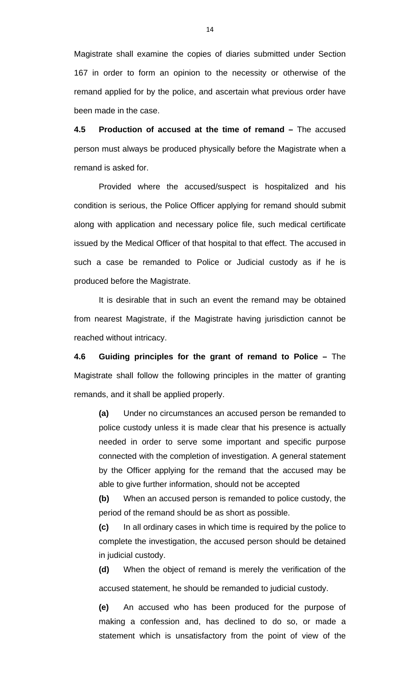Magistrate shall examine the copies of diaries submitted under Section 167 in order to form an opinion to the necessity or otherwise of the remand applied for by the police, and ascertain what previous order have been made in the case.

**4.5 Production of accused at the time of remand –** The accused person must always be produced physically before the Magistrate when a remand is asked for.

 Provided where the accused/suspect is hospitalized and his condition is serious, the Police Officer applying for remand should submit along with application and necessary police file, such medical certificate issued by the Medical Officer of that hospital to that effect. The accused in such a case be remanded to Police or Judicial custody as if he is produced before the Magistrate.

 It is desirable that in such an event the remand may be obtained from nearest Magistrate, if the Magistrate having jurisdiction cannot be reached without intricacy.

**4.6 Guiding principles for the grant of remand to Police –** The Magistrate shall follow the following principles in the matter of granting remands, and it shall be applied properly.

**(a)** Under no circumstances an accused person be remanded to police custody unless it is made clear that his presence is actually needed in order to serve some important and specific purpose connected with the completion of investigation. A general statement by the Officer applying for the remand that the accused may be able to give further information, should not be accepted

**(b)** When an accused person is remanded to police custody, the period of the remand should be as short as possible.

**(c)** In all ordinary cases in which time is required by the police to complete the investigation, the accused person should be detained in judicial custody.

**(d)** When the object of remand is merely the verification of the accused statement, he should be remanded to judicial custody.

**(e)** An accused who has been produced for the purpose of making a confession and, has declined to do so, or made a statement which is unsatisfactory from the point of view of the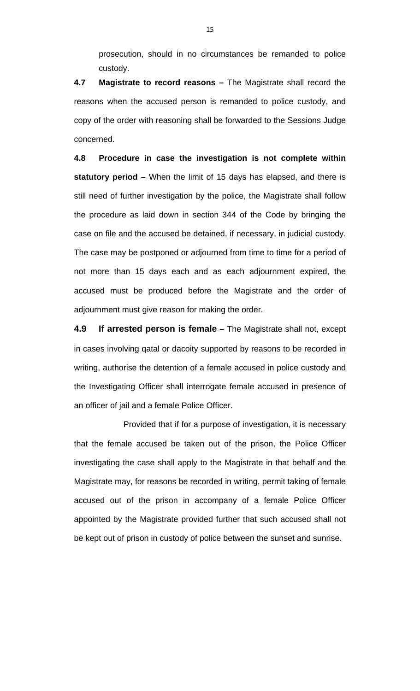prosecution, should in no circumstances be remanded to police custody.

**4.7 Magistrate to record reasons –** The Magistrate shall record the reasons when the accused person is remanded to police custody, and copy of the order with reasoning shall be forwarded to the Sessions Judge concerned.

**4.8 Procedure in case the investigation is not complete within statutory period –** When the limit of 15 days has elapsed, and there is still need of further investigation by the police, the Magistrate shall follow the procedure as laid down in section 344 of the Code by bringing the case on file and the accused be detained, if necessary, in judicial custody. The case may be postponed or adjourned from time to time for a period of not more than 15 days each and as each adjournment expired, the accused must be produced before the Magistrate and the order of adjournment must give reason for making the order.

**4.9 If arrested person is female –** The Magistrate shall not, except in cases involving qatal or dacoity supported by reasons to be recorded in writing, authorise the detention of a female accused in police custody and the Investigating Officer shall interrogate female accused in presence of an officer of jail and a female Police Officer.

 Provided that if for a purpose of investigation, it is necessary that the female accused be taken out of the prison, the Police Officer investigating the case shall apply to the Magistrate in that behalf and the Magistrate may, for reasons be recorded in writing, permit taking of female accused out of the prison in accompany of a female Police Officer appointed by the Magistrate provided further that such accused shall not be kept out of prison in custody of police between the sunset and sunrise.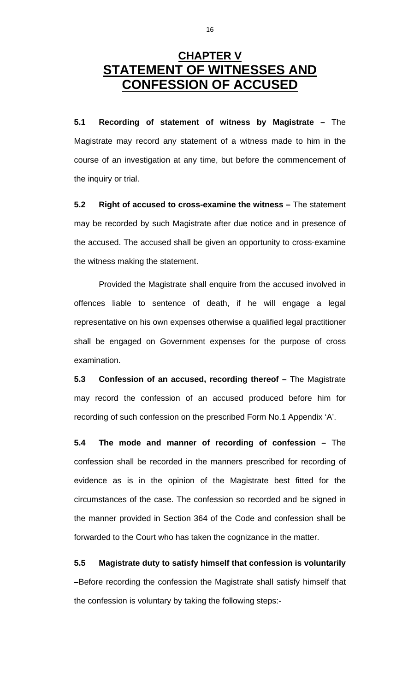## **CHAPTER V STATEMENT OF WITNESSES AND CONFESSION OF ACCUSED**

**5.1 Recording of statement of witness by Magistrate –** The Magistrate may record any statement of a witness made to him in the course of an investigation at any time, but before the commencement of the inquiry or trial.

**5.2 Right of accused to cross-examine the witness –** The statement may be recorded by such Magistrate after due notice and in presence of the accused. The accused shall be given an opportunity to cross-examine the witness making the statement.

 Provided the Magistrate shall enquire from the accused involved in offences liable to sentence of death, if he will engage a legal representative on his own expenses otherwise a qualified legal practitioner shall be engaged on Government expenses for the purpose of cross examination.

**5.3** Confession of an accused, recording thereof - The Magistrate may record the confession of an accused produced before him for recording of such confession on the prescribed Form No.1 Appendix 'A'.

**5.4 The mode and manner of recording of confession –** The confession shall be recorded in the manners prescribed for recording of evidence as is in the opinion of the Magistrate best fitted for the circumstances of the case. The confession so recorded and be signed in the manner provided in Section 364 of the Code and confession shall be forwarded to the Court who has taken the cognizance in the matter.

**5.5 Magistrate duty to satisfy himself that confession is voluntarily –**Before recording the confession the Magistrate shall satisfy himself that the confession is voluntary by taking the following steps:-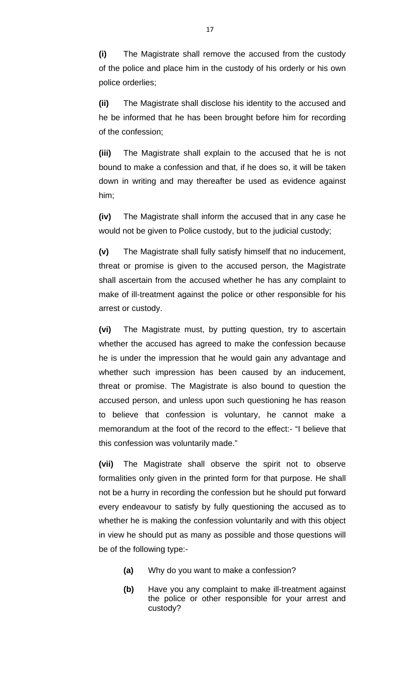**(i)** The Magistrate shall remove the accused from the custody of the police and place him in the custody of his orderly or his own police orderlies;

**(ii)** The Magistrate shall disclose his identity to the accused and he be informed that he has been brought before him for recording of the confession;

**(iii)** The Magistrate shall explain to the accused that he is not bound to make a confession and that, if he does so, it will be taken down in writing and may thereafter be used as evidence against him;

**(iv)** The Magistrate shall inform the accused that in any case he would not be given to Police custody, but to the judicial custody;

**(v)** The Magistrate shall fully satisfy himself that no inducement, threat or promise is given to the accused person, the Magistrate shall ascertain from the accused whether he has any complaint to make of ill-treatment against the police or other responsible for his arrest or custody.

**(vi)** The Magistrate must, by putting question, try to ascertain whether the accused has agreed to make the confession because he is under the impression that he would gain any advantage and whether such impression has been caused by an inducement, threat or promise. The Magistrate is also bound to question the accused person, and unless upon such questioning he has reason to believe that confession is voluntary, he cannot make a memorandum at the foot of the record to the effect:- "I believe that this confession was voluntarily made."

**(vii)** The Magistrate shall observe the spirit not to observe formalities only given in the printed form for that purpose. He shall not be a hurry in recording the confession but he should put forward every endeavour to satisfy by fully questioning the accused as to whether he is making the confession voluntarily and with this object in view he should put as many as possible and those questions will be of the following type:-

- **(a)** Why do you want to make a confession?
- **(b)** Have you any complaint to make ill-treatment against the police or other responsible for your arrest and custody?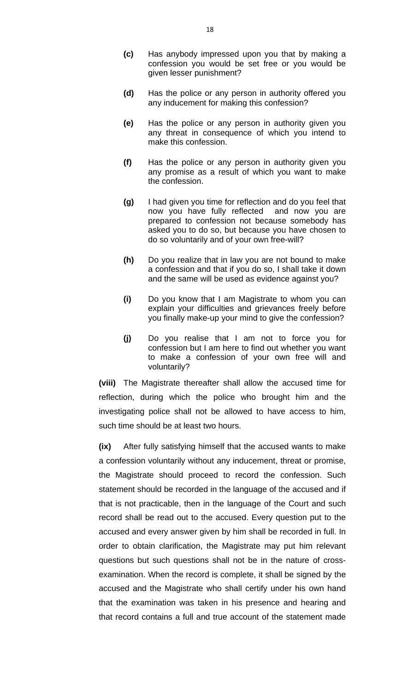- **(c)** Has anybody impressed upon you that by making a confession you would be set free or you would be given lesser punishment?
- **(d)** Has the police or any person in authority offered you any inducement for making this confession?
- **(e)** Has the police or any person in authority given you any threat in consequence of which you intend to make this confession.
- **(f)** Has the police or any person in authority given you any promise as a result of which you want to make the confession.
- **(g)** I had given you time for reflection and do you feel that now you have fully reflected and now you are prepared to confession not because somebody has asked you to do so, but because you have chosen to do so voluntarily and of your own free-will?
- **(h)** Do you realize that in law you are not bound to make a confession and that if you do so, I shall take it down and the same will be used as evidence against you?
- **(i)** Do you know that I am Magistrate to whom you can explain your difficulties and grievances freely before you finally make-up your mind to give the confession?
- **(j)** Do you realise that I am not to force you for confession but I am here to find out whether you want to make a confession of your own free will and voluntarily?

**(viii)** The Magistrate thereafter shall allow the accused time for reflection, during which the police who brought him and the investigating police shall not be allowed to have access to him, such time should be at least two hours.

**(ix)** After fully satisfying himself that the accused wants to make a confession voluntarily without any inducement, threat or promise, the Magistrate should proceed to record the confession. Such statement should be recorded in the language of the accused and if that is not practicable, then in the language of the Court and such record shall be read out to the accused. Every question put to the accused and every answer given by him shall be recorded in full. In order to obtain clarification, the Magistrate may put him relevant questions but such questions shall not be in the nature of crossexamination. When the record is complete, it shall be signed by the accused and the Magistrate who shall certify under his own hand that the examination was taken in his presence and hearing and that record contains a full and true account of the statement made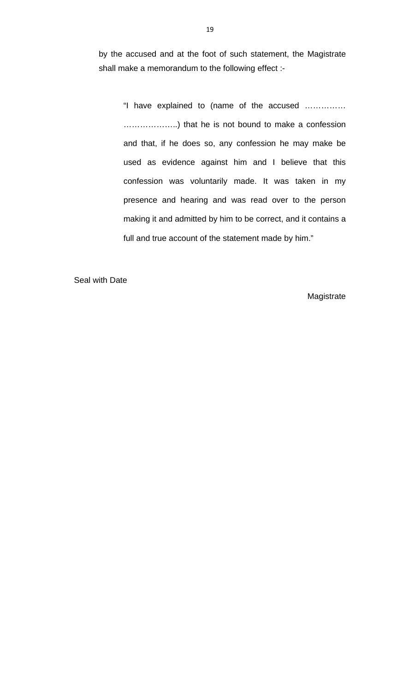by the accused and at the foot of such statement, the Magistrate shall make a memorandum to the following effect :-

"I have explained to (name of the accused …………… ………………..) that he is not bound to make a confession and that, if he does so, any confession he may make be used as evidence against him and I believe that this confession was voluntarily made. It was taken in my presence and hearing and was read over to the person making it and admitted by him to be correct, and it contains a full and true account of the statement made by him."

Seal with Date

Magistrate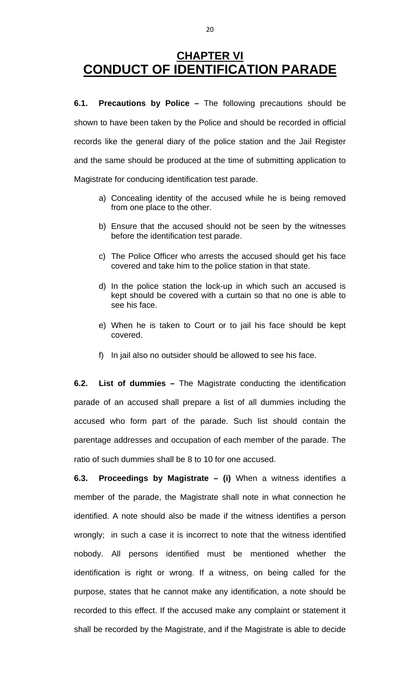## **CHAPTER VI CONDUCT OF IDENTIFICATION PARADE**

**6.1. Precautions by Police –** The following precautions should be shown to have been taken by the Police and should be recorded in official records like the general diary of the police station and the Jail Register and the same should be produced at the time of submitting application to Magistrate for conducing identification test parade.

- a) Concealing identity of the accused while he is being removed from one place to the other.
- b) Ensure that the accused should not be seen by the witnesses before the identification test parade.
- c) The Police Officer who arrests the accused should get his face covered and take him to the police station in that state.
- d) In the police station the lock-up in which such an accused is kept should be covered with a curtain so that no one is able to see his face.
- e) When he is taken to Court or to jail his face should be kept covered.
- f) In jail also no outsider should be allowed to see his face.

**6.2. List of dummies –** The Magistrate conducting the identification parade of an accused shall prepare a list of all dummies including the accused who form part of the parade. Such list should contain the parentage addresses and occupation of each member of the parade. The ratio of such dummies shall be 8 to 10 for one accused.

**6.3. Proceedings by Magistrate – (i)** When a witness identifies a member of the parade, the Magistrate shall note in what connection he identified. A note should also be made if the witness identifies a person wrongly; in such a case it is incorrect to note that the witness identified nobody. All persons identified must be mentioned whether the identification is right or wrong. If a witness, on being called for the purpose, states that he cannot make any identification, a note should be recorded to this effect. If the accused make any complaint or statement it shall be recorded by the Magistrate, and if the Magistrate is able to decide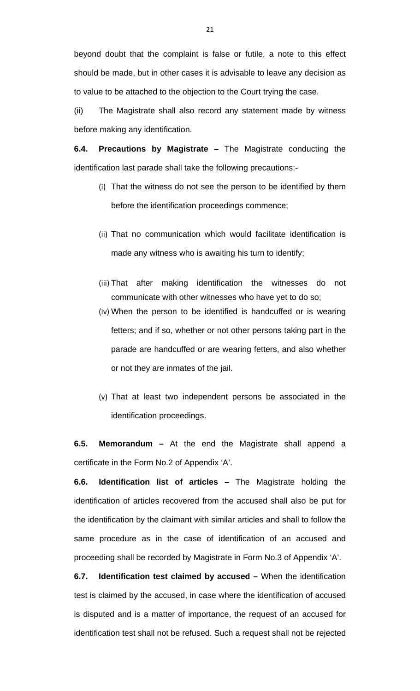beyond doubt that the complaint is false or futile, a note to this effect should be made, but in other cases it is advisable to leave any decision as to value to be attached to the objection to the Court trying the case.

(ii) The Magistrate shall also record any statement made by witness before making any identification.

**6.4. Precautions by Magistrate –** The Magistrate conducting the identification last parade shall take the following precautions:-

- (i) That the witness do not see the person to be identified by them before the identification proceedings commence;
- (ii) That no communication which would facilitate identification is made any witness who is awaiting his turn to identify;
- (iii) That after making identification the witnesses do not communicate with other witnesses who have yet to do so;
- (iv) When the person to be identified is handcuffed or is wearing fetters; and if so, whether or not other persons taking part in the parade are handcuffed or are wearing fetters, and also whether or not they are inmates of the jail.
- (v) That at least two independent persons be associated in the identification proceedings.

**6.5. Memorandum –** At the end the Magistrate shall append a certificate in the Form No.2 of Appendix 'A'.

**6.6. Identification list of articles –** The Magistrate holding the identification of articles recovered from the accused shall also be put for the identification by the claimant with similar articles and shall to follow the same procedure as in the case of identification of an accused and proceeding shall be recorded by Magistrate in Form No.3 of Appendix 'A'.

**6.7. Identification test claimed by accused –** When the identification test is claimed by the accused, in case where the identification of accused is disputed and is a matter of importance, the request of an accused for identification test shall not be refused. Such a request shall not be rejected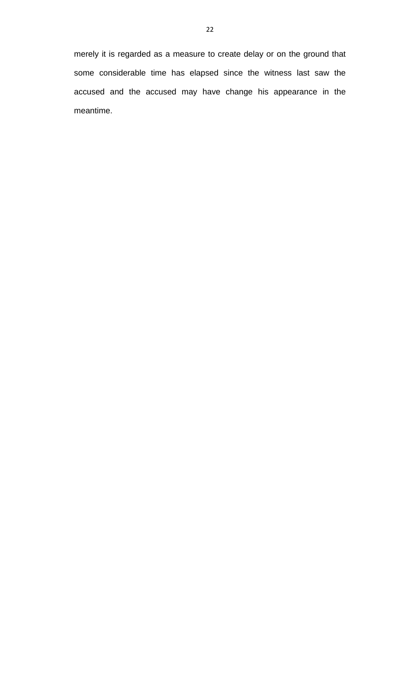merely it is regarded as a measure to create delay or on the ground that some considerable time has elapsed since the witness last saw the accused and the accused may have change his appearance in the meantime.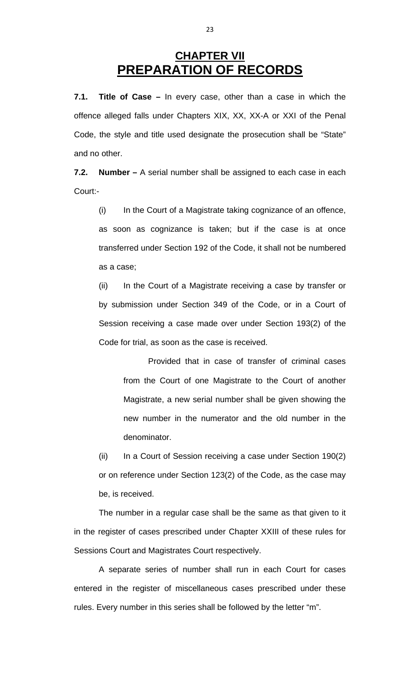## **CHAPTER VII PREPARATION OF RECORDS**

**7.1. Title of Case –** In every case, other than a case in which the offence alleged falls under Chapters XIX, XX, XX-A or XXI of the Penal Code, the style and title used designate the prosecution shall be "State" and no other.

**7.2. Number –** A serial number shall be assigned to each case in each Court:-

(i) In the Court of a Magistrate taking cognizance of an offence, as soon as cognizance is taken; but if the case is at once transferred under Section 192 of the Code, it shall not be numbered as a case;

(ii) In the Court of a Magistrate receiving a case by transfer or by submission under Section 349 of the Code, or in a Court of Session receiving a case made over under Section 193(2) of the Code for trial, as soon as the case is received.

 Provided that in case of transfer of criminal cases from the Court of one Magistrate to the Court of another Magistrate, a new serial number shall be given showing the new number in the numerator and the old number in the denominator.

(ii) In a Court of Session receiving a case under Section 190(2) or on reference under Section 123(2) of the Code, as the case may be, is received.

 The number in a regular case shall be the same as that given to it in the register of cases prescribed under Chapter XXIII of these rules for Sessions Court and Magistrates Court respectively.

 A separate series of number shall run in each Court for cases entered in the register of miscellaneous cases prescribed under these rules. Every number in this series shall be followed by the letter "m".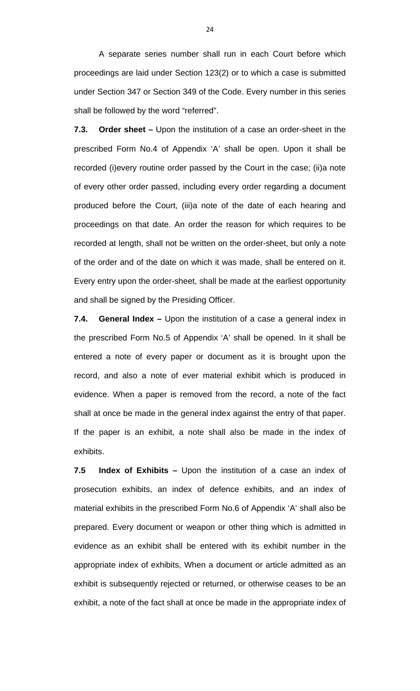A separate series number shall run in each Court before which proceedings are laid under Section 123(2) or to which a case is submitted under Section 347 or Section 349 of the Code. Every number in this series shall be followed by the word "referred".

**7.3. Order sheet –** Upon the institution of a case an order-sheet in the prescribed Form No.4 of Appendix 'A' shall be open. Upon it shall be recorded (i)every routine order passed by the Court in the case; (ii)a note of every other order passed, including every order regarding a document produced before the Court, (iii)a note of the date of each hearing and proceedings on that date. An order the reason for which requires to be recorded at length, shall not be written on the order-sheet, but only a note of the order and of the date on which it was made, shall be entered on it. Every entry upon the order-sheet, shall be made at the earliest opportunity and shall be signed by the Presiding Officer.

**7.4. General Index –** Upon the institution of a case a general index in the prescribed Form No.5 of Appendix 'A' shall be opened. In it shall be entered a note of every paper or document as it is brought upon the record, and also a note of ever material exhibit which is produced in evidence. When a paper is removed from the record, a note of the fact shall at once be made in the general index against the entry of that paper. If the paper is an exhibit, a note shall also be made in the index of exhibits.

**7.5 Index of Exhibits** *–* Upon the institution of a case an index of prosecution exhibits, an index of defence exhibits, and an index of material exhibits in the prescribed Form No.6 of Appendix 'A' shall also be prepared. Every document or weapon or other thing which is admitted in evidence as an exhibit shall be entered with its exhibit number in the appropriate index of exhibits, When a document or article admitted as an exhibit is subsequently rejected or returned, or otherwise ceases to be an exhibit, a note of the fact shall at once be made in the appropriate index of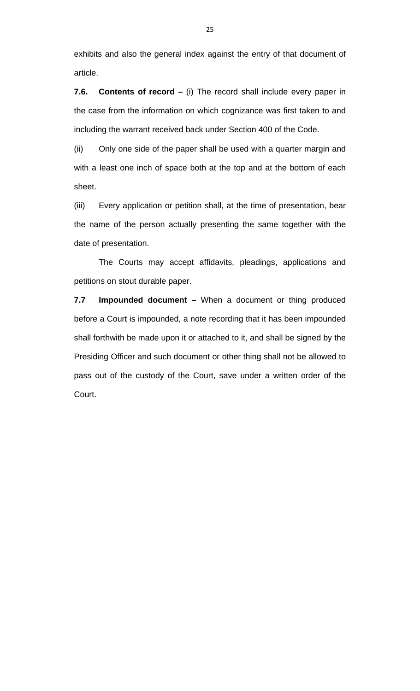exhibits and also the general index against the entry of that document of article.

**7.6. Contents of record –** (i) The record shall include every paper in the case from the information on which cognizance was first taken to and including the warrant received back under Section 400 of the Code.

(ii) Only one side of the paper shall be used with a quarter margin and with a least one inch of space both at the top and at the bottom of each sheet.

(iii) Every application or petition shall, at the time of presentation, bear the name of the person actually presenting the same together with the date of presentation.

 The Courts may accept affidavits, pleadings, applications and petitions on stout durable paper.

**7.7 Impounded document –** When a document or thing produced before a Court is impounded, a note recording that it has been impounded shall forthwith be made upon it or attached to it, and shall be signed by the Presiding Officer and such document or other thing shall not be allowed to pass out of the custody of the Court, save under a written order of the Court.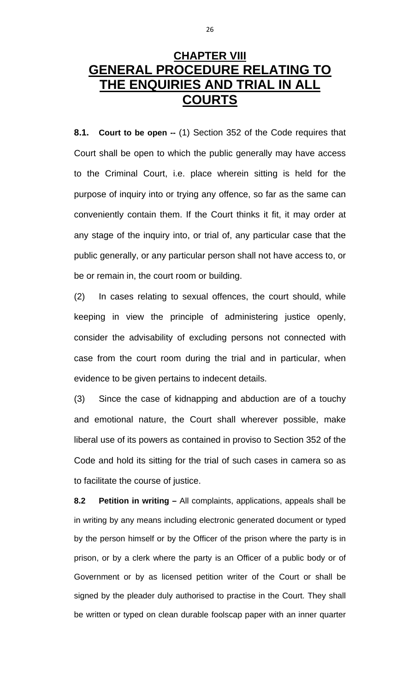## **CHAPTER VIII GENERAL PROCEDURE RELATING TO THE ENQUIRIES AND TRIAL IN ALL COURTS**

**8.1. Court to be open --** (1) Section 352 of the Code requires that Court shall be open to which the public generally may have access to the Criminal Court, i.e. place wherein sitting is held for the purpose of inquiry into or trying any offence, so far as the same can conveniently contain them. If the Court thinks it fit, it may order at any stage of the inquiry into, or trial of, any particular case that the public generally, or any particular person shall not have access to, or be or remain in, the court room or building.

(2) In cases relating to sexual offences, the court should, while keeping in view the principle of administering justice openly, consider the advisability of excluding persons not connected with case from the court room during the trial and in particular, when evidence to be given pertains to indecent details.

(3) Since the case of kidnapping and abduction are of a touchy and emotional nature, the Court shall wherever possible, make liberal use of its powers as contained in proviso to Section 352 of the Code and hold its sitting for the trial of such cases in camera so as to facilitate the course of justice.

**8.2 Petition in writing –** All complaints, applications, appeals shall be in writing by any means including electronic generated document or typed by the person himself or by the Officer of the prison where the party is in prison, or by a clerk where the party is an Officer of a public body or of Government or by as licensed petition writer of the Court or shall be signed by the pleader duly authorised to practise in the Court. They shall be written or typed on clean durable foolscap paper with an inner quarter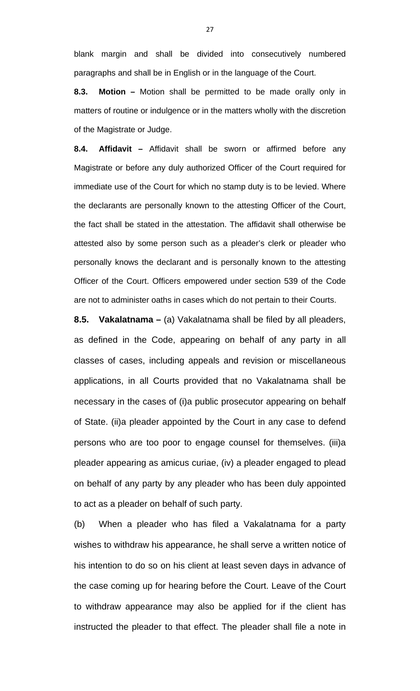blank margin and shall be divided into consecutively numbered paragraphs and shall be in English or in the language of the Court.

**8.3. Motion –** Motion shall be permitted to be made orally only in matters of routine or indulgence or in the matters wholly with the discretion of the Magistrate or Judge.

**8.4. Affidavit –** Affidavit shall be sworn or affirmed before any Magistrate or before any duly authorized Officer of the Court required for immediate use of the Court for which no stamp duty is to be levied. Where the declarants are personally known to the attesting Officer of the Court, the fact shall be stated in the attestation. The affidavit shall otherwise be attested also by some person such as a pleader's clerk or pleader who personally knows the declarant and is personally known to the attesting Officer of the Court. Officers empowered under section 539 of the Code are not to administer oaths in cases which do not pertain to their Courts.

**8.5. Vakalatnama –** (a) Vakalatnama shall be filed by all pleaders, as defined in the Code, appearing on behalf of any party in all classes of cases, including appeals and revision or miscellaneous applications, in all Courts provided that no Vakalatnama shall be necessary in the cases of (i)a public prosecutor appearing on behalf of State. (ii)a pleader appointed by the Court in any case to defend persons who are too poor to engage counsel for themselves. (iii)a pleader appearing as amicus curiae, (iv) a pleader engaged to plead on behalf of any party by any pleader who has been duly appointed to act as a pleader on behalf of such party.

(b) When a pleader who has filed a Vakalatnama for a party wishes to withdraw his appearance, he shall serve a written notice of his intention to do so on his client at least seven days in advance of the case coming up for hearing before the Court. Leave of the Court to withdraw appearance may also be applied for if the client has instructed the pleader to that effect. The pleader shall file a note in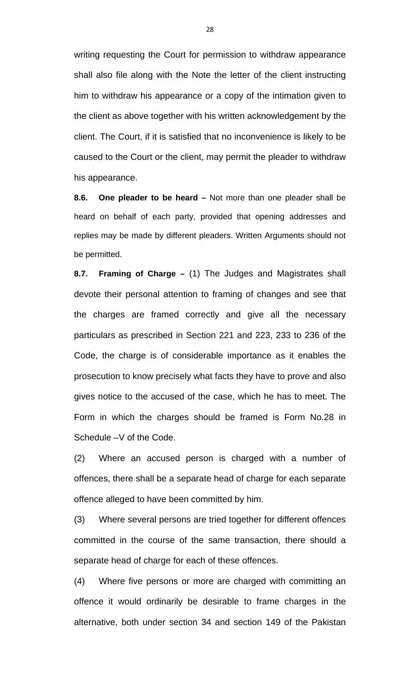writing requesting the Court for permission to withdraw appearance shall also file along with the Note the letter of the client instructing him to withdraw his appearance or a copy of the intimation given to the client as above together with his written acknowledgement by the client. The Court, if it is satisfied that no inconvenience is likely to be caused to the Court or the client, may permit the pleader to withdraw his appearance.

**8.6. One pleader to be heard –** Not more than one pleader shall be heard on behalf of each party, provided that opening addresses and replies may be made by different pleaders. Written Arguments should not be permitted.

**8.7. Framing of Charge –** (1) The Judges and Magistrates shall devote their personal attention to framing of changes and see that the charges are framed correctly and give all the necessary particulars as prescribed in Section 221 and 223, 233 to 236 of the Code, the charge is of considerable importance as it enables the prosecution to know precisely what facts they have to prove and also gives notice to the accused of the case, which he has to meet. The Form in which the charges should be framed is Form No.28 in Schedule –V of the Code.

(2) Where an accused person is charged with a number of offences, there shall be a separate head of charge for each separate offence alleged to have been committed by him.

(3) Where several persons are tried together for different offences committed in the course of the same transaction, there should a separate head of charge for each of these offences.

(4) Where five persons or more are charged with committing an offence it would ordinarily be desirable to frame charges in the alternative, both under section 34 and section 149 of the Pakistan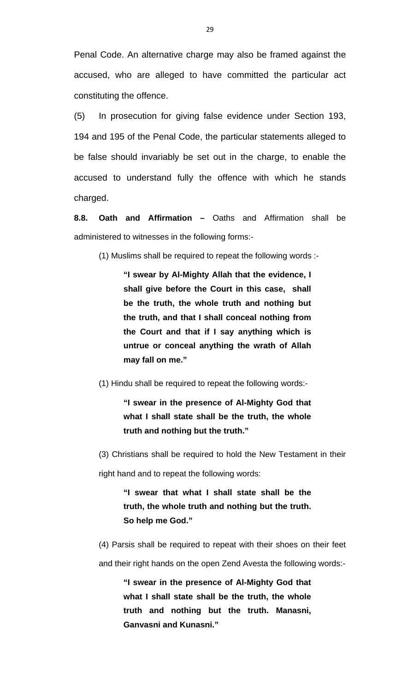Penal Code. An alternative charge may also be framed against the accused, who are alleged to have committed the particular act constituting the offence.

(5) In prosecution for giving false evidence under Section 193, 194 and 195 of the Penal Code, the particular statements alleged to be false should invariably be set out in the charge, to enable the accused to understand fully the offence with which he stands charged.

**8.8. Oath and Affirmation –** Oaths and Affirmation shall be administered to witnesses in the following forms:-

(1) Muslims shall be required to repeat the following words :-

**"I swear by Al-Mighty Allah that the evidence, I shall give before the Court in this case, shall be the truth, the whole truth and nothing but the truth, and that I shall conceal nothing from the Court and that if I say anything which is untrue or conceal anything the wrath of Allah may fall on me."** 

(1) Hindu shall be required to repeat the following words:-

**"I swear in the presence of Al-Mighty God that what I shall state shall be the truth, the whole truth and nothing but the truth."** 

(3) Christians shall be required to hold the New Testament in their right hand and to repeat the following words:

**"I swear that what I shall state shall be the truth, the whole truth and nothing but the truth. So help me God."** 

(4) Parsis shall be required to repeat with their shoes on their feet and their right hands on the open Zend Avesta the following words:-

**"I swear in the presence of Al-Mighty God that what I shall state shall be the truth, the whole truth and nothing but the truth. Manasni, Ganvasni and Kunasni."**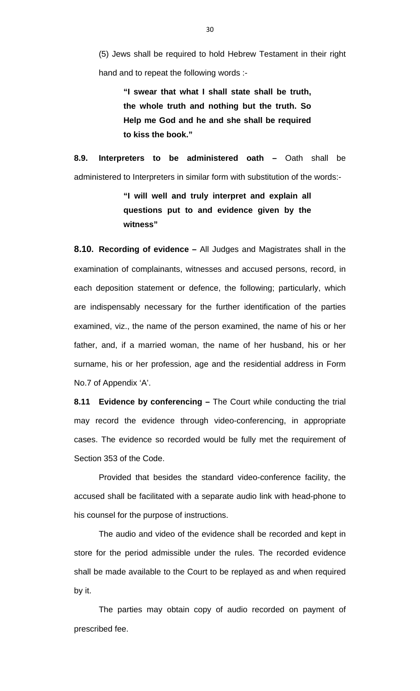(5) Jews shall be required to hold Hebrew Testament in their right hand and to repeat the following words :-

> **"I swear that what I shall state shall be truth, the whole truth and nothing but the truth. So Help me God and he and she shall be required to kiss the book."**

**8.9. Interpreters to be administered oath –** Oath shall be administered to Interpreters in similar form with substitution of the words:-

> **"I will well and truly interpret and explain all questions put to and evidence given by the witness"**

**8.10. Recording of evidence –** All Judges and Magistrates shall in the examination of complainants, witnesses and accused persons, record, in each deposition statement or defence, the following; particularly, which are indispensably necessary for the further identification of the parties examined, viz., the name of the person examined, the name of his or her father, and, if a married woman, the name of her husband, his or her surname, his or her profession, age and the residential address in Form No.7 of Appendix 'A'.

**8.11 Evidence by conferencing –** The Court while conducting the trial may record the evidence through video-conferencing, in appropriate cases. The evidence so recorded would be fully met the requirement of Section 353 of the Code.

 Provided that besides the standard video-conference facility, the accused shall be facilitated with a separate audio link with head-phone to his counsel for the purpose of instructions.

 The audio and video of the evidence shall be recorded and kept in store for the period admissible under the rules. The recorded evidence shall be made available to the Court to be replayed as and when required by it.

 The parties may obtain copy of audio recorded on payment of prescribed fee.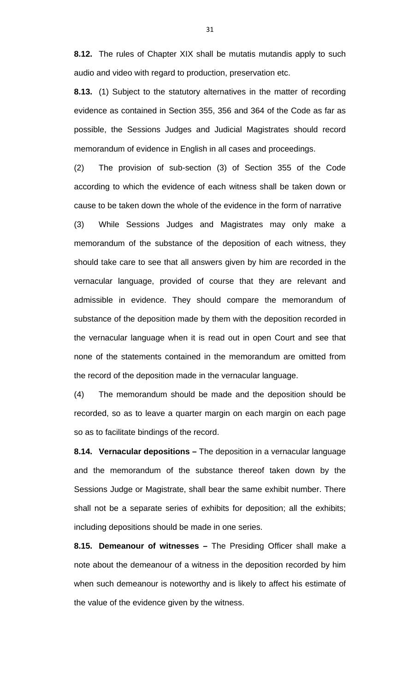**8.12.** The rules of Chapter XIX shall be mutatis mutandis apply to such audio and video with regard to production, preservation etc.

**8.13.** (1) Subject to the statutory alternatives in the matter of recording evidence as contained in Section 355, 356 and 364 of the Code as far as possible, the Sessions Judges and Judicial Magistrates should record memorandum of evidence in English in all cases and proceedings.

(2) The provision of sub-section (3) of Section 355 of the Code according to which the evidence of each witness shall be taken down or cause to be taken down the whole of the evidence in the form of narrative

(3) While Sessions Judges and Magistrates may only make a memorandum of the substance of the deposition of each witness, they should take care to see that all answers given by him are recorded in the vernacular language, provided of course that they are relevant and admissible in evidence. They should compare the memorandum of substance of the deposition made by them with the deposition recorded in the vernacular language when it is read out in open Court and see that none of the statements contained in the memorandum are omitted from the record of the deposition made in the vernacular language.

(4) The memorandum should be made and the deposition should be recorded, so as to leave a quarter margin on each margin on each page so as to facilitate bindings of the record.

**8.14. Vernacular depositions –** The deposition in a vernacular language and the memorandum of the substance thereof taken down by the Sessions Judge or Magistrate, shall bear the same exhibit number. There shall not be a separate series of exhibits for deposition; all the exhibits; including depositions should be made in one series.

**8.15. Demeanour of witnesses –** The Presiding Officer shall make a note about the demeanour of a witness in the deposition recorded by him when such demeanour is noteworthy and is likely to affect his estimate of the value of the evidence given by the witness.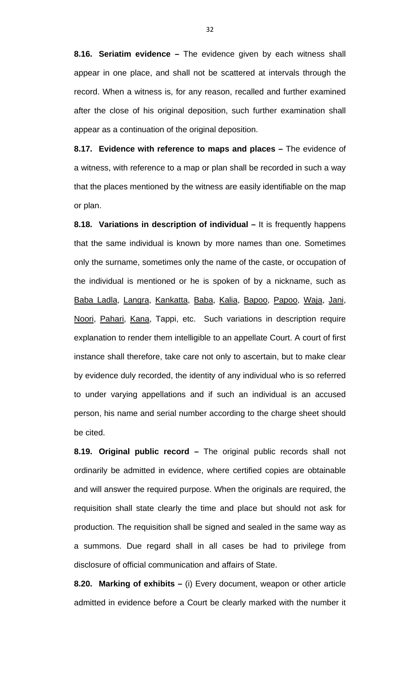**8.16. Seriatim evidence –** The evidence given by each witness shall appear in one place, and shall not be scattered at intervals through the record. When a witness is, for any reason, recalled and further examined after the close of his original deposition, such further examination shall appear as a continuation of the original deposition.

**8.17. Evidence with reference to maps and places –** The evidence of a witness, with reference to a map or plan shall be recorded in such a way that the places mentioned by the witness are easily identifiable on the map or plan.

**8.18. Variations in description of individual –** It is frequently happens that the same individual is known by more names than one. Sometimes only the surname, sometimes only the name of the caste, or occupation of the individual is mentioned or he is spoken of by a nickname, such as Baba Ladla, Langra, Kankatta, Baba, Kalia, Bapoo, Papoo, Waja, Jani, Noori, Pahari, Kana, Tappi, etc. Such variations in description require explanation to render them intelligible to an appellate Court. A court of first instance shall therefore, take care not only to ascertain, but to make clear by evidence duly recorded, the identity of any individual who is so referred to under varying appellations and if such an individual is an accused person, his name and serial number according to the charge sheet should be cited.

**8.19. Original public record –** The original public records shall not ordinarily be admitted in evidence, where certified copies are obtainable and will answer the required purpose. When the originals are required, the requisition shall state clearly the time and place but should not ask for production. The requisition shall be signed and sealed in the same way as a summons. Due regard shall in all cases be had to privilege from disclosure of official communication and affairs of State.

**8.20. Marking of exhibits –** (i) Every document, weapon or other article admitted in evidence before a Court be clearly marked with the number it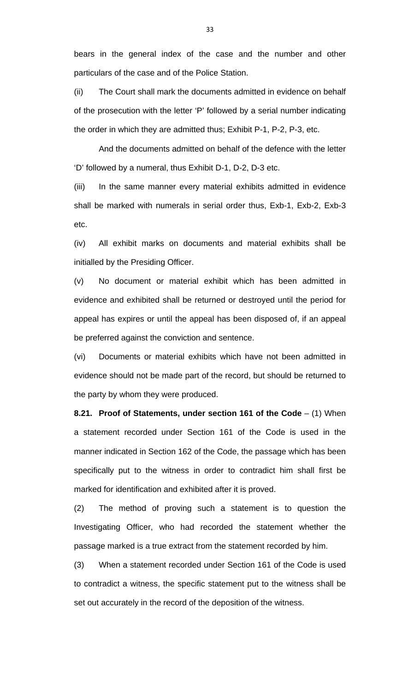bears in the general index of the case and the number and other particulars of the case and of the Police Station.

(ii) The Court shall mark the documents admitted in evidence on behalf of the prosecution with the letter 'P' followed by a serial number indicating the order in which they are admitted thus; Exhibit P-1, P-2, P-3, etc.

 And the documents admitted on behalf of the defence with the letter 'D' followed by a numeral, thus Exhibit D-1, D-2, D-3 etc.

(iii) In the same manner every material exhibits admitted in evidence shall be marked with numerals in serial order thus, Exb-1, Exb-2, Exb-3 etc.

(iv) All exhibit marks on documents and material exhibits shall be initialled by the Presiding Officer.

(v) No document or material exhibit which has been admitted in evidence and exhibited shall be returned or destroyed until the period for appeal has expires or until the appeal has been disposed of, if an appeal be preferred against the conviction and sentence.

(vi) Documents or material exhibits which have not been admitted in evidence should not be made part of the record, but should be returned to the party by whom they were produced.

**8.21. Proof of Statements, under section 161 of the Code** – (1) When a statement recorded under Section 161 of the Code is used in the manner indicated in Section 162 of the Code, the passage which has been specifically put to the witness in order to contradict him shall first be marked for identification and exhibited after it is proved.

(2) The method of proving such a statement is to question the Investigating Officer, who had recorded the statement whether the passage marked is a true extract from the statement recorded by him.

(3) When a statement recorded under Section 161 of the Code is used to contradict a witness, the specific statement put to the witness shall be set out accurately in the record of the deposition of the witness.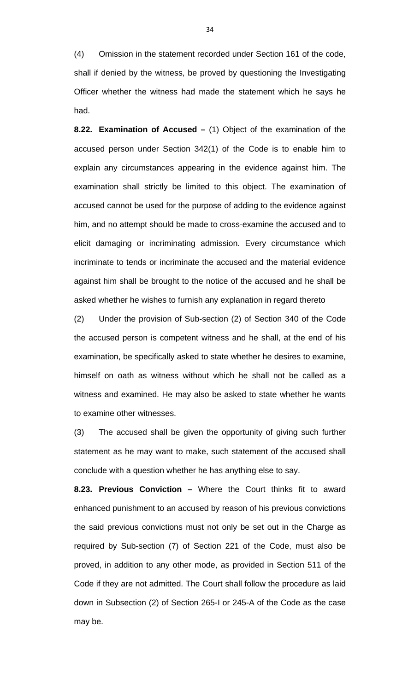(4) Omission in the statement recorded under Section 161 of the code, shall if denied by the witness, be proved by questioning the Investigating Officer whether the witness had made the statement which he says he had.

**8.22. Examination of Accused –** (1) Object of the examination of the accused person under Section 342(1) of the Code is to enable him to explain any circumstances appearing in the evidence against him. The examination shall strictly be limited to this object. The examination of accused cannot be used for the purpose of adding to the evidence against him, and no attempt should be made to cross-examine the accused and to elicit damaging or incriminating admission. Every circumstance which incriminate to tends or incriminate the accused and the material evidence against him shall be brought to the notice of the accused and he shall be asked whether he wishes to furnish any explanation in regard thereto

(2) Under the provision of Sub-section (2) of Section 340 of the Code the accused person is competent witness and he shall, at the end of his examination, be specifically asked to state whether he desires to examine, himself on oath as witness without which he shall not be called as a witness and examined. He may also be asked to state whether he wants to examine other witnesses.

(3) The accused shall be given the opportunity of giving such further statement as he may want to make, such statement of the accused shall conclude with a question whether he has anything else to say.

**8.23. Previous Conviction –** Where the Court thinks fit to award enhanced punishment to an accused by reason of his previous convictions the said previous convictions must not only be set out in the Charge as required by Sub-section (7) of Section 221 of the Code, must also be proved, in addition to any other mode, as provided in Section 511 of the Code if they are not admitted. The Court shall follow the procedure as laid down in Subsection (2) of Section 265-I or 245-A of the Code as the case may be.

34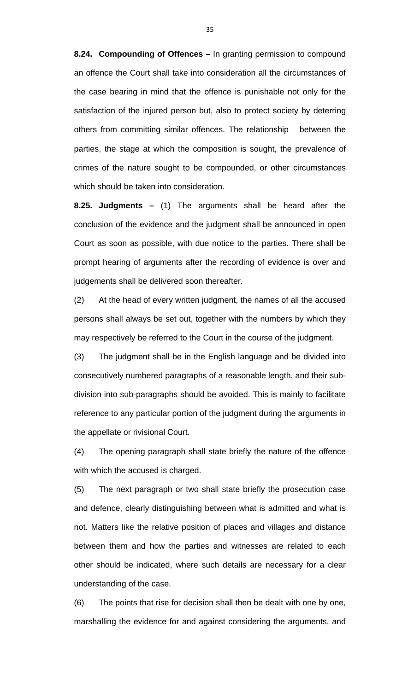**8.24. Compounding of Offences –** In granting permission to compound an offence the Court shall take into consideration all the circumstances of the case bearing in mind that the offence is punishable not only for the satisfaction of the injured person but, also to protect society by deterring others from committing similar offences. The relationship between the parties, the stage at which the composition is sought, the prevalence of crimes of the nature sought to be compounded, or other circumstances which should be taken into consideration.

**8.25. Judgments –** (1) The arguments shall be heard after the conclusion of the evidence and the judgment shall be announced in open Court as soon as possible, with due notice to the parties. There shall be prompt hearing of arguments after the recording of evidence is over and judgements shall be delivered soon thereafter.

(2) At the head of every written judgment, the names of all the accused persons shall always be set out, together with the numbers by which they may respectively be referred to the Court in the course of the judgment.

(3) The judgment shall be in the English language and be divided into consecutively numbered paragraphs of a reasonable length, and their subdivision into sub-paragraphs should be avoided. This is mainly to facilitate reference to any particular portion of the judgment during the arguments in the appellate or rivisional Court.

(4) The opening paragraph shall state briefly the nature of the offence with which the accused is charged.

(5) The next paragraph or two shall state briefly the prosecution case and defence, clearly distinguishing between what is admitted and what is not. Matters like the relative position of places and villages and distance between them and how the parties and witnesses are related to each other should be indicated, where such details are necessary for a clear understanding of the case.

(6) The points that rise for decision shall then be dealt with one by one, marshalling the evidence for and against considering the arguments, and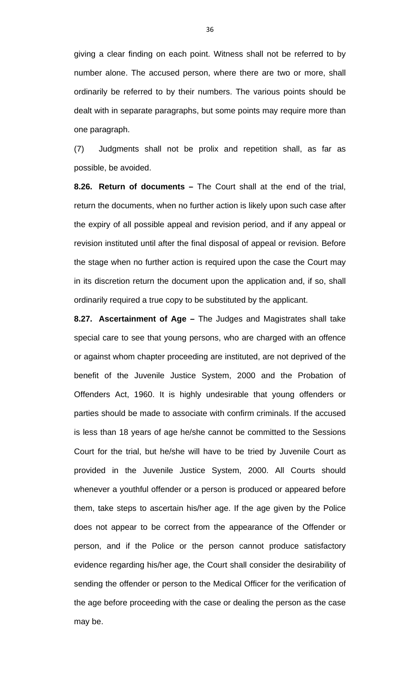giving a clear finding on each point. Witness shall not be referred to by number alone. The accused person, where there are two or more, shall ordinarily be referred to by their numbers. The various points should be dealt with in separate paragraphs, but some points may require more than one paragraph.

(7) Judgments shall not be prolix and repetition shall, as far as possible, be avoided.

**8.26. Return of documents –** The Court shall at the end of the trial, return the documents, when no further action is likely upon such case after the expiry of all possible appeal and revision period, and if any appeal or revision instituted until after the final disposal of appeal or revision. Before the stage when no further action is required upon the case the Court may in its discretion return the document upon the application and, if so, shall ordinarily required a true copy to be substituted by the applicant.

**8.27. Ascertainment of Age –** The Judges and Magistrates shall take special care to see that young persons, who are charged with an offence or against whom chapter proceeding are instituted, are not deprived of the benefit of the Juvenile Justice System, 2000 and the Probation of Offenders Act, 1960. It is highly undesirable that young offenders or parties should be made to associate with confirm criminals. If the accused is less than 18 years of age he/she cannot be committed to the Sessions Court for the trial, but he/she will have to be tried by Juvenile Court as provided in the Juvenile Justice System, 2000. All Courts should whenever a youthful offender or a person is produced or appeared before them, take steps to ascertain his/her age. If the age given by the Police does not appear to be correct from the appearance of the Offender or person, and if the Police or the person cannot produce satisfactory evidence regarding his/her age, the Court shall consider the desirability of sending the offender or person to the Medical Officer for the verification of the age before proceeding with the case or dealing the person as the case may be.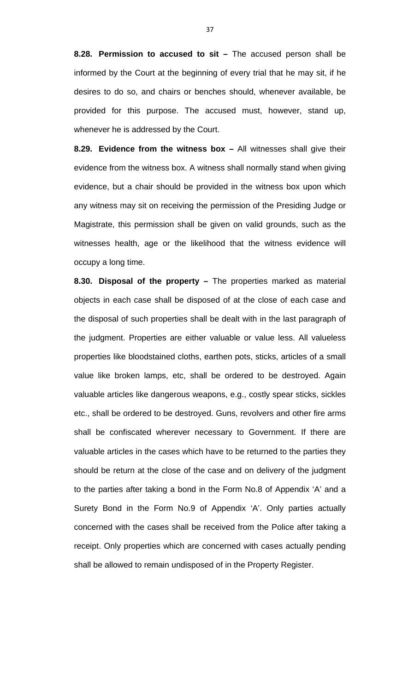**8.28. Permission to accused to sit –** The accused person shall be informed by the Court at the beginning of every trial that he may sit, if he desires to do so, and chairs or benches should, whenever available, be provided for this purpose. The accused must, however, stand up, whenever he is addressed by the Court.

**8.29. Evidence from the witness box –** All witnesses shall give their evidence from the witness box. A witness shall normally stand when giving evidence, but a chair should be provided in the witness box upon which any witness may sit on receiving the permission of the Presiding Judge or Magistrate, this permission shall be given on valid grounds, such as the witnesses health, age or the likelihood that the witness evidence will occupy a long time.

**8.30. Disposal of the property –** The properties marked as material objects in each case shall be disposed of at the close of each case and the disposal of such properties shall be dealt with in the last paragraph of the judgment. Properties are either valuable or value less. All valueless properties like bloodstained cloths, earthen pots, sticks, articles of a small value like broken lamps, etc, shall be ordered to be destroyed. Again valuable articles like dangerous weapons, e.g., costly spear sticks, sickles etc., shall be ordered to be destroyed. Guns, revolvers and other fire arms shall be confiscated wherever necessary to Government. If there are valuable articles in the cases which have to be returned to the parties they should be return at the close of the case and on delivery of the judgment to the parties after taking a bond in the Form No.8 of Appendix 'A' and a Surety Bond in the Form No.9 of Appendix 'A'. Only parties actually concerned with the cases shall be received from the Police after taking a receipt. Only properties which are concerned with cases actually pending shall be allowed to remain undisposed of in the Property Register.

37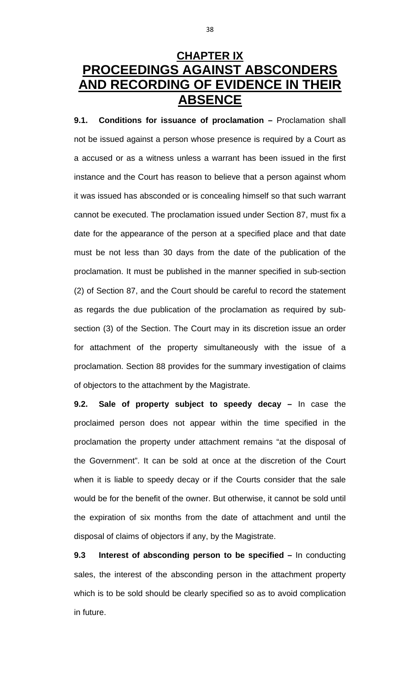## **CHAPTER IX PROCEEDINGS AGAINST ABSCONDERS AND RECORDING OF EVIDENCE IN THEIR ABSENCE**

**9.1. Conditions for issuance of proclamation –** Proclamation shall not be issued against a person whose presence is required by a Court as a accused or as a witness unless a warrant has been issued in the first instance and the Court has reason to believe that a person against whom it was issued has absconded or is concealing himself so that such warrant cannot be executed. The proclamation issued under Section 87, must fix a date for the appearance of the person at a specified place and that date must be not less than 30 days from the date of the publication of the proclamation. It must be published in the manner specified in sub-section (2) of Section 87, and the Court should be careful to record the statement as regards the due publication of the proclamation as required by subsection (3) of the Section. The Court may in its discretion issue an order for attachment of the property simultaneously with the issue of a proclamation. Section 88 provides for the summary investigation of claims of objectors to the attachment by the Magistrate.

**9.2. Sale of property subject to speedy decay –** In case the proclaimed person does not appear within the time specified in the proclamation the property under attachment remains "at the disposal of the Government". It can be sold at once at the discretion of the Court when it is liable to speedy decay or if the Courts consider that the sale would be for the benefit of the owner. But otherwise, it cannot be sold until the expiration of six months from the date of attachment and until the disposal of claims of objectors if any, by the Magistrate.

**9.3 Interest of absconding person to be specified –** In conducting sales, the interest of the absconding person in the attachment property which is to be sold should be clearly specified so as to avoid complication in future.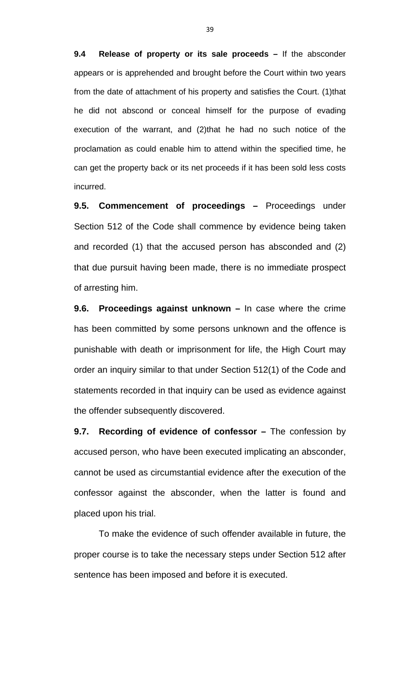**9.4 Release of property or its sale proceeds –** If the absconder appears or is apprehended and brought before the Court within two years from the date of attachment of his property and satisfies the Court. (1)that he did not abscond or conceal himself for the purpose of evading execution of the warrant, and (2)that he had no such notice of the proclamation as could enable him to attend within the specified time, he can get the property back or its net proceeds if it has been sold less costs incurred.

**9.5. Commencement of proceedings –** Proceedings under Section 512 of the Code shall commence by evidence being taken and recorded (1) that the accused person has absconded and (2) that due pursuit having been made, there is no immediate prospect of arresting him.

**9.6. Proceedings against unknown –** In case where the crime has been committed by some persons unknown and the offence is punishable with death or imprisonment for life, the High Court may order an inquiry similar to that under Section 512(1) of the Code and statements recorded in that inquiry can be used as evidence against the offender subsequently discovered.

**9.7. Recording of evidence of confessor –** The confession by accused person, who have been executed implicating an absconder, cannot be used as circumstantial evidence after the execution of the confessor against the absconder, when the latter is found and placed upon his trial.

 To make the evidence of such offender available in future, the proper course is to take the necessary steps under Section 512 after sentence has been imposed and before it is executed.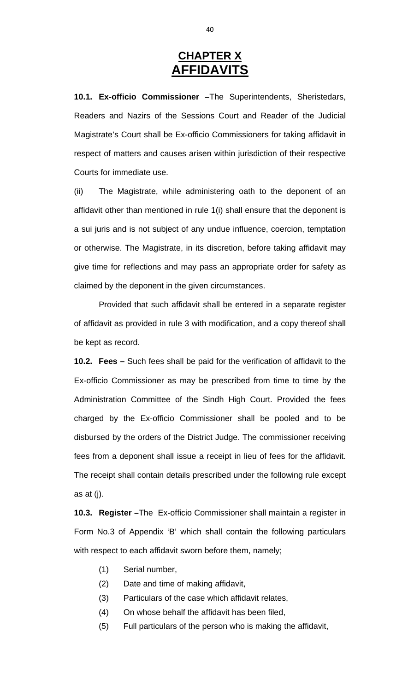#### **CHAPTER X AFFIDAVITS**

**10.1. Ex-officio Commissioner –**The Superintendents, Sheristedars, Readers and Nazirs of the Sessions Court and Reader of the Judicial Magistrate's Court shall be Ex-officio Commissioners for taking affidavit in respect of matters and causes arisen within jurisdiction of their respective Courts for immediate use.

(ii) The Magistrate, while administering oath to the deponent of an affidavit other than mentioned in rule 1(i) shall ensure that the deponent is a sui juris and is not subject of any undue influence, coercion, temptation or otherwise. The Magistrate, in its discretion, before taking affidavit may give time for reflections and may pass an appropriate order for safety as claimed by the deponent in the given circumstances.

 Provided that such affidavit shall be entered in a separate register of affidavit as provided in rule 3 with modification, and a copy thereof shall be kept as record.

**10.2. Fees –** Such fees shall be paid for the verification of affidavit to the Ex-officio Commissioner as may be prescribed from time to time by the Administration Committee of the Sindh High Court. Provided the fees charged by the Ex-officio Commissioner shall be pooled and to be disbursed by the orders of the District Judge. The commissioner receiving fees from a deponent shall issue a receipt in lieu of fees for the affidavit. The receipt shall contain details prescribed under the following rule except as at (j).

**10.3. Register –**The Ex-officio Commissioner shall maintain a register in Form No.3 of Appendix 'B' which shall contain the following particulars with respect to each affidavit sworn before them, namely;

- (1) Serial number,
- (2) Date and time of making affidavit,
- (3) Particulars of the case which affidavit relates,
- (4) On whose behalf the affidavit has been filed,
- (5) Full particulars of the person who is making the affidavit,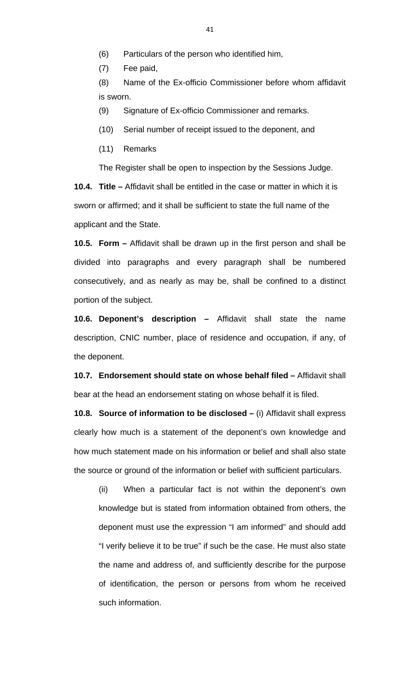(6) Particulars of the person who identified him,

(7) Fee paid,

(8) Name of the Ex-officio Commissioner before whom affidavit is sworn.

(9) Signature of Ex-officio Commissioner and remarks.

(10) Serial number of receipt issued to the deponent, and

(11) Remarks

The Register shall be open to inspection by the Sessions Judge.

**10.4. Title –** Affidavit shall be entitled in the case or matter in which it is sworn or affirmed; and it shall be sufficient to state the full name of the applicant and the State.

**10.5. Form –** Affidavit shall be drawn up in the first person and shall be divided into paragraphs and every paragraph shall be numbered consecutively, and as nearly as may be, shall be confined to a distinct portion of the subject.

**10.6. Deponent's description –** Affidavit shall state the name description, CNIC number, place of residence and occupation, if any, of the deponent.

**10.7. Endorsement should state on whose behalf filed –** Affidavit shall bear at the head an endorsement stating on whose behalf it is filed.

**10.8. Source of information to be disclosed –** (i) Affidavit shall express clearly how much is a statement of the deponent's own knowledge and how much statement made on his information or belief and shall also state the source or ground of the information or belief with sufficient particulars.

(ii) When a particular fact is not within the deponent's own knowledge but is stated from information obtained from others, the deponent must use the expression "I am informed" and should add "I verify believe it to be true" if such be the case. He must also state the name and address of, and sufficiently describe for the purpose of identification, the person or persons from whom he received such information.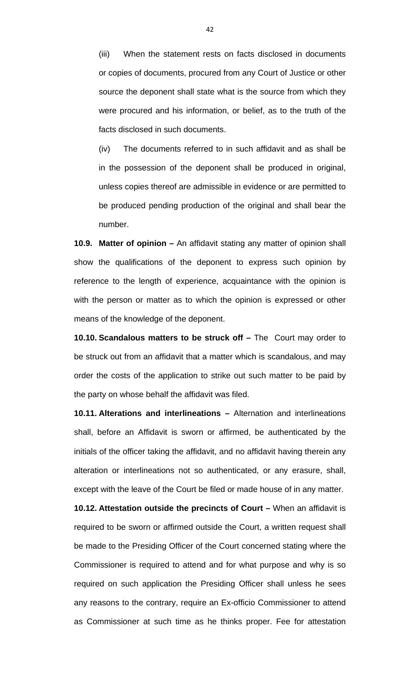(iii) When the statement rests on facts disclosed in documents or copies of documents, procured from any Court of Justice or other source the deponent shall state what is the source from which they were procured and his information, or belief, as to the truth of the facts disclosed in such documents.

(iv) The documents referred to in such affidavit and as shall be in the possession of the deponent shall be produced in original, unless copies thereof are admissible in evidence or are permitted to be produced pending production of the original and shall bear the number.

**10.9. Matter of opinion –** An affidavit stating any matter of opinion shall show the qualifications of the deponent to express such opinion by reference to the length of experience, acquaintance with the opinion is with the person or matter as to which the opinion is expressed or other means of the knowledge of the deponent.

**10.10. Scandalous matters to be struck off –** The Court may order to be struck out from an affidavit that a matter which is scandalous, and may order the costs of the application to strike out such matter to be paid by the party on whose behalf the affidavit was filed.

**10.11. Alterations and interlineations –** Alternation and interlineations shall, before an Affidavit is sworn or affirmed, be authenticated by the initials of the officer taking the affidavit, and no affidavit having therein any alteration or interlineations not so authenticated, or any erasure, shall, except with the leave of the Court be filed or made house of in any matter.

**10.12. Attestation outside the precincts of Court –** When an affidavit is required to be sworn or affirmed outside the Court, a written request shall be made to the Presiding Officer of the Court concerned stating where the Commissioner is required to attend and for what purpose and why is so required on such application the Presiding Officer shall unless he sees any reasons to the contrary, require an Ex-officio Commissioner to attend as Commissioner at such time as he thinks proper. Fee for attestation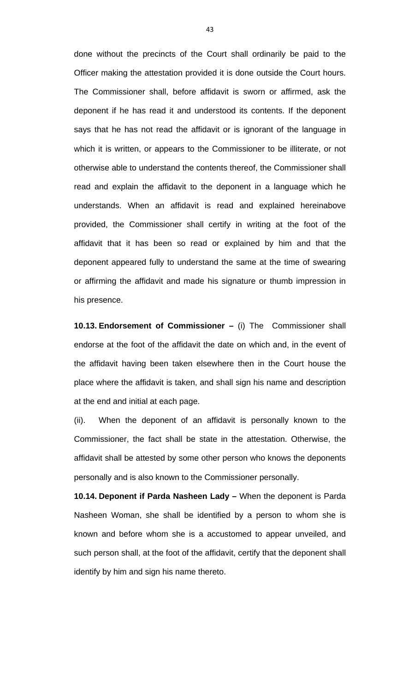done without the precincts of the Court shall ordinarily be paid to the Officer making the attestation provided it is done outside the Court hours. The Commissioner shall, before affidavit is sworn or affirmed, ask the deponent if he has read it and understood its contents. If the deponent says that he has not read the affidavit or is ignorant of the language in which it is written, or appears to the Commissioner to be illiterate, or not otherwise able to understand the contents thereof, the Commissioner shall read and explain the affidavit to the deponent in a language which he understands. When an affidavit is read and explained hereinabove provided, the Commissioner shall certify in writing at the foot of the affidavit that it has been so read or explained by him and that the deponent appeared fully to understand the same at the time of swearing or affirming the affidavit and made his signature or thumb impression in his presence.

**10.13. Endorsement of Commissioner –** (i) The Commissioner shall endorse at the foot of the affidavit the date on which and, in the event of the affidavit having been taken elsewhere then in the Court house the place where the affidavit is taken, and shall sign his name and description at the end and initial at each page.

(ii). When the deponent of an affidavit is personally known to the Commissioner, the fact shall be state in the attestation. Otherwise, the affidavit shall be attested by some other person who knows the deponents personally and is also known to the Commissioner personally.

**10.14. Deponent if Parda Nasheen Lady –** When the deponent is Parda Nasheen Woman, she shall be identified by a person to whom she is known and before whom she is a accustomed to appear unveiled, and such person shall, at the foot of the affidavit, certify that the deponent shall identify by him and sign his name thereto.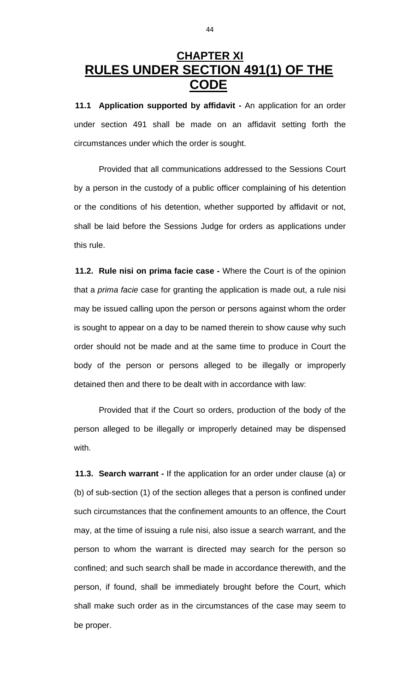### **CHAPTER XI RULES UNDER SECTION 491(1) OF THE CODE**

**11.1 Application supported by affidavit -** An application for an order under section 491 shall be made on an affidavit setting forth the circumstances under which the order is sought.

 Provided that all communications addressed to the Sessions Court by a person in the custody of a public officer complaining of his detention or the conditions of his detention, whether supported by affidavit or not, shall be laid before the Sessions Judge for orders as applications under this rule.

**11.2. Rule nisi on prima facie case -** Where the Court is of the opinion that a *prima facie* case for granting the application is made out, a rule nisi may be issued calling upon the person or persons against whom the order is sought to appear on a day to be named therein to show cause why such order should not be made and at the same time to produce in Court the body of the person or persons alleged to be illegally or improperly detained then and there to be dealt with in accordance with law:

 Provided that if the Court so orders, production of the body of the person alleged to be illegally or improperly detained may be dispensed with.

**11.3. Search warrant -** If the application for an order under clause (a) or (b) of sub-section (1) of the section alleges that a person is confined under such circumstances that the confinement amounts to an offence, the Court may, at the time of issuing a rule nisi, also issue a search warrant, and the person to whom the warrant is directed may search for the person so confined; and such search shall be made in accordance therewith, and the person, if found, shall be immediately brought before the Court, which shall make such order as in the circumstances of the case may seem to be proper.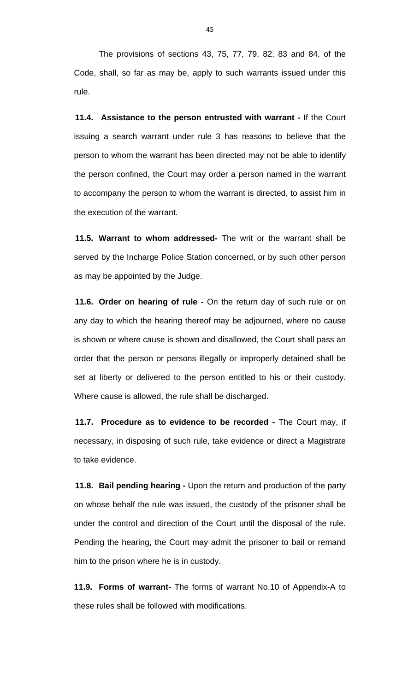The provisions of sections 43, 75, 77, 79, 82, 83 and 84, of the Code, shall, so far as may be, apply to such warrants issued under this rule.

**11.4. Assistance to the person entrusted with warrant -** If the Court issuing a search warrant under rule 3 has reasons to believe that the person to whom the warrant has been directed may not be able to identify the person confined, the Court may order a person named in the warrant to accompany the person to whom the warrant is directed, to assist him in the execution of the warrant.

**11.5. Warrant to whom addressed-** The writ or the warrant shall be served by the Incharge Police Station concerned, or by such other person as may be appointed by the Judge.

**11.6. Order on hearing of rule -** On the return day of such rule or on any day to which the hearing thereof may be adjourned, where no cause is shown or where cause is shown and disallowed, the Court shall pass an order that the person or persons illegally or improperly detained shall be set at liberty or delivered to the person entitled to his or their custody. Where cause is allowed, the rule shall be discharged.

**11.7. Procedure as to evidence to be recorded -** The Court may, if necessary, in disposing of such rule, take evidence or direct a Magistrate to take evidence.

**11.8. Bail pending hearing -** Upon the return and production of the party on whose behalf the rule was issued, the custody of the prisoner shall be under the control and direction of the Court until the disposal of the rule. Pending the hearing, the Court may admit the prisoner to bail or remand him to the prison where he is in custody.

**11.9. Forms of warrant-** The forms of warrant No.10 of Appendix-A to these rules shall be followed with modifications.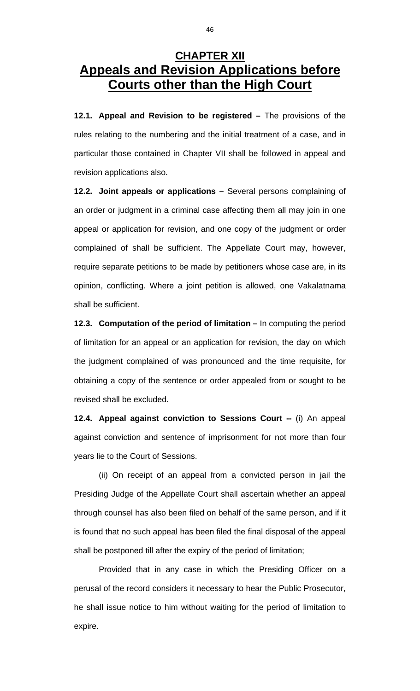### **CHAPTER XII Appeals and Revision Applications before Courts other than the High Court**

**12.1. Appeal and Revision to be registered –** The provisions of the rules relating to the numbering and the initial treatment of a case, and in particular those contained in Chapter VII shall be followed in appeal and revision applications also.

**12.2. Joint appeals or applications –** Several persons complaining of an order or judgment in a criminal case affecting them all may join in one appeal or application for revision, and one copy of the judgment or order complained of shall be sufficient. The Appellate Court may, however, require separate petitions to be made by petitioners whose case are, in its opinion, conflicting. Where a joint petition is allowed, one Vakalatnama shall be sufficient.

**12.3. Computation of the period of limitation –** In computing the period of limitation for an appeal or an application for revision, the day on which the judgment complained of was pronounced and the time requisite, for obtaining a copy of the sentence or order appealed from or sought to be revised shall be excluded.

**12.4. Appeal against conviction to Sessions Court --** (i) An appeal against conviction and sentence of imprisonment for not more than four years lie to the Court of Sessions.

 (ii) On receipt of an appeal from a convicted person in jail the Presiding Judge of the Appellate Court shall ascertain whether an appeal through counsel has also been filed on behalf of the same person, and if it is found that no such appeal has been filed the final disposal of the appeal shall be postponed till after the expiry of the period of limitation;

 Provided that in any case in which the Presiding Officer on a perusal of the record considers it necessary to hear the Public Prosecutor, he shall issue notice to him without waiting for the period of limitation to expire.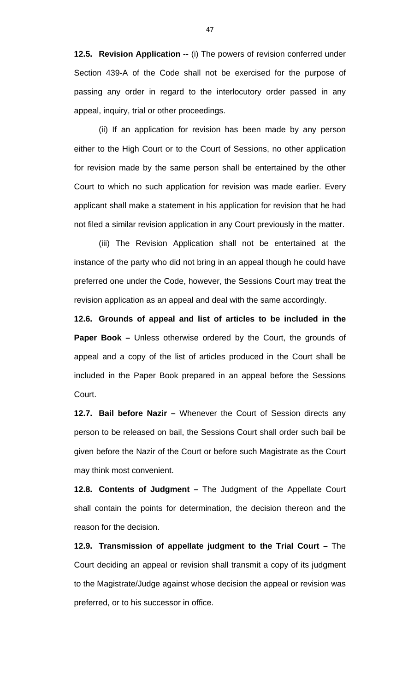**12.5. Revision Application --** (i) The powers of revision conferred under Section 439-A of the Code shall not be exercised for the purpose of passing any order in regard to the interlocutory order passed in any appeal, inquiry, trial or other proceedings.

 (ii) If an application for revision has been made by any person either to the High Court or to the Court of Sessions, no other application for revision made by the same person shall be entertained by the other Court to which no such application for revision was made earlier. Every applicant shall make a statement in his application for revision that he had not filed a similar revision application in any Court previously in the matter.

 (iii) The Revision Application shall not be entertained at the instance of the party who did not bring in an appeal though he could have preferred one under the Code, however, the Sessions Court may treat the revision application as an appeal and deal with the same accordingly.

**12.6. Grounds of appeal and list of articles to be included in the Paper Book –** Unless otherwise ordered by the Court, the grounds of appeal and a copy of the list of articles produced in the Court shall be included in the Paper Book prepared in an appeal before the Sessions Court.

**12.7. Bail before Nazir –** Whenever the Court of Session directs any person to be released on bail, the Sessions Court shall order such bail be given before the Nazir of the Court or before such Magistrate as the Court may think most convenient.

**12.8. Contents of Judgment –** The Judgment of the Appellate Court shall contain the points for determination, the decision thereon and the reason for the decision.

**12.9. Transmission of appellate judgment to the Trial Court –** The Court deciding an appeal or revision shall transmit a copy of its judgment to the Magistrate/Judge against whose decision the appeal or revision was preferred, or to his successor in office.

47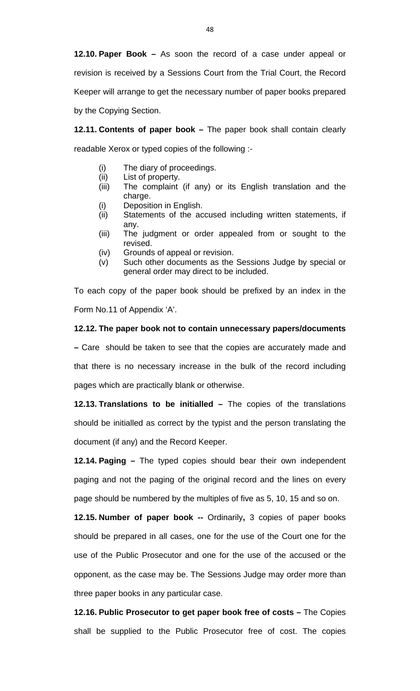**12.10. Paper Book –** As soon the record of a case under appeal or revision is received by a Sessions Court from the Trial Court, the Record Keeper will arrange to get the necessary number of paper books prepared by the Copying Section.

**12.11. Contents of paper book –** The paper book shall contain clearly readable Xerox or typed copies of the following :-

- (i) The diary of proceedings.
- (ii) List of property.
- (iii) The complaint (if any) or its English translation and the charge.
- (i) Deposition in English.
- (ii) Statements of the accused including written statements, if any.
- (iii) The judgment or order appealed from or sought to the revised.
- (iv) Grounds of appeal or revision.
- (v) Such other documents as the Sessions Judge by special or general order may direct to be included.

To each copy of the paper book should be prefixed by an index in the Form No.11 of Appendix 'A'.

#### **12.12. The paper book not to contain unnecessary papers/documents**

**–** Care should be taken to see that the copies are accurately made and that there is no necessary increase in the bulk of the record including pages which are practically blank or otherwise.

**12.13. Translations to be initialled –** The copies of the translations should be initialled as correct by the typist and the person translating the document (if any) and the Record Keeper.

**12.14. Paging –** The typed copies should bear their own independent paging and not the paging of the original record and the lines on every page should be numbered by the multiples of five as 5, 10, 15 and so on.

**12.15. Number of paper book --** Ordinarily**,** 3 copies of paper books should be prepared in all cases, one for the use of the Court one for the use of the Public Prosecutor and one for the use of the accused or the opponent, as the case may be. The Sessions Judge may order more than three paper books in any particular case.

**12.16. Public Prosecutor to get paper book free of costs –** The Copies shall be supplied to the Public Prosecutor free of cost. The copies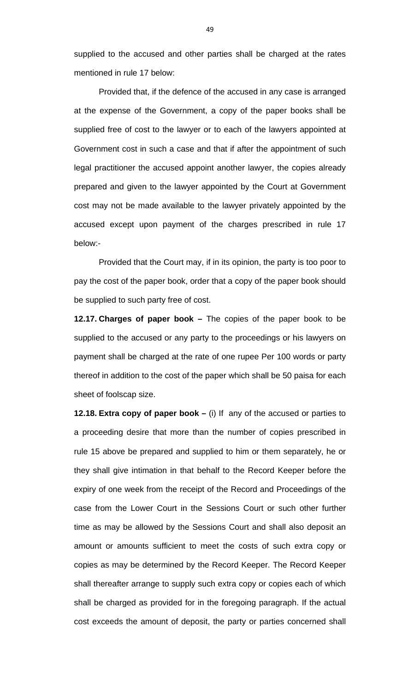supplied to the accused and other parties shall be charged at the rates mentioned in rule 17 below:

 Provided that, if the defence of the accused in any case is arranged at the expense of the Government, a copy of the paper books shall be supplied free of cost to the lawyer or to each of the lawyers appointed at Government cost in such a case and that if after the appointment of such legal practitioner the accused appoint another lawyer, the copies already prepared and given to the lawyer appointed by the Court at Government cost may not be made available to the lawyer privately appointed by the accused except upon payment of the charges prescribed in rule 17 below:-

 Provided that the Court may, if in its opinion, the party is too poor to pay the cost of the paper book, order that a copy of the paper book should be supplied to such party free of cost.

**12.17. Charges of paper book –** The copies of the paper book to be supplied to the accused or any party to the proceedings or his lawyers on payment shall be charged at the rate of one rupee Per 100 words or party thereof in addition to the cost of the paper which shall be 50 paisa for each sheet of foolscap size.

**12.18. Extra copy of paper book –** (i) If any of the accused or parties to a proceeding desire that more than the number of copies prescribed in rule 15 above be prepared and supplied to him or them separately, he or they shall give intimation in that behalf to the Record Keeper before the expiry of one week from the receipt of the Record and Proceedings of the case from the Lower Court in the Sessions Court or such other further time as may be allowed by the Sessions Court and shall also deposit an amount or amounts sufficient to meet the costs of such extra copy or copies as may be determined by the Record Keeper. The Record Keeper shall thereafter arrange to supply such extra copy or copies each of which shall be charged as provided for in the foregoing paragraph. If the actual cost exceeds the amount of deposit, the party or parties concerned shall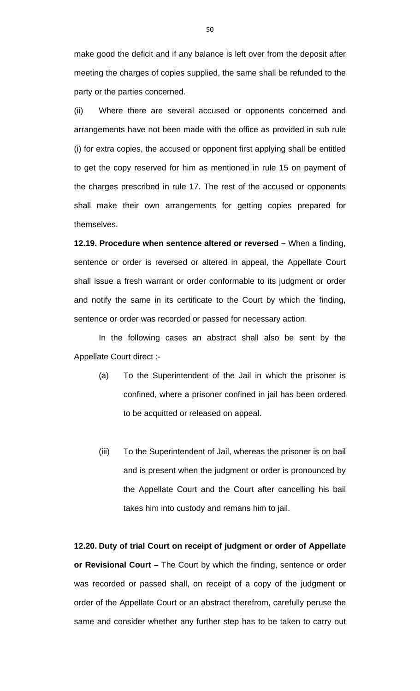make good the deficit and if any balance is left over from the deposit after meeting the charges of copies supplied, the same shall be refunded to the party or the parties concerned.

(ii) Where there are several accused or opponents concerned and arrangements have not been made with the office as provided in sub rule (i) for extra copies, the accused or opponent first applying shall be entitled to get the copy reserved for him as mentioned in rule 15 on payment of the charges prescribed in rule 17. The rest of the accused or opponents shall make their own arrangements for getting copies prepared for themselves.

**12.19. Procedure when sentence altered or reversed –** When a finding, sentence or order is reversed or altered in appeal, the Appellate Court shall issue a fresh warrant or order conformable to its judgment or order and notify the same in its certificate to the Court by which the finding, sentence or order was recorded or passed for necessary action.

 In the following cases an abstract shall also be sent by the Appellate Court direct :-

- (a) To the Superintendent of the Jail in which the prisoner is confined, where a prisoner confined in jail has been ordered to be acquitted or released on appeal.
- (iii) To the Superintendent of Jail, whereas the prisoner is on bail and is present when the judgment or order is pronounced by the Appellate Court and the Court after cancelling his bail takes him into custody and remans him to jail.

**12.20. Duty of trial Court on receipt of judgment or order of Appellate or Revisional Court –** The Court by which the finding, sentence or order was recorded or passed shall, on receipt of a copy of the judgment or order of the Appellate Court or an abstract therefrom, carefully peruse the same and consider whether any further step has to be taken to carry out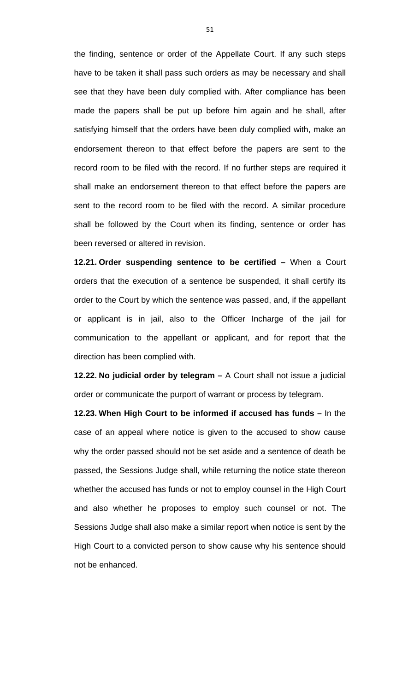the finding, sentence or order of the Appellate Court. If any such steps have to be taken it shall pass such orders as may be necessary and shall see that they have been duly complied with. After compliance has been made the papers shall be put up before him again and he shall, after satisfying himself that the orders have been duly complied with, make an endorsement thereon to that effect before the papers are sent to the record room to be filed with the record. If no further steps are required it shall make an endorsement thereon to that effect before the papers are sent to the record room to be filed with the record. A similar procedure shall be followed by the Court when its finding, sentence or order has been reversed or altered in revision.

**12.21. Order suspending sentence to be certified –** When a Court orders that the execution of a sentence be suspended, it shall certify its order to the Court by which the sentence was passed, and, if the appellant or applicant is in jail, also to the Officer Incharge of the jail for communication to the appellant or applicant, and for report that the direction has been complied with.

**12.22. No judicial order by telegram –** A Court shall not issue a judicial order or communicate the purport of warrant or process by telegram.

**12.23. When High Court to be informed if accused has funds –** In the case of an appeal where notice is given to the accused to show cause why the order passed should not be set aside and a sentence of death be passed, the Sessions Judge shall, while returning the notice state thereon whether the accused has funds or not to employ counsel in the High Court and also whether he proposes to employ such counsel or not. The Sessions Judge shall also make a similar report when notice is sent by the High Court to a convicted person to show cause why his sentence should not be enhanced.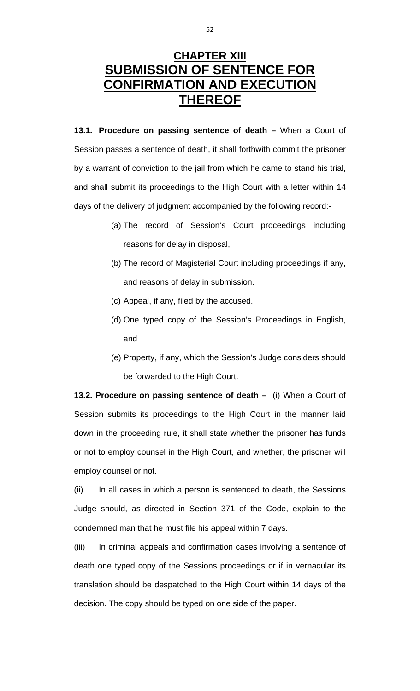# **CHAPTER XIII SUBMISSION OF SENTENCE FOR CONFIRMATION AND EXECUTION THEREOF**

**13.1. Procedure on passing sentence of death –** When a Court of Session passes a sentence of death, it shall forthwith commit the prisoner by a warrant of conviction to the jail from which he came to stand his trial, and shall submit its proceedings to the High Court with a letter within 14 days of the delivery of judgment accompanied by the following record:-

- (a) The record of Session's Court proceedings including reasons for delay in disposal,
- (b) The record of Magisterial Court including proceedings if any, and reasons of delay in submission.
- (c) Appeal, if any, filed by the accused.
- (d) One typed copy of the Session's Proceedings in English, and
- (e) Property, if any, which the Session's Judge considers should be forwarded to the High Court.

**13.2. Procedure on passing sentence of death –** (i) When a Court of Session submits its proceedings to the High Court in the manner laid down in the proceeding rule, it shall state whether the prisoner has funds or not to employ counsel in the High Court, and whether, the prisoner will employ counsel or not.

(ii) In all cases in which a person is sentenced to death, the Sessions Judge should, as directed in Section 371 of the Code, explain to the condemned man that he must file his appeal within 7 days.

(iii) In criminal appeals and confirmation cases involving a sentence of death one typed copy of the Sessions proceedings or if in vernacular its translation should be despatched to the High Court within 14 days of the decision. The copy should be typed on one side of the paper.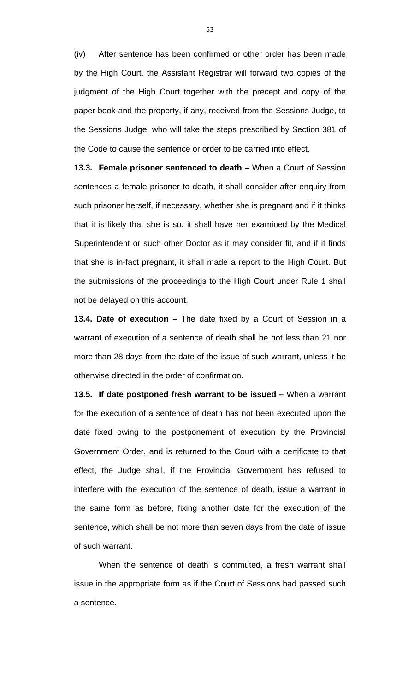(iv) After sentence has been confirmed or other order has been made by the High Court, the Assistant Registrar will forward two copies of the judgment of the High Court together with the precept and copy of the paper book and the property, if any, received from the Sessions Judge, to the Sessions Judge, who will take the steps prescribed by Section 381 of the Code to cause the sentence or order to be carried into effect.

**13.3. Female prisoner sentenced to death –** When a Court of Session sentences a female prisoner to death, it shall consider after enquiry from such prisoner herself, if necessary, whether she is pregnant and if it thinks that it is likely that she is so, it shall have her examined by the Medical Superintendent or such other Doctor as it may consider fit, and if it finds that she is in-fact pregnant, it shall made a report to the High Court. But the submissions of the proceedings to the High Court under Rule 1 shall not be delayed on this account.

**13.4. Date of execution –** The date fixed by a Court of Session in a warrant of execution of a sentence of death shall be not less than 21 nor more than 28 days from the date of the issue of such warrant, unless it be otherwise directed in the order of confirmation.

**13.5. If date postponed fresh warrant to be issued –** When a warrant for the execution of a sentence of death has not been executed upon the date fixed owing to the postponement of execution by the Provincial Government Order, and is returned to the Court with a certificate to that effect, the Judge shall, if the Provincial Government has refused to interfere with the execution of the sentence of death, issue a warrant in the same form as before, fixing another date for the execution of the sentence, which shall be not more than seven days from the date of issue of such warrant.

 When the sentence of death is commuted, a fresh warrant shall issue in the appropriate form as if the Court of Sessions had passed such a sentence.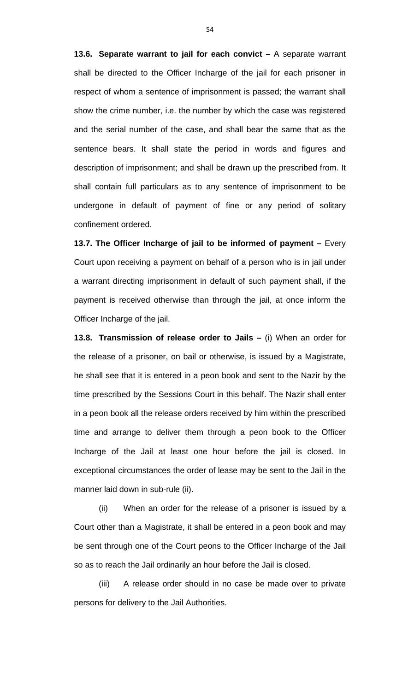**13.6. Separate warrant to jail for each convict –** A separate warrant shall be directed to the Officer Incharge of the jail for each prisoner in respect of whom a sentence of imprisonment is passed; the warrant shall show the crime number, i.e. the number by which the case was registered and the serial number of the case, and shall bear the same that as the sentence bears. It shall state the period in words and figures and description of imprisonment; and shall be drawn up the prescribed from. It shall contain full particulars as to any sentence of imprisonment to be undergone in default of payment of fine or any period of solitary confinement ordered.

**13.7. The Officer Incharge of jail to be informed of payment –** Every Court upon receiving a payment on behalf of a person who is in jail under a warrant directing imprisonment in default of such payment shall, if the payment is received otherwise than through the jail, at once inform the Officer Incharge of the jail.

**13.8. Transmission of release order to Jails –** (i) When an order for the release of a prisoner, on bail or otherwise, is issued by a Magistrate, he shall see that it is entered in a peon book and sent to the Nazir by the time prescribed by the Sessions Court in this behalf. The Nazir shall enter in a peon book all the release orders received by him within the prescribed time and arrange to deliver them through a peon book to the Officer Incharge of the Jail at least one hour before the jail is closed. In exceptional circumstances the order of lease may be sent to the Jail in the manner laid down in sub-rule (ii).

 (ii) When an order for the release of a prisoner is issued by a Court other than a Magistrate, it shall be entered in a peon book and may be sent through one of the Court peons to the Officer Incharge of the Jail so as to reach the Jail ordinarily an hour before the Jail is closed.

 (iii) A release order should in no case be made over to private persons for delivery to the Jail Authorities.

54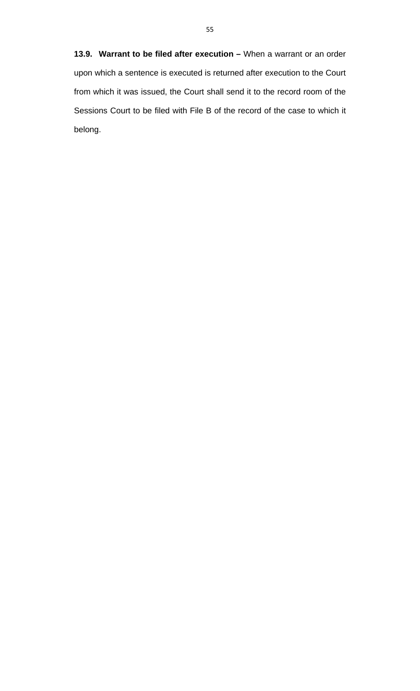**13.9. Warrant to be filed after execution –** When a warrant or an order upon which a sentence is executed is returned after execution to the Court from which it was issued, the Court shall send it to the record room of the Sessions Court to be filed with File B of the record of the case to which it belong.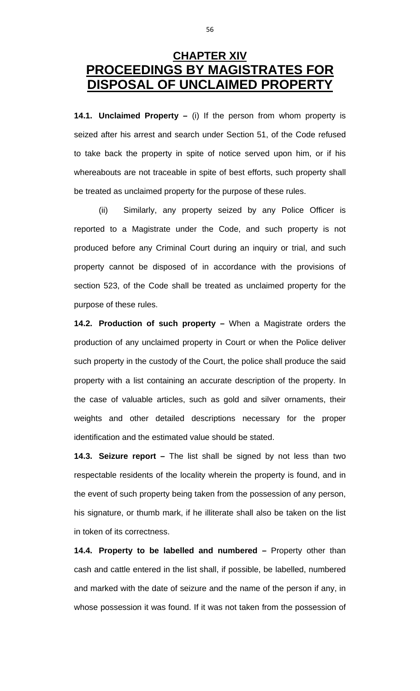### **CHAPTER XIV PROCEEDINGS BY MAGISTRATES FOR DISPOSAL OF UNCLAIMED PROPERT**

**14.1. Unclaimed Property –** (i) If the person from whom property is seized after his arrest and search under Section 51, of the Code refused to take back the property in spite of notice served upon him, or if his whereabouts are not traceable in spite of best efforts, such property shall be treated as unclaimed property for the purpose of these rules.

 (ii) Similarly, any property seized by any Police Officer is reported to a Magistrate under the Code, and such property is not produced before any Criminal Court during an inquiry or trial, and such property cannot be disposed of in accordance with the provisions of section 523, of the Code shall be treated as unclaimed property for the purpose of these rules.

**14.2. Production of such property –** When a Magistrate orders the production of any unclaimed property in Court or when the Police deliver such property in the custody of the Court, the police shall produce the said property with a list containing an accurate description of the property. In the case of valuable articles, such as gold and silver ornaments, their weights and other detailed descriptions necessary for the proper identification and the estimated value should be stated.

**14.3. Seizure report –** The list shall be signed by not less than two respectable residents of the locality wherein the property is found, and in the event of such property being taken from the possession of any person, his signature, or thumb mark, if he illiterate shall also be taken on the list in token of its correctness.

**14.4. Property to be labelled and numbered –** Property other than cash and cattle entered in the list shall, if possible, be labelled, numbered and marked with the date of seizure and the name of the person if any, in whose possession it was found. If it was not taken from the possession of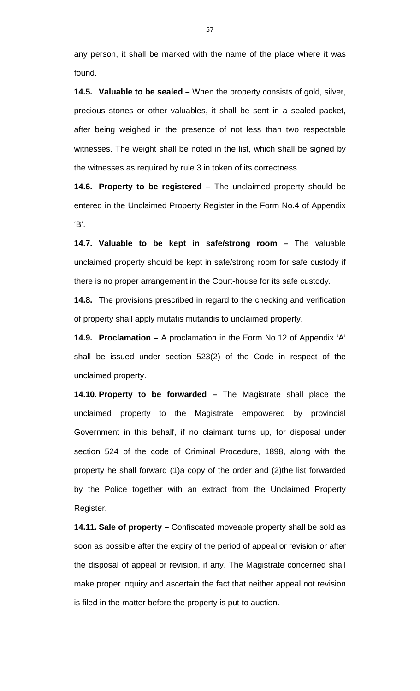any person, it shall be marked with the name of the place where it was found.

**14.5. Valuable to be sealed –** When the property consists of gold, silver, precious stones or other valuables, it shall be sent in a sealed packet, after being weighed in the presence of not less than two respectable witnesses. The weight shall be noted in the list, which shall be signed by the witnesses as required by rule 3 in token of its correctness.

**14.6. Property to be registered –** The unclaimed property should be entered in the Unclaimed Property Register in the Form No.4 of Appendix 'B'.

**14.7. Valuable to be kept in safe/strong room –** The valuable unclaimed property should be kept in safe/strong room for safe custody if there is no proper arrangement in the Court-house for its safe custody.

**14.8.** The provisions prescribed in regard to the checking and verification of property shall apply mutatis mutandis to unclaimed property.

**14.9. Proclamation –** A proclamation in the Form No.12 of Appendix 'A' shall be issued under section 523(2) of the Code in respect of the unclaimed property.

**14.10. Property to be forwarded –** The Magistrate shall place the unclaimed property to the Magistrate empowered by provincial Government in this behalf, if no claimant turns up, for disposal under section 524 of the code of Criminal Procedure, 1898, along with the property he shall forward (1)a copy of the order and (2)the list forwarded by the Police together with an extract from the Unclaimed Property Register.

**14.11. Sale of property –** Confiscated moveable property shall be sold as soon as possible after the expiry of the period of appeal or revision or after the disposal of appeal or revision, if any. The Magistrate concerned shall make proper inquiry and ascertain the fact that neither appeal not revision is filed in the matter before the property is put to auction.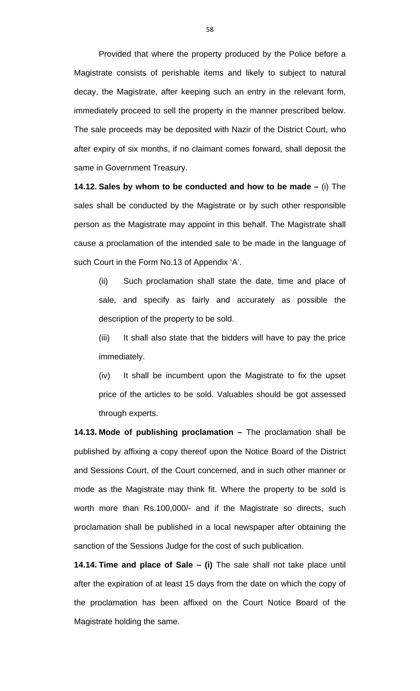Provided that where the property produced by the Police before a Magistrate consists of perishable items and likely to subject to natural decay, the Magistrate, after keeping such an entry in the relevant form, immediately proceed to sell the property in the manner prescribed below. The sale proceeds may be deposited with Nazir of the District Court, who after expiry of six months, if no claimant comes forward, shall deposit the same in Government Treasury.

**14.12. Sales by whom to be conducted and how to be made** *–* (i) The sales shall be conducted by the Magistrate or by such other responsible person as the Magistrate may appoint in this behalf. The Magistrate shall cause a proclamation of the intended sale to be made in the language of such Court in the Form No.13 of Appendix 'A'.

(ii) Such proclamation shall state the date, time and place of sale, and specify as fairly and accurately as possible the description of the property to be sold.

(iii) It shall also state that the bidders will have to pay the price immediately.

(iv) It shall be incumbent upon the Magistrate to fix the upset price of the articles to be sold. Valuables should be got assessed through experts.

**14.13. Mode of publishing proclamation** *–* The proclamation shall be published by affixing a copy thereof upon the Notice Board of the District and Sessions Court, of the Court concerned, and in such other manner or mode as the Magistrate may think fit. Where the property to be sold is worth more than Rs.100,000/- and if the Magistrate so directs, such proclamation shall be published in a local newspaper after obtaining the sanction of the Sessions Judge for the cost of such publication.

**14.14. Time and place of Sale** *–* **(i)** The sale shall not take place until after the expiration of at least 15 days from the date on which the copy of the proclamation has been affixed on the Court Notice Board of the Magistrate holding the same.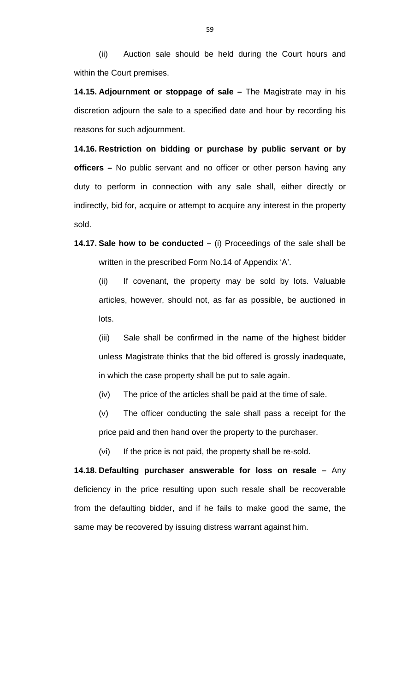(ii) Auction sale should be held during the Court hours and within the Court premises.

**14.15. Adjournment or stoppage of sale** *–* The Magistrate may in his discretion adjourn the sale to a specified date and hour by recording his reasons for such adjournment.

**14.16. Restriction on bidding or purchase by public servant or by officers** *–* No public servant and no officer or other person having any duty to perform in connection with any sale shall, either directly or indirectly, bid for, acquire or attempt to acquire any interest in the property sold.

**14.17. Sale how to be conducted** *–* (i) Proceedings of the sale shall be written in the prescribed Form No.14 of Appendix 'A'.

(ii) If covenant, the property may be sold by lots. Valuable articles, however, should not, as far as possible, be auctioned in lots.

(iii) Sale shall be confirmed in the name of the highest bidder unless Magistrate thinks that the bid offered is grossly inadequate, in which the case property shall be put to sale again.

(iv) The price of the articles shall be paid at the time of sale.

(v) The officer conducting the sale shall pass a receipt for the price paid and then hand over the property to the purchaser.

(vi) If the price is not paid, the property shall be re-sold.

**14.18. Defaulting purchaser answerable for loss on resale** *–* Any deficiency in the price resulting upon such resale shall be recoverable from the defaulting bidder, and if he fails to make good the same, the same may be recovered by issuing distress warrant against him.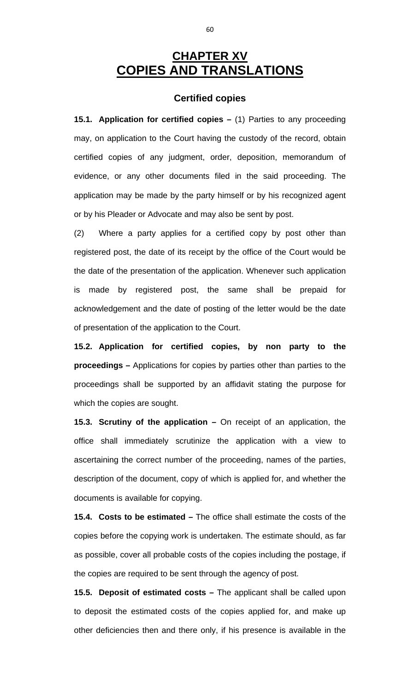## **CHAPTER XV COPIES AND TRANSLATIONS**

#### **Certified copies**

**15.1. Application for certified copies** *–* (1) Parties to any proceeding may, on application to the Court having the custody of the record, obtain certified copies of any judgment, order, deposition, memorandum of evidence, or any other documents filed in the said proceeding. The application may be made by the party himself or by his recognized agent or by his Pleader or Advocate and may also be sent by post.

(2) Where a party applies for a certified copy by post other than registered post, the date of its receipt by the office of the Court would be the date of the presentation of the application. Whenever such application is made by registered post, the same shall be prepaid for acknowledgement and the date of posting of the letter would be the date of presentation of the application to the Court.

**15.2. Application for certified copies, by non party to the proceedings** *–* Applications for copies by parties other than parties to the proceedings shall be supported by an affidavit stating the purpose for which the copies are sought.

**15.3. Scrutiny of the application** *–* On receipt of an application, the office shall immediately scrutinize the application with a view to ascertaining the correct number of the proceeding, names of the parties, description of the document, copy of which is applied for, and whether the documents is available for copying.

**15.4. Costs to be estimated** *–* The office shall estimate the costs of the copies before the copying work is undertaken. The estimate should, as far as possible, cover all probable costs of the copies including the postage, if the copies are required to be sent through the agency of post.

**15.5. Deposit of estimated costs** *–* The applicant shall be called upon to deposit the estimated costs of the copies applied for, and make up other deficiencies then and there only, if his presence is available in the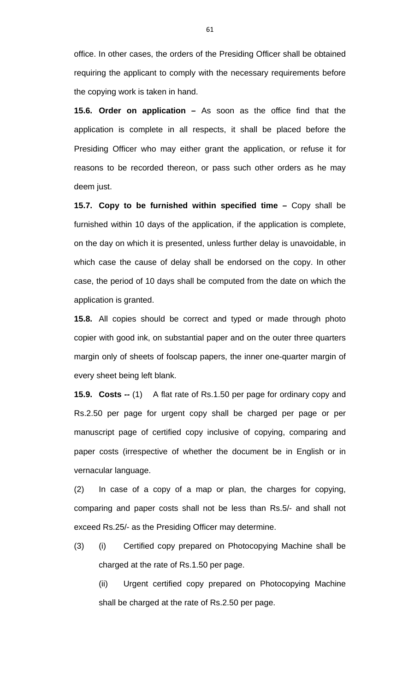office. In other cases, the orders of the Presiding Officer shall be obtained requiring the applicant to comply with the necessary requirements before the copying work is taken in hand.

**15.6. Order on application** *–* As soon as the office find that the application is complete in all respects, it shall be placed before the Presiding Officer who may either grant the application, or refuse it for reasons to be recorded thereon, or pass such other orders as he may deem just.

**15.7. Copy to be furnished within specified time** *–* Copy shall be furnished within 10 days of the application, if the application is complete, on the day on which it is presented, unless further delay is unavoidable, in which case the cause of delay shall be endorsed on the copy. In other case, the period of 10 days shall be computed from the date on which the application is granted.

**15.8.** All copies should be correct and typed or made through photo copier with good ink, on substantial paper and on the outer three quarters margin only of sheets of foolscap papers, the inner one-quarter margin of every sheet being left blank.

**15.9. Costs** *--* (1) A flat rate of Rs.1.50 per page for ordinary copy and Rs.2.50 per page for urgent copy shall be charged per page or per manuscript page of certified copy inclusive of copying, comparing and paper costs (irrespective of whether the document be in English or in vernacular language.

(2) In case of a copy of a map or plan, the charges for copying, comparing and paper costs shall not be less than Rs.5/- and shall not exceed Rs.25/- as the Presiding Officer may determine.

(3) (i) Certified copy prepared on Photocopying Machine shall be charged at the rate of Rs.1.50 per page.

(ii) Urgent certified copy prepared on Photocopying Machine shall be charged at the rate of Rs.2.50 per page.

61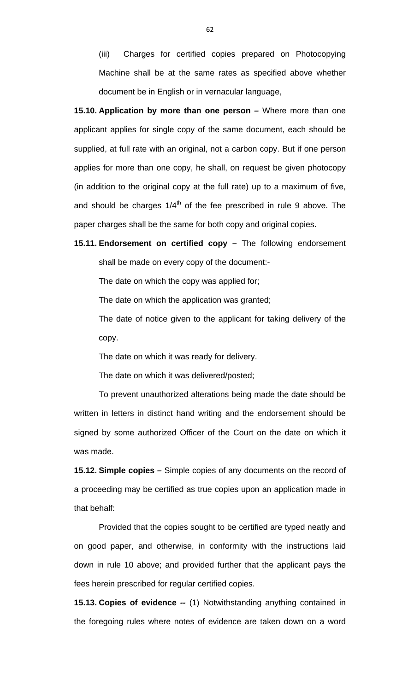(iii) Charges for certified copies prepared on Photocopying Machine shall be at the same rates as specified above whether document be in English or in vernacular language,

**15.10. Application by more than one person** *–* Where more than one applicant applies for single copy of the same document, each should be supplied, at full rate with an original, not a carbon copy. But if one person applies for more than one copy, he shall, on request be given photocopy (in addition to the original copy at the full rate) up to a maximum of five, and should be charges  $1/4<sup>th</sup>$  of the fee prescribed in rule 9 above. The paper charges shall be the same for both copy and original copies.

**15.11. Endorsement on certified copy** *–* The following endorsement shall be made on every copy of the document:-

The date on which the copy was applied for;

The date on which the application was granted;

 The date of notice given to the applicant for taking delivery of the copy.

The date on which it was ready for delivery.

The date on which it was delivered/posted;

 To prevent unauthorized alterations being made the date should be written in letters in distinct hand writing and the endorsement should be signed by some authorized Officer of the Court on the date on which it was made.

**15.12. Simple copies** *–* Simple copies of any documents on the record of a proceeding may be certified as true copies upon an application made in that behalf:

 Provided that the copies sought to be certified are typed neatly and on good paper, and otherwise, in conformity with the instructions laid down in rule 10 above; and provided further that the applicant pays the fees herein prescribed for regular certified copies.

**15.13. Copies of evidence** *--* (1) Notwithstanding anything contained in the foregoing rules where notes of evidence are taken down on a word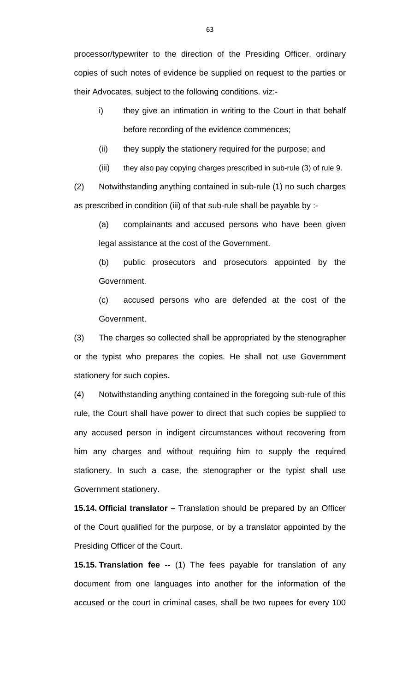processor/typewriter to the direction of the Presiding Officer, ordinary copies of such notes of evidence be supplied on request to the parties or their Advocates, subject to the following conditions. viz:-

- i) they give an intimation in writing to the Court in that behalf before recording of the evidence commences;
- (ii) they supply the stationery required for the purpose; and
- (iii) they also pay copying charges prescribed in sub-rule (3) of rule 9.

(2) Notwithstanding anything contained in sub-rule (1) no such charges as prescribed in condition (iii) of that sub-rule shall be payable by :-

(a) complainants and accused persons who have been given legal assistance at the cost of the Government.

(b) public prosecutors and prosecutors appointed by the Government.

(c) accused persons who are defended at the cost of the Government.

(3) The charges so collected shall be appropriated by the stenographer or the typist who prepares the copies. He shall not use Government stationery for such copies.

(4) Notwithstanding anything contained in the foregoing sub-rule of this rule, the Court shall have power to direct that such copies be supplied to any accused person in indigent circumstances without recovering from him any charges and without requiring him to supply the required stationery. In such a case, the stenographer or the typist shall use Government stationery.

**15.14. Official translator** *–* Translation should be prepared by an Officer of the Court qualified for the purpose, or by a translator appointed by the Presiding Officer of the Court.

**15.15. Translation fee --** (1) The fees payable for translation of any document from one languages into another for the information of the accused or the court in criminal cases, shall be two rupees for every 100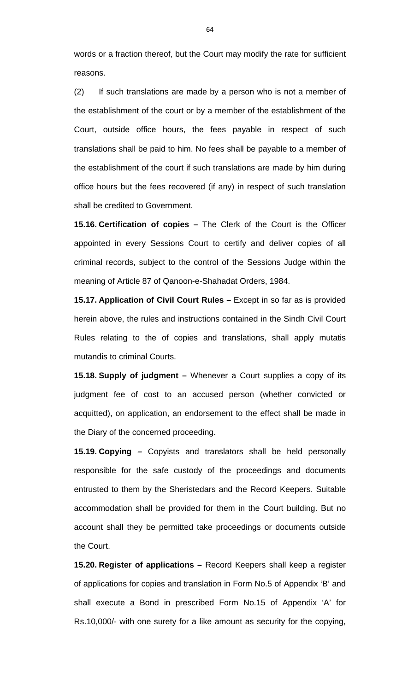words or a fraction thereof, but the Court may modify the rate for sufficient reasons.

(2) If such translations are made by a person who is not a member of the establishment of the court or by a member of the establishment of the Court, outside office hours, the fees payable in respect of such translations shall be paid to him. No fees shall be payable to a member of the establishment of the court if such translations are made by him during office hours but the fees recovered (if any) in respect of such translation shall be credited to Government.

**15.16. Certification of copies –** The Clerk of the Court is the Officer appointed in every Sessions Court to certify and deliver copies of all criminal records, subject to the control of the Sessions Judge within the meaning of Article 87 of Qanoon-e-Shahadat Orders, 1984.

**15.17. Application of Civil Court Rules –** Except in so far as is provided herein above, the rules and instructions contained in the Sindh Civil Court Rules relating to the of copies and translations, shall apply mutatis mutandis to criminal Courts.

**15.18. Supply of judgment –** Whenever a Court supplies a copy of its judgment fee of cost to an accused person (whether convicted or acquitted), on application, an endorsement to the effect shall be made in the Diary of the concerned proceeding.

**15.19. Copying** *–* Copyists and translators shall be held personally responsible for the safe custody of the proceedings and documents entrusted to them by the Sheristedars and the Record Keepers. Suitable accommodation shall be provided for them in the Court building. But no account shall they be permitted take proceedings or documents outside the Court.

**15.20. Register of applications** *–* Record Keepers shall keep a register of applications for copies and translation in Form No.5 of Appendix 'B' and shall execute a Bond in prescribed Form No.15 of Appendix 'A' for Rs.10,000/- with one surety for a like amount as security for the copying,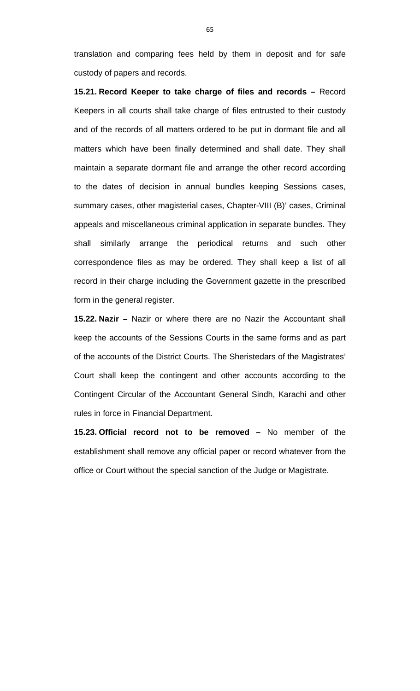translation and comparing fees held by them in deposit and for safe custody of papers and records.

**15.21. Record Keeper to take charge of files and records –** Record Keepers in all courts shall take charge of files entrusted to their custody and of the records of all matters ordered to be put in dormant file and all matters which have been finally determined and shall date. They shall maintain a separate dormant file and arrange the other record according to the dates of decision in annual bundles keeping Sessions cases, summary cases, other magisterial cases, Chapter-VIII (B)' cases, Criminal appeals and miscellaneous criminal application in separate bundles. They shall similarly arrange the periodical returns and such other correspondence files as may be ordered. They shall keep a list of all record in their charge including the Government gazette in the prescribed form in the general register.

**15.22. Nazir** *–* Nazir or where there are no Nazir the Accountant shall keep the accounts of the Sessions Courts in the same forms and as part of the accounts of the District Courts. The Sheristedars of the Magistrates' Court shall keep the contingent and other accounts according to the Contingent Circular of the Accountant General Sindh, Karachi and other rules in force in Financial Department.

**15.23. Official record not to be removed –** No member of the establishment shall remove any official paper or record whatever from the office or Court without the special sanction of the Judge or Magistrate.

65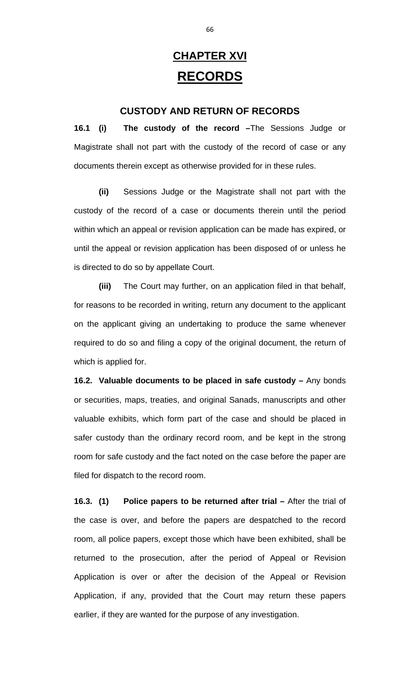# **CHAPTER XVI RECORDS**

#### **CUSTODY AND RETURN OF RECORDS**

**16.1 (i) The custody of the record –**The Sessions Judge or Magistrate shall not part with the custody of the record of case or any documents therein except as otherwise provided for in these rules.

**(ii)** Sessions Judge or the Magistrate shall not part with the custody of the record of a case or documents therein until the period within which an appeal or revision application can be made has expired, or until the appeal or revision application has been disposed of or unless he is directed to do so by appellate Court.

**(iii)** The Court may further, on an application filed in that behalf, for reasons to be recorded in writing, return any document to the applicant on the applicant giving an undertaking to produce the same whenever required to do so and filing a copy of the original document, the return of which is applied for.

**16.2. Valuable documents to be placed in safe custody –** Any bonds or securities, maps, treaties, and original Sanads, manuscripts and other valuable exhibits, which form part of the case and should be placed in safer custody than the ordinary record room, and be kept in the strong room for safe custody and the fact noted on the case before the paper are filed for dispatch to the record room.

**16.3. (1) Police papers to be returned after trial –** After the trial of the case is over, and before the papers are despatched to the record room, all police papers, except those which have been exhibited, shall be returned to the prosecution, after the period of Appeal or Revision Application is over or after the decision of the Appeal or Revision Application, if any, provided that the Court may return these papers earlier, if they are wanted for the purpose of any investigation.

66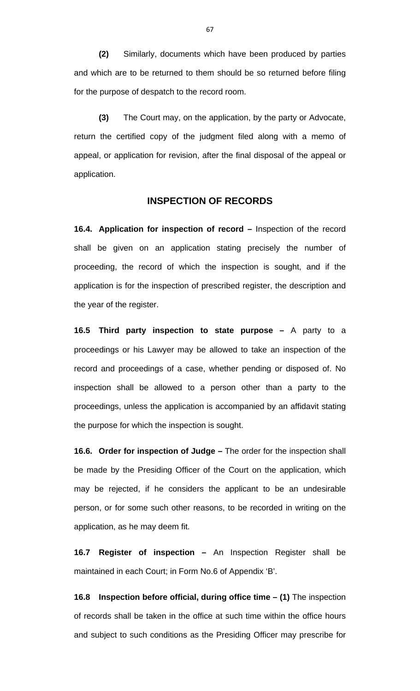**(2)** Similarly, documents which have been produced by parties and which are to be returned to them should be so returned before filing for the purpose of despatch to the record room.

**(3)** The Court may, on the application, by the party or Advocate, return the certified copy of the judgment filed along with a memo of appeal, or application for revision, after the final disposal of the appeal or application.

#### **INSPECTION OF RECORDS**

**16.4. Application for inspection of record –** Inspection of the record shall be given on an application stating precisely the number of proceeding, the record of which the inspection is sought, and if the application is for the inspection of prescribed register, the description and the year of the register.

**16.5 Third party inspection to state purpose –** A party to a proceedings or his Lawyer may be allowed to take an inspection of the record and proceedings of a case, whether pending or disposed of. No inspection shall be allowed to a person other than a party to the proceedings, unless the application is accompanied by an affidavit stating the purpose for which the inspection is sought.

**16.6. Order for inspection of Judge –** The order for the inspection shall be made by the Presiding Officer of the Court on the application, which may be rejected, if he considers the applicant to be an undesirable person, or for some such other reasons, to be recorded in writing on the application, as he may deem fit.

**16.7 Register of inspection –** An Inspection Register shall be maintained in each Court; in Form No.6 of Appendix 'B'.

**16.8 Inspection before official, during office time – (1)** The inspection of records shall be taken in the office at such time within the office hours and subject to such conditions as the Presiding Officer may prescribe for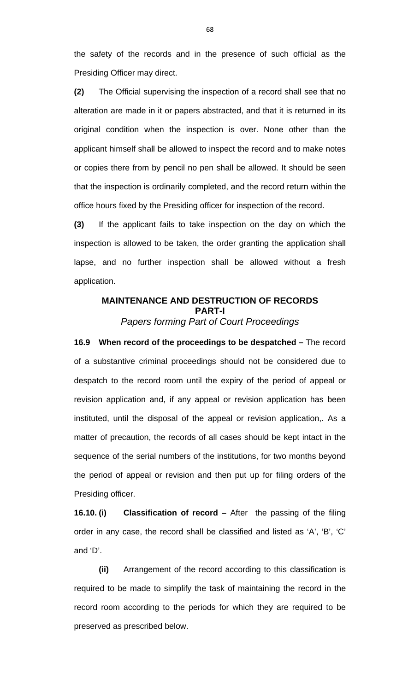the safety of the records and in the presence of such official as the Presiding Officer may direct.

**(2)** The Official supervising the inspection of a record shall see that no alteration are made in it or papers abstracted, and that it is returned in its original condition when the inspection is over. None other than the applicant himself shall be allowed to inspect the record and to make notes or copies there from by pencil no pen shall be allowed. It should be seen that the inspection is ordinarily completed, and the record return within the office hours fixed by the Presiding officer for inspection of the record.

**(3)** If the applicant fails to take inspection on the day on which the inspection is allowed to be taken, the order granting the application shall lapse, and no further inspection shall be allowed without a fresh application.

#### **MAINTENANCE AND DESTRUCTION OF RECORDS PART-I**  *Papers forming Part of Court Proceedings*

**16.9 When record of the proceedings to be despatched –** The record of a substantive criminal proceedings should not be considered due to despatch to the record room until the expiry of the period of appeal or revision application and, if any appeal or revision application has been instituted, until the disposal of the appeal or revision application,. As a matter of precaution, the records of all cases should be kept intact in the sequence of the serial numbers of the institutions, for two months beyond the period of appeal or revision and then put up for filing orders of the Presiding officer.

**16.10. (i) Classification of record –** After the passing of the filing order in any case, the record shall be classified and listed as 'A', 'B', 'C' and 'D'.

**(ii)** Arrangement of the record according to this classification is required to be made to simplify the task of maintaining the record in the record room according to the periods for which they are required to be preserved as prescribed below.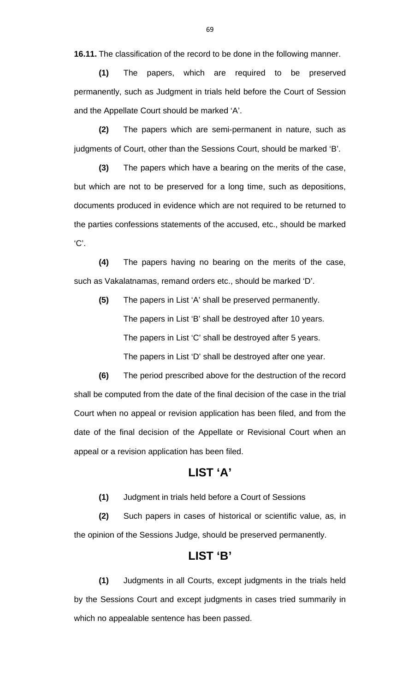**16.11.** The classification of the record to be done in the following manner.

**(1)** The papers, which are required to be preserved permanently, such as Judgment in trials held before the Court of Session and the Appellate Court should be marked 'A'.

**(2)** The papers which are semi-permanent in nature, such as judgments of Court, other than the Sessions Court, should be marked 'B'.

**(3)** The papers which have a bearing on the merits of the case, but which are not to be preserved for a long time, such as depositions, documents produced in evidence which are not required to be returned to the parties confessions statements of the accused, etc., should be marked 'C'.

**(4)** The papers having no bearing on the merits of the case, such as Vakalatnamas, remand orders etc., should be marked 'D'.

**(5)** The papers in List 'A' shall be preserved permanently. The papers in List 'B' shall be destroyed after 10 years. The papers in List 'C' shall be destroyed after 5 years. The papers in List 'D' shall be destroyed after one year.

**(6)** The period prescribed above for the destruction of the record shall be computed from the date of the final decision of the case in the trial Court when no appeal or revision application has been filed, and from the date of the final decision of the Appellate or Revisional Court when an appeal or a revision application has been filed.

## **LIST 'A'**

**(1)** Judgment in trials held before a Court of Sessions

**(2)** Such papers in cases of historical or scientific value, as, in the opinion of the Sessions Judge, should be preserved permanently.

## **LIST 'B'**

**(1)** Judgments in all Courts, except judgments in the trials held by the Sessions Court and except judgments in cases tried summarily in which no appealable sentence has been passed.

69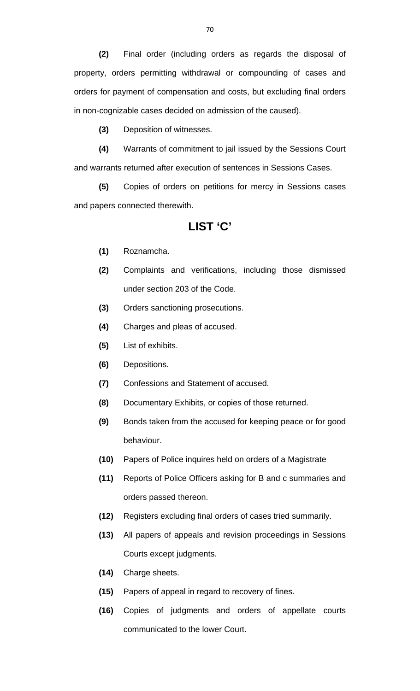**(2)** Final order (including orders as regards the disposal of property, orders permitting withdrawal or compounding of cases and orders for payment of compensation and costs, but excluding final orders in non-cognizable cases decided on admission of the caused).

**(3)** Deposition of witnesses.

**(4)** Warrants of commitment to jail issued by the Sessions Court and warrants returned after execution of sentences in Sessions Cases.

**(5)** Copies of orders on petitions for mercy in Sessions cases and papers connected therewith.

### **LIST 'C'**

- **(1)** Roznamcha.
- **(2)** Complaints and verifications, including those dismissed under section 203 of the Code.
- **(3)** Orders sanctioning prosecutions.
- **(4)** Charges and pleas of accused.
- **(5)** List of exhibits.
- **(6)** Depositions.
- **(7)** Confessions and Statement of accused.
- **(8)** Documentary Exhibits, or copies of those returned.
- **(9)** Bonds taken from the accused for keeping peace or for good behaviour.
- **(10)** Papers of Police inquires held on orders of a Magistrate
- **(11)** Reports of Police Officers asking for B and c summaries and orders passed thereon.
- **(12)** Registers excluding final orders of cases tried summarily.
- **(13)** All papers of appeals and revision proceedings in Sessions Courts except judgments.
- **(14)** Charge sheets.
- **(15)** Papers of appeal in regard to recovery of fines.
- **(16)** Copies of judgments and orders of appellate courts communicated to the lower Court.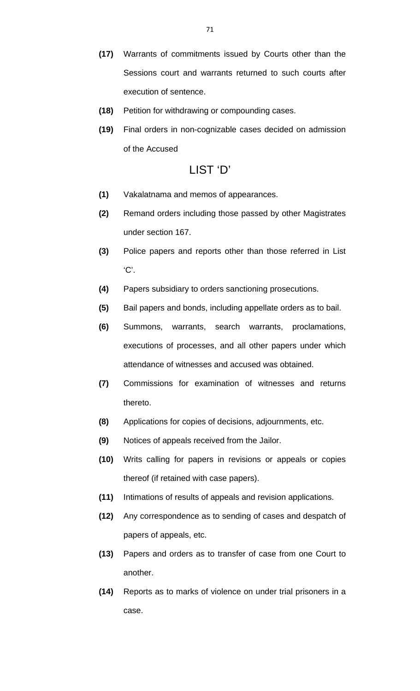- **(17)** Warrants of commitments issued by Courts other than the Sessions court and warrants returned to such courts after execution of sentence.
- **(18)** Petition for withdrawing or compounding cases.
- **(19)** Final orders in non-cognizable cases decided on admission of the Accused

### LIST 'D'

- **(1)** Vakalatnama and memos of appearances.
- **(2)** Remand orders including those passed by other Magistrates under section 167.
- **(3)** Police papers and reports other than those referred in List 'C'.
- **(4)** Papers subsidiary to orders sanctioning prosecutions.
- **(5)** Bail papers and bonds, including appellate orders as to bail.
- **(6)** Summons, warrants, search warrants, proclamations, executions of processes, and all other papers under which attendance of witnesses and accused was obtained.
- **(7)** Commissions for examination of witnesses and returns thereto.
- **(8)** Applications for copies of decisions, adjournments, etc.
- **(9)** Notices of appeals received from the Jailor.
- **(10)** Writs calling for papers in revisions or appeals or copies thereof (if retained with case papers).
- **(11)** Intimations of results of appeals and revision applications.
- **(12)** Any correspondence as to sending of cases and despatch of papers of appeals, etc.
- **(13)** Papers and orders as to transfer of case from one Court to another.
- **(14)** Reports as to marks of violence on under trial prisoners in a case.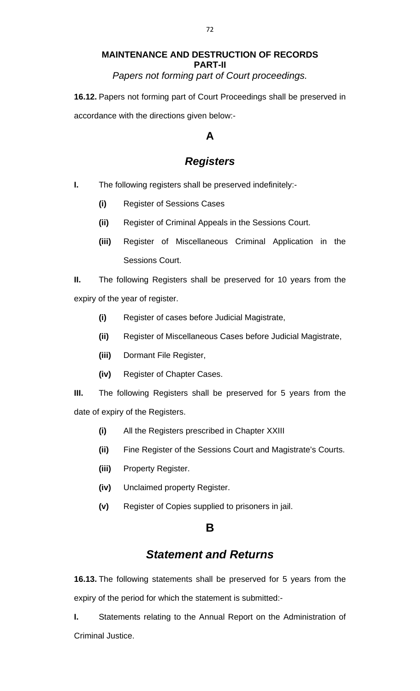### **MAINTENANCE AND DESTRUCTION OF RECORDS PART-II**  *Papers not forming part of Court proceedings.*

**16.12.** Papers not forming part of Court Proceedings shall be preserved in accordance with the directions given below:-

## **A**

# *Registers*

- **I.** The following registers shall be preserved indefinitely:-
	- **(i)** Register of Sessions Cases
	- **(ii)** Register of Criminal Appeals in the Sessions Court.
	- **(iii)** Register of Miscellaneous Criminal Application in the Sessions Court.

**II.** The following Registers shall be preserved for 10 years from the expiry of the year of register.

- **(i)** Register of cases before Judicial Magistrate,
- **(ii)** Register of Miscellaneous Cases before Judicial Magistrate,
- **(iii)** Dormant File Register,
- **(iv)** Register of Chapter Cases.

**III.** The following Registers shall be preserved for 5 years from the date of expiry of the Registers.

- **(i)** All the Registers prescribed in Chapter XXIII
- **(ii)** Fine Register of the Sessions Court and Magistrate's Courts.
- **(iii)** Property Register.
- **(iv)** Unclaimed property Register.
- **(v)** Register of Copies supplied to prisoners in jail.

### **B**

## *Statement and Returns*

**16.13.** The following statements shall be preserved for 5 years from the expiry of the period for which the statement is submitted:-

**I.** Statements relating to the Annual Report on the Administration of Criminal Justice.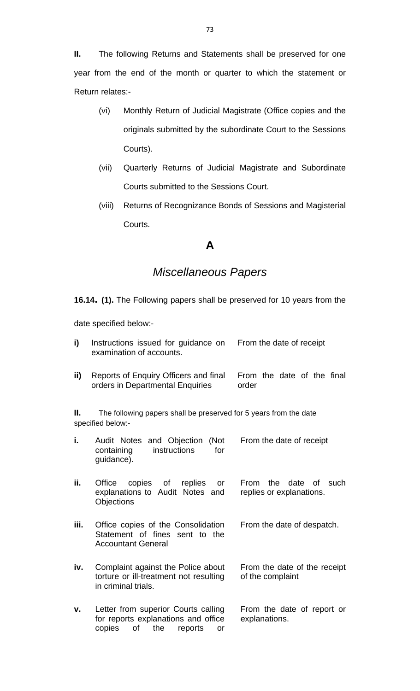**II.** The following Returns and Statements shall be preserved for one year from the end of the month or quarter to which the statement or Return relates:-

- (vi) Monthly Return of Judicial Magistrate (Office copies and the originals submitted by the subordinate Court to the Sessions Courts).
- (vii) Quarterly Returns of Judicial Magistrate and Subordinate Courts submitted to the Sessions Court.
- (viii) Returns of Recognizance Bonds of Sessions and Magisterial Courts.

## **A**

# *Miscellaneous Papers*

**16.14. (1).** The Following papers shall be preserved for 10 years from the

date specified below:-

| i)                                                                                           | Instructions issued for guidance on<br>examination of accounts.                                                    | From the date of receipt                                      |  |
|----------------------------------------------------------------------------------------------|--------------------------------------------------------------------------------------------------------------------|---------------------------------------------------------------|--|
| ii)                                                                                          | Reports of Enquiry Officers and final<br>orders in Departmental Enquiries                                          | From the date of the final<br>order                           |  |
| Ш.<br>The following papers shall be preserved for 5 years from the date<br>specified below:- |                                                                                                                    |                                                               |  |
| i.                                                                                           | and Objection<br>(Not<br>Audit Notes<br>instructions<br>for<br>containing<br>guidance).                            | From the date of receipt                                      |  |
| ii.                                                                                          | copies of replies<br>Office<br>or<br>explanations to Audit Notes and<br>Objections                                 | the<br>date<br>From<br>0f<br>such<br>replies or explanations. |  |
| iii.                                                                                         | Office copies of the Consolidation<br>Statement of fines sent to the<br><b>Accountant General</b>                  | From the date of despatch.                                    |  |
| iv.                                                                                          | Complaint against the Police about<br>torture or ill-treatment not resulting<br>in criminal trials.                | From the date of the receipt<br>of the complaint              |  |
| v.                                                                                           | Letter from superior Courts calling<br>for reports explanations and office<br>copies<br>of<br>the<br>reports<br>or | From the date of report or<br>explanations.                   |  |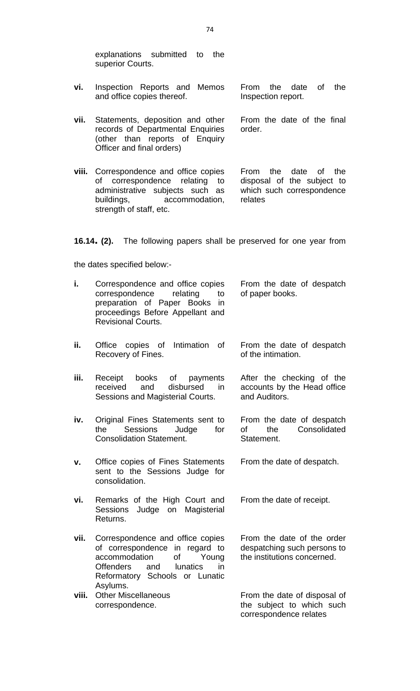explanations submitted to the superior Courts.

- **vi.** Inspection Reports and Memos and office copies thereof. From the date of the Inspection report.
- **vii.** Statements, deposition and other records of Departmental Enquiries (other than reports of Enquiry Officer and final orders) From the date of the final order.
- **viii.** Correspondence and office copies of correspondence relating to administrative subjects such as buildings, accommodation, strength of staff, etc. From the date of the disposal of the subject to which such correspondence relates

**16.14. (2).** The following papers shall be preserved for one year from

the dates specified below:-

| i.    | Correspondence and office copies<br>correspondence<br>relating<br>to<br>preparation of Paper Books<br>in<br>proceedings Before Appellant and<br><b>Revisional Courts.</b>                            | From the date of despatch<br>of paper books.                                             |
|-------|------------------------------------------------------------------------------------------------------------------------------------------------------------------------------------------------------|------------------------------------------------------------------------------------------|
| ii.   | Intimation<br>Office<br>copies of<br><b>of</b><br>Recovery of Fines.                                                                                                                                 | From the date of despatch<br>of the intimation.                                          |
| iii.  | Receipt<br>books<br>of<br>payments<br>and<br>disbursed<br>in<br>received<br>Sessions and Magisterial Courts.                                                                                         | After the checking of the<br>accounts by the Head office<br>and Auditors.                |
| iv.   | Original Fines Statements sent to<br><b>Sessions</b><br>Judge<br>for<br>the<br><b>Consolidation Statement.</b>                                                                                       | From the date of despatch<br>Consolidated<br>the<br>οf<br>Statement.                     |
| v.    | Office copies of Fines Statements<br>sent to the Sessions Judge for<br>consolidation.                                                                                                                | From the date of despatch.                                                               |
| vi.   | Remarks of the High Court and<br><b>Sessions</b><br>Judge on<br>Magisterial<br>Returns.                                                                                                              | From the date of receipt.                                                                |
| vii.  | Correspondence and office copies<br>of correspondence in regard to<br>accommodation<br>of<br>Young<br><b>Offenders</b><br>and<br><b>lunatics</b><br>in<br>Reformatory Schools or Lunatic<br>Asylums. | From the date of the order<br>despatching such persons to<br>the institutions concerned. |
| viii. | <b>Other Miscellaneous</b><br>correspondence.                                                                                                                                                        | From the date of disposal of<br>the subject to which such<br>correspondence relates      |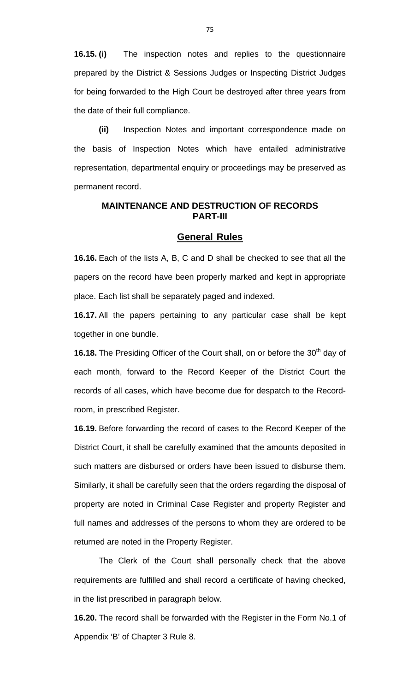**16.15. (i)** The inspection notes and replies to the questionnaire prepared by the District & Sessions Judges or Inspecting District Judges for being forwarded to the High Court be destroyed after three years from the date of their full compliance.

**(ii)** Inspection Notes and important correspondence made on the basis of Inspection Notes which have entailed administrative representation, departmental enquiry or proceedings may be preserved as permanent record.

### **MAINTENANCE AND DESTRUCTION OF RECORDS PART-III**

#### **General Rules**

**16.16.** Each of the lists A, B, C and D shall be checked to see that all the papers on the record have been properly marked and kept in appropriate place. Each list shall be separately paged and indexed.

**16.17.** All the papers pertaining to any particular case shall be kept together in one bundle.

**16.18.** The Presiding Officer of the Court shall, on or before the 30<sup>th</sup> day of each month, forward to the Record Keeper of the District Court the records of all cases, which have become due for despatch to the Recordroom, in prescribed Register.

**16.19.** Before forwarding the record of cases to the Record Keeper of the District Court, it shall be carefully examined that the amounts deposited in such matters are disbursed or orders have been issued to disburse them. Similarly, it shall be carefully seen that the orders regarding the disposal of property are noted in Criminal Case Register and property Register and full names and addresses of the persons to whom they are ordered to be returned are noted in the Property Register.

 The Clerk of the Court shall personally check that the above requirements are fulfilled and shall record a certificate of having checked, in the list prescribed in paragraph below.

**16.20.** The record shall be forwarded with the Register in the Form No.1 of Appendix 'B' of Chapter 3 Rule 8.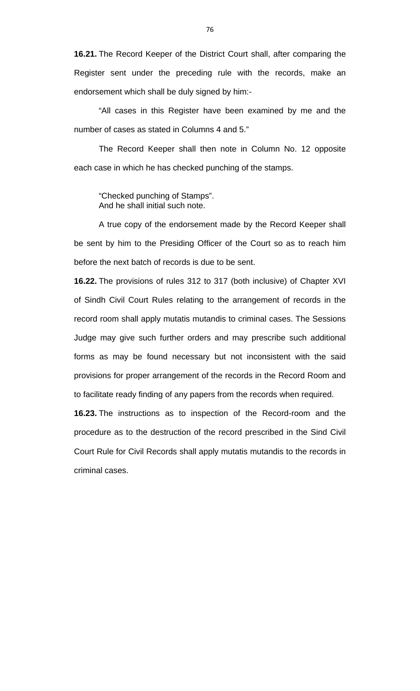**16.21.** The Record Keeper of the District Court shall, after comparing the Register sent under the preceding rule with the records, make an endorsement which shall be duly signed by him:-

 "All cases in this Register have been examined by me and the number of cases as stated in Columns 4 and 5."

 The Record Keeper shall then note in Column No. 12 opposite each case in which he has checked punching of the stamps.

 "Checked punching of Stamps". And he shall initial such note.

 A true copy of the endorsement made by the Record Keeper shall be sent by him to the Presiding Officer of the Court so as to reach him before the next batch of records is due to be sent.

**16.22.** The provisions of rules 312 to 317 (both inclusive) of Chapter XVI of Sindh Civil Court Rules relating to the arrangement of records in the record room shall apply mutatis mutandis to criminal cases. The Sessions Judge may give such further orders and may prescribe such additional forms as may be found necessary but not inconsistent with the said provisions for proper arrangement of the records in the Record Room and to facilitate ready finding of any papers from the records when required.

**16.23.** The instructions as to inspection of the Record-room and the procedure as to the destruction of the record prescribed in the Sind Civil Court Rule for Civil Records shall apply mutatis mutandis to the records in criminal cases.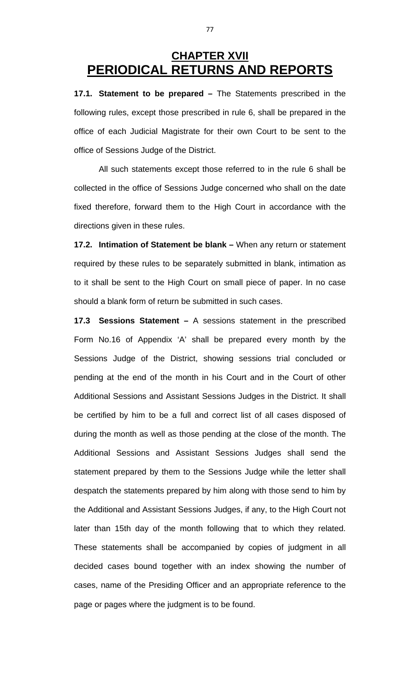# **CHAPTER XVII PERIODICAL RETURNS AND REPORTS**

**17.1. Statement to be prepared –** The Statements prescribed in the following rules, except those prescribed in rule 6, shall be prepared in the office of each Judicial Magistrate for their own Court to be sent to the office of Sessions Judge of the District.

 All such statements except those referred to in the rule 6 shall be collected in the office of Sessions Judge concerned who shall on the date fixed therefore, forward them to the High Court in accordance with the directions given in these rules.

**17.2. Intimation of Statement be blank –** When any return or statement required by these rules to be separately submitted in blank, intimation as to it shall be sent to the High Court on small piece of paper. In no case should a blank form of return be submitted in such cases.

**17.3 Sessions Statement –** A sessions statement in the prescribed Form No.16 of Appendix 'A' shall be prepared every month by the Sessions Judge of the District, showing sessions trial concluded or pending at the end of the month in his Court and in the Court of other Additional Sessions and Assistant Sessions Judges in the District. It shall be certified by him to be a full and correct list of all cases disposed of during the month as well as those pending at the close of the month. The Additional Sessions and Assistant Sessions Judges shall send the statement prepared by them to the Sessions Judge while the letter shall despatch the statements prepared by him along with those send to him by the Additional and Assistant Sessions Judges, if any, to the High Court not later than 15th day of the month following that to which they related. These statements shall be accompanied by copies of judgment in all decided cases bound together with an index showing the number of cases, name of the Presiding Officer and an appropriate reference to the page or pages where the judgment is to be found.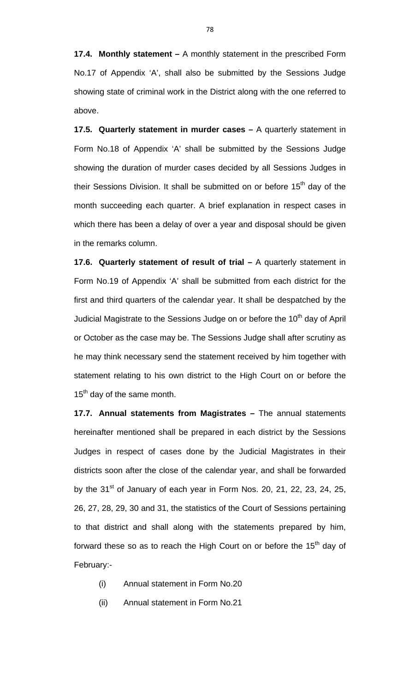**17.4. Monthly statement –** A monthly statement in the prescribed Form No.17 of Appendix 'A', shall also be submitted by the Sessions Judge showing state of criminal work in the District along with the one referred to above.

**17.5. Quarterly statement in murder cases –** A quarterly statement in Form No.18 of Appendix 'A' shall be submitted by the Sessions Judge showing the duration of murder cases decided by all Sessions Judges in their Sessions Division. It shall be submitted on or before  $15<sup>th</sup>$  day of the month succeeding each quarter. A brief explanation in respect cases in which there has been a delay of over a year and disposal should be given in the remarks column.

**17.6. Quarterly statement of result of trial - A quarterly statement in** Form No.19 of Appendix 'A' shall be submitted from each district for the first and third quarters of the calendar year. It shall be despatched by the Judicial Magistrate to the Sessions Judge on or before the  $10<sup>th</sup>$  day of April or October as the case may be. The Sessions Judge shall after scrutiny as he may think necessary send the statement received by him together with statement relating to his own district to the High Court on or before the 15<sup>th</sup> day of the same month.

**17.7. Annual statements from Magistrates –** The annual statements hereinafter mentioned shall be prepared in each district by the Sessions Judges in respect of cases done by the Judicial Magistrates in their districts soon after the close of the calendar year, and shall be forwarded by the 31<sup>st</sup> of January of each year in Form Nos. 20, 21, 22, 23, 24, 25, 26, 27, 28, 29, 30 and 31, the statistics of the Court of Sessions pertaining to that district and shall along with the statements prepared by him, forward these so as to reach the High Court on or before the 15<sup>th</sup> day of February:-

- (i) Annual statement in Form No.20
- (ii) Annual statement in Form No.21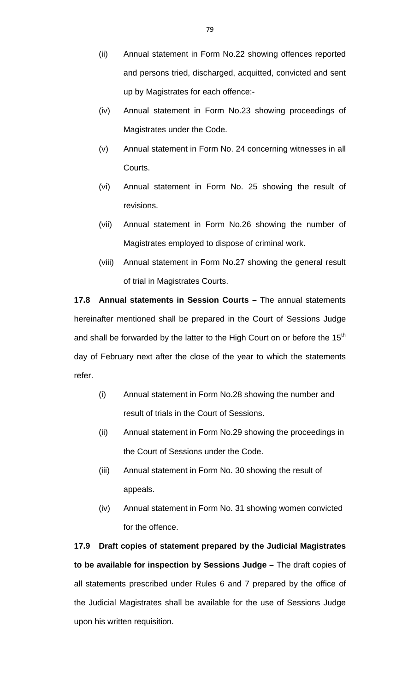- (ii) Annual statement in Form No.22 showing offences reported and persons tried, discharged, acquitted, convicted and sent up by Magistrates for each offence:-
- (iv) Annual statement in Form No.23 showing proceedings of Magistrates under the Code.
- (v) Annual statement in Form No. 24 concerning witnesses in all Courts.
- (vi) Annual statement in Form No. 25 showing the result of revisions.
- (vii) Annual statement in Form No.26 showing the number of Magistrates employed to dispose of criminal work.
- (viii) Annual statement in Form No.27 showing the general result of trial in Magistrates Courts.

**17.8 Annual statements in Session Courts –** The annual statements hereinafter mentioned shall be prepared in the Court of Sessions Judge and shall be forwarded by the latter to the High Court on or before the  $15<sup>th</sup>$ day of February next after the close of the year to which the statements refer.

- (i) Annual statement in Form No.28 showing the number and result of trials in the Court of Sessions.
- (ii) Annual statement in Form No.29 showing the proceedings in the Court of Sessions under the Code.
- (iii) Annual statement in Form No. 30 showing the result of appeals.
- (iv) Annual statement in Form No. 31 showing women convicted for the offence.

**17.9 Draft copies of statement prepared by the Judicial Magistrates to be available for inspection by Sessions Judge –** The draft copies of all statements prescribed under Rules 6 and 7 prepared by the office of the Judicial Magistrates shall be available for the use of Sessions Judge upon his written requisition.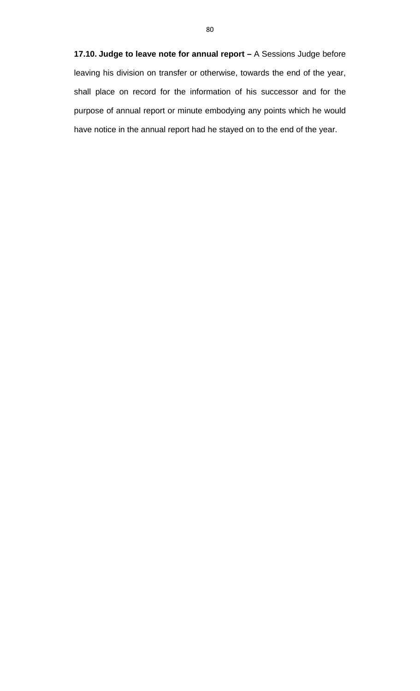**17.10. Judge to leave note for annual report –** A Sessions Judge before leaving his division on transfer or otherwise, towards the end of the year, shall place on record for the information of his successor and for the purpose of annual report or minute embodying any points which he would have notice in the annual report had he stayed on to the end of the year.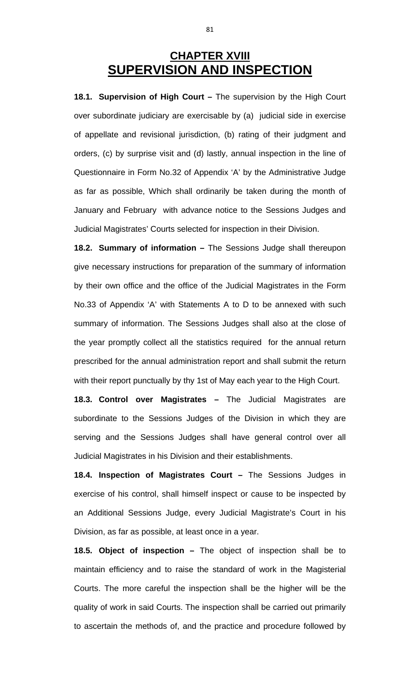# **CHAPTER XVIII SUPERVISION AND INSPECTION**

**18.1. Supervision of High Court –** The supervision by the High Court over subordinate judiciary are exercisable by (a) judicial side in exercise of appellate and revisional jurisdiction, (b) rating of their judgment and orders, (c) by surprise visit and (d) lastly, annual inspection in the line of Questionnaire in Form No.32 of Appendix 'A' by the Administrative Judge as far as possible, Which shall ordinarily be taken during the month of January and February with advance notice to the Sessions Judges and Judicial Magistrates' Courts selected for inspection in their Division.

**18.2. Summary of information –** The Sessions Judge shall thereupon give necessary instructions for preparation of the summary of information by their own office and the office of the Judicial Magistrates in the Form No.33 of Appendix 'A' with Statements A to D to be annexed with such summary of information. The Sessions Judges shall also at the close of the year promptly collect all the statistics required for the annual return prescribed for the annual administration report and shall submit the return with their report punctually by thy 1st of May each year to the High Court.

**18.3. Control over Magistrates –** The Judicial Magistrates are subordinate to the Sessions Judges of the Division in which they are serving and the Sessions Judges shall have general control over all Judicial Magistrates in his Division and their establishments.

**18.4. Inspection of Magistrates Court –** The Sessions Judges in exercise of his control, shall himself inspect or cause to be inspected by an Additional Sessions Judge, every Judicial Magistrate's Court in his Division, as far as possible, at least once in a year.

**18.5. Object of inspection –** The object of inspection shall be to maintain efficiency and to raise the standard of work in the Magisterial Courts. The more careful the inspection shall be the higher will be the quality of work in said Courts. The inspection shall be carried out primarily to ascertain the methods of, and the practice and procedure followed by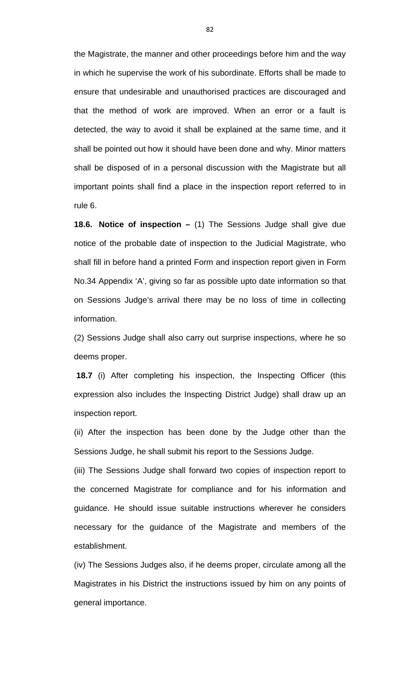the Magistrate, the manner and other proceedings before him and the way in which he supervise the work of his subordinate. Efforts shall be made to ensure that undesirable and unauthorised practices are discouraged and that the method of work are improved. When an error or a fault is detected, the way to avoid it shall be explained at the same time, and it shall be pointed out how it should have been done and why. Minor matters shall be disposed of in a personal discussion with the Magistrate but all important points shall find a place in the inspection report referred to in rule 6.

**18.6. Notice of inspection –** (1) The Sessions Judge shall give due notice of the probable date of inspection to the Judicial Magistrate, who shall fill in before hand a printed Form and inspection report given in Form No.34 Appendix 'A', giving so far as possible upto date information so that on Sessions Judge's arrival there may be no loss of time in collecting information.

(2) Sessions Judge shall also carry out surprise inspections, where he so deems proper.

**18.7** (i) After completing his inspection, the Inspecting Officer (this expression also includes the Inspecting District Judge) shall draw up an inspection report.

(ii) After the inspection has been done by the Judge other than the Sessions Judge, he shall submit his report to the Sessions Judge.

(iii) The Sessions Judge shall forward two copies of inspection report to the concerned Magistrate for compliance and for his information and guidance. He should issue suitable instructions wherever he considers necessary for the guidance of the Magistrate and members of the establishment.

(iv) The Sessions Judges also, if he deems proper, circulate among all the Magistrates in his District the instructions issued by him on any points of general importance.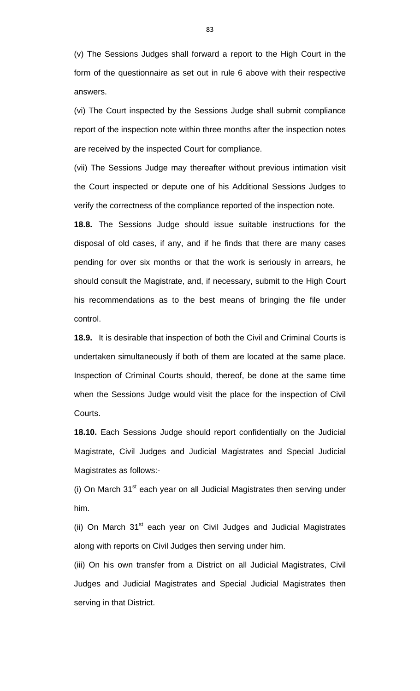(v) The Sessions Judges shall forward a report to the High Court in the form of the questionnaire as set out in rule 6 above with their respective answers.

(vi) The Court inspected by the Sessions Judge shall submit compliance report of the inspection note within three months after the inspection notes are received by the inspected Court for compliance.

(vii) The Sessions Judge may thereafter without previous intimation visit the Court inspected or depute one of his Additional Sessions Judges to verify the correctness of the compliance reported of the inspection note.

**18.8.** The Sessions Judge should issue suitable instructions for the disposal of old cases, if any, and if he finds that there are many cases pending for over six months or that the work is seriously in arrears, he should consult the Magistrate, and, if necessary, submit to the High Court his recommendations as to the best means of bringing the file under control.

**18.9.** It is desirable that inspection of both the Civil and Criminal Courts is undertaken simultaneously if both of them are located at the same place. Inspection of Criminal Courts should, thereof, be done at the same time when the Sessions Judge would visit the place for the inspection of Civil Courts.

**18.10.** Each Sessions Judge should report confidentially on the Judicial Magistrate, Civil Judges and Judicial Magistrates and Special Judicial Magistrates as follows:-

(i) On March  $31<sup>st</sup>$  each year on all Judicial Magistrates then serving under him.

(ii) On March 31<sup>st</sup> each year on Civil Judges and Judicial Magistrates along with reports on Civil Judges then serving under him.

(iii) On his own transfer from a District on all Judicial Magistrates, Civil Judges and Judicial Magistrates and Special Judicial Magistrates then serving in that District.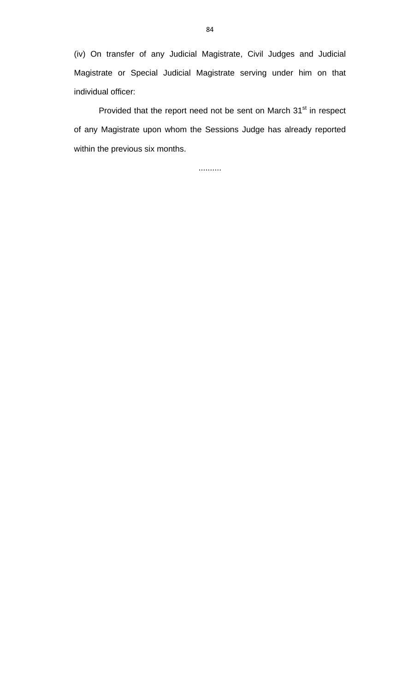(iv) On transfer of any Judicial Magistrate, Civil Judges and Judicial Magistrate or Special Judicial Magistrate serving under him on that individual officer:

Provided that the report need not be sent on March 31<sup>st</sup> in respect of any Magistrate upon whom the Sessions Judge has already reported within the previous six months.

..........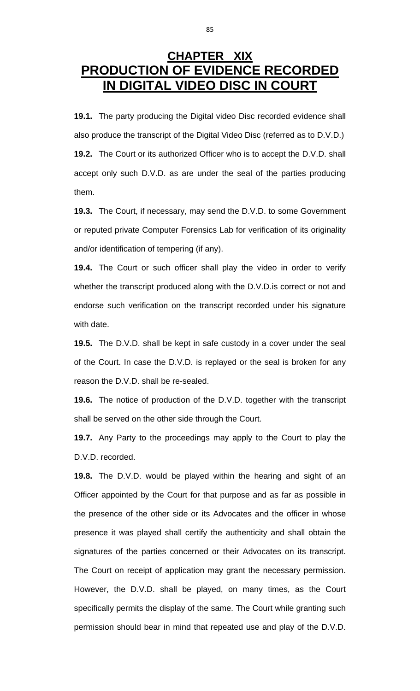# **CHAPTER XIX PRODUCTION OF EVIDENCE RECORDED IN DIGITAL VIDEO DISC IN COURT**

**19.1.** The party producing the Digital video Disc recorded evidence shall also produce the transcript of the Digital Video Disc (referred as to D.V.D.) **19.2.** The Court or its authorized Officer who is to accept the D.V.D. shall accept only such D.V.D. as are under the seal of the parties producing them.

**19.3.** The Court, if necessary, may send the D.V.D. to some Government or reputed private Computer Forensics Lab for verification of its originality and/or identification of tempering (if any).

**19.4.** The Court or such officer shall play the video in order to verify whether the transcript produced along with the D.V.D.is correct or not and endorse such verification on the transcript recorded under his signature with date.

**19.5.** The D.V.D. shall be kept in safe custody in a cover under the seal of the Court. In case the D.V.D. is replayed or the seal is broken for any reason the D.V.D. shall be re-sealed.

**19.6.** The notice of production of the D.V.D. together with the transcript shall be served on the other side through the Court.

**19.7.** Any Party to the proceedings may apply to the Court to play the D.V.D. recorded.

**19.8.** The D.V.D. would be played within the hearing and sight of an Officer appointed by the Court for that purpose and as far as possible in the presence of the other side or its Advocates and the officer in whose presence it was played shall certify the authenticity and shall obtain the signatures of the parties concerned or their Advocates on its transcript. The Court on receipt of application may grant the necessary permission. However, the D.V.D. shall be played, on many times, as the Court specifically permits the display of the same. The Court while granting such permission should bear in mind that repeated use and play of the D.V.D.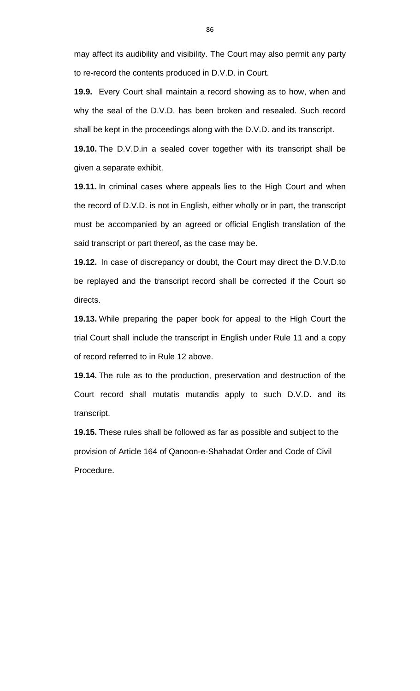may affect its audibility and visibility. The Court may also permit any party to re-record the contents produced in D.V.D. in Court.

**19.9.** Every Court shall maintain a record showing as to how, when and why the seal of the D.V.D. has been broken and resealed. Such record shall be kept in the proceedings along with the D.V.D. and its transcript.

**19.10.** The D.V.D.in a sealed cover together with its transcript shall be given a separate exhibit.

**19.11.** In criminal cases where appeals lies to the High Court and when the record of D.V.D. is not in English, either wholly or in part, the transcript must be accompanied by an agreed or official English translation of the said transcript or part thereof, as the case may be.

**19.12.** In case of discrepancy or doubt, the Court may direct the D.V.D.to be replayed and the transcript record shall be corrected if the Court so directs.

**19.13.** While preparing the paper book for appeal to the High Court the trial Court shall include the transcript in English under Rule 11 and a copy of record referred to in Rule 12 above.

**19.14.** The rule as to the production, preservation and destruction of the Court record shall mutatis mutandis apply to such D.V.D. and its transcript.

**19.15.** These rules shall be followed as far as possible and subject to the provision of Article 164 of Qanoon-e-Shahadat Order and Code of Civil Procedure.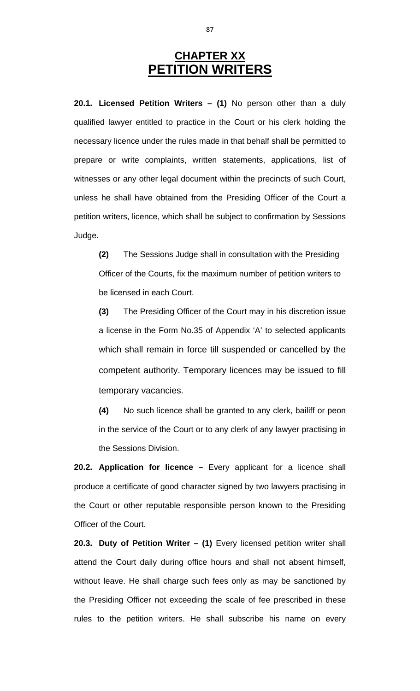# **CHAPTER XX PETITION WRITERS**

**20.1. Licensed Petition Writers – (1)** No person other than a duly qualified lawyer entitled to practice in the Court or his clerk holding the necessary licence under the rules made in that behalf shall be permitted to prepare or write complaints, written statements, applications, list of witnesses or any other legal document within the precincts of such Court, unless he shall have obtained from the Presiding Officer of the Court a petition writers, licence, which shall be subject to confirmation by Sessions Judge.

**(2)** The Sessions Judge shall in consultation with the Presiding Officer of the Courts, fix the maximum number of petition writers to be licensed in each Court.

**(3)** The Presiding Officer of the Court may in his discretion issue a license in the Form No.35 of Appendix 'A' to selected applicants which shall remain in force till suspended or cancelled by the competent authority. Temporary licences may be issued to fill temporary vacancies.

**(4)** No such licence shall be granted to any clerk, bailiff or peon in the service of the Court or to any clerk of any lawyer practising in the Sessions Division.

**20.2. Application for licence –** Every applicant for a licence shall produce a certificate of good character signed by two lawyers practising in the Court or other reputable responsible person known to the Presiding Officer of the Court.

**20.3. Duty of Petition Writer – (1)** Every licensed petition writer shall attend the Court daily during office hours and shall not absent himself, without leave. He shall charge such fees only as may be sanctioned by the Presiding Officer not exceeding the scale of fee prescribed in these rules to the petition writers. He shall subscribe his name on every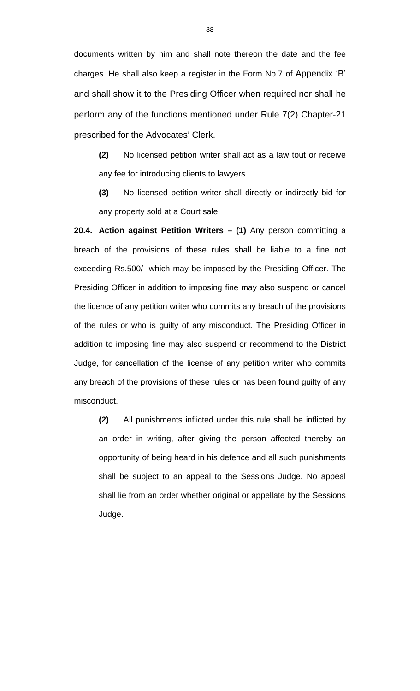documents written by him and shall note thereon the date and the fee charges. He shall also keep a register in the Form No.7 of Appendix 'B' and shall show it to the Presiding Officer when required nor shall he perform any of the functions mentioned under Rule 7(2) Chapter-21 prescribed for the Advocates' Clerk.

**(2)** No licensed petition writer shall act as a law tout or receive any fee for introducing clients to lawyers.

**(3)** No licensed petition writer shall directly or indirectly bid for any property sold at a Court sale.

**20.4. Action against Petition Writers – (1)** Any person committing a breach of the provisions of these rules shall be liable to a fine not exceeding Rs.500/- which may be imposed by the Presiding Officer. The Presiding Officer in addition to imposing fine may also suspend or cancel the licence of any petition writer who commits any breach of the provisions of the rules or who is guilty of any misconduct. The Presiding Officer in addition to imposing fine may also suspend or recommend to the District Judge, for cancellation of the license of any petition writer who commits any breach of the provisions of these rules or has been found guilty of any misconduct.

**(2)** All punishments inflicted under this rule shall be inflicted by an order in writing, after giving the person affected thereby an opportunity of being heard in his defence and all such punishments shall be subject to an appeal to the Sessions Judge. No appeal shall lie from an order whether original or appellate by the Sessions Judge.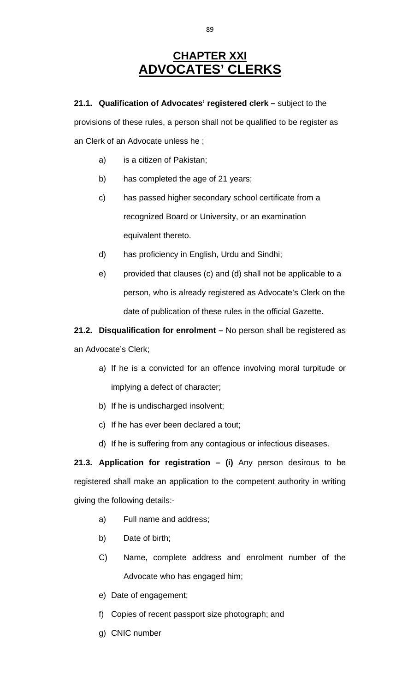# **CHAPTER XXI ADVOCATES' CLERKS**

**21.1. Qualification of Advocates' registered clerk –** subject to the

provisions of these rules, a person shall not be qualified to be register as an Clerk of an Advocate unless he ;

- a) is a citizen of Pakistan;
- b) has completed the age of 21 years;
- c) has passed higher secondary school certificate from a recognized Board or University, or an examination equivalent thereto.
- d) has proficiency in English, Urdu and Sindhi;
- e) provided that clauses (c) and (d) shall not be applicable to a person, who is already registered as Advocate's Clerk on the date of publication of these rules in the official Gazette.

**21.2. Disqualification for enrolment –** No person shall be registered as an Advocate's Clerk;

- a) If he is a convicted for an offence involving moral turpitude or implying a defect of character;
- b) If he is undischarged insolvent;
- c) If he has ever been declared a tout;
- d) If he is suffering from any contagious or infectious diseases.

**21.3. Application for registration – (i)** Any person desirous to be registered shall make an application to the competent authority in writing giving the following details:-

- a) Full name and address;
- b) Date of birth;
- C) Name, complete address and enrolment number of the Advocate who has engaged him;
- e) Date of engagement;
- f) Copies of recent passport size photograph; and
- g) CNIC number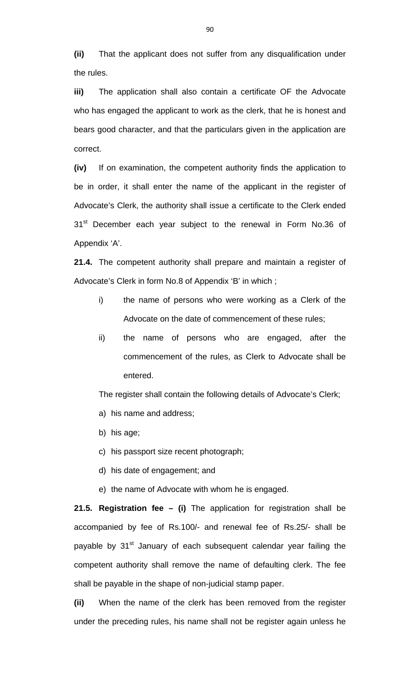**(ii)** That the applicant does not suffer from any disqualification under the rules.

**iii)** The application shall also contain a certificate OF the Advocate who has engaged the applicant to work as the clerk, that he is honest and bears good character, and that the particulars given in the application are correct.

**(iv)** If on examination, the competent authority finds the application to be in order, it shall enter the name of the applicant in the register of Advocate's Clerk, the authority shall issue a certificate to the Clerk ended 31<sup>st</sup> December each year subject to the renewal in Form No.36 of Appendix 'A'.

**21.4.** The competent authority shall prepare and maintain a register of Advocate's Clerk in form No.8 of Appendix 'B' in which ;

- i) the name of persons who were working as a Clerk of the Advocate on the date of commencement of these rules;
- ii) the name of persons who are engaged, after the commencement of the rules, as Clerk to Advocate shall be entered.

The register shall contain the following details of Advocate's Clerk;

- a) his name and address;
- b) his age;
- c) his passport size recent photograph;
- d) his date of engagement; and
- e) the name of Advocate with whom he is engaged.

**21.5. Registration fee – (i)** The application for registration shall be accompanied by fee of Rs.100/- and renewal fee of Rs.25/- shall be payable by 31<sup>st</sup> January of each subsequent calendar year failing the competent authority shall remove the name of defaulting clerk. The fee shall be payable in the shape of non-judicial stamp paper.

**(ii)** When the name of the clerk has been removed from the register under the preceding rules, his name shall not be register again unless he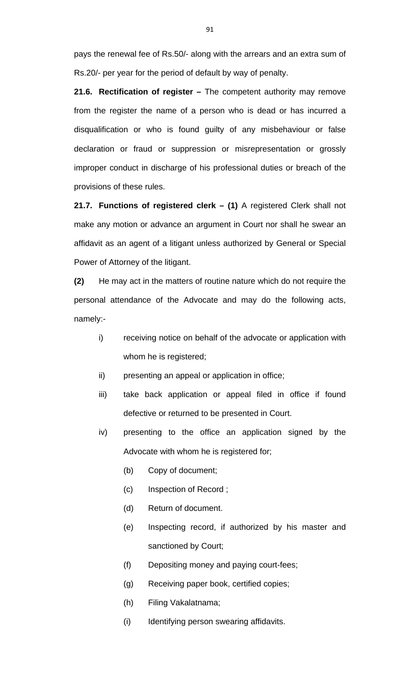pays the renewal fee of Rs.50/- along with the arrears and an extra sum of Rs.20/- per year for the period of default by way of penalty.

**21.6. Rectification of register –** The competent authority may remove from the register the name of a person who is dead or has incurred a disqualification or who is found guilty of any misbehaviour or false declaration or fraud or suppression or misrepresentation or grossly improper conduct in discharge of his professional duties or breach of the provisions of these rules.

**21.7. Functions of registered clerk – (1)** A registered Clerk shall not make any motion or advance an argument in Court nor shall he swear an affidavit as an agent of a litigant unless authorized by General or Special Power of Attorney of the litigant.

**(2)** He may act in the matters of routine nature which do not require the personal attendance of the Advocate and may do the following acts, namely:-

- i) receiving notice on behalf of the advocate or application with whom he is registered;
- ii) presenting an appeal or application in office;
- iii) take back application or appeal filed in office if found defective or returned to be presented in Court.
- iv) presenting to the office an application signed by the Advocate with whom he is registered for;
	- (b) Copy of document;
	- (c) Inspection of Record ;
	- (d) Return of document.
	- (e) Inspecting record, if authorized by his master and sanctioned by Court;
	- (f) Depositing money and paying court-fees;
	- (g) Receiving paper book, certified copies;
	- (h) Filing Vakalatnama;
	- (i) Identifying person swearing affidavits.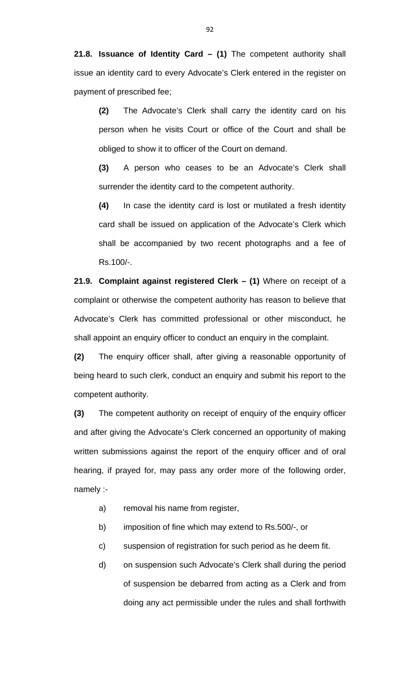**21.8. Issuance of Identity Card – (1)** The competent authority shall issue an identity card to every Advocate's Clerk entered in the register on payment of prescribed fee;

**(2)** The Advocate's Clerk shall carry the identity card on his person when he visits Court or office of the Court and shall be obliged to show it to officer of the Court on demand.

**(3)** A person who ceases to be an Advocate's Clerk shall surrender the identity card to the competent authority.

**(4)** In case the identity card is lost or mutilated a fresh identity card shall be issued on application of the Advocate's Clerk which shall be accompanied by two recent photographs and a fee of Rs.100/-.

**21.9. Complaint against registered Clerk – (1)** Where on receipt of a complaint or otherwise the competent authority has reason to believe that Advocate's Clerk has committed professional or other misconduct, he shall appoint an enquiry officer to conduct an enquiry in the complaint.

**(2)** The enquiry officer shall, after giving a reasonable opportunity of being heard to such clerk, conduct an enquiry and submit his report to the competent authority.

**(3)** The competent authority on receipt of enquiry of the enquiry officer and after giving the Advocate's Clerk concerned an opportunity of making written submissions against the report of the enquiry officer and of oral hearing, if prayed for, may pass any order more of the following order, namely :-

- a) removal his name from register,
- b) imposition of fine which may extend to Rs.500/-, or
- c) suspension of registration for such period as he deem fit.
- d) on suspension such Advocate's Clerk shall during the period of suspension be debarred from acting as a Clerk and from doing any act permissible under the rules and shall forthwith

92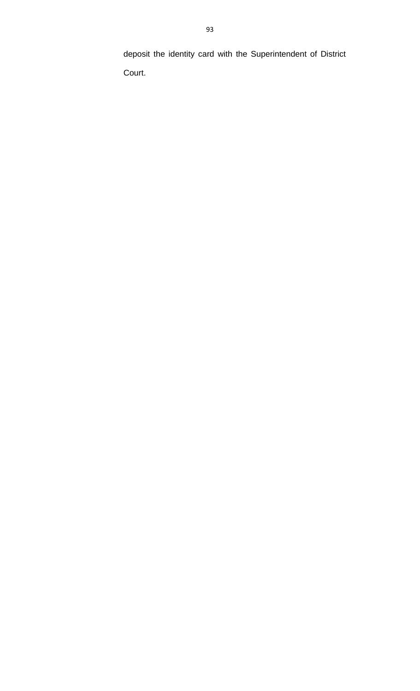deposit the identity card with the Superintendent of District Court.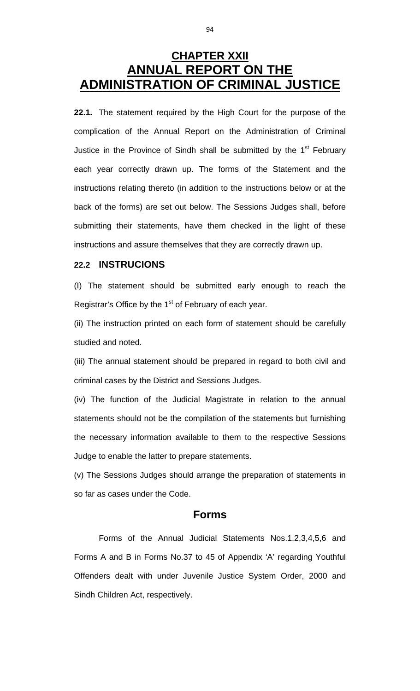# **CHAPTER XXII ANNUAL REPORT ON THE ADMINISTRATION OF CRIMINAL JUSTICE**

**22.1.** The statement required by the High Court for the purpose of the complication of the Annual Report on the Administration of Criminal Justice in the Province of Sindh shall be submitted by the 1<sup>st</sup> February each year correctly drawn up. The forms of the Statement and the instructions relating thereto (in addition to the instructions below or at the back of the forms) are set out below. The Sessions Judges shall, before submitting their statements, have them checked in the light of these instructions and assure themselves that they are correctly drawn up.

### **22.2 INSTRUCIONS**

(I) The statement should be submitted early enough to reach the Registrar's Office by the  $1<sup>st</sup>$  of February of each year.

(ii) The instruction printed on each form of statement should be carefully studied and noted.

(iii) The annual statement should be prepared in regard to both civil and criminal cases by the District and Sessions Judges.

(iv) The function of the Judicial Magistrate in relation to the annual statements should not be the compilation of the statements but furnishing the necessary information available to them to the respective Sessions Judge to enable the latter to prepare statements.

(v) The Sessions Judges should arrange the preparation of statements in so far as cases under the Code.

### **Forms**

 Forms of the Annual Judicial Statements Nos.1,2,3,4,5,6 and Forms A and B in Forms No.37 to 45 of Appendix 'A' regarding Youthful Offenders dealt with under Juvenile Justice System Order, 2000 and Sindh Children Act, respectively.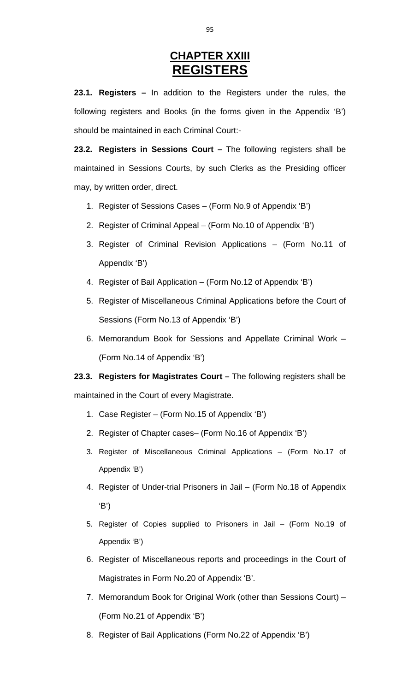# **CHAPTER XXIII REGISTERS**

**23.1. Registers –** In addition to the Registers under the rules, the following registers and Books (in the forms given in the Appendix 'B') should be maintained in each Criminal Court:-

**23.2. Registers in Sessions Court –** The following registers shall be maintained in Sessions Courts, by such Clerks as the Presiding officer may, by written order, direct.

- 1. Register of Sessions Cases (Form No.9 of Appendix 'B')
- 2. Register of Criminal Appeal (Form No.10 of Appendix 'B')
- 3. Register of Criminal Revision Applications (Form No.11 of Appendix 'B')
- 4. Register of Bail Application (Form No.12 of Appendix 'B')
- 5. Register of Miscellaneous Criminal Applications before the Court of Sessions (Form No.13 of Appendix 'B')
- 6. Memorandum Book for Sessions and Appellate Criminal Work (Form No.14 of Appendix 'B')

**23.3. Registers for Magistrates Court –** The following registers shall be maintained in the Court of every Magistrate.

- 1. Case Register (Form No.15 of Appendix 'B')
- 2. Register of Chapter cases– (Form No.16 of Appendix 'B')
- 3. Register of Miscellaneous Criminal Applications (Form No.17 of Appendix 'B')
- 4. Register of Under-trial Prisoners in Jail (Form No.18 of Appendix 'B')
- 5. Register of Copies supplied to Prisoners in Jail (Form No.19 of Appendix 'B')
- 6. Register of Miscellaneous reports and proceedings in the Court of Magistrates in Form No.20 of Appendix 'B'.
- 7. Memorandum Book for Original Work (other than Sessions Court) (Form No.21 of Appendix 'B')
- 8. Register of Bail Applications (Form No.22 of Appendix 'B')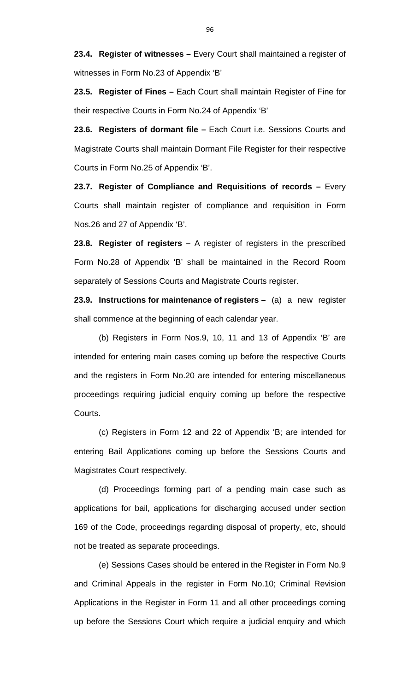**23.4. Register of witnesses –** Every Court shall maintained a register of witnesses in Form No.23 of Appendix 'B'

**23.5. Register of Fines –** Each Court shall maintain Register of Fine for their respective Courts in Form No.24 of Appendix 'B'

**23.6. Registers of dormant file –** Each Court i.e. Sessions Courts and Magistrate Courts shall maintain Dormant File Register for their respective Courts in Form No.25 of Appendix 'B'.

**23.7. Register of Compliance and Requisitions of records –** Every Courts shall maintain register of compliance and requisition in Form Nos.26 and 27 of Appendix 'B'.

**23.8. Register of registers –** A register of registers in the prescribed Form No.28 of Appendix 'B' shall be maintained in the Record Room separately of Sessions Courts and Magistrate Courts register.

**23.9. Instructions for maintenance of registers –** (a) a new register shall commence at the beginning of each calendar year.

 (b) Registers in Form Nos.9, 10, 11 and 13 of Appendix 'B' are intended for entering main cases coming up before the respective Courts and the registers in Form No.20 are intended for entering miscellaneous proceedings requiring judicial enquiry coming up before the respective Courts.

 (c) Registers in Form 12 and 22 of Appendix 'B; are intended for entering Bail Applications coming up before the Sessions Courts and Magistrates Court respectively.

 (d) Proceedings forming part of a pending main case such as applications for bail, applications for discharging accused under section 169 of the Code, proceedings regarding disposal of property, etc, should not be treated as separate proceedings.

 (e) Sessions Cases should be entered in the Register in Form No.9 and Criminal Appeals in the register in Form No.10; Criminal Revision Applications in the Register in Form 11 and all other proceedings coming up before the Sessions Court which require a judicial enquiry and which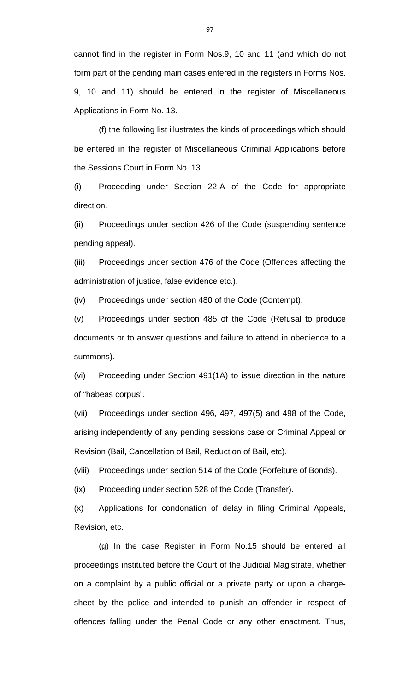cannot find in the register in Form Nos.9, 10 and 11 (and which do not form part of the pending main cases entered in the registers in Forms Nos. 9, 10 and 11) should be entered in the register of Miscellaneous Applications in Form No. 13.

 (f) the following list illustrates the kinds of proceedings which should be entered in the register of Miscellaneous Criminal Applications before the Sessions Court in Form No. 13.

(i) Proceeding under Section 22-A of the Code for appropriate direction.

(ii) Proceedings under section 426 of the Code (suspending sentence pending appeal).

(iii) Proceedings under section 476 of the Code (Offences affecting the administration of justice, false evidence etc.).

(iv) Proceedings under section 480 of the Code (Contempt).

(v) Proceedings under section 485 of the Code (Refusal to produce documents or to answer questions and failure to attend in obedience to a summons).

(vi) Proceeding under Section 491(1A) to issue direction in the nature of "habeas corpus".

(vii) Proceedings under section 496, 497, 497(5) and 498 of the Code, arising independently of any pending sessions case or Criminal Appeal or Revision (Bail, Cancellation of Bail, Reduction of Bail, etc).

(viii) Proceedings under section 514 of the Code (Forfeiture of Bonds).

(ix) Proceeding under section 528 of the Code (Transfer).

(x) Applications for condonation of delay in filing Criminal Appeals, Revision, etc.

 (g) In the case Register in Form No.15 should be entered all proceedings instituted before the Court of the Judicial Magistrate, whether on a complaint by a public official or a private party or upon a chargesheet by the police and intended to punish an offender in respect of offences falling under the Penal Code or any other enactment. Thus,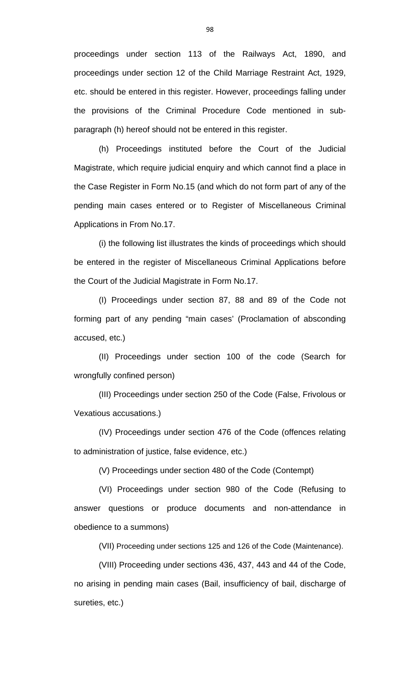proceedings under section 113 of the Railways Act, 1890, and proceedings under section 12 of the Child Marriage Restraint Act, 1929, etc. should be entered in this register. However, proceedings falling under the provisions of the Criminal Procedure Code mentioned in subparagraph (h) hereof should not be entered in this register.

 (h) Proceedings instituted before the Court of the Judicial Magistrate, which require judicial enquiry and which cannot find a place in the Case Register in Form No.15 (and which do not form part of any of the pending main cases entered or to Register of Miscellaneous Criminal Applications in From No.17.

 (i) the following list illustrates the kinds of proceedings which should be entered in the register of Miscellaneous Criminal Applications before the Court of the Judicial Magistrate in Form No.17.

 (I) Proceedings under section 87, 88 and 89 of the Code not forming part of any pending "main cases' (Proclamation of absconding accused, etc.)

 (II) Proceedings under section 100 of the code (Search for wrongfully confined person)

 (III) Proceedings under section 250 of the Code (False, Frivolous or Vexatious accusations.)

 (IV) Proceedings under section 476 of the Code (offences relating to administration of justice, false evidence, etc.)

(V) Proceedings under section 480 of the Code (Contempt)

 (VI) Proceedings under section 980 of the Code (Refusing to answer questions or produce documents and non-attendance in obedience to a summons)

(VII) Proceeding under sections 125 and 126 of the Code (Maintenance).

 (VIII) Proceeding under sections 436, 437, 443 and 44 of the Code, no arising in pending main cases (Bail, insufficiency of bail, discharge of sureties, etc.)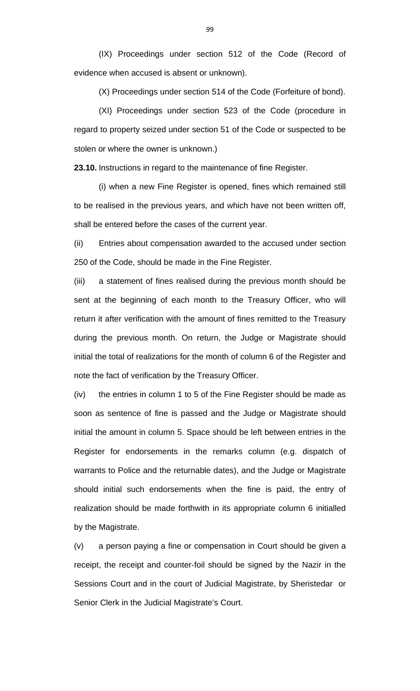(IX) Proceedings under section 512 of the Code (Record of evidence when accused is absent or unknown).

(X) Proceedings under section 514 of the Code (Forfeiture of bond).

 (XI) Proceedings under section 523 of the Code (procedure in regard to property seized under section 51 of the Code or suspected to be stolen or where the owner is unknown.)

**23.10.** Instructions in regard to the maintenance of fine Register.

 (i) when a new Fine Register is opened, fines which remained still to be realised in the previous years, and which have not been written off, shall be entered before the cases of the current year.

(ii) Entries about compensation awarded to the accused under section 250 of the Code, should be made in the Fine Register.

(iii) a statement of fines realised during the previous month should be sent at the beginning of each month to the Treasury Officer, who will return it after verification with the amount of fines remitted to the Treasury during the previous month. On return, the Judge or Magistrate should initial the total of realizations for the month of column 6 of the Register and note the fact of verification by the Treasury Officer.

(iv) the entries in column 1 to 5 of the Fine Register should be made as soon as sentence of fine is passed and the Judge or Magistrate should initial the amount in column 5. Space should be left between entries in the Register for endorsements in the remarks column (e.g. dispatch of warrants to Police and the returnable dates), and the Judge or Magistrate should initial such endorsements when the fine is paid, the entry of realization should be made forthwith in its appropriate column 6 initialled by the Magistrate.

(v) a person paying a fine or compensation in Court should be given a receipt, the receipt and counter-foil should be signed by the Nazir in the Sessions Court and in the court of Judicial Magistrate, by Sheristedar or Senior Clerk in the Judicial Magistrate's Court.

99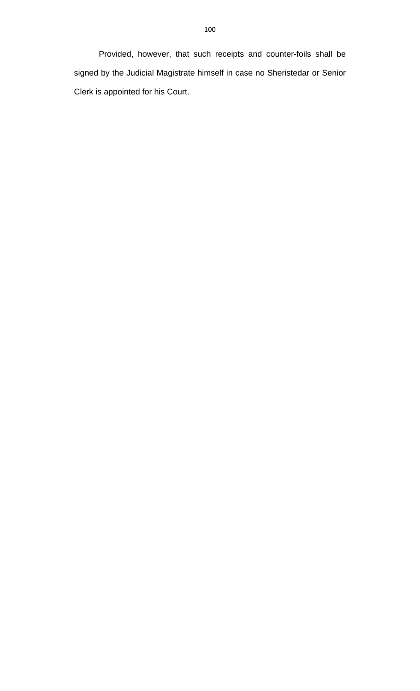Provided, however, that such receipts and counter-foils shall be signed by the Judicial Magistrate himself in case no Sheristedar or Senior Clerk is appointed for his Court.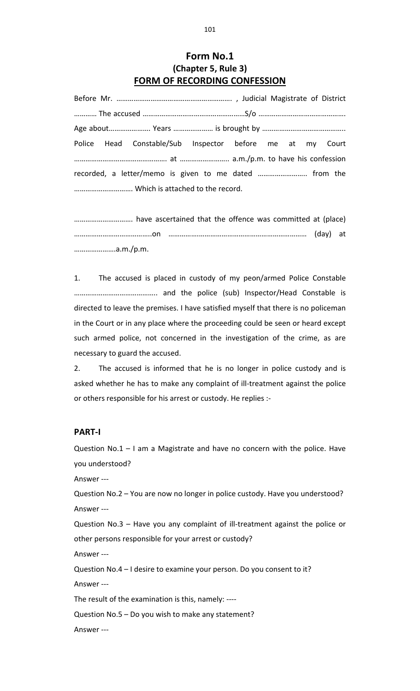## **Form No.1 (Chapter 5, Rule 3) FORM OF RECORDING CONFESSION**

Before Mr. ……………………………………………………. , Judicial Magistrate of District ………… The accused ………………………………………………S/o ………………………………………. Age about…………………. Years ………………… is brought by …………………………………….. Police Head Constable/Sub Inspector before me at my Court …………………………………………. at …………………….. a.m./p.m. to have his confession recorded, a letter/memo is given to me dated …………………….. from the …………………………. Which is attached to the record.

…………………………. have ascertained that the offence was committed at (place) …………………………………..on …………….………………………………………………… (day) at ………………….a.m./p.m.

1. The accused is placed in custody of my peon/armed Police Constable …………………………………….. and the police (sub) Inspector/Head Constable is directed to leave the premises. I have satisfied myself that there is no policeman in the Court or in any place where the proceeding could be seen or heard except such armed police, not concerned in the investigation of the crime, as are necessary to guard the accused.

2. The accused is informed that he is no longer in police custody and is asked whether he has to make any complaint of ill-treatment against the police or others responsible for his arrest or custody. He replies :‐

#### **PART‐I**

Question No.1 – I am a Magistrate and have no concern with the police. Have you understood?

Answer ‐‐‐

Question No.2 – You are now no longer in police custody. Have you understood? Answer ‐‐‐

Question No.3 – Have you any complaint of ill-treatment against the police or other persons responsible for your arrest or custody?

Answer ‐‐‐

Question No.4 – I desire to examine your person. Do you consent to it? Answer ‐‐‐

The result of the examination is this, namely: ‐‐‐‐

Question No.5 – Do you wish to make any statement?

Answer ‐‐‐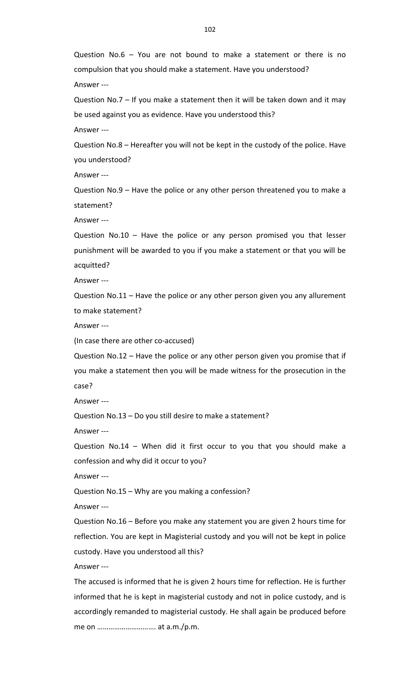Question No.6 – You are not bound to make a statement or there is no compulsion that you should make a statement. Have you understood?

Answer ‐‐‐

Question No.7 – If you make a statement then it will be taken down and it may be used against you as evidence. Have you understood this?

Answer ‐‐‐

Question No.8 – Hereafter you will not be kept in the custody of the police. Have you understood?

Answer ‐‐‐

Question No.9 – Have the police or any other person threatened you to make a statement?

Answer ‐‐‐

Question No.10 – Have the police or any person promised you that lesser punishment will be awarded to you if you make a statement or that you will be acquitted?

Answer ‐‐‐

Question No.11 – Have the police or any other person given you any allurement to make statement?

Answer ‐‐‐

(In case there are other co‐accused)

Question No.12 – Have the police or any other person given you promise that if you make a statement then you will be made witness for the prosecution in the case?

Answer ‐‐‐

Question No.13 – Do you still desire to make a statement?

Answer ‐‐‐

Question No.14 – When did it first occur to you that you should make a confession and why did it occur to you?

Answer ‐‐‐

Question No.15 – Why are you making a confession?

Answer ‐‐‐

Question No.16 – Before you make any statement you are given 2 hours time for reflection. You are kept in Magisterial custody and you will not be kept in police custody. Have you understood all this?

Answer ‐‐‐

The accused is informed that he is given 2 hours time for reflection. He is further informed that he is kept in magisterial custody and not in police custody, and is accordingly remanded to magisterial custody. He shall again be produced before me on …………………………. at a.m./p.m.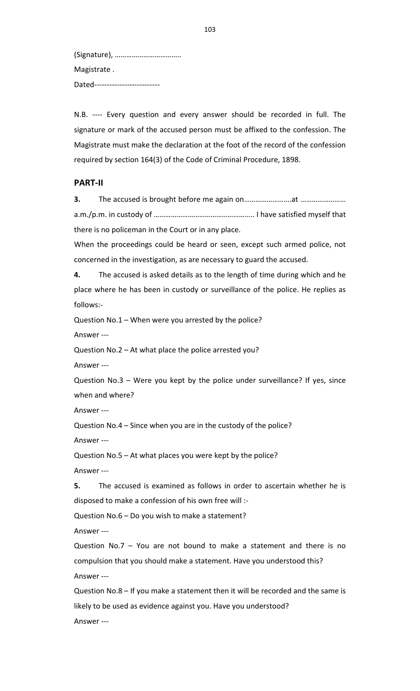(Signature), …………………………….. Magistrate . Dated---------------------------

N.B. ---- Every question and every answer should be recorded in full. The signature or mark of the accused person must be affixed to the confession. The Magistrate must make the declaration at the foot of the record of the confession required by section 164(3) of the Code of Criminal Procedure, 1898.

#### **PART‐II**

**3.** The accused is brought before me again on…………………….at …………………… a.m./p.m. in custody of …………………………………………….. I have satisfied myself that there is no policeman in the Court or in any place.

When the proceedings could be heard or seen, except such armed police, not concerned in the investigation, as are necessary to guard the accused.

**4.** The accused is asked details as to the length of time during which and he place where he has been in custody or surveillance of the police. He replies as follows:‐

Question No.1 – When were you arrested by the police?

Answer ‐‐‐

Question No.2 – At what place the police arrested you?

Answer ‐‐‐

Question No.3 – Were you kept by the police under surveillance? If yes, since when and where?

Answer ‐‐‐

Question No.4 – Since when you are in the custody of the police?

Answer ‐‐‐

Question No.5 – At what places you were kept by the police? Answer ‐‐‐

**5.** The accused is examined as follows in order to ascertain whether he is disposed to make a confession of his own free will :‐

Question No.6 – Do you wish to make a statement?

Answer ‐‐‐

Question No.7 – You are not bound to make a statement and there is no compulsion that you should make a statement. Have you understood this? Answer ‐‐‐

Question No.8 – If you make a statement then it will be recorded and the same is likely to be used as evidence against you. Have you understood? Answer ‐‐‐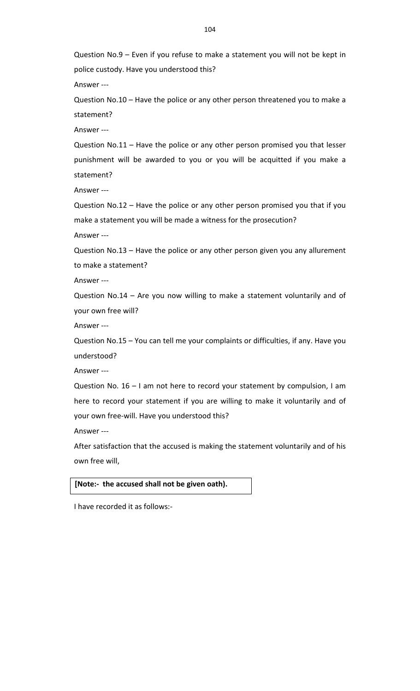Question No.9 – Even if you refuse to make a statement you will not be kept in police custody. Have you understood this?

Answer ‐‐‐

Question No.10 – Have the police or any other person threatened you to make a statement?

Answer ‐‐‐

Question No.11 – Have the police or any other person promised you that lesser punishment will be awarded to you or you will be acquitted if you make a statement?

Answer ‐‐‐

Question No.12 – Have the police or any other person promised you that if you make a statement you will be made a witness for the prosecution?

Answer ‐‐‐

Question No.13 – Have the police or any other person given you any allurement to make a statement?

Answer ‐‐‐

Question No.14 – Are you now willing to make a statement voluntarily and of your own free will?

Answer ‐‐‐

Question No.15 – You can tell me your complaints or difficulties, if any. Have you understood?

Answer ‐‐‐

Question No. 16 – I am not here to record your statement by compulsion, I am here to record your statement if you are willing to make it voluntarily and of your own free‐will. Have you understood this?

Answer ‐‐‐

After satisfaction that the accused is making the statement voluntarily and of his own free will,

#### **[Note:‐ the accused shall not be given oath).**

I have recorded it as follows:‐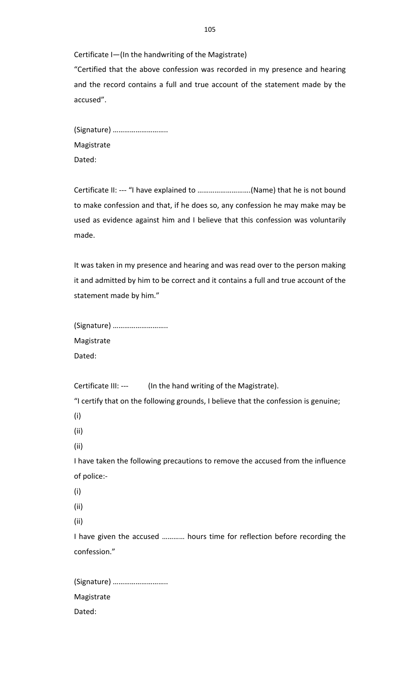Certificate I—(In the handwriting of the Magistrate) "Certified that the above confession was recorded in my presence and hearing and the record contains a full and true account of the statement made by the accused".

(Signature) ……………………….. Magistrate Dated:

Certificate II: ‐‐‐ "I have explained to ……………………….(Name) that he is not bound to make confession and that, if he does so, any confession he may make may be used as evidence against him and I believe that this confession was voluntarily made.

It was taken in my presence and hearing and was read over to the person making it and admitted by him to be correct and it contains a full and true account of the statement made by him."

| (Signature) |
|-------------|
| Magistrate  |
| Dated:      |

Certificate III: --- (In the hand writing of the Magistrate).

"I certify that on the following grounds, I believe that the confession is genuine;

- (i)
- (ii)
- (ii)

I have taken the following precautions to remove the accused from the influence of police:‐

- (i)
- (ii)
- (ii)

I have given the accused ………… hours time for reflection before recording the confession."

(Signature) ……………………….. Magistrate Dated: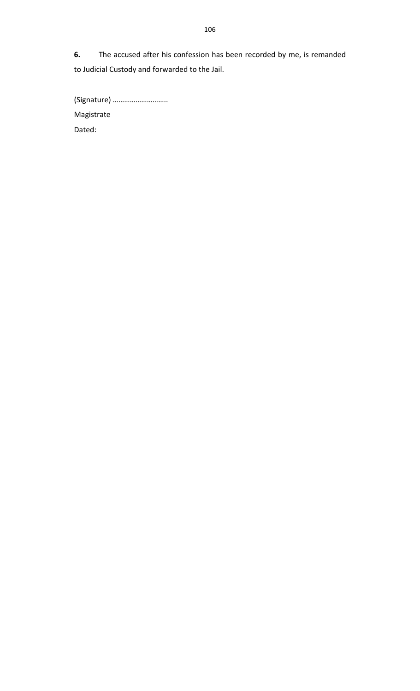**6.** The accused after his confession has been recorded by me, is remanded to Judicial Custody and forwarded to the Jail.

(Signature) ……………………….. Magistrate Dated: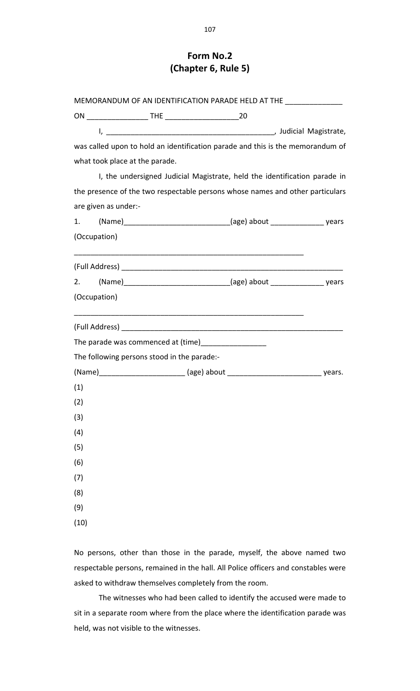### **Form No.2 (Chapter 6, Rule 5)**

|                                |                                             | MEMORANDUM OF AN IDENTIFICATION PARADE HELD AT THE _______________                     |  |
|--------------------------------|---------------------------------------------|----------------------------------------------------------------------------------------|--|
|                                |                                             |                                                                                        |  |
|                                |                                             |                                                                                        |  |
|                                |                                             | was called upon to hold an identification parade and this is the memorandum of         |  |
| what took place at the parade. |                                             |                                                                                        |  |
|                                |                                             | I, the undersigned Judicial Magistrate, held the identification parade in              |  |
|                                |                                             | the presence of the two respectable persons whose names and other particulars          |  |
| are given as under:-           |                                             |                                                                                        |  |
|                                |                                             | 1. (Name)________________________________(age) about ___________________________ years |  |
| (Occupation)                   |                                             |                                                                                        |  |
|                                |                                             |                                                                                        |  |
|                                |                                             |                                                                                        |  |
| (Occupation)                   |                                             |                                                                                        |  |
|                                |                                             |                                                                                        |  |
|                                |                                             | The parade was commenced at (time)____________________                                 |  |
|                                | The following persons stood in the parade:- |                                                                                        |  |
|                                |                                             |                                                                                        |  |
| (1)                            |                                             |                                                                                        |  |
| (2)                            |                                             |                                                                                        |  |
| (3)                            |                                             |                                                                                        |  |
| (4)                            |                                             |                                                                                        |  |
| (5)                            |                                             |                                                                                        |  |
| (6)                            |                                             |                                                                                        |  |
| (7)                            |                                             |                                                                                        |  |
| (8)                            |                                             |                                                                                        |  |
| (9)                            |                                             |                                                                                        |  |
| (10)                           |                                             |                                                                                        |  |

No persons, other than those in the parade, myself, the above named two respectable persons, remained in the hall. All Police officers and constables were asked to withdraw themselves completely from the room.

The witnesses who had been called to identify the accused were made to sit in a separate room where from the place where the identification parade was held, was not visible to the witnesses.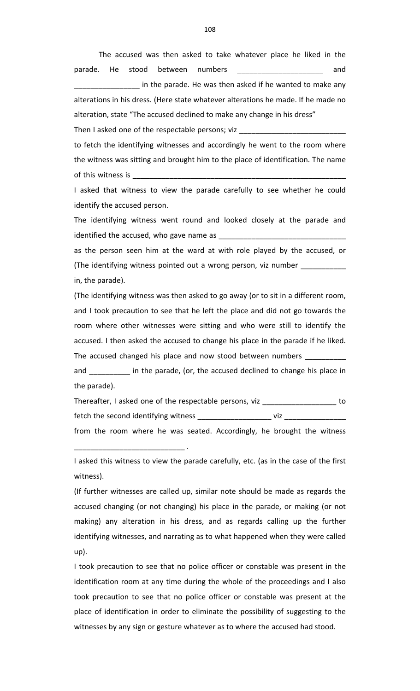The accused was then asked to take whatever place he liked in the parade. He stood between numbers and and and in the parade. He was then asked if he wanted to make any alterations in his dress. (Here state whatever alterations he made. If he made no alteration, state "The accused declined to make any change in his dress" Then I asked one of the respectable persons; viz \_ to fetch the identifying witnesses and accordingly he went to the room where the witness was sitting and brought him to the place of identification. The name of this witness is \_ I asked that witness to view the parade carefully to see whether he could identify the accused person.

The identifying witness went round and looked closely at the parade and identified the accused, who gave name as

as the person seen him at the ward at with role played by the accused, or (The identifying witness pointed out a wrong person, viz number \_ in, the parade).

(The identifying witness was then asked to go away (or to sit in a different room, and I took precaution to see that he left the place and did not go towards the room where other witnesses were sitting and who were still to identify the accused. I then asked the accused to change his place in the parade if he liked. The accused changed his place and now stood between numbers

and \_\_\_\_\_\_\_\_\_\_\_ in the parade, (or, the accused declined to change his place in the parade).

Thereafter, I asked one of the respectable persons, viz \_\_\_\_\_\_\_\_\_\_\_\_\_\_\_\_\_\_\_\_\_\_ to fetch the second identifying witness \_\_\_\_\_\_\_\_\_\_\_\_\_\_\_\_\_\_\_\_\_\_\_\_\_\_ viz \_\_\_\_\_

from the room where he was seated. Accordingly, he brought the witness

\_\_\_\_\_\_\_\_\_\_\_\_\_\_\_\_\_\_\_\_\_\_\_\_\_\_\_ .

I asked this witness to view the parade carefully, etc. (as in the case of the first witness).

(If further witnesses are called up, similar note should be made as regards the accused changing (or not changing) his place in the parade, or making (or not making) any alteration in his dress, and as regards calling up the further identifying witnesses, and narrating as to what happened when they were called up).

I took precaution to see that no police officer or constable was present in the identification room at any time during the whole of the proceedings and I also took precaution to see that no police officer or constable was present at the place of identification in order to eliminate the possibility of suggesting to the witnesses by any sign or gesture whatever as to where the accused had stood.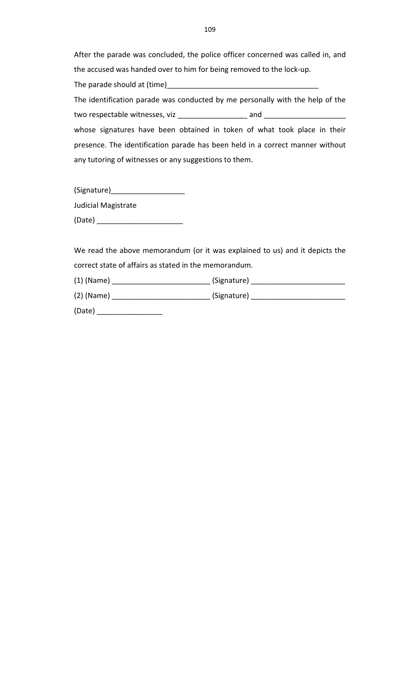After the parade was concluded, the police officer concerned was called in, and the accused was handed over to him for being removed to the lock‐up.

| The parade should at (time)                           |                                                                               |
|-------------------------------------------------------|-------------------------------------------------------------------------------|
|                                                       | The identification parade was conducted by me personally with the help of the |
| two respectable witnesses, viz                        | and                                                                           |
|                                                       | whose signatures have been obtained in token of what took place in their      |
|                                                       | presence. The identification parade has been held in a correct manner without |
| any tutoring of witnesses or any suggestions to them. |                                                                               |

(Signature)\_\_\_\_\_\_\_\_\_\_\_\_\_\_\_\_\_\_

Judicial Magistrate

(Date) \_\_\_\_\_\_\_\_\_\_\_\_\_\_\_\_\_\_\_\_\_

We read the above memorandum (or it was explained to us) and it depicts the correct state of affairs as stated in the memorandum.

| $(1)$ (Name) | (Signature) |
|--------------|-------------|
| $(2)$ (Name) | (Signature) |
| (Date)       |             |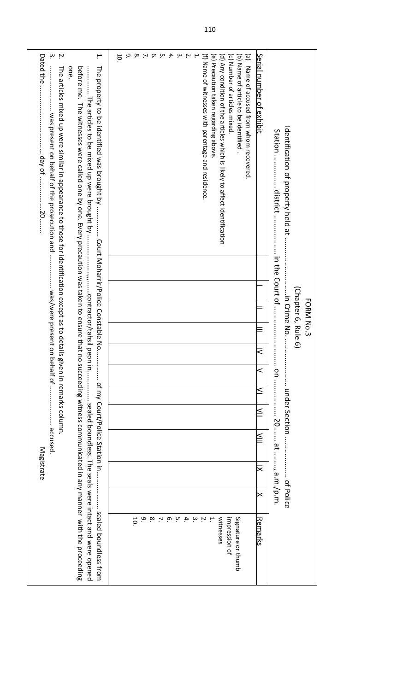| $\dot{\mathsf{c}}$<br>Ņ.<br>۳.<br>Dated the.<br>The property to be identified was brought by<br>one<br>before me. The witnesses were called one by one. Every precaution was taken to ensure that n<br>The articles mixed up were similar in appearance to those for identification except as to details<br>was present on behalf of the prosecution and  was/were present on | م.<br>$\infty$<br>4<br>10 <sub>1</sub><br>ō.<br>UЛ<br>$\mathbf{\omega}$<br>(b) Name of article to be identified<br>(a) Name of accused from whom recovered.<br>(f) Name of witnesses with parentage and residence<br>(e) Precaution taken regarding above.<br>(d) Any condition of the articles which is likely to affect identification<br>(c) Number of articles mixed. | Serial number of exhibit<br>ξ | Identification of property held at .<br>(Chapter 6, Rule 6)<br>in Crime No.<br>FORM No.3 |
|-------------------------------------------------------------------------------------------------------------------------------------------------------------------------------------------------------------------------------------------------------------------------------------------------------------------------------------------------------------------------------|---------------------------------------------------------------------------------------------------------------------------------------------------------------------------------------------------------------------------------------------------------------------------------------------------------------------------------------------------------------------------|-------------------------------|------------------------------------------------------------------------------------------|
| behalf of  accused.<br>given in remarks column.                                                                                                                                                                                                                                                                                                                               |                                                                                                                                                                                                                                                                                                                                                                           | $\,<$<br>≤                    |                                                                                          |
|                                                                                                                                                                                                                                                                                                                                                                               |                                                                                                                                                                                                                                                                                                                                                                           | $\leq$                        | under Section                                                                            |
| of By Court/Police Station in                                                                                                                                                                                                                                                                                                                                                 |                                                                                                                                                                                                                                                                                                                                                                           | $\leqq$                       | on  20 a.m./p.m.                                                                         |
| Magistrate                                                                                                                                                                                                                                                                                                                                                                    |                                                                                                                                                                                                                                                                                                                                                                           | ≅                             |                                                                                          |
|                                                                                                                                                                                                                                                                                                                                                                               |                                                                                                                                                                                                                                                                                                                                                                           | $\boldsymbol{\times}$         | of Police                                                                                |
| o succeeding witness communicated in any manner with the proceeding<br>sealed porndless trom                                                                                                                                                                                                                                                                                  | م<br>$\infty$<br>$4 \times 9 \times 4$<br>بە<br>witnesses<br>$\overline{10}$<br>$\sim$<br>impression of<br>Signature or thumb                                                                                                                                                                                                                                             | <u>Remarks</u>                |                                                                                          |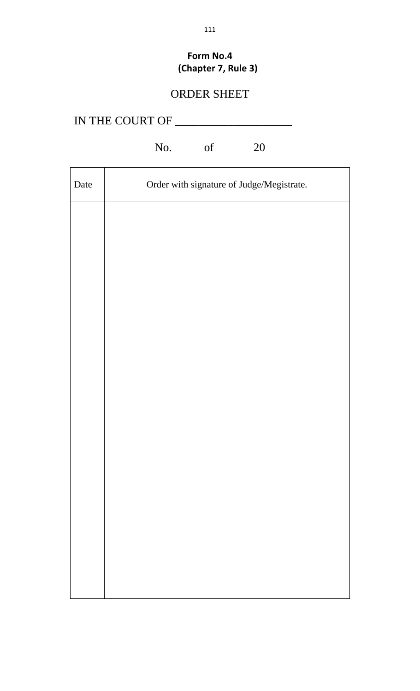# **Form No.4 (Chapter 7, Rule 3)**

# ORDER SHEET

| IN THE COURT OF |
|-----------------|
|                 |

# No. of 20

| Date | Order with signature of Judge/Megistrate. |
|------|-------------------------------------------|
|      |                                           |
|      |                                           |
|      |                                           |
|      |                                           |
|      |                                           |
|      |                                           |
|      |                                           |
|      |                                           |
|      |                                           |
|      |                                           |
|      |                                           |
|      |                                           |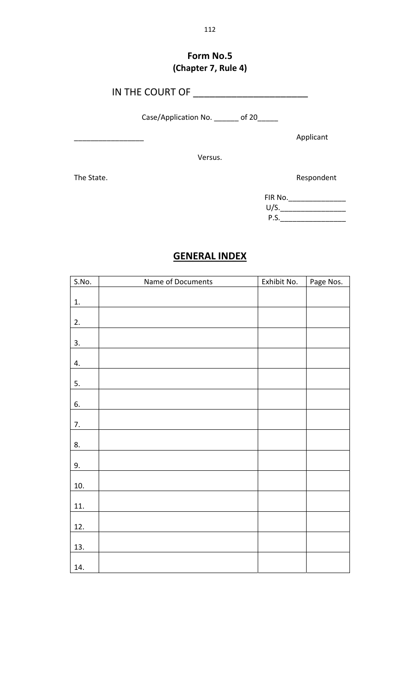## **Form No.5 (Chapter 7, Rule 4)**

IN THE COURT OF \_\_\_\_\_\_\_\_\_\_\_\_\_\_\_\_\_\_\_\_\_

Case/Application No. \_\_\_\_\_\_\_ of 20\_\_\_\_\_

\_\_\_\_\_\_\_\_\_\_\_\_\_\_\_\_\_ Applicant

Versus.

The State. The State.

FIR No.\_\_\_\_\_\_\_\_\_\_\_\_\_\_ U/S.\_\_\_\_\_\_\_\_\_\_\_\_\_\_\_\_ P.S.\_\_\_\_\_\_\_\_\_\_\_\_\_\_\_\_

## **GENERAL INDEX**

| S.No. | Name of Documents | Exhibit No. | Page Nos. |
|-------|-------------------|-------------|-----------|
|       |                   |             |           |
| 1.    |                   |             |           |
| 2.    |                   |             |           |
| 3.    |                   |             |           |
| 4.    |                   |             |           |
| 5.    |                   |             |           |
| 6.    |                   |             |           |
| 7.    |                   |             |           |
| 8.    |                   |             |           |
| 9.    |                   |             |           |
| 10.   |                   |             |           |
| 11.   |                   |             |           |
| 12.   |                   |             |           |
| 13.   |                   |             |           |
| 14.   |                   |             |           |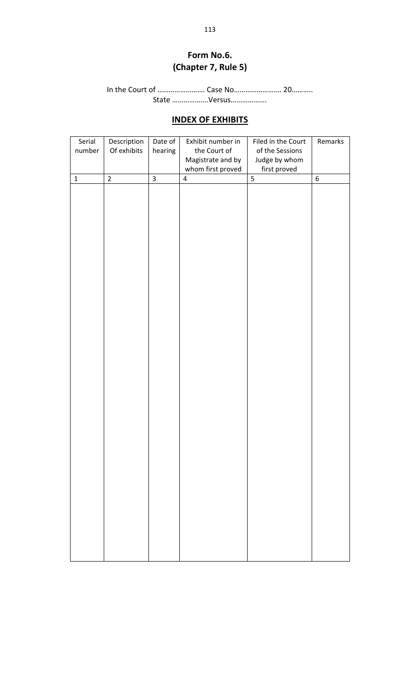## **Form No.6. (Chapter 7, Rule 5)**

In the Court of ……………………. Case No……………………. 20……….. State ……………….Versus……………….

## **INDEX OF EXHIBITS**

| Serial      | Description    | Date of                 | Exhibit number in       | Filed in the Court | Remarks     |
|-------------|----------------|-------------------------|-------------------------|--------------------|-------------|
| number      | Of exhibits    | hearing                 | the Court of            | of the Sessions    |             |
|             |                |                         | Magistrate and by       | Judge by whom      |             |
|             |                |                         | whom first proved       | first proved       |             |
| $\mathbf 1$ | $\overline{2}$ | $\overline{\mathbf{3}}$ | $\overline{\mathbf{4}}$ | $\overline{5}$     | $\,$ 6 $\,$ |
|             |                |                         |                         |                    |             |
|             |                |                         |                         |                    |             |
|             |                |                         |                         |                    |             |
|             |                |                         |                         |                    |             |
|             |                |                         |                         |                    |             |
|             |                |                         |                         |                    |             |
|             |                |                         |                         |                    |             |
|             |                |                         |                         |                    |             |
|             |                |                         |                         |                    |             |
|             |                |                         |                         |                    |             |
|             |                |                         |                         |                    |             |
|             |                |                         |                         |                    |             |
|             |                |                         |                         |                    |             |
|             |                |                         |                         |                    |             |
|             |                |                         |                         |                    |             |
|             |                |                         |                         |                    |             |
|             |                |                         |                         |                    |             |
|             |                |                         |                         |                    |             |
|             |                |                         |                         |                    |             |
|             |                |                         |                         |                    |             |
|             |                |                         |                         |                    |             |
|             |                |                         |                         |                    |             |
|             |                |                         |                         |                    |             |
|             |                |                         |                         |                    |             |
|             |                |                         |                         |                    |             |
|             |                |                         |                         |                    |             |
|             |                |                         |                         |                    |             |
|             |                |                         |                         |                    |             |
|             |                |                         |                         |                    |             |
|             |                |                         |                         |                    |             |
|             |                |                         |                         |                    |             |
|             |                |                         |                         |                    |             |
|             |                |                         |                         |                    |             |
|             |                |                         |                         |                    |             |
|             |                |                         |                         |                    |             |
|             |                |                         |                         |                    |             |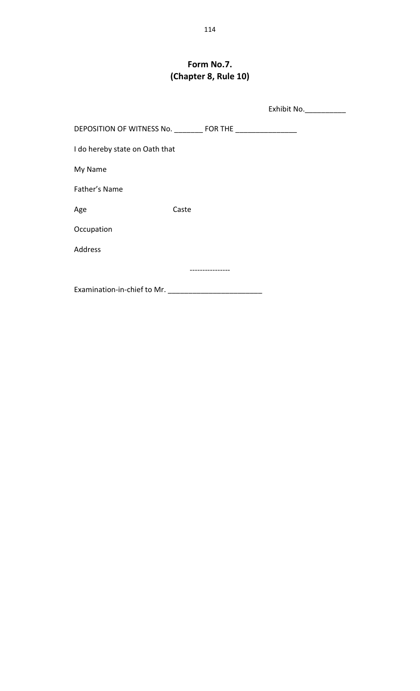## **Form No.7. (Chapter 8, Rule 10)**

|                                                               |       | Exhibit No. ___________ |
|---------------------------------------------------------------|-------|-------------------------|
| DEPOSITION OF WITNESS No. _________ FOR THE _________________ |       |                         |
| I do hereby state on Oath that                                |       |                         |
| My Name                                                       |       |                         |
| Father's Name                                                 |       |                         |
| Age                                                           | Caste |                         |
| Occupation                                                    |       |                         |
| <b>Address</b>                                                |       |                         |
|                                                               |       |                         |
| Examination-in-chief to Mr.                                   |       |                         |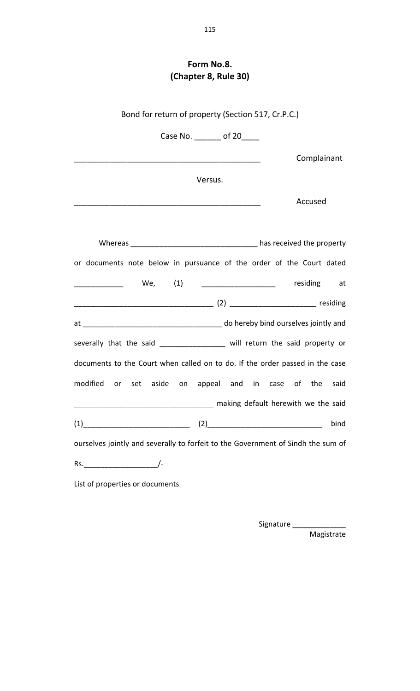## **Form No.8. (Chapter 8, Rule 30)**

| Bond for return of property (Section 517, Cr.P.C.)                               |                                                                                                                      |                                         |
|----------------------------------------------------------------------------------|----------------------------------------------------------------------------------------------------------------------|-----------------------------------------|
|                                                                                  | Case No. _______ of 20____                                                                                           |                                         |
|                                                                                  | <u> 1989 - Johann Barbara, martin amerikan basar dan berasal dalam basa dalam basar dalam basar dalam basa dalam</u> | Complainant                             |
|                                                                                  | Versus.                                                                                                              |                                         |
|                                                                                  |                                                                                                                      | Accused                                 |
|                                                                                  |                                                                                                                      |                                         |
|                                                                                  |                                                                                                                      |                                         |
| or documents note below in pursuance of the order of the Court dated             |                                                                                                                      |                                         |
|                                                                                  |                                                                                                                      | We, (1) ___________________ residing at |
|                                                                                  |                                                                                                                      |                                         |
|                                                                                  |                                                                                                                      |                                         |
| severally that the said __________________ will return the said property or      |                                                                                                                      |                                         |
| documents to the Court when called on to do. If the order passed in the case     |                                                                                                                      |                                         |
| modified or set aside on appeal and in case of the said                          |                                                                                                                      |                                         |
|                                                                                  |                                                                                                                      | making default herewith we the said     |
| $(1)$ (1)                                                                        |                                                                                                                      | bind                                    |
| ourselves jointly and severally to forfeit to the Government of Sindh the sum of |                                                                                                                      |                                         |
|                                                                                  |                                                                                                                      |                                         |
| List of properties or documents                                                  |                                                                                                                      |                                         |

Signature \_\_\_\_\_\_\_\_\_\_\_\_\_\_\_\_\_\_

Magistrate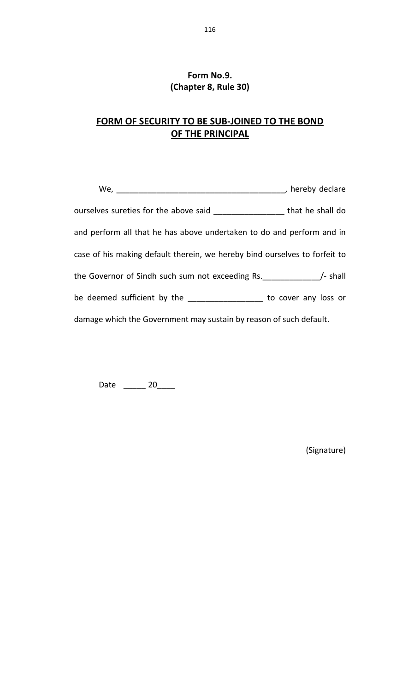## **Form No.9. (Chapter 8, Rule 30)**

## **FORM OF SECURITY TO BE SUB‐JOINED TO THE BOND OF THE PRINCIPAL**

| We, $\qquad \qquad \qquad$                                                    | $\rightarrow$ hereby declare |
|-------------------------------------------------------------------------------|------------------------------|
| ourselves sureties for the above said ______________________ that he shall do |                              |
| and perform all that he has above undertaken to do and perform and in         |                              |
| case of his making default therein, we hereby bind ourselves to forfeit to    |                              |
|                                                                               |                              |
| be deemed sufficient by the ____________________ to cover any loss or         |                              |
| damage which the Government may sustain by reason of such default.            |                              |

Date \_\_\_\_\_\_\_ 20\_\_\_\_\_

(Signature)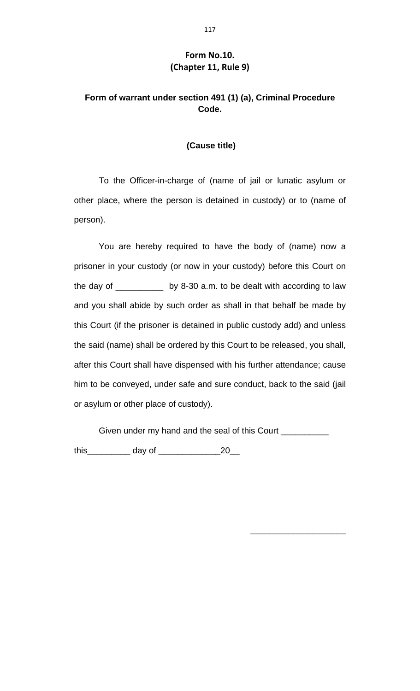#### **Form No.10. (Chapter 11, Rule 9)**

## **Form of warrant under section 491 (1) (a), Criminal Procedure Code.**

#### **(Cause title)**

To the Officer-in-charge of (name of jail or lunatic asylum or other place, where the person is detained in custody) or to (name of person).

You are hereby required to have the body of (name) now a prisoner in your custody (or now in your custody) before this Court on the day of \_\_\_\_\_\_\_\_\_\_ by 8-30 a.m. to be dealt with according to law and you shall abide by such order as shall in that behalf be made by this Court (if the prisoner is detained in public custody add) and unless the said (name) shall be ordered by this Court to be released, you shall, after this Court shall have dispensed with his further attendance; cause him to be conveyed, under safe and sure conduct, back to the said (jail or asylum or other place of custody).

Given under my hand and the seal of this Court

**\_\_\_\_\_\_\_\_\_\_\_\_\_\_\_\_\_\_\_\_** 

this\_\_\_\_\_\_\_\_\_ day of \_\_\_\_\_\_\_\_\_\_\_\_\_20\_\_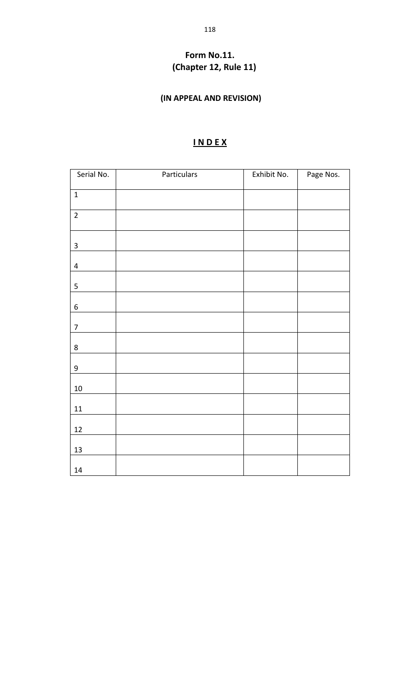## **Form No.11. (Chapter 12, Rule 11)**

## **(IN APPEAL AND REVISION)**

## **I N D E X**

| Serial No.              | Particulars | Exhibit No. | Page Nos. |
|-------------------------|-------------|-------------|-----------|
| $\mathbf{1}$            |             |             |           |
| $\mathbf 2$             |             |             |           |
| $\mathbf{3}$            |             |             |           |
| $\overline{\mathbf{4}}$ |             |             |           |
| $\sqrt{5}$              |             |             |           |
| $\boldsymbol{6}$        |             |             |           |
| $\overline{7}$          |             |             |           |
| $\bf 8$                 |             |             |           |
| $\boldsymbol{9}$        |             |             |           |
| $10\,$                  |             |             |           |
| $11\,$                  |             |             |           |
| 12                      |             |             |           |
| $13\,$                  |             |             |           |
| 14                      |             |             |           |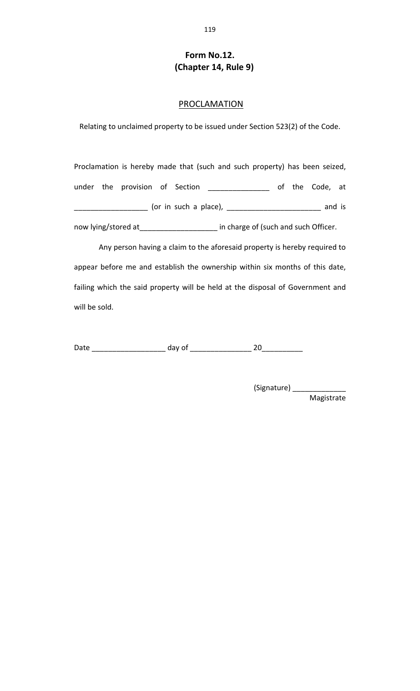#### **Form No.12. (Chapter 14, Rule 9)**

#### **PROCLAMATION**

Relating to unclaimed property to be issued under Section 523(2) of the Code.

Proclamation is hereby made that (such and such property) has been seized, under the provision of Section \_\_\_\_\_\_\_\_\_\_\_\_\_\_\_\_\_ of the Code, at \_\_\_\_\_\_\_\_\_\_\_\_\_\_\_\_\_\_ (or in such a place), \_\_\_\_\_\_\_\_\_\_\_\_\_\_\_\_\_\_\_\_\_\_\_ and is now lying/stored at\_\_\_\_\_\_\_\_\_\_\_\_\_\_\_\_\_\_\_\_\_ in charge of (such and such Officer.

 Any person having a claim to the aforesaid property is hereby required to appear before me and establish the ownership within six months of this date, failing which the said property will be held at the disposal of Government and will be sold.

Date \_\_\_\_\_\_\_\_\_\_\_\_\_\_\_\_\_\_ day of \_\_\_\_\_\_\_\_\_\_\_\_\_\_\_ 20\_\_\_\_\_\_\_\_\_\_

(Signature) \_\_\_\_\_\_\_\_\_\_\_\_\_\_\_\_ Magistrate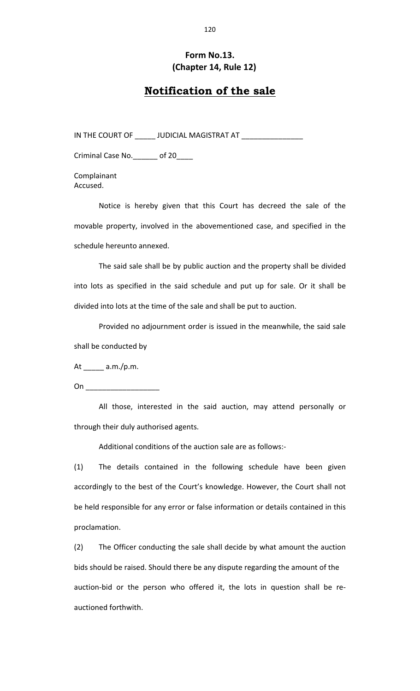#### **Form No.13. (Chapter 14, Rule 12)**

## **Notification of the sale**

IN THE COURT OF \_\_\_\_\_\_ JUDICIAL MAGISTRAT AT \_\_\_\_\_\_\_\_\_\_\_\_\_\_\_\_\_\_

Criminal Case No.\_\_\_\_\_\_ of 20\_\_\_\_

Complainant Accused.

Notice is hereby given that this Court has decreed the sale of the movable property, involved in the abovementioned case, and specified in the schedule hereunto annexed.

The said sale shall be by public auction and the property shall be divided into lots as specified in the said schedule and put up for sale. Or it shall be divided into lots at the time of the sale and shall be put to auction.

Provided no adjournment order is issued in the meanwhile, the said sale shall be conducted by

At  $\frac{1}{2}$  a.m./p.m.

On  $\Box$ 

All those, interested in the said auction, may attend personally or through their duly authorised agents.

Additional conditions of the auction sale are as follows:‐

(1) The details contained in the following schedule have been given accordingly to the best of the Court's knowledge. However, the Court shall not be held responsible for any error or false information or details contained in this proclamation.

(2) The Officer conducting the sale shall decide by what amount the auction bids should be raised. Should there be any dispute regarding the amount of the auction‐bid or the person who offered it, the lots in question shall be re‐ auctioned forthwith.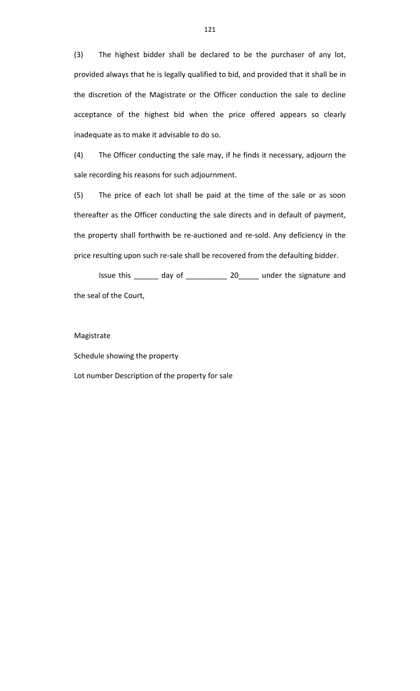(3) The highest bidder shall be declared to be the purchaser of any lot, provided always that he is legally qualified to bid, and provided that it shall be in the discretion of the Magistrate or the Officer conduction the sale to decline acceptance of the highest bid when the price offered appears so clearly inadequate as to make it advisable to do so.

(4) The Officer conducting the sale may, if he finds it necessary, adjourn the sale recording his reasons for such adjournment.

(5) The price of each lot shall be paid at the time of the sale or as soon thereafter as the Officer conducting the sale directs and in default of payment, the property shall forthwith be re‐auctioned and re‐sold. Any deficiency in the price resulting upon such re-sale shall be recovered from the defaulting bidder.

Issue this \_\_\_\_\_\_ day of \_\_\_\_\_\_\_\_\_\_ 20\_\_\_\_\_ under the signature and the seal of the Court,

#### Magistrate

Schedule showing the property

Lot number Description of the property for sale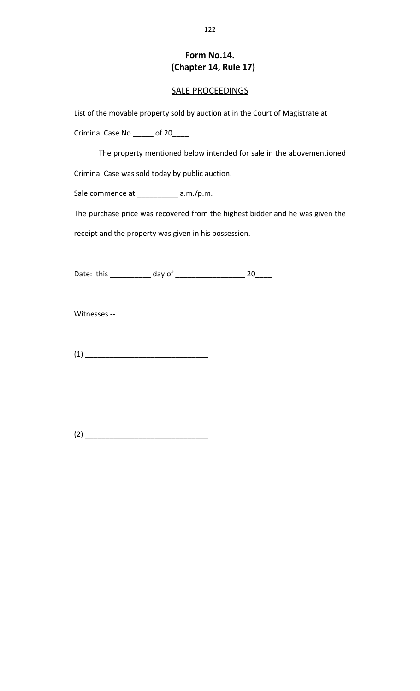#### **Form No.14. (Chapter 14, Rule 17)**

#### SALE PROCEEDINGS

List of the movable property sold by auction at in the Court of Magistrate at

Criminal Case No.\_\_\_\_\_ of 20\_\_\_\_

The property mentioned below intended for sale in the abovementioned

Criminal Case was sold today by public auction.

Sale commence at \_\_\_\_\_\_\_\_\_\_\_ a.m./p.m.

The purchase price was recovered from the highest bidder and he was given the

receipt and the property was given in his possession.

Date: this \_\_\_\_\_\_\_\_\_\_\_ day of \_\_\_\_\_\_\_\_\_\_\_\_\_\_\_\_\_\_\_\_\_\_\_\_\_\_ 20\_\_\_\_\_\_

Witnesses ‐‐

(1) \_\_\_\_\_\_\_\_\_\_\_\_\_\_\_\_\_\_\_\_\_\_\_\_\_\_\_\_\_\_

(2) \_\_\_\_\_\_\_\_\_\_\_\_\_\_\_\_\_\_\_\_\_\_\_\_\_\_\_\_\_\_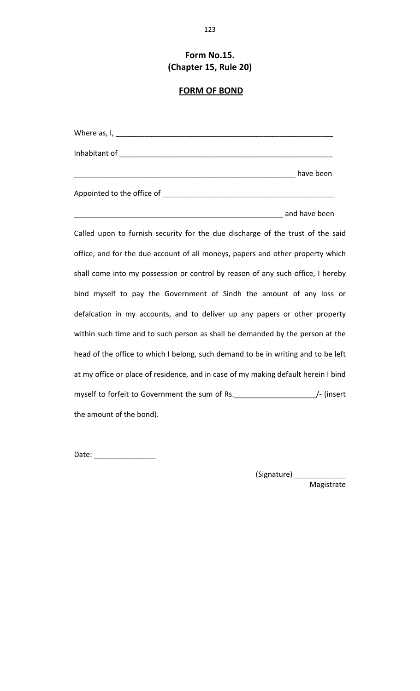## **Form No.15. (Chapter 15, Rule 20)**

## **FORM OF BOND**

| <b>Example 20</b> and have been all the set of the set of the set of the set of the set of the set of the set of the set of the set of the set of the set of the set of the set of the set of the set of the set of the set of the |
|------------------------------------------------------------------------------------------------------------------------------------------------------------------------------------------------------------------------------------|
| Called upon to furnish security for the due discharge of the trust of the said                                                                                                                                                     |
| office, and for the due account of all moneys, papers and other property which                                                                                                                                                     |
| shall come into my possession or control by reason of any such office, I hereby                                                                                                                                                    |
| bind myself to pay the Government of Sindh the amount of any loss or                                                                                                                                                               |
| defalcation in my accounts, and to deliver up any papers or other property                                                                                                                                                         |
| within such time and to such person as shall be demanded by the person at the                                                                                                                                                      |
| head of the office to which I belong, such demand to be in writing and to be left                                                                                                                                                  |
| at my office or place of residence, and in case of my making default herein I bind                                                                                                                                                 |
| myself to forfeit to Government the sum of Rs. _______________________/- (insert                                                                                                                                                   |
| the amount of the bond).                                                                                                                                                                                                           |

Date: \_\_\_\_\_\_\_\_\_\_\_\_\_\_\_

(Signature)\_\_\_\_\_\_\_\_\_\_\_\_\_\_\_\_\_\_

Magistrate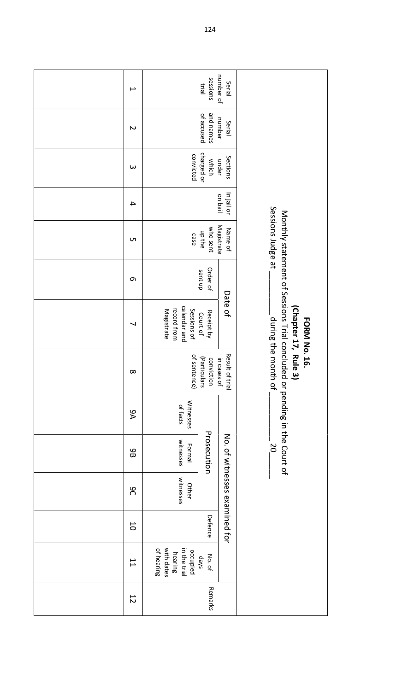| $\overline{\phantom{a}}$ |                                                                 | sessions<br>trial          | number of<br>Serial            |                                                                                                                      |
|--------------------------|-----------------------------------------------------------------|----------------------------|--------------------------------|----------------------------------------------------------------------------------------------------------------------|
| $\sim$                   |                                                                 | and names<br>of accused    | number<br>Serial               |                                                                                                                      |
| $\omega$                 | convicted                                                       | charged or<br>which        | Sections<br>under              |                                                                                                                      |
| $\overline{4}$           |                                                                 |                            | In jail or<br>liad no          |                                                                                                                      |
| <b>ι</b>                 | case                                                            | who sent<br>up the         | Magistrate<br>Name of          | Sessions Judge at                                                                                                    |
| 9                        |                                                                 | Order of<br>sent up        |                                |                                                                                                                      |
| ┙                        | calendar and<br>record from<br>Sessions of<br>Magistrate        | Receipt by<br>Court of     | Date of                        | Monthly statement of Sessions Trial concluded or pending in the Court of<br>(Chapter 17, Rule<br><b>FORM No. 16.</b> |
| ∞                        | of sentence)                                                    | (Particulars<br>conviction | Result of trial<br>in cases of | during the month of<br>$\tilde{\mathbf{e}}$                                                                          |
| 9A                       | <b>Witnesses</b><br>of facts                                    |                            |                                |                                                                                                                      |
| 9B                       | witnesses<br>Formal                                             | Prosecution                |                                | 50                                                                                                                   |
| OG                       | witnesses<br><b>Other</b>                                       |                            | No. of witnesses examined for  |                                                                                                                      |
| $\overline{0}$           |                                                                 | Defence                    |                                |                                                                                                                      |
| $\overline{1}$           | with dates<br>of hearing<br>in the trial<br>occupied<br>hearing | No. of<br>skep             |                                |                                                                                                                      |
| $\overline{5}$           |                                                                 | Remarks                    |                                |                                                                                                                      |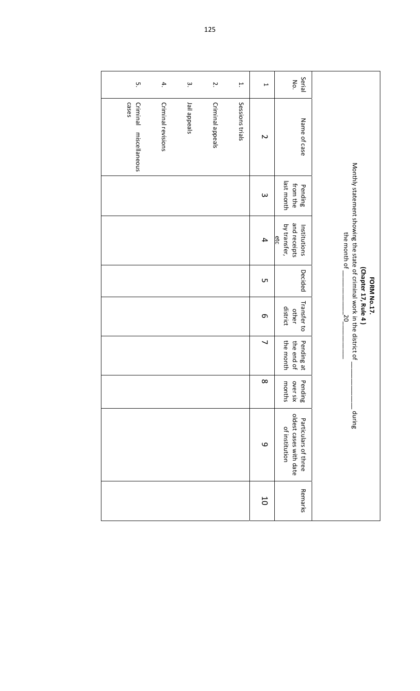| ņ                                  | 4.                 | $\dot{\mathsf{c}}$ | Ņ.               | H.              | $\overline{\phantom{0}}$ | Serial<br>No.                                                    |                                                                                         |
|------------------------------------|--------------------|--------------------|------------------|-----------------|--------------------------|------------------------------------------------------------------|-----------------------------------------------------------------------------------------|
| cases<br>Criminal<br>miscellaneous | Criminal revisions | Jail appeals       | Criminal appeals | Sessions trials | $\sim$                   | Name of case                                                     |                                                                                         |
|                                    |                    |                    |                  |                 | $\omega$                 | last month<br>from the<br>Pending                                |                                                                                         |
|                                    |                    |                    |                  |                 | $\overline{\mathbf{4}}$  | and receipts<br>by transfer,<br>Institutions<br>etc              | Monthly statement showing the state of criminal work in the district of<br>the month of |
|                                    |                    |                    |                  |                 | <b>ι</b>                 | Decided                                                          | (Chapter 17, Rule 4)<br>FORM No.17.                                                     |
|                                    |                    |                    |                  |                 | $\sigma$                 | Transfer to<br>district<br>other                                 | ¦o                                                                                      |
|                                    |                    |                    |                  |                 | $\overline{\phantom{0}}$ | the month<br>the end of<br>Pending at                            |                                                                                         |
|                                    |                    |                    |                  |                 | $\infty$                 | Pending<br>over six<br>months                                    |                                                                                         |
|                                    |                    |                    |                  |                 | $\mathbf{\Omega}$        | oldest cases with date<br>Particulars of three<br>of institution | during                                                                                  |
|                                    |                    |                    |                  |                 | 50                       | Remarks                                                          |                                                                                         |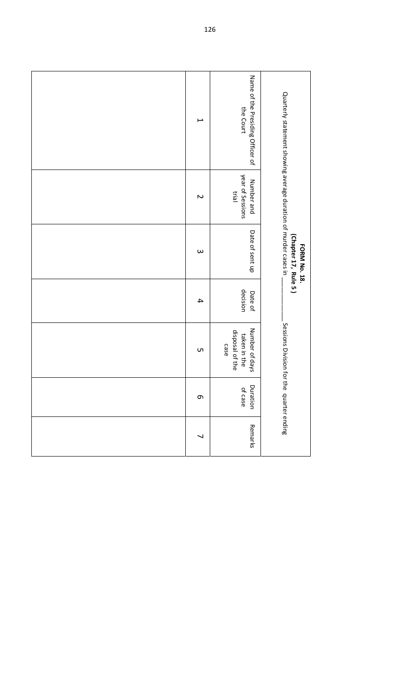| $\overline{\phantom{0}}$ | Name of the Presiding Officer of<br>the Court             | Quarterly statement showing average duration of murder cases in |
|--------------------------|-----------------------------------------------------------|-----------------------------------------------------------------|
| $\sim$                   | year of Sessions<br>Number and<br>trial                   |                                                                 |
| $\omega$                 | Date of sent up                                           | (Chapter 17, Rule 5)<br><b>FORM No. 18.</b>                     |
| 4                        | decision<br>Date of                                       |                                                                 |
| <b>υι</b>                | Number of days<br>disposal of the<br>taken in the<br>case | Sessions Division for the quarter ending                        |
| G                        | Duration<br>of case                                       |                                                                 |
| $\overline{\phantom{0}}$ | Remarks                                                   |                                                                 |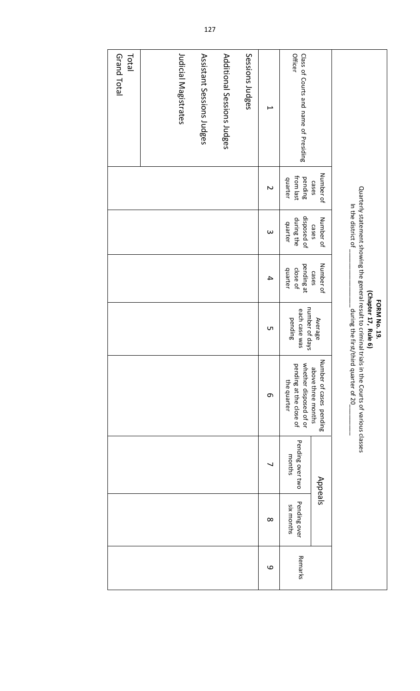|                                                         |                                 | In the district of                   |                                   | (Chapter 17, Rule 6)<br><b>FORM No. 19.</b> | Quarterly statement showing the general result to criminal trials in the Courts of various classes<br>during the first/third quarter of 20 |                            |                            |         |
|---------------------------------------------------------|---------------------------------|--------------------------------------|-----------------------------------|---------------------------------------------|--------------------------------------------------------------------------------------------------------------------------------------------|----------------------------|----------------------------|---------|
|                                                         | Number of<br>cases              | Number of<br>cases                   | Number of<br>cases                | Average                                     | Number of cases pending<br>above three months                                                                                              | Appeals                    |                            |         |
| <b>Officer</b><br>Class of Courts and name of Presiding | from last<br>pending<br>quarter | disposed of<br>during the<br>quarter | pending at<br>close of<br>quarter | number of days<br>each case was<br>pending  | whether disposed of or<br>pending at the close of<br>the quarter                                                                           | Pending over two<br>months | Pending over<br>six months | Remarks |
| L                                                       | N                               | $\omega$                             | 4                                 | <b>ι</b>                                    | e                                                                                                                                          |                            | $\infty$                   | 9       |
| Sessions Judges                                         |                                 |                                      |                                   |                                             |                                                                                                                                            |                            |                            |         |
| Additional Sessions Judges                              |                                 |                                      |                                   |                                             |                                                                                                                                            |                            |                            |         |
| Assistant Sessions Judges                               |                                 |                                      |                                   |                                             |                                                                                                                                            |                            |                            |         |
| Judicial Magistrates                                    |                                 |                                      |                                   |                                             |                                                                                                                                            |                            |                            |         |
|                                                         |                                 |                                      |                                   |                                             |                                                                                                                                            |                            |                            |         |
| Total<br>Grand Total                                    |                                 |                                      |                                   |                                             |                                                                                                                                            |                            |                            |         |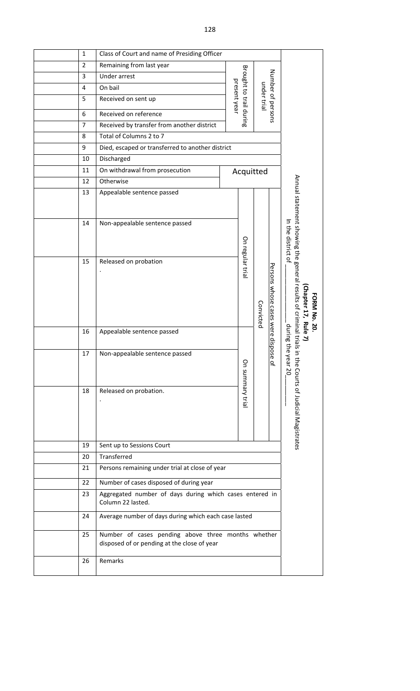| $\mathbf{1}$   | Class of Court and name of Presiding Officer                                                      |              |                         |             |                                     |                                                                                                                  |
|----------------|---------------------------------------------------------------------------------------------------|--------------|-------------------------|-------------|-------------------------------------|------------------------------------------------------------------------------------------------------------------|
| $\overline{2}$ | Remaining from last year                                                                          |              |                         |             |                                     |                                                                                                                  |
| 3              | Under arrest                                                                                      |              |                         |             |                                     |                                                                                                                  |
| 4              | On bail                                                                                           |              |                         |             |                                     |                                                                                                                  |
| 5              | Received on sent up                                                                               | present year | Brought to trail during | under trial | Number of persons                   |                                                                                                                  |
| 6              | Received on reference                                                                             |              |                         |             |                                     |                                                                                                                  |
| 7              | Received by transfer from another district                                                        |              |                         |             |                                     |                                                                                                                  |
| 8              | Total of Columns 2 to 7                                                                           |              |                         |             |                                     |                                                                                                                  |
| 9              | Died, escaped or transferred to another district                                                  |              |                         |             |                                     |                                                                                                                  |
| 10             | Discharged                                                                                        |              |                         |             |                                     |                                                                                                                  |
| 11             | On withdrawal from prosecution                                                                    |              |                         | Acquitted   |                                     |                                                                                                                  |
| 12             | Otherwise                                                                                         |              |                         |             |                                     |                                                                                                                  |
| 13             | Appealable sentence passed                                                                        |              |                         |             |                                     |                                                                                                                  |
| 14             | Non-appealable sentence passed                                                                    |              |                         |             |                                     |                                                                                                                  |
|                |                                                                                                   |              |                         |             |                                     | In the district of                                                                                               |
| 15             | Released on probation                                                                             |              | On regular tria         | Convicted   | Persons whose cases were dispose of | Annual statement showing the general results of criminal trials in<br>Chapter 17, Rule 7)<br><b>FORM No. 20.</b> |
| 16             | Appealable sentence passed                                                                        |              |                         |             |                                     | during the                                                                                                       |
| 17             | Non-appealable sentence passed                                                                    |              | On summary tria         |             |                                     | year 20                                                                                                          |
| 18             | Released on probation.                                                                            |              |                         |             |                                     | the Courts of Judicial Magistrates                                                                               |
| 19             | Sent up to Sessions Court                                                                         |              |                         |             |                                     |                                                                                                                  |
| 20             | Transferred                                                                                       |              |                         |             |                                     |                                                                                                                  |
| 21             | Persons remaining under trial at close of year                                                    |              |                         |             |                                     |                                                                                                                  |
| 22             | Number of cases disposed of during year                                                           |              |                         |             |                                     |                                                                                                                  |
| 23             | Aggregated number of days during which cases entered in<br>Column 22 lasted.                      |              |                         |             |                                     |                                                                                                                  |
| 24             | Average number of days during which each case lasted                                              |              |                         |             |                                     |                                                                                                                  |
| 25             | Number of cases pending above three months whether<br>disposed of or pending at the close of year |              |                         |             |                                     |                                                                                                                  |
| 26             | Remarks                                                                                           |              |                         |             |                                     |                                                                                                                  |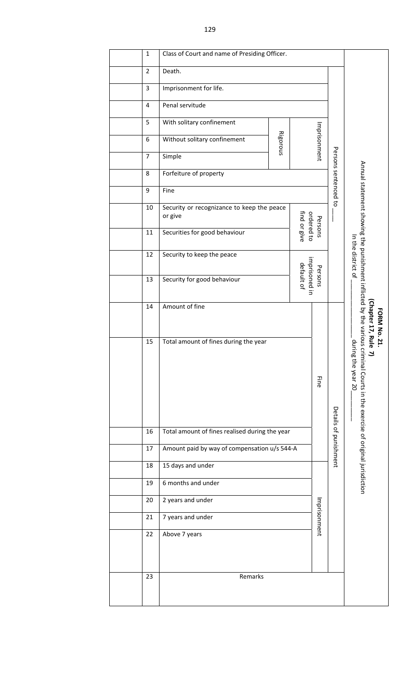| 1              |                                                       |                                       |                                                                                                             |                                                                            |                                                                                   |                                                                                                                                                      |
|----------------|-------------------------------------------------------|---------------------------------------|-------------------------------------------------------------------------------------------------------------|----------------------------------------------------------------------------|-----------------------------------------------------------------------------------|------------------------------------------------------------------------------------------------------------------------------------------------------|
| $\overline{2}$ | Death.                                                |                                       |                                                                                                             |                                                                            |                                                                                   |                                                                                                                                                      |
| $\mathbf{3}$   | Imprisonment for life.                                |                                       |                                                                                                             |                                                                            |                                                                                   |                                                                                                                                                      |
| 4              | Penal servitude                                       |                                       |                                                                                                             |                                                                            |                                                                                   |                                                                                                                                                      |
| 5              | With solitary confinement                             |                                       |                                                                                                             |                                                                            |                                                                                   |                                                                                                                                                      |
| 6              | Without solitary confinement                          |                                       |                                                                                                             |                                                                            |                                                                                   |                                                                                                                                                      |
| $\overline{7}$ | Simple                                                |                                       |                                                                                                             |                                                                            |                                                                                   |                                                                                                                                                      |
| 8              | Forfeiture of property                                |                                       |                                                                                                             |                                                                            |                                                                                   |                                                                                                                                                      |
| 9              | Fine                                                  |                                       |                                                                                                             |                                                                            |                                                                                   |                                                                                                                                                      |
| 10             | Security or recognizance to keep the peace<br>or give |                                       |                                                                                                             |                                                                            |                                                                                   |                                                                                                                                                      |
| 11             | Securities for good behaviour                         |                                       |                                                                                                             |                                                                            |                                                                                   |                                                                                                                                                      |
| 12             | Security to keep the peace                            |                                       |                                                                                                             | In the district of                                                         |                                                                                   |                                                                                                                                                      |
| 13             | Security for good behaviour                           |                                       |                                                                                                             |                                                                            |                                                                                   |                                                                                                                                                      |
| 14             | Amount of fine                                        |                                       |                                                                                                             |                                                                            |                                                                                   | Chapter 17, Rule<br><b>FORM No. 21.</b>                                                                                                              |
| 15             |                                                       |                                       |                                                                                                             | Eine                                                                       |                                                                                   | Annual statement showing the punishment inflicted by the various criminal Courts in the exercise of original jurisdiction<br>durin.<br>g the year 20 |
| 16             |                                                       |                                       |                                                                                                             |                                                                            |                                                                                   |                                                                                                                                                      |
| 17             |                                                       |                                       |                                                                                                             |                                                                            |                                                                                   |                                                                                                                                                      |
| 18             | 15 days and under                                     |                                       |                                                                                                             |                                                                            |                                                                                   |                                                                                                                                                      |
| 19             | 6 months and under                                    |                                       |                                                                                                             |                                                                            |                                                                                   |                                                                                                                                                      |
| 20             | 2 years and under                                     |                                       |                                                                                                             |                                                                            |                                                                                   |                                                                                                                                                      |
| 21             | 7 years and under                                     |                                       |                                                                                                             |                                                                            |                                                                                   |                                                                                                                                                      |
| 22             | Above 7 years                                         |                                       |                                                                                                             |                                                                            |                                                                                   |                                                                                                                                                      |
| 23             | Remarks                                               |                                       |                                                                                                             |                                                                            |                                                                                   |                                                                                                                                                      |
|                |                                                       | Total amount of fines during the year | Class of Court and name of Presiding Officer.<br>Rigorous<br>Total amount of fines realised during the year | find or give<br>default of<br>Amount paid by way of compensation u/s 544-A | Imprisonment<br>ordered to<br>Persons<br>imprisoned in<br>Persons<br>Imprisonment | Persons sentenced to<br>Details of punishment                                                                                                        |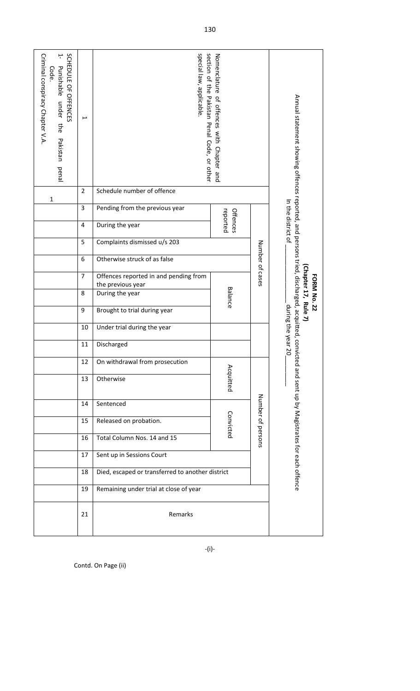| SCHEDULE OF OFFENCES<br>Criminal conspiracy Chapter V.A.<br>Ļ<br>Punishable<br>Code<br>under the<br>Pakistan<br>penal<br>1 | $\mapsto$<br>$\overline{2}$ | special law, applicable<br>Schedule number of offence      | section of the Pakistan Penal Code, or other<br>Nomenclature<br>of offences with Chapter and<br>reported<br>Offences |                    |                                                                                                                                             |  |  |  |  |
|----------------------------------------------------------------------------------------------------------------------------|-----------------------------|------------------------------------------------------------|----------------------------------------------------------------------------------------------------------------------|--------------------|---------------------------------------------------------------------------------------------------------------------------------------------|--|--|--|--|
|                                                                                                                            | 3                           | Pending from the previous year                             | In the district of                                                                                                   |                    |                                                                                                                                             |  |  |  |  |
|                                                                                                                            | 4                           | During the year                                            |                                                                                                                      |                    |                                                                                                                                             |  |  |  |  |
|                                                                                                                            | 5                           | Complaints dismissed u/s 203                               |                                                                                                                      |                    |                                                                                                                                             |  |  |  |  |
|                                                                                                                            | 6                           | Otherwise struck of as false                               |                                                                                                                      |                    |                                                                                                                                             |  |  |  |  |
|                                                                                                                            | 7                           | Offences reported in and pending from<br>the previous year | Number of cases                                                                                                      |                    |                                                                                                                                             |  |  |  |  |
|                                                                                                                            | 8                           | During the year                                            | Chapter 17, Rule 7)<br>FORM No. 22                                                                                   |                    |                                                                                                                                             |  |  |  |  |
|                                                                                                                            | 9                           | Brought to trial during year                               |                                                                                                                      | during the year 20 |                                                                                                                                             |  |  |  |  |
|                                                                                                                            | 10                          | Under trial during the year                                |                                                                                                                      |                    |                                                                                                                                             |  |  |  |  |
|                                                                                                                            | 11                          | Discharged                                                 |                                                                                                                      |                    |                                                                                                                                             |  |  |  |  |
|                                                                                                                            | 12                          | On withdrawal from prosecution                             |                                                                                                                      |                    |                                                                                                                                             |  |  |  |  |
|                                                                                                                            | 13                          | Otherwise                                                  | Acquitted                                                                                                            |                    | Annual statement showing offences reported, and persons tried, discharged, acquitted, convicted and sent up by Magistrates for each offence |  |  |  |  |
|                                                                                                                            | 14                          | Sentenced                                                  |                                                                                                                      |                    |                                                                                                                                             |  |  |  |  |
|                                                                                                                            | 15                          | Released on probation.                                     | Number of persons                                                                                                    |                    |                                                                                                                                             |  |  |  |  |
|                                                                                                                            | 16                          | Total Column Nos. 14 and 15                                |                                                                                                                      |                    |                                                                                                                                             |  |  |  |  |
| Sent up in Sessions Court<br>17                                                                                            |                             |                                                            |                                                                                                                      |                    |                                                                                                                                             |  |  |  |  |
|                                                                                                                            | 18                          | Died, escaped or transferred to another district           |                                                                                                                      |                    |                                                                                                                                             |  |  |  |  |
|                                                                                                                            | 19                          | Remaining under trial at close of year                     |                                                                                                                      |                    |                                                                                                                                             |  |  |  |  |
|                                                                                                                            |                             |                                                            |                                                                                                                      |                    |                                                                                                                                             |  |  |  |  |

‐(i)‐

Contd. On Page (ii)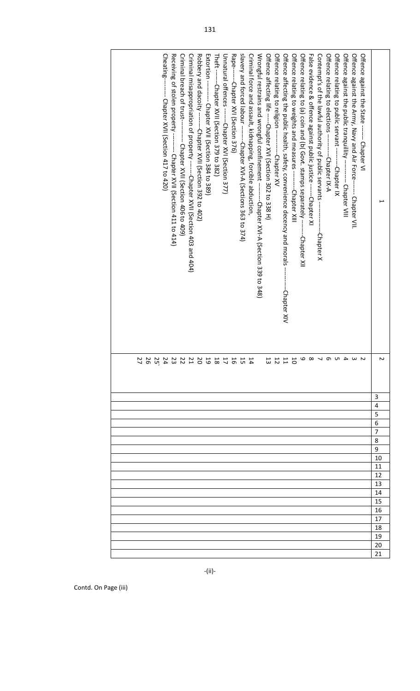| Rape--------Chapter XVI (Section 376)<br>slavery and forced labour --------Chapter XVI-A (Sections 363 to 374)<br>Criminal breach of trust----------- Chapter XVII (Section 406 to 409)<br>Criminal misappropriation of property -------Chapter XVII (Section 403 and 404)<br>Unnatural offences -------Chapter XVI (Section 377)<br>Criminal force and assault, kidnapping, forcible abduction,<br>Wrongful restrains and wrongful confinement ----------Chapter XVI-A (Section 339 to 348)<br>Offence affecting life -----Chapter XVI (Section 302 to 338 H)<br>Offence relating to religion -------------Chapter XV<br>Offence affecting the public health, safety, convenience decency and morals -<br>Offence relating to weights and measures ---------Chapter XIII<br>Offence relating to (a) coin and (b( Govt. stamps separately ----<br>False evidence & offence against public justice ------Chapter XI<br>Contempt's of the lawful authority of public servants<br>Offence relating to elections ----------Chapter IX-A<br>Offence relating to public servant ----------Chapter IX<br>Cheating-------- Chapter XVII (Section 417 to 420)<br>Receiving of stolen property -------- Chapter XVII (Section 411 to 414)<br>Robbery and dacoity ---------Chapter XVII (Section 392 to 402)<br>Extortion --------- Chapter XVII (Section 384 to 389)<br>Theft -------Chapter XVII (Section 379 to 382)<br>Offence against the public tranquillity ---------- Chapter VIII<br>Offence against the Army, Navy and Air Force------- Chapter VII.<br>Offence against the State ------- Chapter VI<br>---Chapter XII<br>-Chapter X<br>-Chapter XIV |          |
|-----------------------------------------------------------------------------------------------------------------------------------------------------------------------------------------------------------------------------------------------------------------------------------------------------------------------------------------------------------------------------------------------------------------------------------------------------------------------------------------------------------------------------------------------------------------------------------------------------------------------------------------------------------------------------------------------------------------------------------------------------------------------------------------------------------------------------------------------------------------------------------------------------------------------------------------------------------------------------------------------------------------------------------------------------------------------------------------------------------------------------------------------------------------------------------------------------------------------------------------------------------------------------------------------------------------------------------------------------------------------------------------------------------------------------------------------------------------------------------------------------------------------------------------------------------------------------------------------------------------------------------------------------|----------|
| はちねけねりのひとひとひとひと<br>5 1 1 1<br>3                                                                                                                                                                                                                                                                                                                                                                                                                                                                                                                                                                                                                                                                                                                                                                                                                                                                                                                                                                                                                                                                                                                                                                                                                                                                                                                                                                                                                                                                                                                                                                                                                     |          |
|                                                                                                                                                                                                                                                                                                                                                                                                                                                                                                                                                                                                                                                                                                                                                                                                                                                                                                                                                                                                                                                                                                                                                                                                                                                                                                                                                                                                                                                                                                                                                                                                                                                     | 3        |
|                                                                                                                                                                                                                                                                                                                                                                                                                                                                                                                                                                                                                                                                                                                                                                                                                                                                                                                                                                                                                                                                                                                                                                                                                                                                                                                                                                                                                                                                                                                                                                                                                                                     | 4<br>5   |
|                                                                                                                                                                                                                                                                                                                                                                                                                                                                                                                                                                                                                                                                                                                                                                                                                                                                                                                                                                                                                                                                                                                                                                                                                                                                                                                                                                                                                                                                                                                                                                                                                                                     | 6        |
|                                                                                                                                                                                                                                                                                                                                                                                                                                                                                                                                                                                                                                                                                                                                                                                                                                                                                                                                                                                                                                                                                                                                                                                                                                                                                                                                                                                                                                                                                                                                                                                                                                                     | 7        |
|                                                                                                                                                                                                                                                                                                                                                                                                                                                                                                                                                                                                                                                                                                                                                                                                                                                                                                                                                                                                                                                                                                                                                                                                                                                                                                                                                                                                                                                                                                                                                                                                                                                     | 8        |
|                                                                                                                                                                                                                                                                                                                                                                                                                                                                                                                                                                                                                                                                                                                                                                                                                                                                                                                                                                                                                                                                                                                                                                                                                                                                                                                                                                                                                                                                                                                                                                                                                                                     | 9<br>10  |
|                                                                                                                                                                                                                                                                                                                                                                                                                                                                                                                                                                                                                                                                                                                                                                                                                                                                                                                                                                                                                                                                                                                                                                                                                                                                                                                                                                                                                                                                                                                                                                                                                                                     | 11       |
|                                                                                                                                                                                                                                                                                                                                                                                                                                                                                                                                                                                                                                                                                                                                                                                                                                                                                                                                                                                                                                                                                                                                                                                                                                                                                                                                                                                                                                                                                                                                                                                                                                                     | 12       |
|                                                                                                                                                                                                                                                                                                                                                                                                                                                                                                                                                                                                                                                                                                                                                                                                                                                                                                                                                                                                                                                                                                                                                                                                                                                                                                                                                                                                                                                                                                                                                                                                                                                     | 13       |
|                                                                                                                                                                                                                                                                                                                                                                                                                                                                                                                                                                                                                                                                                                                                                                                                                                                                                                                                                                                                                                                                                                                                                                                                                                                                                                                                                                                                                                                                                                                                                                                                                                                     | 14       |
|                                                                                                                                                                                                                                                                                                                                                                                                                                                                                                                                                                                                                                                                                                                                                                                                                                                                                                                                                                                                                                                                                                                                                                                                                                                                                                                                                                                                                                                                                                                                                                                                                                                     | 15       |
|                                                                                                                                                                                                                                                                                                                                                                                                                                                                                                                                                                                                                                                                                                                                                                                                                                                                                                                                                                                                                                                                                                                                                                                                                                                                                                                                                                                                                                                                                                                                                                                                                                                     | 16<br>17 |
|                                                                                                                                                                                                                                                                                                                                                                                                                                                                                                                                                                                                                                                                                                                                                                                                                                                                                                                                                                                                                                                                                                                                                                                                                                                                                                                                                                                                                                                                                                                                                                                                                                                     | 18       |
|                                                                                                                                                                                                                                                                                                                                                                                                                                                                                                                                                                                                                                                                                                                                                                                                                                                                                                                                                                                                                                                                                                                                                                                                                                                                                                                                                                                                                                                                                                                                                                                                                                                     | 19       |
|                                                                                                                                                                                                                                                                                                                                                                                                                                                                                                                                                                                                                                                                                                                                                                                                                                                                                                                                                                                                                                                                                                                                                                                                                                                                                                                                                                                                                                                                                                                                                                                                                                                     | 20       |
|                                                                                                                                                                                                                                                                                                                                                                                                                                                                                                                                                                                                                                                                                                                                                                                                                                                                                                                                                                                                                                                                                                                                                                                                                                                                                                                                                                                                                                                                                                                                                                                                                                                     | 21       |

Contd. On Page (iii)

‐(ii)‐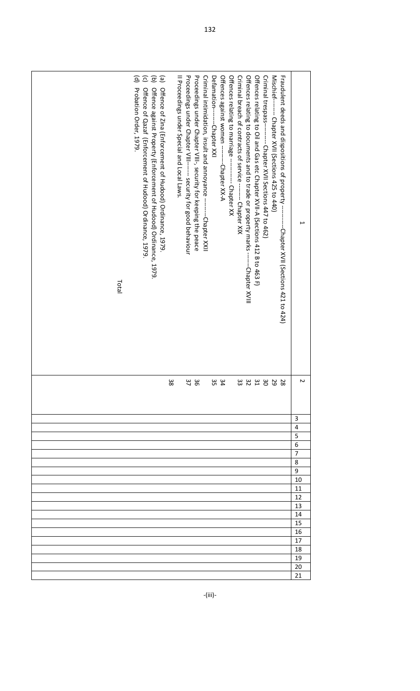| Criminal intimidation, insult and annoyance --<br>Proceedings under Chapter VIII------ security for good behaviour<br>Proceedings under Chapter VIII-, security for keeping the peace<br>Offences relating to marriage --------- Chapter XX<br>Criminal breach of contracts of service ------- Chapter XIX<br>Offences relating to documents and to trade or property marks -------Chapter XVIII<br>Offences relating to Oil and Gas etc Chapter XVII-A (Sections 412 B to 463 F)<br>Criminal trespass--------- Chapter XVII Sections 447 to 462)<br>Mischief-------- Chapter XVII (Sections 425 to 440)<br>Fraudent deeds and dispositions of property -<br>$\widehat{\circ}$ $\widehat{\circ}$<br>(e)<br>II Proceedings under Special and Local Laws.<br>Defamation---------Chapter XXI<br>Offences against women ----------Chapter XX-A<br>$\widehat{\mathsf{e}}$<br>Probation Order, 1979.<br>Offence of Qazaf (Enforcement of Hudood) Ordinance, 1979<br>Offence against Property (Enforcement of Hudood) Ordinance, 1979<br>Offence of Zina (Enforcennent of Hudood) Ordinance, 1979<br>-Chapter XXII<br>-Chapter XVII (Sections 421 to 424)<br>Total |        |
|-------------------------------------------------------------------------------------------------------------------------------------------------------------------------------------------------------------------------------------------------------------------------------------------------------------------------------------------------------------------------------------------------------------------------------------------------------------------------------------------------------------------------------------------------------------------------------------------------------------------------------------------------------------------------------------------------------------------------------------------------------------------------------------------------------------------------------------------------------------------------------------------------------------------------------------------------------------------------------------------------------------------------------------------------------------------------------------------------------------------------------------------------------------|--------|
| 38<br>$\omega$ $\omega$<br>229233<br>36<br>70<br>س<br>4 ש                                                                                                                                                                                                                                                                                                                                                                                                                                                                                                                                                                                                                                                                                                                                                                                                                                                                                                                                                                                                                                                                                                   | Z      |
|                                                                                                                                                                                                                                                                                                                                                                                                                                                                                                                                                                                                                                                                                                                                                                                                                                                                                                                                                                                                                                                                                                                                                             | 3      |
|                                                                                                                                                                                                                                                                                                                                                                                                                                                                                                                                                                                                                                                                                                                                                                                                                                                                                                                                                                                                                                                                                                                                                             | 4      |
|                                                                                                                                                                                                                                                                                                                                                                                                                                                                                                                                                                                                                                                                                                                                                                                                                                                                                                                                                                                                                                                                                                                                                             | 5<br>6 |
|                                                                                                                                                                                                                                                                                                                                                                                                                                                                                                                                                                                                                                                                                                                                                                                                                                                                                                                                                                                                                                                                                                                                                             | 7      |
|                                                                                                                                                                                                                                                                                                                                                                                                                                                                                                                                                                                                                                                                                                                                                                                                                                                                                                                                                                                                                                                                                                                                                             | 8      |
|                                                                                                                                                                                                                                                                                                                                                                                                                                                                                                                                                                                                                                                                                                                                                                                                                                                                                                                                                                                                                                                                                                                                                             | 9      |
|                                                                                                                                                                                                                                                                                                                                                                                                                                                                                                                                                                                                                                                                                                                                                                                                                                                                                                                                                                                                                                                                                                                                                             | 10     |
|                                                                                                                                                                                                                                                                                                                                                                                                                                                                                                                                                                                                                                                                                                                                                                                                                                                                                                                                                                                                                                                                                                                                                             | 11     |
|                                                                                                                                                                                                                                                                                                                                                                                                                                                                                                                                                                                                                                                                                                                                                                                                                                                                                                                                                                                                                                                                                                                                                             | 12     |
|                                                                                                                                                                                                                                                                                                                                                                                                                                                                                                                                                                                                                                                                                                                                                                                                                                                                                                                                                                                                                                                                                                                                                             | 13     |
|                                                                                                                                                                                                                                                                                                                                                                                                                                                                                                                                                                                                                                                                                                                                                                                                                                                                                                                                                                                                                                                                                                                                                             | 14     |
|                                                                                                                                                                                                                                                                                                                                                                                                                                                                                                                                                                                                                                                                                                                                                                                                                                                                                                                                                                                                                                                                                                                                                             |        |
|                                                                                                                                                                                                                                                                                                                                                                                                                                                                                                                                                                                                                                                                                                                                                                                                                                                                                                                                                                                                                                                                                                                                                             | 15     |
|                                                                                                                                                                                                                                                                                                                                                                                                                                                                                                                                                                                                                                                                                                                                                                                                                                                                                                                                                                                                                                                                                                                                                             | 16     |
|                                                                                                                                                                                                                                                                                                                                                                                                                                                                                                                                                                                                                                                                                                                                                                                                                                                                                                                                                                                                                                                                                                                                                             | 17     |
|                                                                                                                                                                                                                                                                                                                                                                                                                                                                                                                                                                                                                                                                                                                                                                                                                                                                                                                                                                                                                                                                                                                                                             | 18     |
|                                                                                                                                                                                                                                                                                                                                                                                                                                                                                                                                                                                                                                                                                                                                                                                                                                                                                                                                                                                                                                                                                                                                                             | 19     |
|                                                                                                                                                                                                                                                                                                                                                                                                                                                                                                                                                                                                                                                                                                                                                                                                                                                                                                                                                                                                                                                                                                                                                             | 20     |

‐(iii)‐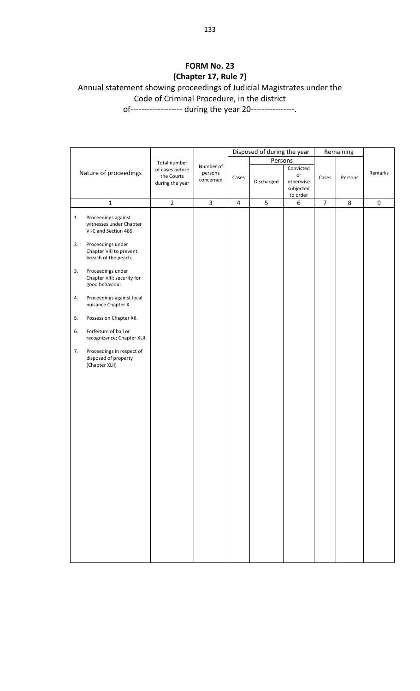### **FORM No. 23 (Chapter 17, Rule 7)** Annual statement showing proceedings of Judicial Magistrates under the Code of Criminal Procedure, in the district

of------------------- during the year 20----------------.

|    |                                                                         |                                                  |                                   |                | Disposed of during the year |                                                       |                | Remaining |         |
|----|-------------------------------------------------------------------------|--------------------------------------------------|-----------------------------------|----------------|-----------------------------|-------------------------------------------------------|----------------|-----------|---------|
|    |                                                                         | Total number                                     |                                   |                | Persons                     |                                                       |                |           |         |
|    | Nature of proceedings                                                   | of cases before<br>the Courts<br>during the year | Number of<br>persons<br>concerned | Cases          | Discharged                  | Convicted<br>or<br>otherwise<br>subjected<br>to order | Cases          | Persons   | Remarks |
|    | $\mathbf 1$                                                             | $\overline{2}$                                   | $\overline{\mathbf{3}}$           | $\overline{4}$ | 5                           | $\boldsymbol{6}$                                      | $\overline{7}$ | 8         | 9       |
| 1. | Proceedings against<br>witnesses under Chapter<br>VI-C and Section 485. |                                                  |                                   |                |                             |                                                       |                |           |         |
| 2. | Proceedings under<br>Chapter VIII to prevent<br>breach of the peach.    |                                                  |                                   |                |                             |                                                       |                |           |         |
| 3. | Proceedings under<br>Chapter VIII; security for<br>good behaviour.      |                                                  |                                   |                |                             |                                                       |                |           |         |
| 4. | Proceedings against local<br>nuisance Chapter X.                        |                                                  |                                   |                |                             |                                                       |                |           |         |
| 5. | Possession Chapter XII.                                                 |                                                  |                                   |                |                             |                                                       |                |           |         |
| 6. | Forfeiture of bail or<br>recognizance; Chapter XLII.                    |                                                  |                                   |                |                             |                                                       |                |           |         |
| 7. | Proceedings in respect of<br>disposed of property<br>(Chapter XLII)     |                                                  |                                   |                |                             |                                                       |                |           |         |
|    |                                                                         |                                                  |                                   |                |                             |                                                       |                |           |         |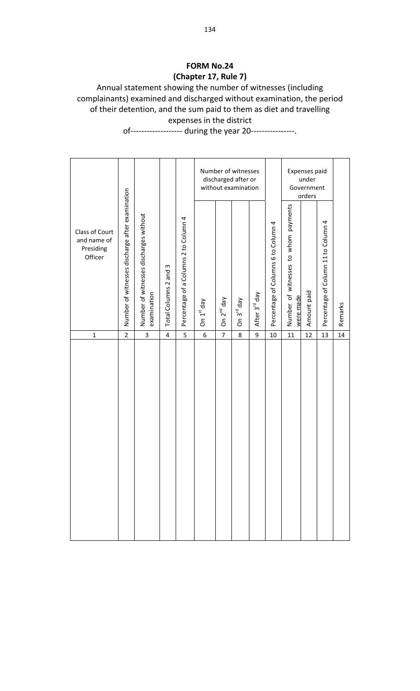#### **FORM No.24 (Chapter 17, Rule 7)**

#### Annual statement showing the number of witnesses (including complainants) examined and discharged without examination, the period of their detention, and the sum paid to them as diet and travelling expenses in the district

of------------------- during the year 20----------------.

|                                                       |                                                 |                                                       |                          |                                       |                     |                          | Number of witnesses<br>discharged after or<br>without examination |                           |                                     |                                                      | Expenses paid<br>under<br>Government<br>orders |                                     |         |
|-------------------------------------------------------|-------------------------------------------------|-------------------------------------------------------|--------------------------|---------------------------------------|---------------------|--------------------------|-------------------------------------------------------------------|---------------------------|-------------------------------------|------------------------------------------------------|------------------------------------------------|-------------------------------------|---------|
| Class of Court<br>and name of<br>Presiding<br>Officer | Number of witnesses discharge after examination | Number of witnesses discharges without<br>examination | S<br>Total Columns 2 and | Percentage of a Columns 2 to Column 4 | On $1^{\rm st}$ day | 2 <sup>nd</sup> day<br>δ | On 3 <sup>rd</sup> day                                            | After 3 <sup>rd</sup> day | Percentage of Columns 6 to Column 4 | payments<br>Number of witnesses to whom<br>were made | Amount paid                                    | Percentage of Column 11 to Column 4 | Remarks |
| $\mathbf 1$                                           | $\overline{2}$                                  | $\overline{3}$                                        | 4                        | 5                                     | 6                   | $\overline{7}$           | 8                                                                 | 9                         | 10                                  | 11                                                   | 12                                             | 13                                  | 14      |
|                                                       |                                                 |                                                       |                          |                                       |                     |                          |                                                                   |                           |                                     |                                                      |                                                |                                     |         |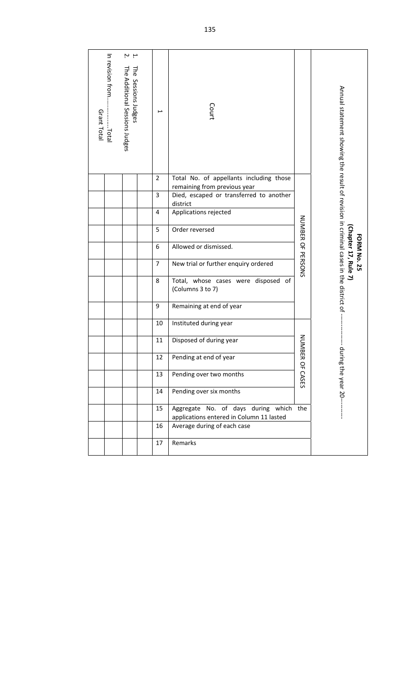| In revision from<br>μ μ<br>Ηe<br>The Additional Sessions Judges<br>Sessions Judges<br>Grant Total<br>Total | $\overline{\phantom{0}}$<br>$\overline{2}$                                               | Court<br>Total No. of appellants including those        |                   | Annual statement showing the result of revision in criminal cases in the district of |
|------------------------------------------------------------------------------------------------------------|------------------------------------------------------------------------------------------|---------------------------------------------------------|-------------------|--------------------------------------------------------------------------------------|
|                                                                                                            | $\overline{3}$                                                                           | remaining from previous year                            |                   |                                                                                      |
|                                                                                                            |                                                                                          | Died, escaped or transferred to another<br>district     |                   |                                                                                      |
|                                                                                                            | 4                                                                                        | Applications rejected                                   |                   |                                                                                      |
|                                                                                                            | 5                                                                                        | Order reversed                                          |                   |                                                                                      |
|                                                                                                            | 6                                                                                        | Allowed or dismissed.                                   |                   | <b>FORM No. 25</b>                                                                   |
|                                                                                                            | $\overline{7}$                                                                           | New trial or further enquiry ordered                    | NUNBER OF PERSONS | Chapter 17, Rule 7)                                                                  |
|                                                                                                            | 8                                                                                        | Total, whose cases were disposed of<br>(Columns 3 to 7) |                   |                                                                                      |
|                                                                                                            | 9                                                                                        | Remaining at end of year                                |                   |                                                                                      |
|                                                                                                            | 10                                                                                       | Instituted during year                                  |                   |                                                                                      |
|                                                                                                            | 11                                                                                       | Disposed of during year                                 | NUMBE             | Ρb                                                                                   |
|                                                                                                            | 12                                                                                       | Pending at end of year                                  |                   |                                                                                      |
|                                                                                                            | 13                                                                                       | Pending over two months                                 | R OF CASES        | ring the year 20--                                                                   |
|                                                                                                            | 14                                                                                       | Pending over six months                                 |                   |                                                                                      |
|                                                                                                            | Aggregate No. of days during which the<br>15<br>applications entered in Column 11 lasted |                                                         |                   |                                                                                      |
|                                                                                                            | 16                                                                                       | Average during of each case                             |                   |                                                                                      |
|                                                                                                            | 17                                                                                       | Remarks                                                 |                   |                                                                                      |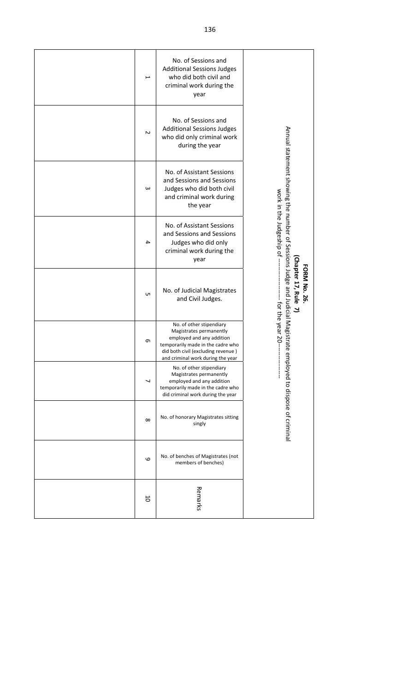| $\overline{}$ | No. of Sessions and<br><b>Additional Sessions Judges</b><br>who did both civil and<br>criminal work during the<br>year                                                                           |                                                                               |
|---------------|--------------------------------------------------------------------------------------------------------------------------------------------------------------------------------------------------|-------------------------------------------------------------------------------|
| $\sim$        | No. of Sessions and<br><b>Additional Sessions Judges</b><br>who did only criminal work<br>during the year                                                                                        |                                                                               |
| $\omega$      | No. of Assistant Sessions<br>and Sessions and Sessions<br>Judges who did both civil<br>and criminal work during<br>the year                                                                      | Annual statement showing the number of Sessions Judge and Judicial Magistrate |
| 4             | No. of Assistant Sessions<br>and Sessions and Sessions<br>Judges who did only<br>criminal work during the<br>year                                                                                | work in the Judgeship of -                                                    |
| <b>υπ</b>     | No. of Judicial Magistrates<br>and Civil Judges.                                                                                                                                                 | Chapter 17, Rule<br><b>FORM No. 26</b><br>لح                                  |
| $\sigma$      | No. of other stipendiary<br>Magistrates permanently<br>employed and any addition<br>temporarily made in the cadre who<br>did both civil (excluding revenue)<br>and criminal work during the year | -- for the year 20-<br>$\, \sigma$                                            |
| ┙             | No. of other stipendiary<br>Magistrates permanently<br>employed and any addition<br>temporarily made in the cadre who<br>did criminal work during the year                                       |                                                                               |
| $\infty$      | No. of honorary Magistrates sitting<br>singly                                                                                                                                                    | mployed to dispose of criminal                                                |
| 6             | No. of benches of Magistrates (not<br>members of benches)                                                                                                                                        |                                                                               |
| 5             | Remarks                                                                                                                                                                                          |                                                                               |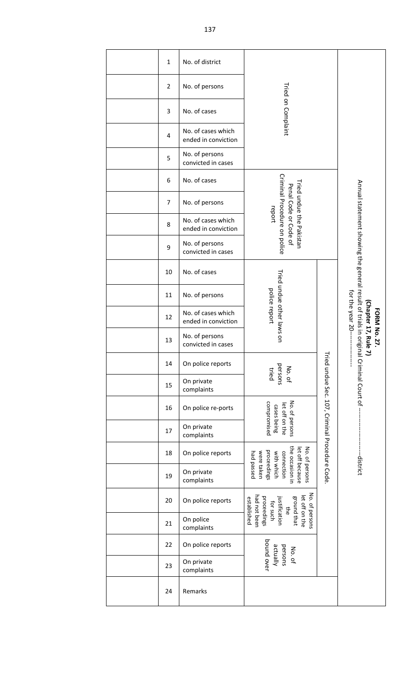| $\mathbf{1}$   | No. of district                           |                                                                                                                                   |                                              |                                                                                         |
|----------------|-------------------------------------------|-----------------------------------------------------------------------------------------------------------------------------------|----------------------------------------------|-----------------------------------------------------------------------------------------|
| $\overline{2}$ | No. of persons                            |                                                                                                                                   |                                              |                                                                                         |
| 3              | No. of cases                              | Tried on Complaint                                                                                                                |                                              |                                                                                         |
| $\pmb{4}$      | No. of cases which<br>ended in conviction |                                                                                                                                   |                                              |                                                                                         |
| 5              | No. of persons<br>convicted in cases      |                                                                                                                                   |                                              |                                                                                         |
| 6              | No. of cases                              |                                                                                                                                   |                                              |                                                                                         |
| 7              | No. of persons                            | Criminal Procedure on police<br>Tried undue the Pakistan<br>Penal Code or Code of                                                 |                                              |                                                                                         |
| 8              | No. of cases which<br>ended in conviction | report                                                                                                                            |                                              |                                                                                         |
| 9              | No. of persons<br>convicted in cases      |                                                                                                                                   |                                              |                                                                                         |
| 10             | No. of cases                              |                                                                                                                                   |                                              |                                                                                         |
| 11             | No. of persons                            |                                                                                                                                   |                                              |                                                                                         |
| 12             | No. of cases which<br>ended in conviction | Tried undue other laws on<br>police report                                                                                        |                                              | for the year 20---<br><b>FORM No. 27.</b>                                               |
| 13             | No. of persons<br>convicted in cases      |                                                                                                                                   |                                              | Annual statement showing the general result of trials in origina<br>Chapter 17, Rule 7) |
| 14             | On police reports                         | persons<br>No. of<br>tried                                                                                                        | ried nudue Code TOJ, Criminal Procedure Code |                                                                                         |
| 15             | On private<br>complaints                  |                                                                                                                                   |                                              | Criminal Court of -                                                                     |
| 16             | On police re-ports                        | No. of persons<br>compromised<br>let off on the<br>cases being                                                                    |                                              |                                                                                         |
| 17             | On private<br>complaints                  |                                                                                                                                   |                                              |                                                                                         |
| 18             | On police reports                         |                                                                                                                                   |                                              | -----district                                                                           |
| 19             | On private<br>complaints                  | the occasion in<br>No. of persons<br>let off because<br>proceedings<br>were taken<br>connection<br>bad passed<br>with which       |                                              |                                                                                         |
| 20             | On police reports                         | No. of persons<br>had not been<br>let off on the<br>ground that<br>proceedings<br>established<br>justification<br>for such<br>the |                                              |                                                                                         |
| 21             | On police<br>complaints                   |                                                                                                                                   |                                              |                                                                                         |
| 22             | On police reports                         | bound over<br>actually<br>persons<br>No. of                                                                                       |                                              |                                                                                         |
| 23             | On private<br>complaints                  |                                                                                                                                   |                                              |                                                                                         |
| 24             | Remarks                                   |                                                                                                                                   |                                              |                                                                                         |
|                |                                           |                                                                                                                                   |                                              |                                                                                         |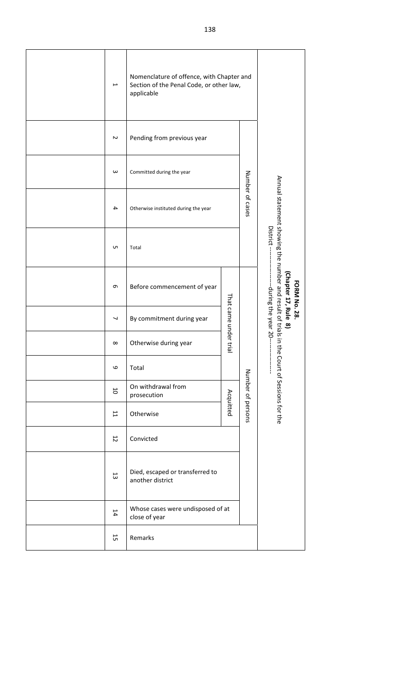| $\overline{\phantom{a}}$ | Nomenclature of offence, with Chapter and<br>Section of the Penal Code, or other law,<br>applicable |                       |                                                                              |                                                                     |  |  |  |
|--------------------------|-----------------------------------------------------------------------------------------------------|-----------------------|------------------------------------------------------------------------------|---------------------------------------------------------------------|--|--|--|
| $\sim$                   | Pending from previous year                                                                          |                       |                                                                              |                                                                     |  |  |  |
| $\omega$                 | Committed during the year                                                                           |                       |                                                                              |                                                                     |  |  |  |
| 4                        | Otherwise instituted during the year                                                                | Number of cases       |                                                                              |                                                                     |  |  |  |
| UП                       | Total                                                                                               |                       | Annual statement showing the number and result of trials in the<br>District- |                                                                     |  |  |  |
| G                        | Before commencement of year                                                                         |                       |                                                                              | Chapter 17, Rule<br><b>FORM No. 28.</b><br>---during the year 20--- |  |  |  |
| ┙                        | By commitment during year                                                                           | That came under trial |                                                                              | $\infty$                                                            |  |  |  |
| $\infty$                 | Otherwise during year                                                                               |                       |                                                                              |                                                                     |  |  |  |
| 6                        | Total                                                                                               |                       | Number of persons                                                            | Court of Sessions for the                                           |  |  |  |
| $10\,$                   | On withdrawal from<br>prosecution                                                                   | Acquitted             |                                                                              |                                                                     |  |  |  |
| 11                       | Otherwise                                                                                           |                       |                                                                              |                                                                     |  |  |  |
| 12                       | Convicted                                                                                           |                       |                                                                              |                                                                     |  |  |  |
| 13                       | Died, escaped or transferred to<br>another district                                                 |                       |                                                                              |                                                                     |  |  |  |
| 14                       | Whose cases were undisposed of at<br>close of year                                                  |                       |                                                                              |                                                                     |  |  |  |
| 15                       | Remarks                                                                                             |                       |                                                                              |                                                                     |  |  |  |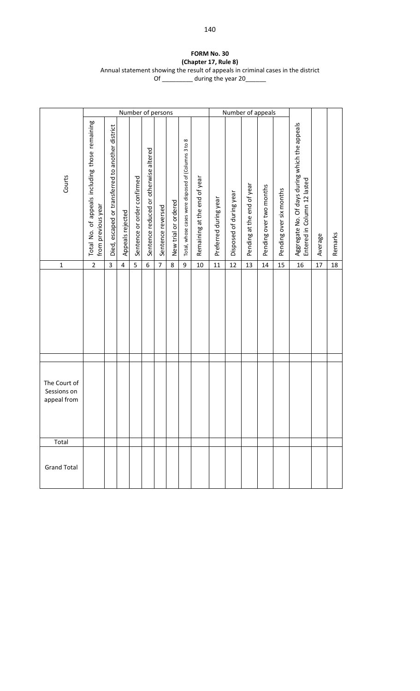#### **FORM No. 30 (Chapter 17, Rule 8)** Annual statement showing the result of appeals in criminal cases in the district Of \_\_\_\_\_\_\_\_\_\_ during the year 20\_\_\_\_\_\_

|                                            |                                                                      |                                                  |                         | Number of persons           |                                       |                   |                      |                                                     |                              | Number of appeals     |                         |                            |                         |                         |                                                                               |         |         |
|--------------------------------------------|----------------------------------------------------------------------|--------------------------------------------------|-------------------------|-----------------------------|---------------------------------------|-------------------|----------------------|-----------------------------------------------------|------------------------------|-----------------------|-------------------------|----------------------------|-------------------------|-------------------------|-------------------------------------------------------------------------------|---------|---------|
| Courts                                     | Total No. of appeals including those remaining<br>from previous year | Died, escaped or transferred to another district | Appeals rejected        | Sentence or order confirmed | Sentence reduced or otherwise altered | Sentence reversed | New trial or ordered | Total, whose cases were disposed of (Columns 3 to 8 | Remaining at the end of year | Preferred during year | Disposed of during year | Pending at the end of year | Pending over two months | Pending over six months | Aggregate No. Of days during which the appeals<br>Entered in Column 12 lasted | Average | Remarks |
| $\mathbf 1$                                | $\mathbf 2$                                                          | 3                                                | $\overline{\mathbf{4}}$ | 5                           | 6                                     | $\overline{7}$    | $\,8\,$              | $\boldsymbol{9}$                                    | $10\,$                       | 11                    | 12                      | 13                         | 14                      | 15                      | 16                                                                            | 17      | 18      |
|                                            |                                                                      |                                                  |                         |                             |                                       |                   |                      |                                                     |                              |                       |                         |                            |                         |                         |                                                                               |         |         |
| The Court of<br>Sessions on<br>appeal from |                                                                      |                                                  |                         |                             |                                       |                   |                      |                                                     |                              |                       |                         |                            |                         |                         |                                                                               |         |         |
| Total                                      |                                                                      |                                                  |                         |                             |                                       |                   |                      |                                                     |                              |                       |                         |                            |                         |                         |                                                                               |         |         |
| <b>Grand Total</b>                         |                                                                      |                                                  |                         |                             |                                       |                   |                      |                                                     |                              |                       |                         |                            |                         |                         |                                                                               |         |         |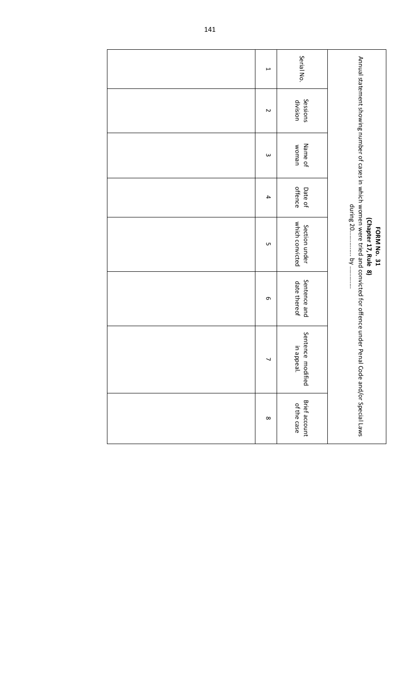| $\overline{ }$           | Serial No.                          |                                                                                                                                   |
|--------------------------|-------------------------------------|-----------------------------------------------------------------------------------------------------------------------------------|
| $\sim$                   | Sessions<br>division                |                                                                                                                                   |
| $\omega$                 | Name of<br>woman                    |                                                                                                                                   |
| $\overline{\phantom{a}}$ | offence<br>Date of                  |                                                                                                                                   |
| UП                       | which convicted<br>Section under    | (Chapter 17, Rule 8)<br>FORM No. 31                                                                                               |
| G                        | Sentence and<br>date thereof        |                                                                                                                                   |
| ┙                        | Sentence modified<br>in appeal.     | Annual statement showing number of cases in which women were tried and convicted for offence under Penal Code and/or Special Laws |
| ${}^{\infty}$            | <b>Brief account</b><br>of the case |                                                                                                                                   |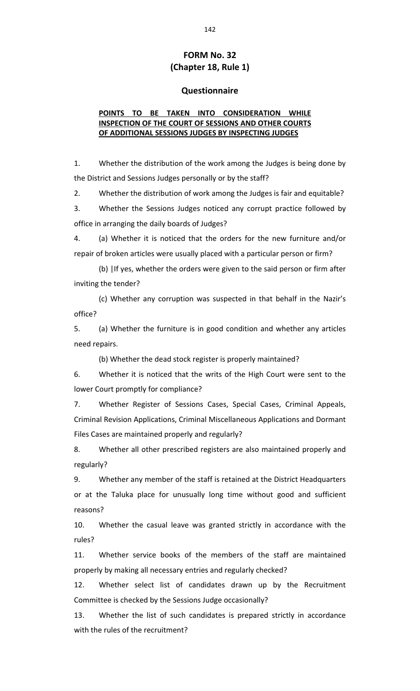## **FORM No. 32 (Chapter 18, Rule 1)**

#### **Questionnaire**

### **POINTS TO BE TAKEN INTO CONSIDERATION WHILE INSPECTION OF THE COURT OF SESSIONS AND OTHER COURTS OF ADDITIONAL SESSIONS JUDGES BY INSPECTING JUDGES**

1. Whether the distribution of the work among the Judges is being done by the District and Sessions Judges personally or by the staff?

2. Whether the distribution of work among the Judges is fair and equitable?

3. Whether the Sessions Judges noticed any corrupt practice followed by office in arranging the daily boards of Judges?

4. (a) Whether it is noticed that the orders for the new furniture and/or repair of broken articles were usually placed with a particular person or firm?

(b) |If yes, whether the orders were given to the said person or firm after inviting the tender?

(c) Whether any corruption was suspected in that behalf in the Nazir's office?

5. (a) Whether the furniture is in good condition and whether any articles need repairs.

(b) Whether the dead stock register is properly maintained?

6. Whether it is noticed that the writs of the High Court were sent to the lower Court promptly for compliance?

7. Whether Register of Sessions Cases, Special Cases, Criminal Appeals, Criminal Revision Applications, Criminal Miscellaneous Applications and Dormant Files Cases are maintained properly and regularly?

8. Whether all other prescribed registers are also maintained properly and regularly?

9. Whether any member of the staff is retained at the District Headquarters or at the Taluka place for unusually long time without good and sufficient reasons?

10. Whether the casual leave was granted strictly in accordance with the rules?

11. Whether service books of the members of the staff are maintained properly by making all necessary entries and regularly checked?

12. Whether select list of candidates drawn up by the Recruitment Committee is checked by the Sessions Judge occasionally?

13. Whether the list of such candidates is prepared strictly in accordance with the rules of the recruitment?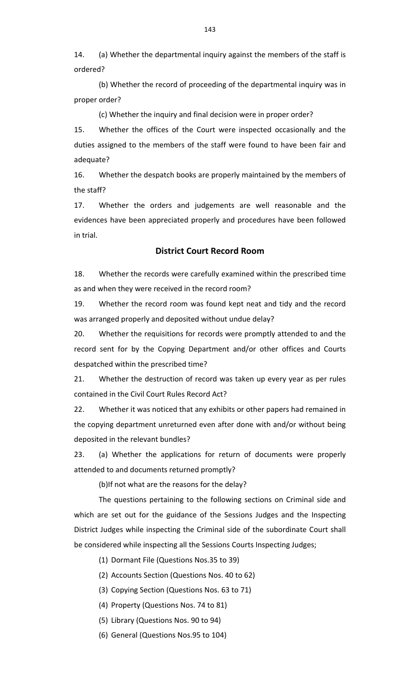14. (a) Whether the departmental inquiry against the members of the staff is ordered?

(b) Whether the record of proceeding of the departmental inquiry was in proper order?

(c) Whether the inquiry and final decision were in proper order?

15. Whether the offices of the Court were inspected occasionally and the duties assigned to the members of the staff were found to have been fair and adequate?

16. Whether the despatch books are properly maintained by the members of the staff?

17. Whether the orders and judgements are well reasonable and the evidences have been appreciated properly and procedures have been followed in trial.

## **District Court Record Room**

18. Whether the records were carefully examined within the prescribed time as and when they were received in the record room?

19. Whether the record room was found kept neat and tidy and the record was arranged properly and deposited without undue delay?

20. Whether the requisitions for records were promptly attended to and the record sent for by the Copying Department and/or other offices and Courts despatched within the prescribed time?

21. Whether the destruction of record was taken up every year as per rules contained in the Civil Court Rules Record Act?

22. Whether it was noticed that any exhibits or other papers had remained in the copying department unreturned even after done with and/or without being deposited in the relevant bundles?

23. (a) Whether the applications for return of documents were properly attended to and documents returned promptly?

(b)If not what are the reasons for the delay?

The questions pertaining to the following sections on Criminal side and which are set out for the guidance of the Sessions Judges and the Inspecting District Judges while inspecting the Criminal side of the subordinate Court shall be considered while inspecting all the Sessions Courts Inspecting Judges;

(1) Dormant File (Questions Nos.35 to 39)

(2) Accounts Section (Questions Nos. 40 to 62)

(3) Copying Section (Questions Nos. 63 to 71)

(4) Property (Questions Nos. 74 to 81)

(5) Library (Questions Nos. 90 to 94)

(6) General (Questions Nos.95 to 104)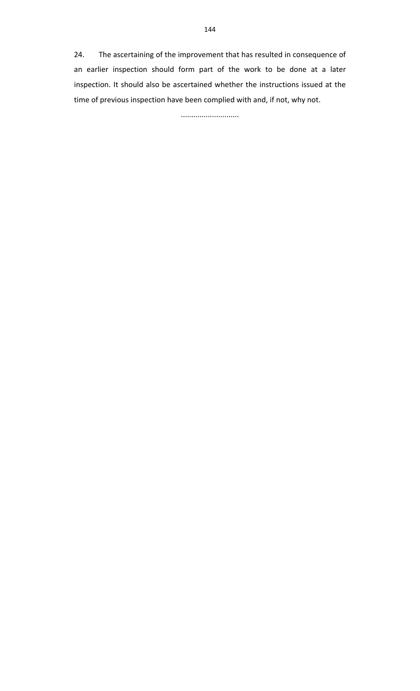24. The ascertaining of the improvement that has resulted in consequence of an earlier inspection should form part of the work to be done at a later inspection. It should also be ascertained whether the instructions issued at the time of previous inspection have been complied with and, if not, why not.

............................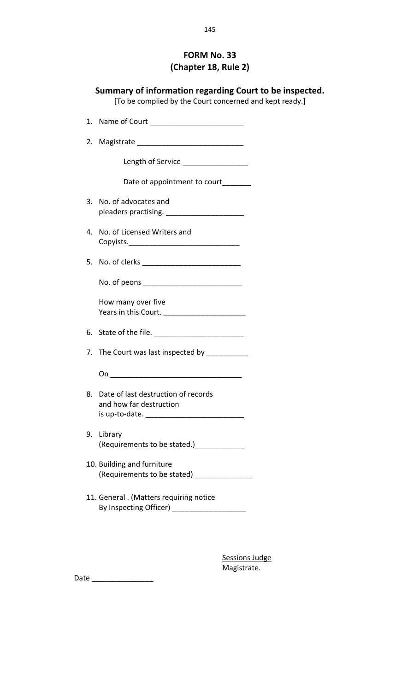# **FORM No. 33 (Chapter 18, Rule 2)**

| Summary of information regarding Court to be inspected.<br>[To be complied by the Court concerned and kept ready.] |                       |
|--------------------------------------------------------------------------------------------------------------------|-----------------------|
| 1. Name of Court ___________________________                                                                       |                       |
|                                                                                                                    |                       |
| Length of Service _________________                                                                                |                       |
| Date of appointment to court_______                                                                                |                       |
| 3. No. of advocates and                                                                                            |                       |
| 4. No. of Licensed Writers and                                                                                     |                       |
| 5. No. of clerks _____________________________                                                                     |                       |
|                                                                                                                    |                       |
| How many over five                                                                                                 |                       |
|                                                                                                                    |                       |
| 7. The Court was last inspected by __________                                                                      |                       |
|                                                                                                                    |                       |
| 8. Date of last destruction of records<br>and how far destruction                                                  |                       |
| 9. Library<br>(Requirements to be stated.) [1994]                                                                  |                       |
| 10. Building and furniture<br>(Requirements to be stated) ________________                                         |                       |
| 11. General . (Matters requiring notice<br>By Inspecting Officer) _____________________                            |                       |
|                                                                                                                    |                       |
|                                                                                                                    | <b>Sessions Judge</b> |

Magistrate.

Date \_\_\_\_\_\_\_\_\_\_\_\_\_\_\_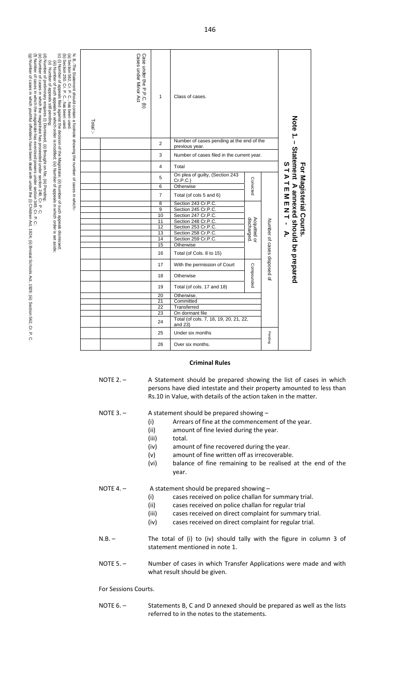| Note 1 - Statement                                                                                                                                                                                                                                                                                                                                                                                                                                                                                                                                                                                                                            |                                                             |                                            |                |                                             |           |                         | STATEMENT<br>For Magisterial Courts.<br>A annexed should be prepared |                                           | f,                         |                     | Þ.                  |                    |           |                          |                              |            |                            |            |           |             |                 |                                                   |                  |                  |
|-----------------------------------------------------------------------------------------------------------------------------------------------------------------------------------------------------------------------------------------------------------------------------------------------------------------------------------------------------------------------------------------------------------------------------------------------------------------------------------------------------------------------------------------------------------------------------------------------------------------------------------------------|-------------------------------------------------------------|--------------------------------------------|----------------|---------------------------------------------|-----------|-------------------------|----------------------------------------------------------------------|-------------------------------------------|----------------------------|---------------------|---------------------|--------------------|-----------|--------------------------|------------------------------|------------|----------------------------|------------|-----------|-------------|-----------------|---------------------------------------------------|------------------|------------------|
|                                                                                                                                                                                                                                                                                                                                                                                                                                                                                                                                                                                                                                               |                                                             |                                            |                |                                             |           |                         |                                                                      |                                           |                            |                     |                     |                    |           |                          | Number of cases disposed of  |            |                            |            |           |             |                 |                                                   | Pending          |                  |
|                                                                                                                                                                                                                                                                                                                                                                                                                                                                                                                                                                                                                                               |                                                             |                                            |                |                                             | Convicted |                         |                                                                      |                                           | discharged<br>Acquitted or |                     |                     |                    |           |                          |                              | Compounded |                            |            |           |             |                 |                                                   |                  |                  |
| Class of cases.                                                                                                                                                                                                                                                                                                                                                                                                                                                                                                                                                                                                                               | Number of cases pending at the end of the<br>previous year. | Number of cases filed in the current year. | Total          | On plea of guilty, (Section 243<br>Cr.P.C.) | Otherwise | Total (of cols 5 and 6) | Section 243 Cr.P.C.<br>Section 245 Cr.P.C.                           | Section 247 Cr.P.C.<br>Section 248 Cr.P.C |                            | Section 253 Cr.P.C. | Section 258 Cr.P.C. | Section 259 Cr.P.C | Otherwise | Total (of Cols. 8 to 15) | With the permission of Court | Otherwise  | Total (of cols. 17 and 18) | Otherwise. | Committed | Transferred | On dormant file | Total (of cols. 7, 16, 19, 20, 21, 22,<br>and 23) | Under six months | Over six months. |
| 1                                                                                                                                                                                                                                                                                                                                                                                                                                                                                                                                                                                                                                             | $\overline{2}$                                              | 3                                          | $\overline{4}$ | 5                                           | 6         | $\overline{7}$          | 8<br>9                                                               | 10<br>11                                  |                            | 12                  | 13                  | 14                 | 15        | 16                       | 17                           | 18         | 19                         | 20         | 21        | 22          | 23              | 24                                                | 25               | 26               |
| Cases under Minor Act<br>Case under the P.P.C.<br>$\widehat{\sigma}$                                                                                                                                                                                                                                                                                                                                                                                                                                                                                                                                                                          |                                                             |                                            |                |                                             |           |                         |                                                                      |                                           |                            |                     |                     |                    |           |                          |                              |            |                            |            |           |             |                 |                                                   |                  |                  |
| Total:-                                                                                                                                                                                                                                                                                                                                                                                                                                                                                                                                                                                                                                       |                                                             |                                            |                |                                             |           |                         |                                                                      |                                           |                            |                     |                     |                    |           |                          |                              |            |                            |            |           |             |                 |                                                   |                  |                  |
| N. B,-The Statement should contain a footnote showing the number of cases in which:<br>(d) Number of preliminary enquires (i) Dismissed, (ii) Brought on file, (iii) Pending;<br>(e) Number of cases in which the magistrate has proceeded under section 249, Cr. P. C.<br>(a) Section 562, Cr. P. C., has been used.<br>(b) Section 250. Cr. P. C., has been used.<br>(c) (i) Number of appeals filed against the decision of the Magistrate; (ii) Number of such appeals dismissed;<br>(iii) Number of such appeals in which order is modified; (iv) Number of appeals in which order is set aside;<br>(v) Number of appeals still pending; |                                                             |                                            |                |                                             |           |                         |                                                                      |                                           |                            |                     |                     |                    |           |                          |                              |            |                            |            |           |             |                 |                                                   |                  |                  |

#### **Criminal Rules**

NOTE 2. - A Statement should be prepared showing the list of cases in which persons have died intestate and their property amounted to less than Rs.10 in Value, with details of the action taken in the matter.

NOTE 3. – A statement should be prepared showing –

(g) Number of cases in which youthful offenders have been dealt with under the (i) Children Act, 1924; (ii) Brostal Schools Act

(f) Number of cases in which the magistrate has exercised powers under section 349, Cr. P. C;<br>(g) Number of cases in which youthful offenders have been dealt with under the (i) Children Act, 1924, (ii) Brostal Schools Act,

, 1929; (iii) Section 562, Cr. P. C.

(f) Number of cases in which the magistrate has exercised powers under section 349, Cr. P. C;

- (i) Arrears of fine at the commencement of the year.
- (ii) amount of fine levied during the year.
- (iii) total.
- (iv) amount of fine recovered during the year.
- (v) amount of fine written off as irrecoverable.
- (vi) balance of fine remaining to be realised at the end of the year.

NOTE 4. - A statement should be prepared showing -

- (i) cases received on police challan for summary trial.<br>(ii) cases received on police challan for regular trial
	- cases received on police challan for regular trial
- (iii) cases received on direct complaint for summary trial.
- (iv) cases received on direct complaint for regular trial.
- N.B. The total of (i) to (iv) should tally with the figure in column 3 of statement mentioned in note 1.
- NOTE 5. Sumber of cases in which Transfer Applications were made and with what result should be given.

#### For Sessions Courts.

NOTE 6. - Statements B, C and D annexed should be prepared as well as the lists referred to in the notes to the statements.

146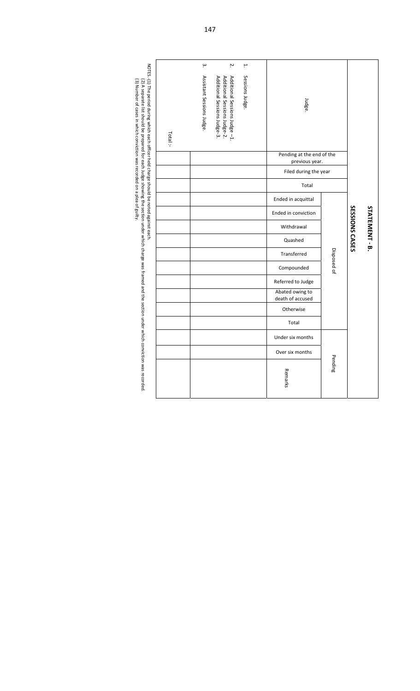| Total: | ڛ<br>Assistant Sessions Judge. | Ņ.<br>Additional Sessions Judge-2.<br>Additional Sessions Judge -1.<br>Additional Sessions Judge-3. | ۳<br>Sessions Judge. | Judge.<br>Pending at the end of the<br>previous year. |             |                |                |
|--------|--------------------------------|-----------------------------------------------------------------------------------------------------|----------------------|-------------------------------------------------------|-------------|----------------|----------------|
|        |                                |                                                                                                     |                      | Filed during the year<br>Total                        |             |                |                |
|        |                                |                                                                                                     |                      | Ended in acquittal                                    |             |                |                |
|        |                                |                                                                                                     |                      | Ended in conviction                                   |             |                |                |
|        |                                |                                                                                                     |                      | Withdrawal                                            |             | SESSIONS CASES | STATEMENT - B. |
|        |                                |                                                                                                     |                      | Quashed                                               |             |                |                |
|        |                                |                                                                                                     |                      | Transferred                                           |             |                |                |
|        |                                |                                                                                                     |                      | Compounded                                            | Disposed of |                |                |
|        |                                |                                                                                                     |                      | Referred to Judge                                     |             |                |                |
|        |                                |                                                                                                     |                      | Abated owing to<br>death of accused                   |             |                |                |
|        |                                |                                                                                                     |                      | Otherwise                                             |             |                |                |
|        |                                |                                                                                                     |                      | Total                                                 |             |                |                |
|        |                                |                                                                                                     |                      | Under six months                                      |             |                |                |
|        |                                |                                                                                                     |                      | Over six months                                       |             |                |                |
|        |                                |                                                                                                     |                      | Remarks                                               | Pending     |                |                |

Number of cases in which conviction was recorded on a plea of guilty.

(3)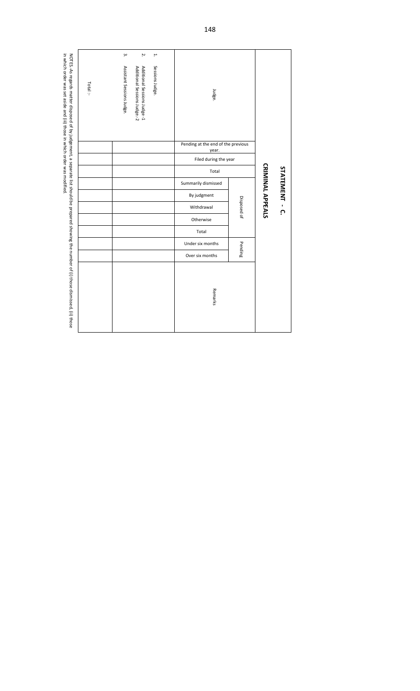|                                                                                                                                                                                                                          |                                             |                       |       |                     | STATEMENT - C.          |             |           |       |                  |                 |         |
|--------------------------------------------------------------------------------------------------------------------------------------------------------------------------------------------------------------------------|---------------------------------------------|-----------------------|-------|---------------------|-------------------------|-------------|-----------|-------|------------------|-----------------|---------|
|                                                                                                                                                                                                                          |                                             |                       |       |                     | <b>CRIMINAL APPEALS</b> |             |           |       |                  |                 |         |
|                                                                                                                                                                                                                          |                                             |                       |       |                     |                         | Disposed of |           |       | Pending          |                 |         |
| Judge.                                                                                                                                                                                                                   | Pending at the end of the previous<br>year. | Filed during the year | Total | Summarily dismissed | By judgment             | Withdrawal  | Otherwise | Total | Under six months | Over six months | Remarks |
| H.<br>Sessions Judge.                                                                                                                                                                                                    |                                             |                       |       |                     |                         |             |           |       |                  |                 |         |
| Ņ.<br>Additional Sessions Judge-1<br>Additional Sessions Judge.-2                                                                                                                                                        |                                             |                       |       |                     |                         |             |           |       |                  |                 |         |
| $\ddot{\bm{\omega}}$<br>Assistant Sessions Judge.                                                                                                                                                                        |                                             |                       |       |                     |                         |             |           |       |                  |                 |         |
| Total:                                                                                                                                                                                                                   |                                             |                       |       |                     |                         |             |           |       |                  |                 |         |
| in which order was set aside and (iii) those in which order was modified.<br>NOTES.-As regards matter disposed of by judgement, a separate list should be prepared showing the number of (i) those dismissed, (ii) those |                                             |                       |       |                     |                         |             |           |       |                  |                 |         |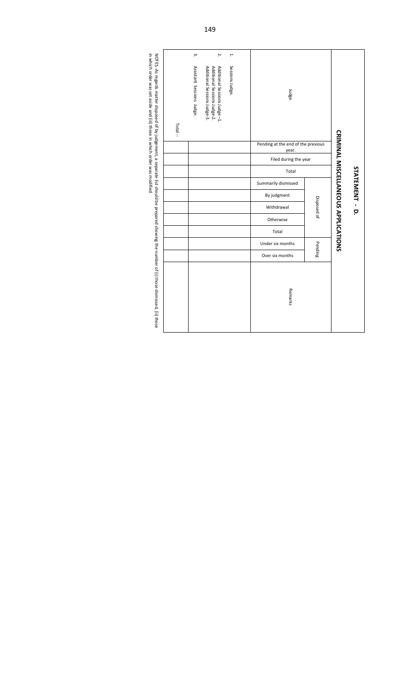|         | ڛ                         | Ņ.                                                                                           | ۳               |                                             |             |                                            |                |
|---------|---------------------------|----------------------------------------------------------------------------------------------|-----------------|---------------------------------------------|-------------|--------------------------------------------|----------------|
| Total:- | Assistant Sessions Judge. | Additional Sessions Judge-2.<br>Additional Sessions Judge-1.<br>Additional Sessions Judge-3. | Sessions Judge. | Judge.                                      |             |                                            |                |
|         |                           |                                                                                              |                 | Pending at the end of the previous<br>year. |             | <b>CRIMINAL MISCELLANEOUS APPLICATIONS</b> |                |
|         |                           |                                                                                              |                 | Filed during the year                       |             |                                            |                |
|         |                           |                                                                                              |                 | Total                                       |             |                                            |                |
|         |                           |                                                                                              |                 | Summarily dismissed                         |             |                                            | STATEMENT - D. |
|         |                           |                                                                                              |                 | By judgment                                 |             |                                            |                |
|         |                           |                                                                                              |                 | Withdrawal                                  | Disposed of |                                            |                |
|         |                           |                                                                                              |                 | Otherwise                                   |             |                                            |                |
|         |                           |                                                                                              |                 | Total                                       |             |                                            |                |
|         |                           |                                                                                              |                 | Under six months                            | Pending     |                                            |                |
|         |                           |                                                                                              |                 | Over six months                             |             |                                            |                |
|         |                           |                                                                                              |                 | Remarks                                     |             |                                            |                |

regards matter disposed of by judgement, a separate list should  $\overline{\mathrm{g}}$ prepared showing the number of (i) those dismissed,  $\widehat{\Xi}$ those in which order was set aside and (iii) those in which order was modified.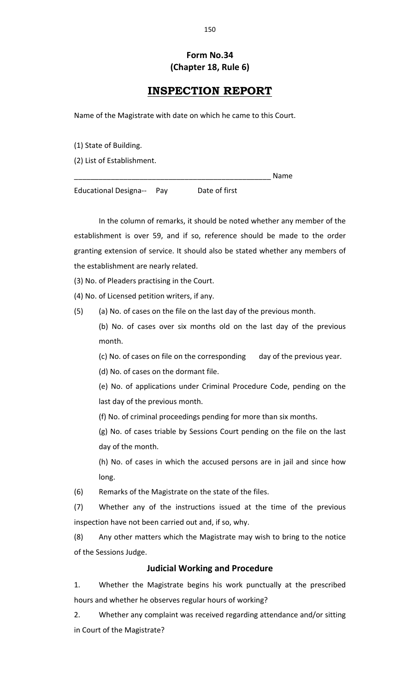# **Form No.34 (Chapter 18, Rule 6)**

# **INSPECTION REPORT**

Name of the Magistrate with date on which he came to this Court.

(1) State of Building.

(2) List of Establishment.

\_\_\_\_\_\_\_\_\_\_\_\_\_\_\_\_\_\_\_\_\_\_\_\_\_\_\_\_\_\_\_\_\_\_\_\_\_\_\_\_\_\_\_\_\_\_\_\_ Name

Educational Designa-- Pay Date of first

In the column of remarks, it should be noted whether any member of the establishment is over 59, and if so, reference should be made to the order granting extension of service. It should also be stated whether any members of the establishment are nearly related.

(3) No. of Pleaders practising in the Court.

(4) No. of Licensed petition writers, if any.

(5) (a) No. of cases on the file on the last day of the previous month.

(b) No. of cases over six months old on the last day of the previous month.

(c) No. of cases on file on the corresponding day of the previous year.

(d) No. of cases on the dormant file.

(e) No. of applications under Criminal Procedure Code, pending on the last day of the previous month.

(f) No. of criminal proceedings pending for more than six months.

(g) No. of cases triable by Sessions Court pending on the file on the last day of the month.

(h) No. of cases in which the accused persons are in jail and since how long.

(6) Remarks of the Magistrate on the state of the files.

(7) Whether any of the instructions issued at the time of the previous inspection have not been carried out and, if so, why.

(8) Any other matters which the Magistrate may wish to bring to the notice of the Sessions Judge.

## **Judicial Working and Procedure**

1. Whether the Magistrate begins his work punctually at the prescribed hours and whether he observes regular hours of working?

2. Whether any complaint was received regarding attendance and/or sitting in Court of the Magistrate?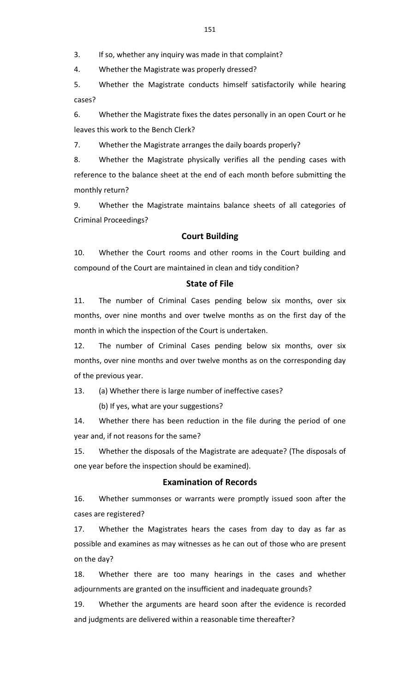3. If so, whether any inquiry was made in that complaint?

4. Whether the Magistrate was properly dressed?

5. Whether the Magistrate conducts himself satisfactorily while hearing cases?

6. Whether the Magistrate fixes the dates personally in an open Court or he leaves this work to the Bench Clerk?

7. Whether the Magistrate arranges the daily boards properly?

8. Whether the Magistrate physically verifies all the pending cases with reference to the balance sheet at the end of each month before submitting the monthly return?

9. Whether the Magistrate maintains balance sheets of all categories of Criminal Proceedings?

### **Court Building**

10. Whether the Court rooms and other rooms in the Court building and compound of the Court are maintained in clean and tidy condition?

### **State of File**

11. The number of Criminal Cases pending below six months, over six months, over nine months and over twelve months as on the first day of the month in which the inspection of the Court is undertaken.

12. The number of Criminal Cases pending below six months, over six months, over nine months and over twelve months as on the corresponding day of the previous year.

13. (a) Whether there is large number of ineffective cases?

(b) If yes, what are your suggestions?

14. Whether there has been reduction in the file during the period of one year and, if not reasons for the same?

15. Whether the disposals of the Magistrate are adequate? (The disposals of one year before the inspection should be examined).

## **Examination of Records**

16. Whether summonses or warrants were promptly issued soon after the cases are registered?

17. Whether the Magistrates hears the cases from day to day as far as possible and examines as may witnesses as he can out of those who are present on the day?

18. Whether there are too many hearings in the cases and whether adjournments are granted on the insufficient and inadequate grounds?

19. Whether the arguments are heard soon after the evidence is recorded and judgments are delivered within a reasonable time thereafter?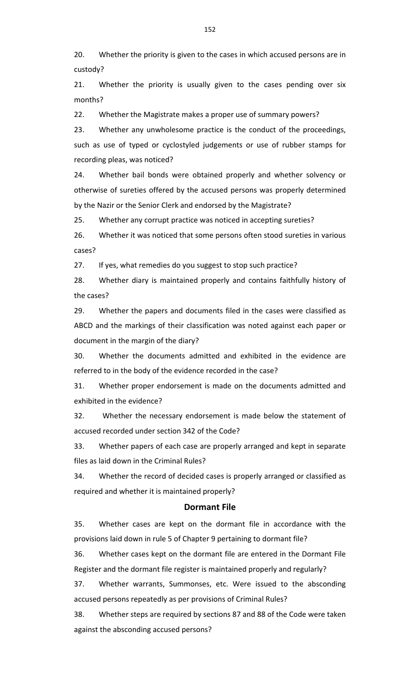20. Whether the priority is given to the cases in which accused persons are in custody?

21. Whether the priority is usually given to the cases pending over six months?

22. Whether the Magistrate makes a proper use of summary powers?

23. Whether any unwholesome practice is the conduct of the proceedings, such as use of typed or cyclostyled judgements or use of rubber stamps for recording pleas, was noticed?

24. Whether bail bonds were obtained properly and whether solvency or otherwise of sureties offered by the accused persons was properly determined by the Nazir or the Senior Clerk and endorsed by the Magistrate?

25. Whether any corrupt practice was noticed in accepting sureties?

26. Whether it was noticed that some persons often stood sureties in various cases?

27. If yes, what remedies do you suggest to stop such practice?

28. Whether diary is maintained properly and contains faithfully history of the cases?

29. Whether the papers and documents filed in the cases were classified as ABCD and the markings of their classification was noted against each paper or document in the margin of the diary?

30. Whether the documents admitted and exhibited in the evidence are referred to in the body of the evidence recorded in the case?

31. Whether proper endorsement is made on the documents admitted and exhibited in the evidence?

32. Whether the necessary endorsement is made below the statement of accused recorded under section 342 of the Code?

33. Whether papers of each case are properly arranged and kept in separate files as laid down in the Criminal Rules?

34. Whether the record of decided cases is properly arranged or classified as required and whether it is maintained properly?

#### **Dormant File**

35. Whether cases are kept on the dormant file in accordance with the provisions laid down in rule 5 of Chapter 9 pertaining to dormant file?

36. Whether cases kept on the dormant file are entered in the Dormant File Register and the dormant file register is maintained properly and regularly?

37. Whether warrants, Summonses, etc. Were issued to the absconding accused persons repeatedly as per provisions of Criminal Rules?

38. Whether steps are required by sections 87 and 88 of the Code were taken against the absconding accused persons?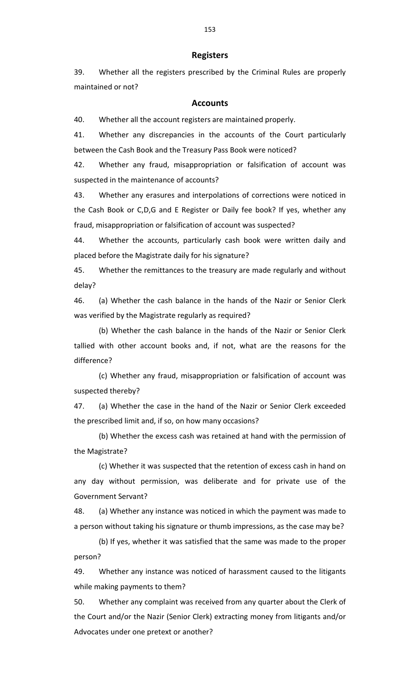#### **Registers**

39. Whether all the registers prescribed by the Criminal Rules are properly maintained or not?

#### **Accounts**

40. Whether all the account registers are maintained properly.

41. Whether any discrepancies in the accounts of the Court particularly between the Cash Book and the Treasury Pass Book were noticed?

42. Whether any fraud, misappropriation or falsification of account was suspected in the maintenance of accounts?

43. Whether any erasures and interpolations of corrections were noticed in the Cash Book or C,D,G and E Register or Daily fee book? If yes, whether any fraud, misappropriation or falsification of account was suspected?

44. Whether the accounts, particularly cash book were written daily and placed before the Magistrate daily for his signature?

45. Whether the remittances to the treasury are made regularly and without delay?

46. (a) Whether the cash balance in the hands of the Nazir or Senior Clerk was verified by the Magistrate regularly as required?

(b) Whether the cash balance in the hands of the Nazir or Senior Clerk tallied with other account books and, if not, what are the reasons for the difference?

(c) Whether any fraud, misappropriation or falsification of account was suspected thereby?

47. (a) Whether the case in the hand of the Nazir or Senior Clerk exceeded the prescribed limit and, if so, on how many occasions?

(b) Whether the excess cash was retained at hand with the permission of the Magistrate?

(c) Whether it was suspected that the retention of excess cash in hand on any day without permission, was deliberate and for private use of the Government Servant?

48. (a) Whether any instance was noticed in which the payment was made to a person without taking his signature or thumb impressions, as the case may be?

(b) If yes, whether it was satisfied that the same was made to the proper person?

49. Whether any instance was noticed of harassment caused to the litigants while making payments to them?

50. Whether any complaint was received from any quarter about the Clerk of the Court and/or the Nazir (Senior Clerk) extracting money from litigants and/or Advocates under one pretext or another?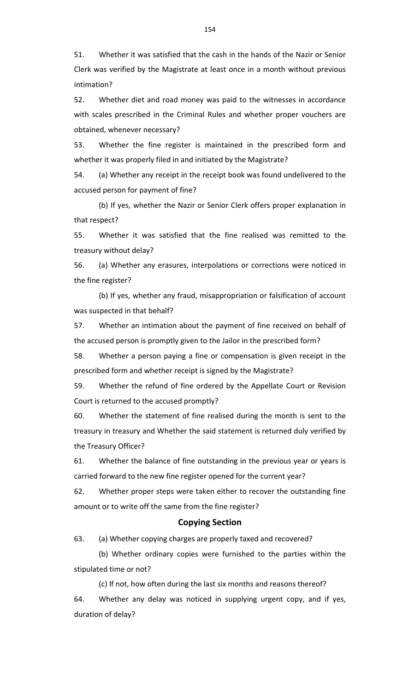51. Whether it was satisfied that the cash in the hands of the Nazir or Senior Clerk was verified by the Magistrate at least once in a month without previous intimation?

52. Whether diet and road money was paid to the witnesses in accordance with scales prescribed in the Criminal Rules and whether proper vouchers are obtained, whenever necessary?

53. Whether the fine register is maintained in the prescribed form and whether it was properly filed in and initiated by the Magistrate?

54. (a) Whether any receipt in the receipt book was found undelivered to the accused person for payment of fine?

(b) If yes, whether the Nazir or Senior Clerk offers proper explanation in that respect?

55. Whether it was satisfied that the fine realised was remitted to the treasury without delay?

56. (a) Whether any erasures, interpolations or corrections were noticed in the fine register?

(b) If yes, whether any fraud, misappropriation or falsification of account was suspected in that behalf?

57. Whether an intimation about the payment of fine received on behalf of the accused person is promptly given to the Jailor in the prescribed form?

58. Whether a person paying a fine or compensation is given receipt in the prescribed form and whether receipt is signed by the Magistrate?

59. Whether the refund of fine ordered by the Appellate Court or Revision Court is returned to the accused promptly?

60. Whether the statement of fine realised during the month is sent to the treasury in treasury and Whether the said statement is returned duly verified by the Treasury Officer?

61. Whether the balance of fine outstanding in the previous year or years is carried forward to the new fine register opened for the current year?

62. Whether proper steps were taken either to recover the outstanding fine amount or to write off the same from the fine register?

#### **Copying Section**

63. (a) Whether copying charges are properly taxed and recovered?

(b) Whether ordinary copies were furnished to the parties within the stipulated time or not?

(c) If not, how often during the last six months and reasons thereof? 64. Whether any delay was noticed in supplying urgent copy, and if yes, duration of delay?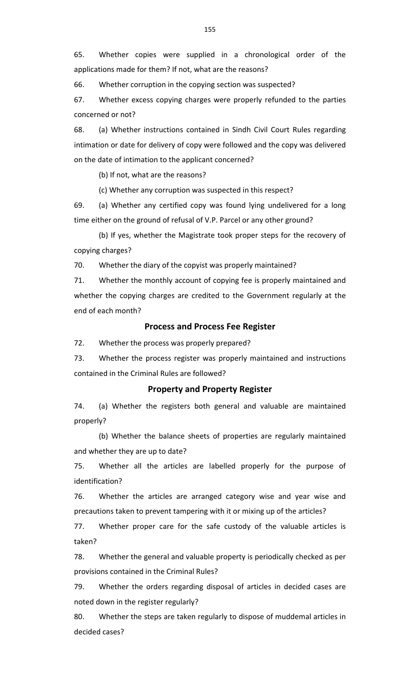65. Whether copies were supplied in a chronological order of the applications made for them? If not, what are the reasons?

66. Whether corruption in the copying section was suspected?

67. Whether excess copying charges were properly refunded to the parties concerned or not?

68. (a) Whether instructions contained in Sindh Civil Court Rules regarding intimation or date for delivery of copy were followed and the copy was delivered on the date of intimation to the applicant concerned?

(b) If not, what are the reasons?

(c) Whether any corruption was suspected in this respect?

69. (a) Whether any certified copy was found lying undelivered for a long time either on the ground of refusal of V.P. Parcel or any other ground?

(b) If yes, whether the Magistrate took proper steps for the recovery of copying charges?

70. Whether the diary of the copyist was properly maintained?

71. Whether the monthly account of copying fee is properly maintained and whether the copying charges are credited to the Government regularly at the end of each month?

#### **Process and Process Fee Register**

72. Whether the process was properly prepared?

73. Whether the process register was properly maintained and instructions contained in the Criminal Rules are followed?

### **Property and Property Register**

74. (a) Whether the registers both general and valuable are maintained properly?

(b) Whether the balance sheets of properties are regularly maintained and whether they are up to date?

75. Whether all the articles are labelled properly for the purpose of identification?

76. Whether the articles are arranged category wise and year wise and precautions taken to prevent tampering with it or mixing up of the articles?

77. Whether proper care for the safe custody of the valuable articles is taken?

78. Whether the general and valuable property is periodically checked as per provisions contained in the Criminal Rules?

79. Whether the orders regarding disposal of articles in decided cases are noted down in the register regularly?

80. Whether the steps are taken regularly to dispose of muddemal articles in decided cases?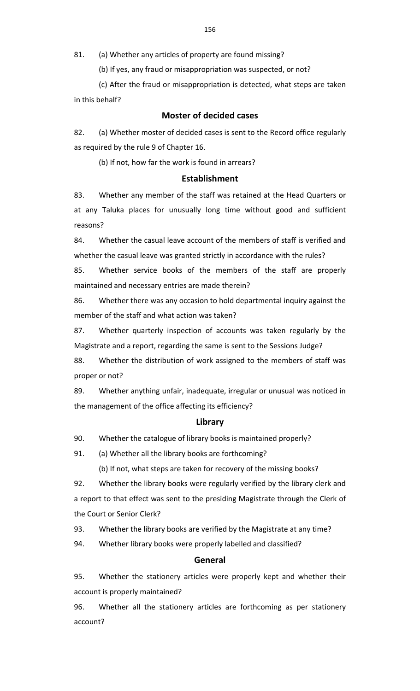81. (a) Whether any articles of property are found missing?

(b) If yes, any fraud or misappropriation was suspected, or not?

(c) After the fraud or misappropriation is detected, what steps are taken in this behalf?

## **Moster of decided cases**

82. (a) Whether moster of decided cases is sent to the Record office regularly as required by the rule 9 of Chapter 16.

(b) If not, how far the work is found in arrears?

### **Establishment**

83. Whether any member of the staff was retained at the Head Quarters or at any Taluka places for unusually long time without good and sufficient reasons?

84. Whether the casual leave account of the members of staff is verified and whether the casual leave was granted strictly in accordance with the rules?

85. Whether service books of the members of the staff are properly maintained and necessary entries are made therein?

86. Whether there was any occasion to hold departmental inquiry against the member of the staff and what action was taken?

87. Whether quarterly inspection of accounts was taken regularly by the Magistrate and a report, regarding the same is sent to the Sessions Judge?

88. Whether the distribution of work assigned to the members of staff was proper or not?

89. Whether anything unfair, inadequate, irregular or unusual was noticed in the management of the office affecting its efficiency?

#### **Library**

90. Whether the catalogue of library books is maintained properly?

91. (a) Whether all the library books are forthcoming?

(b) If not, what steps are taken for recovery of the missing books?

92. Whether the library books were regularly verified by the library clerk and a report to that effect was sent to the presiding Magistrate through the Clerk of the Court or Senior Clerk?

93. Whether the library books are verified by the Magistrate at any time?

94. Whether library books were properly labelled and classified?

### **General**

95. Whether the stationery articles were properly kept and whether their account is properly maintained?

96. Whether all the stationery articles are forthcoming as per stationery account?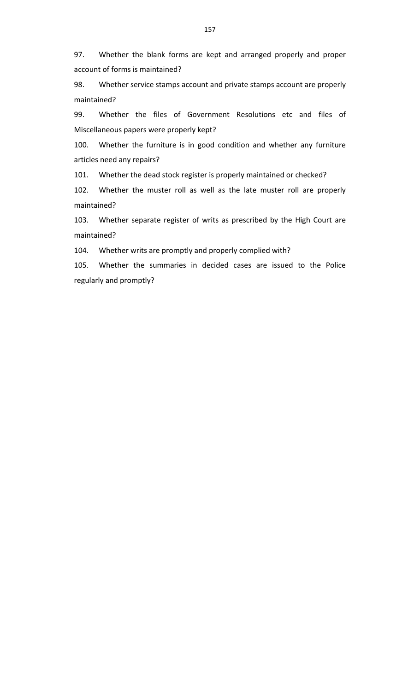97. Whether the blank forms are kept and arranged properly and proper account of forms is maintained?

98. Whether service stamps account and private stamps account are properly maintained?

99. Whether the files of Government Resolutions etc and files of Miscellaneous papers were properly kept?

100. Whether the furniture is in good condition and whether any furniture articles need any repairs?

101. Whether the dead stock register is properly maintained or checked?

102. Whether the muster roll as well as the late muster roll are properly maintained?

103. Whether separate register of writs as prescribed by the High Court are maintained?

104. Whether writs are promptly and properly complied with?

105. Whether the summaries in decided cases are issued to the Police regularly and promptly?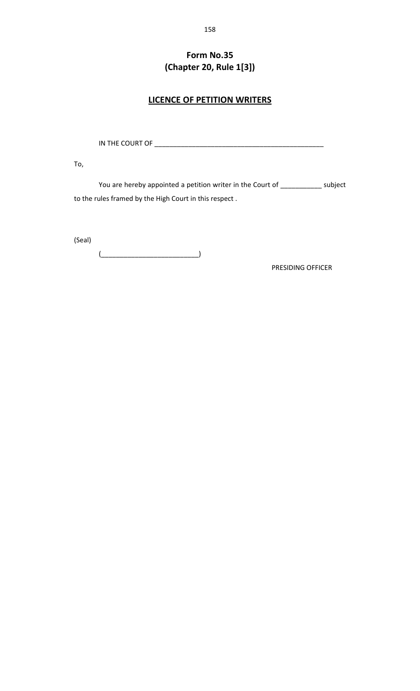# **Form No.35 (Chapter 20, Rule 1[3])**

## **LICENCE OF PETITION WRITERS**

IN THE COURT OF \_\_\_\_\_\_\_\_\_\_\_\_\_\_\_\_\_\_\_\_\_\_\_\_\_\_\_\_\_\_\_\_\_\_\_\_\_\_\_\_\_\_\_\_\_

To,

You are hereby appointed a petition writer in the Court of \_\_\_\_\_\_\_\_\_\_\_\_ subject to the rules framed by the High Court in this respect .

(Seal)

 $\left(\begin{array}{ccc} \begin{array}{ccc} \begin{array}{ccc} \end{array} & \end{array}\right) \end{array}$ 

PRESIDING OFFICER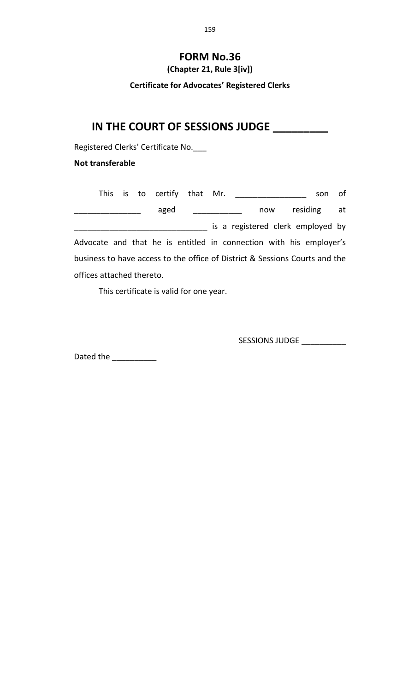# **FORM No.36**

**(Chapter 21, Rule 3[iv])**

**Certificate for Advocates' Registered Clerks**

# **IN THE COURT OF SESSIONS JUDGE \_\_\_\_\_\_\_\_\_**

Registered Clerks' Certificate No.\_\_\_

## **Not transferable**

This is to certify that Mr. \_\_\_\_\_\_\_\_\_\_\_\_\_\_\_\_\_ son of \_\_\_\_\_\_\_\_\_\_\_\_\_\_\_ aged \_\_\_\_\_\_\_\_\_\_\_ now residing at \_\_\_\_\_\_\_\_\_\_\_\_\_\_\_\_\_\_\_\_\_\_\_\_\_\_\_\_\_\_ is a registered clerk employed by Advocate and that he is entitled in connection with his employer's business to have access to the office of District & Sessions Courts and the offices attached thereto.

This certificate is valid for one year.

SESSIONS JUDGE \_\_\_\_\_\_\_\_\_\_\_\_

Dated the \_\_\_\_\_\_\_\_\_\_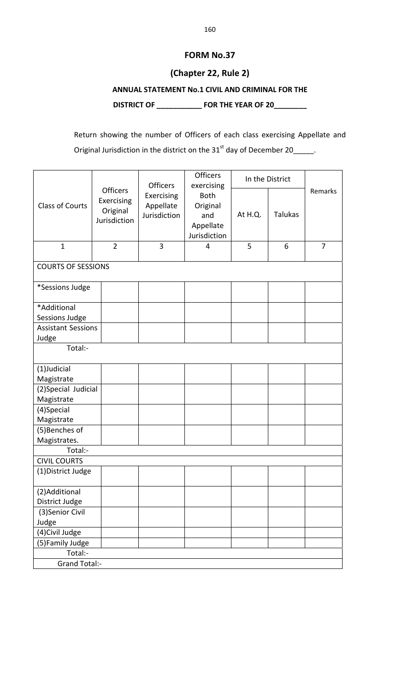# **FORM No.37**

## **(Chapter 22, Rule 2)**

## **ANNUAL STATEMENT No.1 CIVIL AND CRIMINAL FOR THE**

**DISTRICT OF \_\_\_\_\_\_\_\_\_\_\_ FOR THE YEAR OF 20\_\_\_\_\_\_\_\_**

Return showing the number of Officers of each class exercising Appellate and Original Jurisdiction in the district on the  $31<sup>st</sup>$  day of December 20\_\_\_\_\_.

|                                |                               | <b>Officers</b> | <b>Officers</b><br>exercising |         | In the District |         |
|--------------------------------|-------------------------------|-----------------|-------------------------------|---------|-----------------|---------|
|                                | <b>Officers</b><br>Exercising | Exercising      | <b>Both</b>                   |         |                 | Remarks |
| <b>Class of Courts</b>         | Original                      | Appellate       | Original                      |         |                 |         |
|                                | Jurisdiction                  | Jurisdiction    | and                           | At H.Q. | <b>Talukas</b>  |         |
|                                |                               |                 | Appellate                     |         |                 |         |
|                                |                               |                 | Jurisdiction                  |         |                 |         |
| $\mathbf{1}$                   | $\overline{2}$                | 3               | 4                             | 5       | 6               | 7       |
| <b>COURTS OF SESSIONS</b>      |                               |                 |                               |         |                 |         |
| *Sessions Judge                |                               |                 |                               |         |                 |         |
| *Additional                    |                               |                 |                               |         |                 |         |
| <b>Sessions Judge</b>          |                               |                 |                               |         |                 |         |
| <b>Assistant Sessions</b>      |                               |                 |                               |         |                 |         |
| Judge                          |                               |                 |                               |         |                 |         |
| Total:-                        |                               |                 |                               |         |                 |         |
| (1)Judicial                    |                               |                 |                               |         |                 |         |
| Magistrate                     |                               |                 |                               |         |                 |         |
| (2) Special Judicial           |                               |                 |                               |         |                 |         |
| Magistrate                     |                               |                 |                               |         |                 |         |
| (4)Special                     |                               |                 |                               |         |                 |         |
| Magistrate                     |                               |                 |                               |         |                 |         |
| (5) Benches of                 |                               |                 |                               |         |                 |         |
| Magistrates.                   |                               |                 |                               |         |                 |         |
| Total:-<br><b>CIVIL COURTS</b> |                               |                 |                               |         |                 |         |
|                                |                               |                 |                               |         |                 |         |
| (1) District Judge             |                               |                 |                               |         |                 |         |
| (2) Additional                 |                               |                 |                               |         |                 |         |
| District Judge                 |                               |                 |                               |         |                 |         |
| (3) Senior Civil               |                               |                 |                               |         |                 |         |
| Judge                          |                               |                 |                               |         |                 |         |
| (4) Civil Judge                |                               |                 |                               |         |                 |         |
| (5) Family Judge               |                               |                 |                               |         |                 |         |
| Total:-                        |                               |                 |                               |         |                 |         |
| <b>Grand Total:-</b>           |                               |                 |                               |         |                 |         |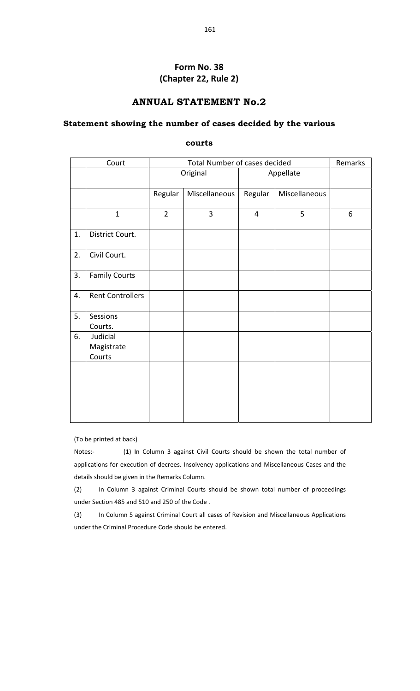## **Form No. 38 (Chapter 22, Rule 2)**

## **ANNUAL STATEMENT No.2**

### **Statement showing the number of cases decided by the various**

**courts** 

|    | Court                            |                | Total Number of cases decided |                |               | Remarks |
|----|----------------------------------|----------------|-------------------------------|----------------|---------------|---------|
|    |                                  |                | Original                      |                | Appellate     |         |
|    |                                  | Regular        | Miscellaneous                 | Regular        | Miscellaneous |         |
|    | $\mathbf{1}$                     | $\overline{2}$ | 3                             | $\overline{4}$ | 5             | 6       |
| 1. | District Court.                  |                |                               |                |               |         |
| 2. | Civil Court.                     |                |                               |                |               |         |
| 3. | <b>Family Courts</b>             |                |                               |                |               |         |
| 4. | <b>Rent Controllers</b>          |                |                               |                |               |         |
| 5. | Sessions<br>Courts.              |                |                               |                |               |         |
| 6. | Judicial<br>Magistrate<br>Courts |                |                               |                |               |         |
|    |                                  |                |                               |                |               |         |

(To be printed at back)

Notes:- (1) In Column 3 against Civil Courts should be shown the total number of applications for execution of decrees. Insolvency applications and Miscellaneous Cases and the details should be given in the Remarks Column.

(2) In Column 3 against Criminal Courts should be shown total number of proceedings under Section 485 and 510 and 250 of the Code .

(3) In Column 5 against Criminal Court all cases of Revision and Miscellaneous Applications under the Criminal Procedure Code should be entered.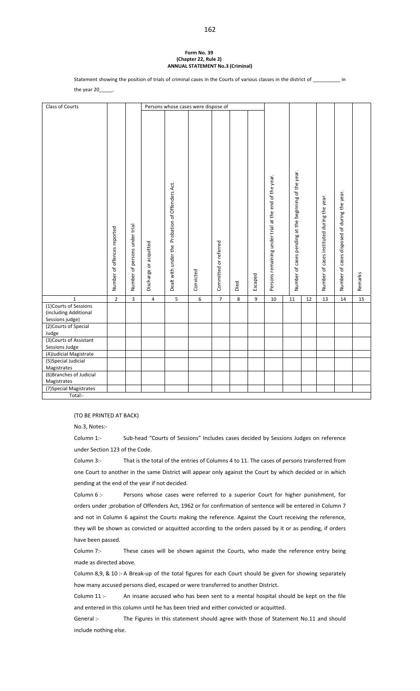#### **Form No. 39 (Chapter 22, Rule 2) ANNUAL STATEMENT No.3 (Criminal)**

Statement showing the position of trials of criminal cases in the Courts of various classes in the district of \_\_\_\_\_\_\_\_\_\_ in

the year 20\_

| Number of cases pending at the beginning of the year.<br>Persons remaining under trial at the end of the year.<br>Dealt with under the Probation of Offenders Act.<br>Number of cases disposed of during the year.<br>Number of cases instituted during the year.<br>persons under trial<br>Number of offences reported<br>Committed or referred<br>Discharge or acquitted<br>Number of<br>Convicted<br>Remarks<br>Escaped<br>Died<br>$\overline{2}$<br>3<br>$6\,$<br>$\mathbf 1$<br>5<br>$\overline{7}$<br>$\bf 8$<br>9<br>13<br>14<br>15<br>$\overline{4}$<br>10<br>11<br>12<br>(1) Courts of Sessions<br>(including Additional<br>Sessions judge)<br>(2) Courts of Special<br>Judge<br>(3) Courts of Assistant<br>Sessions Judge<br>(4) Judicial Magistrate<br>(5) Special Judicial | Class of Courts |  | Persons whose cases were dispose of |  |  |  |  |  |
|----------------------------------------------------------------------------------------------------------------------------------------------------------------------------------------------------------------------------------------------------------------------------------------------------------------------------------------------------------------------------------------------------------------------------------------------------------------------------------------------------------------------------------------------------------------------------------------------------------------------------------------------------------------------------------------------------------------------------------------------------------------------------------------|-----------------|--|-------------------------------------|--|--|--|--|--|
|                                                                                                                                                                                                                                                                                                                                                                                                                                                                                                                                                                                                                                                                                                                                                                                        |                 |  |                                     |  |  |  |  |  |
|                                                                                                                                                                                                                                                                                                                                                                                                                                                                                                                                                                                                                                                                                                                                                                                        |                 |  |                                     |  |  |  |  |  |
|                                                                                                                                                                                                                                                                                                                                                                                                                                                                                                                                                                                                                                                                                                                                                                                        |                 |  |                                     |  |  |  |  |  |
|                                                                                                                                                                                                                                                                                                                                                                                                                                                                                                                                                                                                                                                                                                                                                                                        |                 |  |                                     |  |  |  |  |  |
|                                                                                                                                                                                                                                                                                                                                                                                                                                                                                                                                                                                                                                                                                                                                                                                        |                 |  |                                     |  |  |  |  |  |
|                                                                                                                                                                                                                                                                                                                                                                                                                                                                                                                                                                                                                                                                                                                                                                                        |                 |  |                                     |  |  |  |  |  |
|                                                                                                                                                                                                                                                                                                                                                                                                                                                                                                                                                                                                                                                                                                                                                                                        |                 |  |                                     |  |  |  |  |  |
|                                                                                                                                                                                                                                                                                                                                                                                                                                                                                                                                                                                                                                                                                                                                                                                        |                 |  |                                     |  |  |  |  |  |
|                                                                                                                                                                                                                                                                                                                                                                                                                                                                                                                                                                                                                                                                                                                                                                                        | Magistrates     |  |                                     |  |  |  |  |  |
| (6) Branches of Judicial                                                                                                                                                                                                                                                                                                                                                                                                                                                                                                                                                                                                                                                                                                                                                               |                 |  |                                     |  |  |  |  |  |
| Magistrates                                                                                                                                                                                                                                                                                                                                                                                                                                                                                                                                                                                                                                                                                                                                                                            |                 |  |                                     |  |  |  |  |  |
| (7) Special Magistrates<br>Total:-                                                                                                                                                                                                                                                                                                                                                                                                                                                                                                                                                                                                                                                                                                                                                     |                 |  |                                     |  |  |  |  |  |

(TO BE PRINTED AT BACK)

No.3, Notes:‐

Column 1:‐ Sub‐head "Courts of Sessions" Includes cases decided by Sessions Judges on reference under Section 123 of the Code.

Column 3:‐ That is the total of the entries of Columns 4 to 11. The cases of persons transferred from one Court to another in the same District will appear only against the Court by which decided or in which pending at the end of the year if not decided.

Column 6 :- Persons whose cases were referred to a superior Court for higher punishment, for orders under ;probation of Offenders Act, 1962 or for confirmation of sentence will be entered in Column 7 and not in Column 6 against the Courts making the reference. Against the Court receiving the reference, they will be shown as convicted or acquitted according to the orders passed by it or as pending, if orders have been passed.

Column 7:- These cases will be shown against the Courts, who made the reference entry being made as directed above.

Column 8,9, & 10 :‐ A Break‐up of the total figures for each Court should be given for showing separately how many accused persons died, escaped or were transferred to another District.

Column 11 :- An insane accused who has been sent to a mental hospital should be kept on the file and entered in this column until he has been tried and either convicted or acquitted.

General :- The Figures in this statement should agree with those of Statement No.11 and should include nothing else.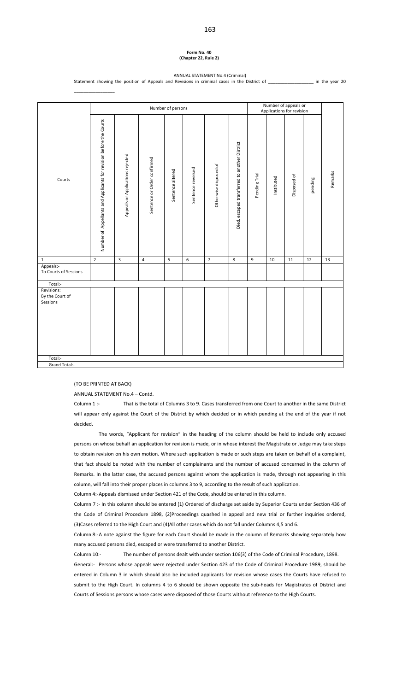#### **Form No. 40 (Chapter 22, Rule 2)**

#### ANNUAL STATEMENT No.4 (Criminal) Statement showing the position of Appeals and Revisions in criminal cases in the District of \_\_\_\_\_\_\_\_\_\_\_\_\_\_\_\_\_\_ in the year 20

| Number of Appellants and Applicants for revision before the Courts<br>Died, escaped transferred to another District<br>Appeals or Applications rejected<br>Sentence or Order confirmed<br>Otherwise disposed of<br>Sentence reversed<br>Sentence altered<br>Remarks<br>Pending Trial<br>Disposed of<br>Instituted<br>pending<br>Courts<br>$\overline{\mathbf{3}}$<br>$\overline{2}$<br>$\overline{4}$<br>$\overline{\mathbf{5}}$<br>$6\overline{6}$<br>$\overline{7}$<br>$\overline{\mathbf{8}}$<br>$\overline{9}$<br>11<br>12<br>13<br>10<br>$\mathbf 1$<br>Appeals:-<br>To Courts of Sessions<br>Total:-<br>Revisions:<br>By the Court of<br>Sessions |  |  | Number of persons |  |  | Number of appeals or<br>Applications for revision |  |
|---------------------------------------------------------------------------------------------------------------------------------------------------------------------------------------------------------------------------------------------------------------------------------------------------------------------------------------------------------------------------------------------------------------------------------------------------------------------------------------------------------------------------------------------------------------------------------------------------------------------------------------------------------|--|--|-------------------|--|--|---------------------------------------------------|--|
|                                                                                                                                                                                                                                                                                                                                                                                                                                                                                                                                                                                                                                                         |  |  |                   |  |  |                                                   |  |
|                                                                                                                                                                                                                                                                                                                                                                                                                                                                                                                                                                                                                                                         |  |  |                   |  |  |                                                   |  |
|                                                                                                                                                                                                                                                                                                                                                                                                                                                                                                                                                                                                                                                         |  |  |                   |  |  |                                                   |  |
|                                                                                                                                                                                                                                                                                                                                                                                                                                                                                                                                                                                                                                                         |  |  |                   |  |  |                                                   |  |
| Total:-                                                                                                                                                                                                                                                                                                                                                                                                                                                                                                                                                                                                                                                 |  |  |                   |  |  |                                                   |  |

(TO BE PRINTED AT BACK)

\_\_\_\_\_\_\_\_\_\_\_\_\_\_\_\_\_

ANNUAL STATEMENT No.4 – Contd.

Column 1 :- That is the total of Columns 3 to 9. Cases transferred from one Court to another in the same District will appear only against the Court of the District by which decided or in which pending at the end of the year if not decided.

The words, "Applicant for revision" in the heading of the column should be held to include only accused persons on whose behalf an application for revision is made, or in whose interest the Magistrate or Judge may take steps to obtain revision on his own motion. Where such application is made or such steps are taken on behalf of a complaint, that fact should be noted with the number of complainants and the number of accused concerned in the column of Remarks. In the latter case, the accused persons against whom the application is made, through not appearing in this column, will fall into their proper places in columns 3 to 9, according to the result of such application.

Column 4:‐ Appeals dismissed under Section 421 of the Code, should be entered in this column.

Column 7 :‐ In this column should be entered (1) Ordered of discharge set aside by Superior Courts under Section 436 of the Code of Criminal Procedure 1898, (2)Proceedings quashed in appeal and new trial or further inquiries ordered, (3)Cases referred to the High Court and (4)All other cases which do not fall under Columns 4,5 and 6.

Column 8:‐ A note against the figure for each Court should be made in the column of Remarks showing separately how many accused persons died, escaped or were transferred to another District.

Column 10:‐ The number of persons dealt with under section 106(3) of the Code of Criminal Procedure, 1898. General:‐ Persons whose appeals were rejected under Section 423 of the Code of Criminal Procedure 1989, should be entered in Column 3 in which should also be included applicants for revision whose cases the Courts have refused to submit to the High Court. In columns 4 to 6 should be shown opposite the sub-heads for Magistrates of District and Courts of Sessions persons whose cases were disposed of those Courts without reference to the High Courts.

#### 163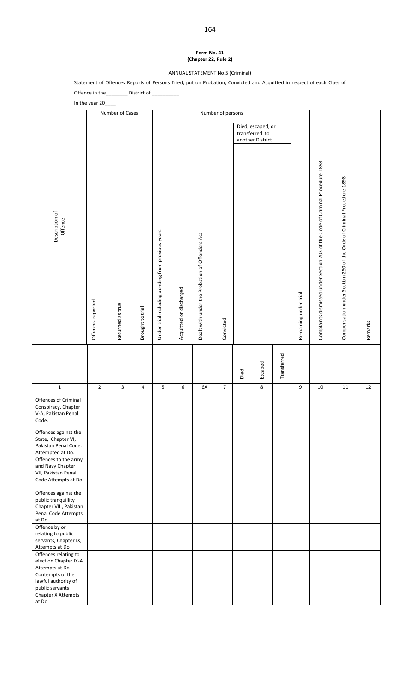#### **Form No. 41 (Chapter 22, Rule 2)**

ANNUAL STATEMENT No.5 (Criminal)

Statement of Offences Reports of Persons Tried, put on Probation, Convicted and Acquitted in respect of each Class of Offence in the\_\_\_\_\_\_\_\_ District of \_\_\_\_\_\_\_\_\_\_

|                                                                                                       | In the year 20    |                  |                  |                                                   |                         |                                                 |                |      |                                                         |             |                       |                                                                               |                                                                       |         |
|-------------------------------------------------------------------------------------------------------|-------------------|------------------|------------------|---------------------------------------------------|-------------------------|-------------------------------------------------|----------------|------|---------------------------------------------------------|-------------|-----------------------|-------------------------------------------------------------------------------|-----------------------------------------------------------------------|---------|
|                                                                                                       |                   | Number of Cases  |                  |                                                   |                         | Number of persons                               |                |      |                                                         |             |                       |                                                                               |                                                                       |         |
| Description of<br>Offence                                                                             | Offences reported | Returned as true | Brought to trial | Under trial including pending from previous years | Acquitted or discharged | Dealt with under the Probation of Offenders Act | Convicted      |      | Died, escaped, or<br>transferred to<br>another District |             | Remaining under trial | Complaints dismissed under Section 203 of the Code of Criminal Procedure 1898 | Compensation under Section 250 of the Code of Criminal Procedure 1898 | Remarks |
|                                                                                                       |                   |                  |                  |                                                   |                         |                                                 |                | Died | Escaped                                                 | Transferred |                       |                                                                               |                                                                       |         |
| $\mathbf 1$                                                                                           | $\overline{2}$    | 3                | 4                | 5                                                 | 6                       | 6A                                              | $\overline{7}$ |      | 8                                                       |             | 9                     | 10                                                                            | $11\,$                                                                | $12\,$  |
| Offences of Criminal<br>Conspiracy, Chapter<br>V-A, Pakistan Penal<br>Code.                           |                   |                  |                  |                                                   |                         |                                                 |                |      |                                                         |             |                       |                                                                               |                                                                       |         |
| Offences against the<br>State, Chapter VI,<br>Pakistan Penal Code.<br>Attempted at Do.                |                   |                  |                  |                                                   |                         |                                                 |                |      |                                                         |             |                       |                                                                               |                                                                       |         |
| Offences to the army<br>and Navy Chapter<br>VII, Pakistan Penal<br>Code Attempts at Do.               |                   |                  |                  |                                                   |                         |                                                 |                |      |                                                         |             |                       |                                                                               |                                                                       |         |
| Offences against the<br>public tranquillity<br>Chapter VIII, Pakistan<br>Penal Code Attempts<br>at Do |                   |                  |                  |                                                   |                         |                                                 |                |      |                                                         |             |                       |                                                                               |                                                                       |         |
| Offence by or<br>relating to public<br>servants, Chapter IX,<br>Attempts at Do                        |                   |                  |                  |                                                   |                         |                                                 |                |      |                                                         |             |                       |                                                                               |                                                                       |         |
| Offences relating to<br>election Chapter IX-A<br>Attempts at Do                                       |                   |                  |                  |                                                   |                         |                                                 |                |      |                                                         |             |                       |                                                                               |                                                                       |         |
| Contempts of the<br>lawful authority of<br>public servants<br>Chapter X Attempts<br>at Do.            |                   |                  |                  |                                                   |                         |                                                 |                |      |                                                         |             |                       |                                                                               |                                                                       |         |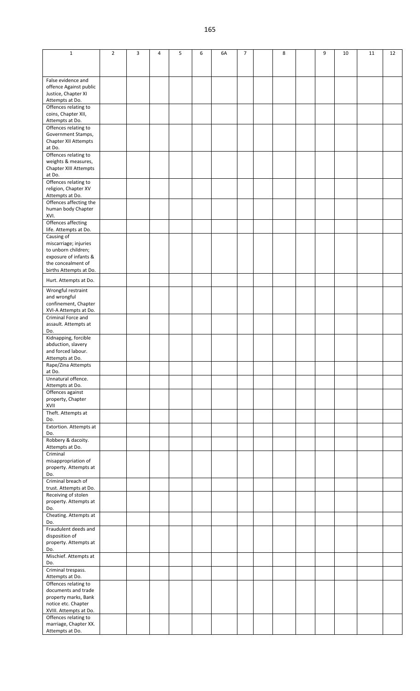| $\mathbf{1}$                                                                           | $\overline{2}$ | 3 | 4 | 5 | 6 | 6A | $\overline{7}$ | 8 | 9 | 10 | 11 | 12 |
|----------------------------------------------------------------------------------------|----------------|---|---|---|---|----|----------------|---|---|----|----|----|
| False evidence and<br>offence Against public<br>Justice, Chapter XI<br>Attempts at Do. |                |   |   |   |   |    |                |   |   |    |    |    |
| Offences relating to<br>coins, Chapter XII,<br>Attempts at Do.                         |                |   |   |   |   |    |                |   |   |    |    |    |
| Offences relating to<br>Government Stamps,<br><b>Chapter XII Attempts</b><br>at Do.    |                |   |   |   |   |    |                |   |   |    |    |    |
| Offences relating to<br>weights & measures,<br>Chapter XIII Attempts<br>at Do.         |                |   |   |   |   |    |                |   |   |    |    |    |
| Offences relating to<br>religion, Chapter XV<br>Attempts at Do.                        |                |   |   |   |   |    |                |   |   |    |    |    |
| Offences affecting the<br>human body Chapter<br>XVI.                                   |                |   |   |   |   |    |                |   |   |    |    |    |
| Offences affecting<br>life. Attempts at Do.<br>Causing of                              |                |   |   |   |   |    |                |   |   |    |    |    |
| miscarriage; injuries<br>to unborn children;<br>exposure of infants &                  |                |   |   |   |   |    |                |   |   |    |    |    |
| the concealment of<br>births Attempts at Do.                                           |                |   |   |   |   |    |                |   |   |    |    |    |
| Hurt. Attempts at Do.                                                                  |                |   |   |   |   |    |                |   |   |    |    |    |
| Wrongful restraint<br>and wrongful<br>confinement, Chapter<br>XVI-A Attempts at Do.    |                |   |   |   |   |    |                |   |   |    |    |    |
| Criminal Force and<br>assault. Attempts at<br>Do.                                      |                |   |   |   |   |    |                |   |   |    |    |    |
| Kidnapping, forcible<br>abduction, slavery<br>and forced labour.<br>Attempts at Do.    |                |   |   |   |   |    |                |   |   |    |    |    |
| Rape/Zina Attempts<br>at Do.                                                           |                |   |   |   |   |    |                |   |   |    |    |    |
| Unnatural offence.<br>Attempts at Do.                                                  |                |   |   |   |   |    |                |   |   |    |    |    |
| Offences against<br>property, Chapter<br>XVII                                          |                |   |   |   |   |    |                |   |   |    |    |    |
| Theft. Attempts at<br>Do.                                                              |                |   |   |   |   |    |                |   |   |    |    |    |
| Extortion. Attempts at<br>Do.                                                          |                |   |   |   |   |    |                |   |   |    |    |    |
| Robbery & dacoity.<br>Attempts at Do.                                                  |                |   |   |   |   |    |                |   |   |    |    |    |
| Criminal<br>misappropriation of<br>property. Attempts at<br>Do.                        |                |   |   |   |   |    |                |   |   |    |    |    |
| Criminal breach of<br>trust. Attempts at Do.                                           |                |   |   |   |   |    |                |   |   |    |    |    |
| Receiving of stolen<br>property. Attempts at<br>Do.                                    |                |   |   |   |   |    |                |   |   |    |    |    |
| Cheating. Attempts at<br>Do.                                                           |                |   |   |   |   |    |                |   |   |    |    |    |
| Fraudulent deeds and<br>disposition of                                                 |                |   |   |   |   |    |                |   |   |    |    |    |
| property. Attempts at<br>Do.                                                           |                |   |   |   |   |    |                |   |   |    |    |    |
| Mischief. Attempts at<br>Do.                                                           |                |   |   |   |   |    |                |   |   |    |    |    |
| Criminal trespass.<br>Attempts at Do.                                                  |                |   |   |   |   |    |                |   |   |    |    |    |
| Offences relating to<br>documents and trade                                            |                |   |   |   |   |    |                |   |   |    |    |    |
| property marks, Bank<br>notice etc. Chapter<br>XVIII. Attempts at Do.                  |                |   |   |   |   |    |                |   |   |    |    |    |
| Offences relating to<br>marriage, Chapter XX.                                          |                |   |   |   |   |    |                |   |   |    |    |    |
| Attempts at Do.                                                                        |                |   |   |   |   |    |                |   |   |    |    |    |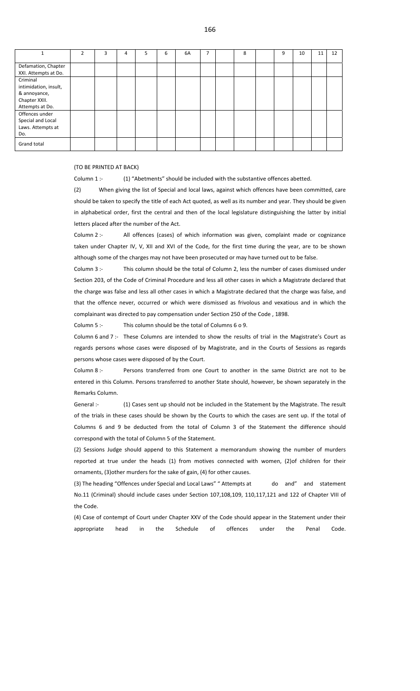|                                                                                       | $\mathcal{P}$ | 3 | 4 | 5. | 6 | 6A | $\overline{ }$ | 8 | 9 | 10 | 11 | 12 |
|---------------------------------------------------------------------------------------|---------------|---|---|----|---|----|----------------|---|---|----|----|----|
| Defamation, Chapter<br>XXI. Attempts at Do.                                           |               |   |   |    |   |    |                |   |   |    |    |    |
| Criminal<br>intimidation, insult,<br>& annoyance,<br>Chapter XXII.<br>Attempts at Do. |               |   |   |    |   |    |                |   |   |    |    |    |
| Offences under<br>Special and Local<br>Laws. Attempts at<br>Do.                       |               |   |   |    |   |    |                |   |   |    |    |    |
| Grand total                                                                           |               |   |   |    |   |    |                |   |   |    |    |    |

(TO BE PRINTED AT BACK)

Column 1 :- (1) "Abetments" should be included with the substantive offences abetted.

(2) When giving the list of Special and local laws, against which offences have been committed, care should be taken to specify the title of each Act quoted, as well as its number and year. They should be given in alphabetical order, first the central and then of the local legislature distinguishing the latter by initial letters placed after the number of the Act.

Column 2 :-<br>
All offences (cases) of which information was given, complaint made or cognizance taken under Chapter IV, V, XII and XVI of the Code, for the first time during the year, are to be shown although some of the charges may not have been prosecuted or may have turned out to be false.

Column 3 :- This column should be the total of Column 2, less the number of cases dismissed under Section 203, of the Code of Criminal Procedure and less all other cases in which a Magistrate declared that the charge was false and less all other cases in which a Magistrate declared that the charge was false, and that the offence never, occurred or which were dismissed as frivolous and vexatious and in which the complainant was directed to pay compensation under Section 250 of the Code , 1898.

Column 5 :- This column should be the total of Columns 6 o 9.

Column 6 and 7 :‐ These Columns are intended to show the results of trial in the Magistrate's Court as regards persons whose cases were disposed of by Magistrate, and in the Courts of Sessions as regards persons whose cases were disposed of by the Court.

Column 8 :- Persons transferred from one Court to another in the same District are not to be entered in this Column. Persons transferred to another State should, however, be shown separately in the Remarks Column.

General :- (1) Cases sent up should not be included in the Statement by the Magistrate. The result of the trials in these cases should be shown by the Courts to which the cases are sent up. If the total of Columns 6 and 9 be deducted from the total of Column 3 of the Statement the difference should correspond with the total of Column 5 of the Statement.

(2) Sessions Judge should append to this Statement a memorandum showing the number of murders reported at true under the heads (1) from motives connected with women, (2)of children for their ornaments, (3)other murders for the sake of gain, (4) for other causes.

(3) The heading "Offences under Special and Local Laws" " Attempts at do and" and statement No.11 (Criminal) should include cases under Section 107,108,109, 110,117,121 and 122 of Chapter VIII of the Code.

(4) Case of contempt of Court under Chapter XXV of the Code should appear in the Statement under their appropriate head in the Schedule of offences under the Penal Code.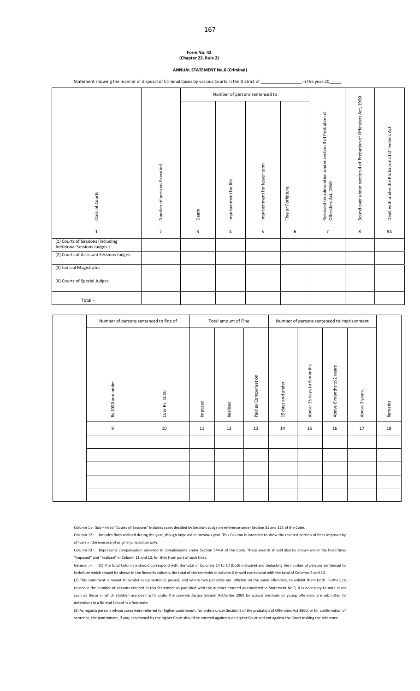#### **Form No. 42 (Chapter 22, Rule 2)**

# **ANNUAL STATEMENT No.6 (Criminal)**

Statement showing the manner of disposal of Criminal Cases by various Courts in the District of \_\_\_\_\_\_\_\_\_\_\_\_\_\_\_\_\_ in the year 20\_

|                                                                   |                            |       |                       | Number of persons sentenced to |                    |                                                                               |                                                                |                                                 |
|-------------------------------------------------------------------|----------------------------|-------|-----------------------|--------------------------------|--------------------|-------------------------------------------------------------------------------|----------------------------------------------------------------|-------------------------------------------------|
| Class of Courts                                                   | Number of persons Executed | Death | Imprisonment for life | Imprisonment for lesser term   | Fine or Forfeiture | Released on admonition under section 3 of Probation of<br>Offenders Act, 1960 | Bound over under section 4 of Probation of Offenders Act, 1960 | Dealt with under the Probation of Offenders Act |
| $\mathbf{1}$                                                      | $\overline{2}$             | 3     | 4                     | 5                              | 6                  | $\overline{7}$                                                                | 8                                                              | 8A                                              |
| (1) Courts of Sessions (including<br>Additional Sessions Judges.) |                            |       |                       |                                |                    |                                                                               |                                                                |                                                 |
| (2) Courts of Assistant Sessions Judges                           |                            |       |                       |                                |                    |                                                                               |                                                                |                                                 |
| (3) Judicial Magistrates                                          |                            |       |                       |                                |                    |                                                                               |                                                                |                                                 |
| (4) Courts of Special Judges                                      |                            |       |                       |                                |                    |                                                                               |                                                                |                                                 |
| Total:-                                                           |                            |       |                       |                                |                    |                                                                               |                                                                |                                                 |

| Number of persons sentenced to fine of |               |         | Total amount of Fine |                      |                   | Number of persons sentenced to imprisonment |                           |                |         |
|----------------------------------------|---------------|---------|----------------------|----------------------|-------------------|---------------------------------------------|---------------------------|----------------|---------|
| Rs.1000 and under                      | Over Rs. 1000 | Imposed | Realised             | Paid as Compensation | 15 days and under | Above 15 days to 6 months                   | Above 6 months to 2 years | Above 2 years. | Remarks |
| 9                                      | 10            | 11      | 12                   | 13                   | 14                | 15                                          | 16                        | 17             | 18      |
|                                        |               |         |                      |                      |                   |                                             |                           |                |         |
|                                        |               |         |                      |                      |                   |                                             |                           |                |         |
|                                        |               |         |                      |                      |                   |                                             |                           |                |         |
|                                        |               |         |                      |                      |                   |                                             |                           |                |         |
|                                        |               |         |                      |                      |                   |                                             |                           |                |         |

Column 1 :‐ Sub – head "Courts of Sessions" includes cases decided by Sessions Judge on reference under Section 31 and 123 of the Code.

Column 12 :‐ Includes fines realised during the year, though imposed in previous year. This Column is intended to show the realized portion of fines imposed by officers in the exercise of original jurisdiction only.

Column 13 :‐ Represents compensation awarded to complainants under Section 544‐A of the Code. These awards should also be shown under the head fines "imposed" and "realized" in Column 11 and 12, for they from part of such fines.

General :‐‐ (1) The total Column 5 should correspond with the total of Columns 14 to 17 (both inclusive) and deducting the number of persons sentenced to forfeiture which should be shown in the Remarks column, the total of the reminder in column 6 should correspond with the total of Columns 9 and 10.

(2) This statement is meant to exhibit every sentence passed, and where two penalties are inflicted on the same offenders, to exhibit them both. Further, to reconcile the number of persons entered in this Statement as punished with the number entered as convicted in Statement No.9, it is necessary to note cases such as those in which children are dealt with under the Juvenile Justice System Act/order 2000 by Special methods or young offenders are submitted to detentions in a Borstal School in a foot‐note.

(3) As regards persons whose cases were referred for higher punishment, for orders under Section 3 of the probation of Offenders Act 1960, or for confirmation of sentence, the punishment, if any, sanctioned by the higher Court should be entered against such higher Court and not against the Court making the reference.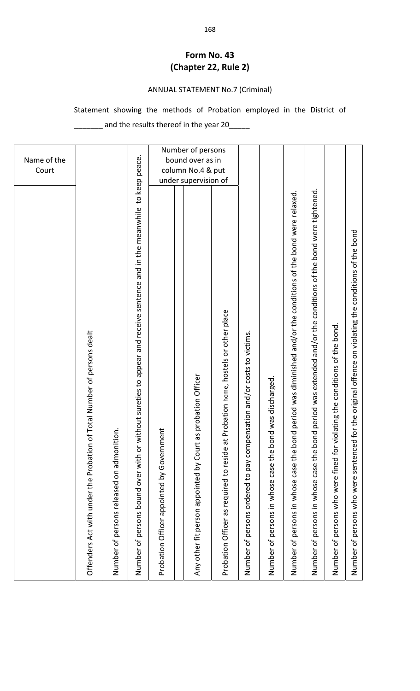# **Form No. 43 (Chapter 22, Rule 2)**

# ANNUAL STATEMENT No.7 (Criminal)

# Statement showing the methods of Probation employed in the District of

\_\_\_\_\_\_\_ and the results thereof in the year 20\_\_\_\_\_

| Name of the<br>Court                                                                                                                               |
|----------------------------------------------------------------------------------------------------------------------------------------------------|
| Offenders Act with under the Probation of Total Number of persons dealt                                                                            |
| Number of persons released on admonition.                                                                                                          |
| to keep peace.<br>or without sureties to appear and receive sentence and in the meanwhile<br>Number of persons bound over with                     |
| Probation Officer appointed by Government                                                                                                          |
|                                                                                                                                                    |
| Number of persons<br>bound over as in<br>column No.4 & put<br>under supervision of<br>Any other fit person appointed by Court as probation Officer |
| Probation Officer as required to reside at Probation home, hostels or other place                                                                  |
| Number of persons ordered to pay compensation and/or costs to victims.                                                                             |
| bond was discharged.<br>Number of persons in whose case the                                                                                        |
| bond period was diminished and/or the conditions of the bond were relaxed.<br>Number of persons in whose case the                                  |
| bond period was extended and/or the conditions of the bond were tightened.<br>Number of persons in whose case the                                  |
| Number of persons who were fined for violating the conditions of the bond.                                                                         |
| Number of persons who were sentenced for the original offence on violating the conditions of the bond                                              |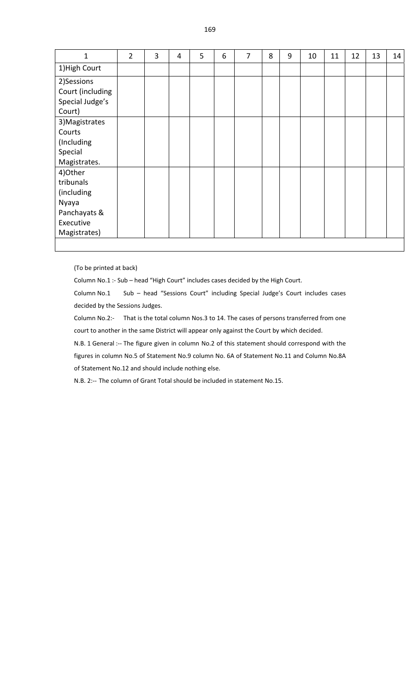| 1                | $\overline{2}$ | 3 | 4 | 5 | 6 | $\overline{7}$ | 8 | 9 | 10 | 11 | 12 | 13 | 14 |
|------------------|----------------|---|---|---|---|----------------|---|---|----|----|----|----|----|
| 1) High Court    |                |   |   |   |   |                |   |   |    |    |    |    |    |
| 2)Sessions       |                |   |   |   |   |                |   |   |    |    |    |    |    |
| Court (including |                |   |   |   |   |                |   |   |    |    |    |    |    |
| Special Judge's  |                |   |   |   |   |                |   |   |    |    |    |    |    |
| Court)           |                |   |   |   |   |                |   |   |    |    |    |    |    |
| 3) Magistrates   |                |   |   |   |   |                |   |   |    |    |    |    |    |
| Courts           |                |   |   |   |   |                |   |   |    |    |    |    |    |
| (Including       |                |   |   |   |   |                |   |   |    |    |    |    |    |
| Special          |                |   |   |   |   |                |   |   |    |    |    |    |    |
| Magistrates.     |                |   |   |   |   |                |   |   |    |    |    |    |    |
| 4)Other          |                |   |   |   |   |                |   |   |    |    |    |    |    |
| tribunals        |                |   |   |   |   |                |   |   |    |    |    |    |    |
| (including       |                |   |   |   |   |                |   |   |    |    |    |    |    |
| Nyaya            |                |   |   |   |   |                |   |   |    |    |    |    |    |
| Panchayats &     |                |   |   |   |   |                |   |   |    |    |    |    |    |
| Executive        |                |   |   |   |   |                |   |   |    |    |    |    |    |
| Magistrates)     |                |   |   |   |   |                |   |   |    |    |    |    |    |
|                  |                |   |   |   |   |                |   |   |    |    |    |    |    |

(To be printed at back)

Column No.1 :‐ Sub – head "High Court" includes cases decided by the High Court.

Column No.1 Sub – head "Sessions Court" including Special Judge's Court includes cases decided by the Sessions Judges.

Column No.2:- That is the total column Nos.3 to 14. The cases of persons transferred from one court to another in the same District will appear only against the Court by which decided.

N.B. 1 General :-- The figure given in column No.2 of this statement should correspond with the figures in column No.5 of Statement No.9 column No. 6A of Statement No.11 and Column No.8A of Statement No.12 and should include nothing else.

N.B. 2:-- The column of Grant Total should be included in statement No.15.

169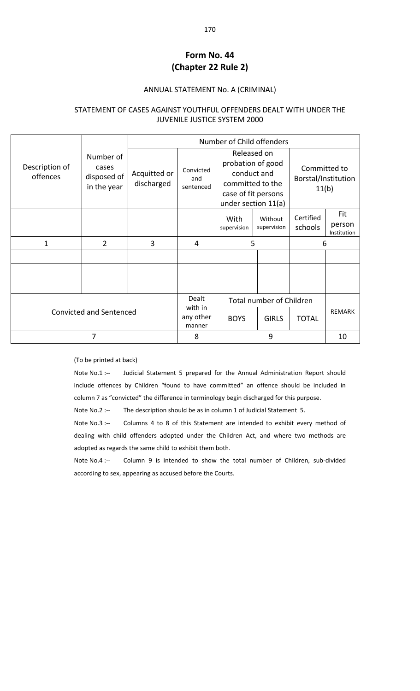# **Form No. 44 (Chapter 22 Rule 2)**

#### ANNUAL STATEMENT No. A (CRIMINAL)

### STATEMENT OF CASES AGAINST YOUTHFUL OFFENDERS DEALT WITH UNDER THE JUVENILE JUSTICE SYSTEM 2000

|                            |                                                  |                            |                                | Number of Child offenders                                                                                         |                          |                                              |                              |
|----------------------------|--------------------------------------------------|----------------------------|--------------------------------|-------------------------------------------------------------------------------------------------------------------|--------------------------|----------------------------------------------|------------------------------|
| Description of<br>offences | Number of<br>cases<br>disposed of<br>in the year | Acquitted or<br>discharged | Convicted<br>and<br>sentenced  | Released on<br>probation of good<br>conduct and<br>committed to the<br>case of fit persons<br>under section 11(a) |                          | Committed to<br>Borstal/Institution<br>11(b) |                              |
|                            |                                                  |                            |                                | With<br>supervision                                                                                               | Without<br>supervision   | Certified<br>schools                         | Fit<br>person<br>Institution |
| 1                          | $\overline{2}$                                   | 3                          | 4                              | 5                                                                                                                 |                          | 6                                            |                              |
|                            |                                                  |                            |                                |                                                                                                                   |                          |                                              |                              |
|                            |                                                  |                            |                                |                                                                                                                   |                          |                                              |                              |
|                            |                                                  |                            | Dealt                          |                                                                                                                   | Total number of Children |                                              |                              |
|                            | <b>Convicted and Sentenced</b>                   |                            | with in<br>any other<br>manner | <b>BOYS</b>                                                                                                       | <b>GIRLS</b>             | <b>TOTAL</b>                                 | <b>REMARK</b>                |
|                            | $\overline{7}$                                   |                            | 8                              |                                                                                                                   | 9                        |                                              | 10                           |

#### (To be printed at back)

Note No.1 :-- Judicial Statement 5 prepared for the Annual Administration Report should include offences by Children "found to have committed" an offence should be included in column 7 as "convicted" the difference in terminology begin discharged for this purpose.

Note No.2 :-- The description should be as in column 1 of Judicial Statement 5.

Note No.3 :-- Columns 4 to 8 of this Statement are intended to exhibit every method of dealing with child offenders adopted under the Children Act, and where two methods are adopted as regards the same child to exhibit them both.

Note No.4 :-- Column 9 is intended to show the total number of Children, sub-divided according to sex, appearing as accused before the Courts.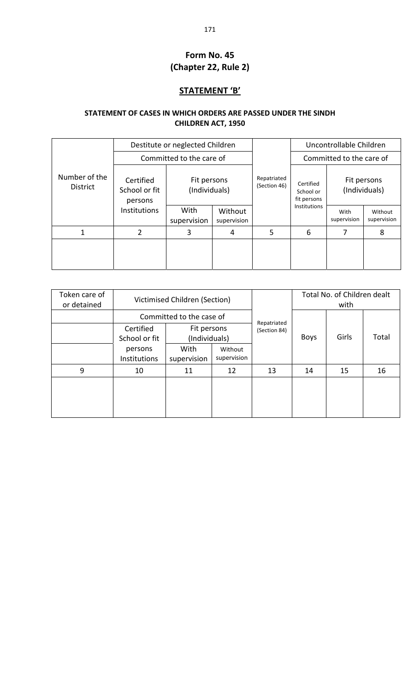# **Form No. 45 (Chapter 22, Rule 2)**

## **STATEMENT 'B'**

## **STATEMENT OF CASES IN WHICH ORDERS ARE PASSED UNDER THE SINDH CHILDREN ACT, 1950**

|                                  |                                       | Destitute or neglected Children |                        |                             |                                       | Uncontrollable Children      |                        |  |
|----------------------------------|---------------------------------------|---------------------------------|------------------------|-----------------------------|---------------------------------------|------------------------------|------------------------|--|
|                                  |                                       | Committed to the care of        |                        |                             | Committed to the care of              |                              |                        |  |
| Number of the<br><b>District</b> | Certified<br>School or fit<br>persons | Fit persons<br>(Individuals)    |                        | Repatriated<br>(Section 46) | Certified<br>School or<br>fit persons | Fit persons<br>(Individuals) |                        |  |
|                                  | <b>Institutions</b>                   | With<br>supervision             | Without<br>supervision |                             | <b>Institutions</b>                   | With<br>supervision          | Without<br>supervision |  |
| 1                                | 2                                     | 3                               | 4                      | 5                           | 6                                     |                              | 8                      |  |
|                                  |                                       |                                 |                        |                             |                                       |                              |                        |  |

| Token care of<br>or detained | Victimised Children (Section)  |                              |                        |              | Total No. of Children dealt<br>with |       |       |
|------------------------------|--------------------------------|------------------------------|------------------------|--------------|-------------------------------------|-------|-------|
|                              |                                | Committed to the case of     |                        | Repatriated  |                                     |       |       |
|                              | Certified<br>School or fit     | Fit persons<br>(Individuals) |                        | (Section 84) | <b>Boys</b>                         | Girls | Total |
|                              | persons<br><b>Institutions</b> | With<br>supervision          | Without<br>supervision |              |                                     |       |       |
| 9                            | 10                             | 11                           | 12                     | 13           | 14                                  | 15    | 16    |
|                              |                                |                              |                        |              |                                     |       |       |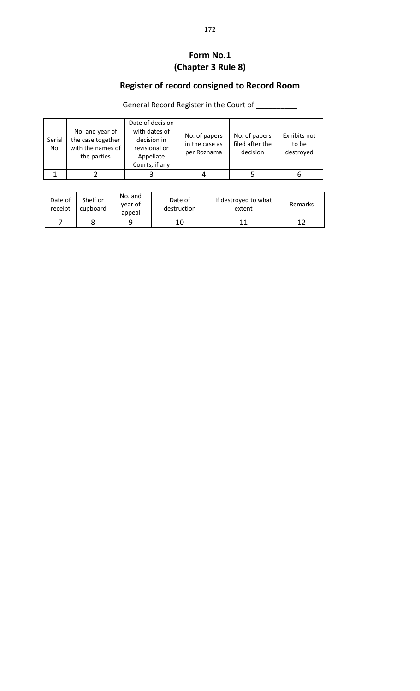# **Form No.1 (Chapter 3 Rule 8)**

# **Register of record consigned to Record Room**

General Record Register in the Court of \_\_\_\_\_\_\_\_\_

| Serial<br>No. | No. and year of<br>the case together<br>with the names of<br>the parties | Date of decision<br>with dates of<br>decision in<br>revisional or<br>Appellate<br>Courts, if any | No. of papers<br>in the case as<br>per Roznama | No. of papers<br>filed after the<br>decision | Exhibits not<br>to be<br>destroyed |
|---------------|--------------------------------------------------------------------------|--------------------------------------------------------------------------------------------------|------------------------------------------------|----------------------------------------------|------------------------------------|
|               |                                                                          |                                                                                                  |                                                |                                              |                                    |

| Date of<br>receipt | Shelf or<br>cupboard | No. and<br>year of<br>appeal | Date of<br>destruction | If destroyed to what<br>extent | Remarks |
|--------------------|----------------------|------------------------------|------------------------|--------------------------------|---------|
|                    |                      |                              | 10                     |                                |         |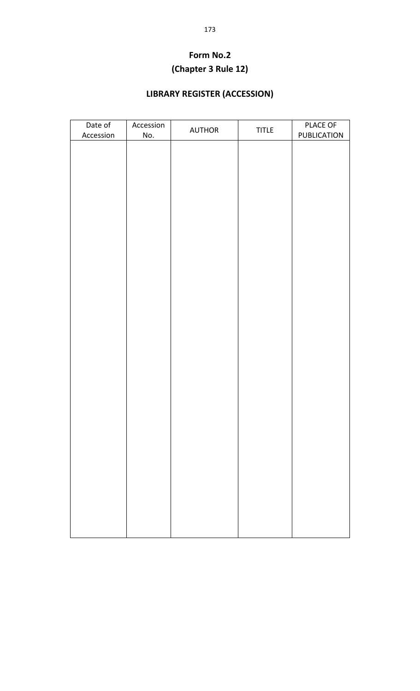# **Form No.2 (Chapter 3 Rule 12)**

# **LIBRARY REGISTER (ACCESSION)**

| Date of   | Accession | <b>AUTHOR</b> | <b>TITLE</b> | PLACE OF           |
|-----------|-----------|---------------|--------------|--------------------|
| Accession | No.       |               |              | <b>PUBLICATION</b> |
|           |           |               |              |                    |
|           |           |               |              |                    |
|           |           |               |              |                    |
|           |           |               |              |                    |
|           |           |               |              |                    |
|           |           |               |              |                    |
|           |           |               |              |                    |
|           |           |               |              |                    |
|           |           |               |              |                    |
|           |           |               |              |                    |
|           |           |               |              |                    |
|           |           |               |              |                    |
|           |           |               |              |                    |
|           |           |               |              |                    |
|           |           |               |              |                    |
|           |           |               |              |                    |
|           |           |               |              |                    |
|           |           |               |              |                    |
|           |           |               |              |                    |
|           |           |               |              |                    |
|           |           |               |              |                    |
|           |           |               |              |                    |
|           |           |               |              |                    |
|           |           |               |              |                    |
|           |           |               |              |                    |
|           |           |               |              |                    |
|           |           |               |              |                    |
|           |           |               |              |                    |
|           |           |               |              |                    |
|           |           |               |              |                    |
|           |           |               |              |                    |
|           |           |               |              |                    |
|           |           |               |              |                    |
|           |           |               |              |                    |
|           |           |               |              |                    |
|           |           |               |              |                    |
|           |           |               |              |                    |
|           |           |               |              |                    |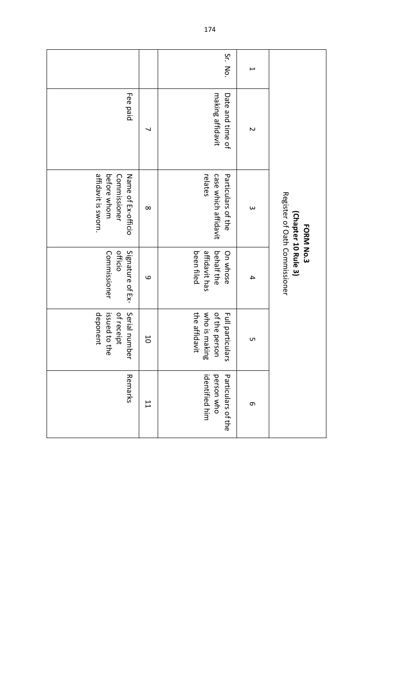|         |                                      | Register of Oath Commissioner<br>(Chapter 10 Rule 3)<br><b>FORM No.3</b> |                                                       |                                                                     |                                                    |
|---------|--------------------------------------|--------------------------------------------------------------------------|-------------------------------------------------------|---------------------------------------------------------------------|----------------------------------------------------|
| ٮ       | N                                    | $\omega$                                                                 | 4                                                     | UП                                                                  | G                                                  |
| Sr. No. | making affidavit<br>Date and time of | case which affidavit<br>relates<br>Particulars of the                    | affidavit has<br>been filed<br>behalf the<br>On whose | who is making<br>the affidavit<br>of the person<br>Full particulars | person who<br>Particulars of the<br>identified him |
|         |                                      | $\infty$                                                                 | 9                                                     | $\overline{0}$                                                      | $\overline{1}$                                     |
|         | Fee paid                             | affidavit is sworn.<br>before whom<br>Commissioner<br>Name of Ex-officio | Signature of Ex-<br>Commissioner<br>officio           | Serial number<br>deponent<br>of receipt<br>issued to the            | Remarks                                            |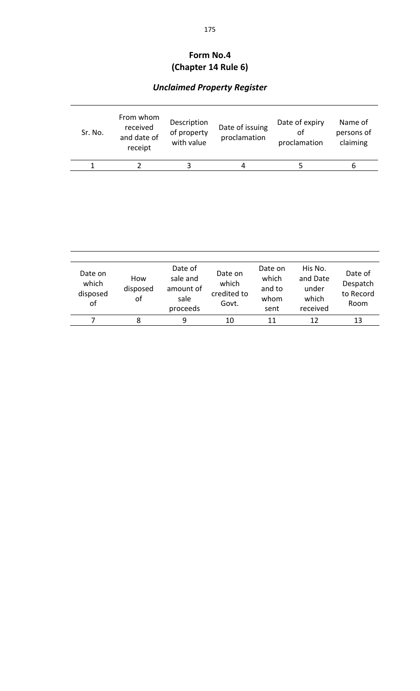# **Form No.4 (Chapter 14 Rule 6)**

# *Unclaimed Property Register*

| Sr. No. | From whom<br>received<br>and date of<br>receipt | Description<br>of property<br>with value | Date of issuing<br>proclamation | Date of expiry<br>οf<br>proclamation | Name of<br>persons of<br>claiming |
|---------|-------------------------------------------------|------------------------------------------|---------------------------------|--------------------------------------|-----------------------------------|
|         |                                                 |                                          | 4                               |                                      | n                                 |

| Date on<br>which<br>disposed<br>of | How<br>disposed<br>οf | Date of<br>sale and<br>amount of<br>sale<br>proceeds | Date on<br>which<br>credited to<br>Govt. | Date on<br>which<br>and to<br>whom<br>sent | His No.<br>and Date<br>under<br>which<br>received | Date of<br>Despatch<br>to Record<br>Room |
|------------------------------------|-----------------------|------------------------------------------------------|------------------------------------------|--------------------------------------------|---------------------------------------------------|------------------------------------------|
|                                    | 8                     | q                                                    | 10                                       | 11                                         |                                                   | 13                                       |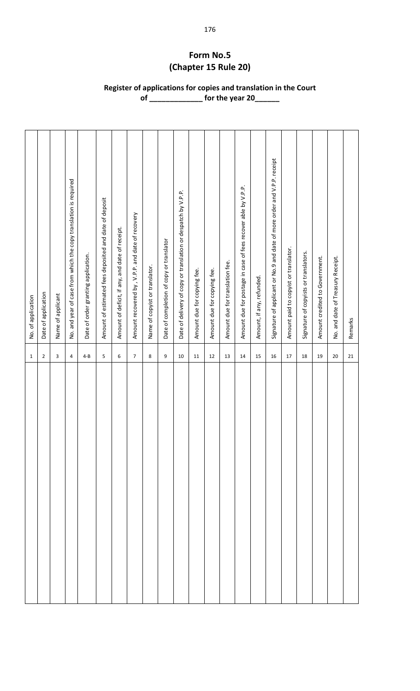# **Form No.5 (Chapter 15 Rule 20)**

**Register of applications for copies and translation in the Court of \_\_\_\_\_\_\_\_\_\_\_\_\_ for the year 20\_\_\_\_\_\_**

| $\mathbf{1}$     | No. of application                                                       |
|------------------|--------------------------------------------------------------------------|
| $\overline{c}$   | Date of application                                                      |
| 3                | Name of applicant                                                        |
| 4                | No. and year of case from which the copy translation is required         |
| $4 - B$          | Date of order granting application.                                      |
| 5                | Amount of estimated fees deposited and date of deposit                   |
| 6                | Amount of deficit, if any, and date of receipt.                          |
| $\boldsymbol{7}$ | Amount recovered by, V.P.P. and date of recovery                         |
| 8                | Name of copyist or translator.                                           |
| 9                | Date of completion of copy or translator                                 |
| 10               | Date of delivery of copy or translation or despatch by V.P.P.            |
| $11\,$           | Amount due for copying fee.                                              |
| 12               | Amount due for copying fee.                                              |
| 13               | Amount due for translation fee.                                          |
| 14               | Amount due for postage in case of fees recover able by V.P.P.            |
| 15               | Amount, if any, refunded.                                                |
| 16               | Signature of applicant or No.9 and date of more order and V.P.P. receipt |
| 17               | Amount paid to copyist or translator.                                    |
| 18               | Signature of copyists or translators.                                    |
| 19               | Amount credited to Government.                                           |
| 20               | No. and date of Treasury Receipt.                                        |
| 21               | Remarks                                                                  |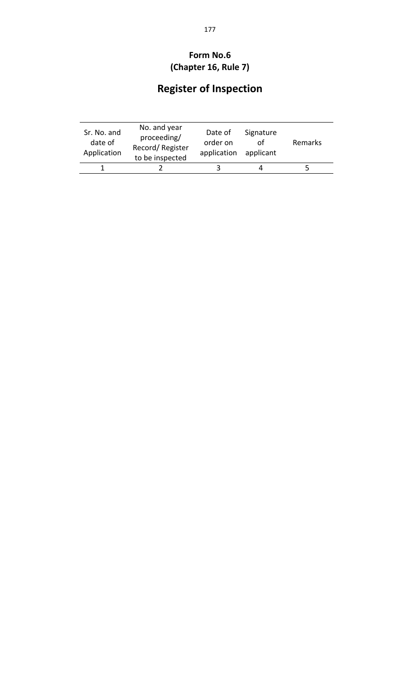## **Form No.6 (Chapter 16, Rule 7)**

# **Register of Inspection**

| Sr. No. and<br>date of<br>Application | No. and year<br>proceeding/<br>Record/Register<br>to be inspected | Date of<br>order on<br>application | Signature<br>applicant | Remarks |
|---------------------------------------|-------------------------------------------------------------------|------------------------------------|------------------------|---------|
|                                       |                                                                   |                                    |                        |         |
|                                       |                                                                   |                                    |                        |         |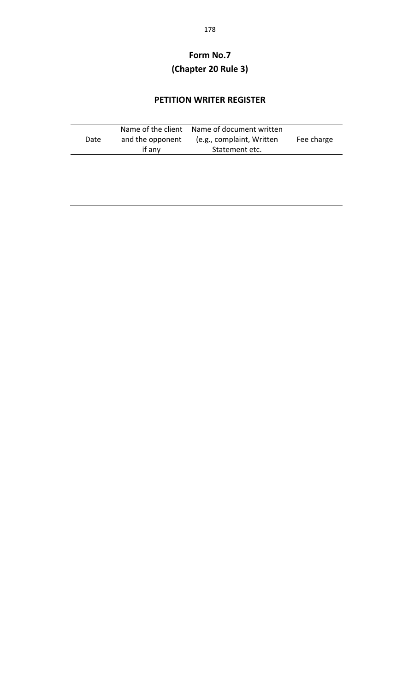## **Form No.7 (Chapter 20 Rule 3)**

#### **PETITION WRITER REGISTER**

|      |                  | Name of the client Name of document written |            |
|------|------------------|---------------------------------------------|------------|
| Date | and the opponent | (e.g., complaint, Written                   | Fee charge |
|      | if any           | Statement etc.                              |            |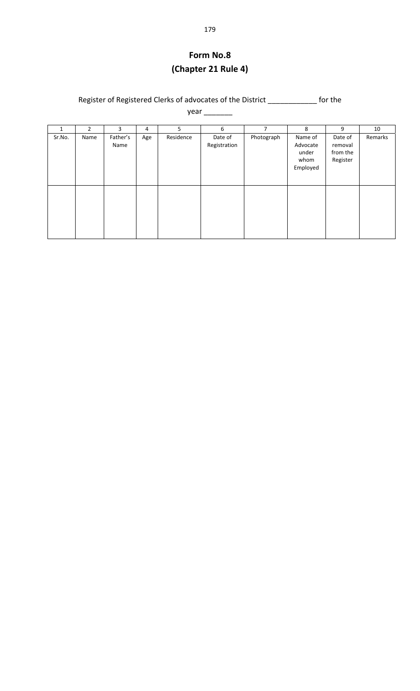## **Form No.8 (Chapter 21 Rule 4)**

Register of Registered Clerks of advocates of the District \_\_\_\_\_\_\_\_\_\_\_\_ for the

year \_\_\_\_\_\_\_\_

| 1      | $\overline{2}$ | 3                | 4   | 5         | 6                       | 7          | 8                                                | 9                                          | 10      |
|--------|----------------|------------------|-----|-----------|-------------------------|------------|--------------------------------------------------|--------------------------------------------|---------|
| Sr.No. | Name           | Father's<br>Name | Age | Residence | Date of<br>Registration | Photograph | Name of<br>Advocate<br>under<br>whom<br>Employed | Date of<br>removal<br>from the<br>Register | Remarks |
|        |                |                  |     |           |                         |            |                                                  |                                            |         |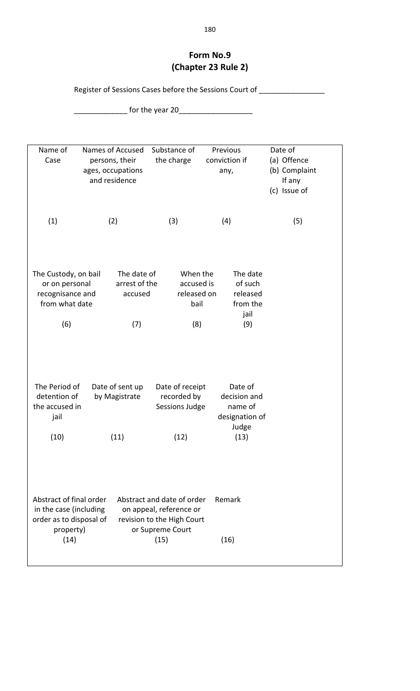#### **Form No.9 (Chapter 23 Rule 2)**

Register of Sessions Cases before the Sessions Court of \_\_\_\_\_\_\_\_\_\_\_\_\_\_\_\_\_\_\_\_\_\_\_\_

\_\_\_\_\_\_\_\_\_\_\_\_\_ for the year 20\_\_\_\_\_\_\_\_\_\_\_\_\_\_\_\_\_\_

| Name of<br>Case                                                                                   | Names of Accused<br>persons, their<br>ages, occupations<br>and residence | Substance of<br>the charge                                                                                      | Previous<br>conviction if<br>any,                                     | Date of<br>(a) Offence<br>(b) Complaint<br>If any<br>(c) Issue of |
|---------------------------------------------------------------------------------------------------|--------------------------------------------------------------------------|-----------------------------------------------------------------------------------------------------------------|-----------------------------------------------------------------------|-------------------------------------------------------------------|
| (1)                                                                                               | (2)                                                                      | (3)                                                                                                             | (4)                                                                   | (5)                                                               |
| The Custody, on bail                                                                              | The date of                                                              | When the                                                                                                        | The date                                                              |                                                                   |
| or on personal                                                                                    | arrest of the                                                            | accused is                                                                                                      | of such                                                               |                                                                   |
| recognisance and                                                                                  | accused                                                                  | released on                                                                                                     | released                                                              |                                                                   |
| from what date                                                                                    |                                                                          | bail                                                                                                            | from the                                                              |                                                                   |
|                                                                                                   |                                                                          |                                                                                                                 | jail                                                                  |                                                                   |
| (6)                                                                                               | (7)                                                                      | (8)                                                                                                             | (9)                                                                   |                                                                   |
| The Period of<br>detention of<br>the accused in<br>jail<br>(10)                                   | Date of sent up<br>by Magistrate<br>(11)                                 | Date of receipt<br>recorded by<br>Sessions Judge<br>(12)                                                        | Date of<br>decision and<br>name of<br>designation of<br>Judge<br>(13) |                                                                   |
|                                                                                                   |                                                                          |                                                                                                                 |                                                                       |                                                                   |
| Abstract of final order<br>in the case (including<br>order as to disposal of<br>property)<br>(14) |                                                                          | Abstract and date of order<br>on appeal, reference or<br>revision to the High Court<br>or Supreme Court<br>(15) | Remark<br>(16)                                                        |                                                                   |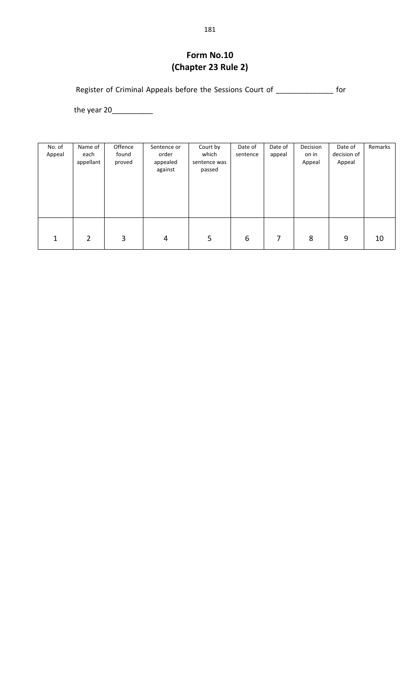#### **Form No.10 (Chapter 23 Rule 2)**

Register of Criminal Appeals before the Sessions Court of \_\_\_\_\_\_\_\_\_\_\_\_\_\_\_ for

the year 20\_\_\_\_\_\_\_\_\_\_

| No. of<br>Appeal | Name of<br>each<br>appellant | Offence<br>found<br>proved | Sentence or<br>order<br>appealed<br>against | Court by<br>which<br>sentence was<br>passed | Date of<br>sentence | Date of<br>appeal | Decision<br>on in<br>Appeal | Date of<br>decision of<br>Appeal | Remarks |
|------------------|------------------------------|----------------------------|---------------------------------------------|---------------------------------------------|---------------------|-------------------|-----------------------------|----------------------------------|---------|
| 1                | 2                            | 3                          | 4                                           | 5                                           | 6                   | 7                 | 8                           | 9                                | 10      |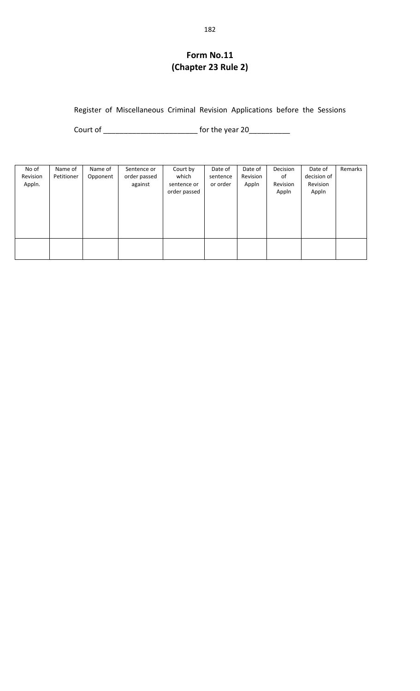## **Form No.11 (Chapter 23 Rule 2)**

#### Register of Miscellaneous Criminal Revision Applications before the Sessions

Court of \_\_\_\_\_\_\_\_\_\_\_\_\_\_\_\_\_\_\_\_\_\_\_ for the year 20\_\_\_\_\_\_\_\_\_\_

| No of<br>Revision<br>Appln. | Name of<br>Petitioner | Name of<br>Opponent | Sentence or<br>order passed<br>against | Court by<br>which<br>sentence or<br>order passed | Date of<br>sentence<br>or order | Date of<br>Revision<br>Appln | Decision<br>of<br>Revision<br>Appln | Date of<br>decision of<br>Revision<br>Appln | Remarks |
|-----------------------------|-----------------------|---------------------|----------------------------------------|--------------------------------------------------|---------------------------------|------------------------------|-------------------------------------|---------------------------------------------|---------|
|                             |                       |                     |                                        |                                                  |                                 |                              |                                     |                                             |         |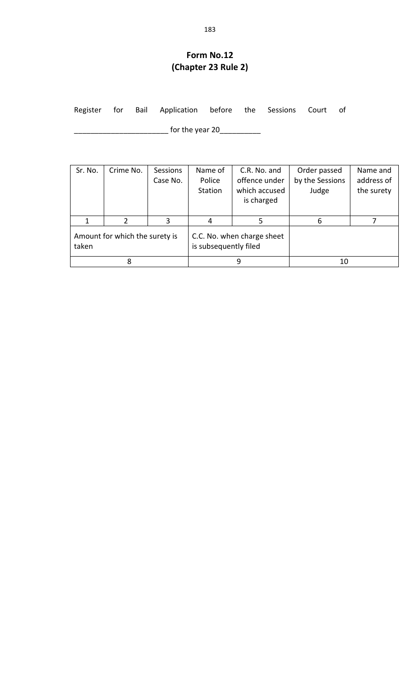## **Form No.12 (Chapter 23 Rule 2)**

| Register        |  |  |                                |  |  |  | for Bail Application before the Sessions Court of |  |
|-----------------|--|--|--------------------------------|--|--|--|---------------------------------------------------|--|
| for the year 20 |  |  |                                |  |  |  |                                                   |  |
|                 |  |  |                                |  |  |  |                                                   |  |
|                 |  |  | Sr. No.   Crime No.   Sessions |  |  |  | Name of   C.R. No. and   Order passed             |  |

| Sr. No.                                 | Crime No. | <b>Sessions</b><br>Case No. | Name of<br>Police<br>Station | C.R. No. and<br>offence under<br>which accused<br>is charged | Order passed<br>by the Sessions<br>Judge | Name and<br>address of<br>the surety |  |
|-----------------------------------------|-----------|-----------------------------|------------------------------|--------------------------------------------------------------|------------------------------------------|--------------------------------------|--|
|                                         |           | 3                           |                              |                                                              | 6                                        |                                      |  |
| Amount for which the surety is<br>taken |           |                             | is subsequently filed        | C.C. No. when charge sheet                                   |                                          |                                      |  |
|                                         | 8         |                             |                              |                                                              | 10                                       |                                      |  |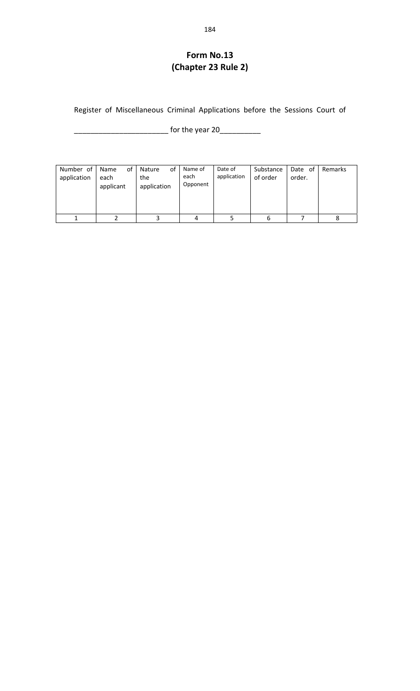## **Form No.13 (Chapter 23 Rule 2)**

Register of Miscellaneous Criminal Applications before the Sessions Court of

\_\_\_\_\_\_\_\_\_\_\_\_\_\_\_\_\_\_\_\_\_\_\_ for the year 20\_\_\_\_\_\_\_\_\_\_

| Number of<br>application | οf<br>Name<br>each<br>applicant | of<br>Nature<br>the<br>application | Name of<br>each<br>Opponent | Date of<br>application | Substance<br>of order | Date of<br>order. | Remarks |
|--------------------------|---------------------------------|------------------------------------|-----------------------------|------------------------|-----------------------|-------------------|---------|
|                          |                                 |                                    | 4                           |                        | 6                     |                   |         |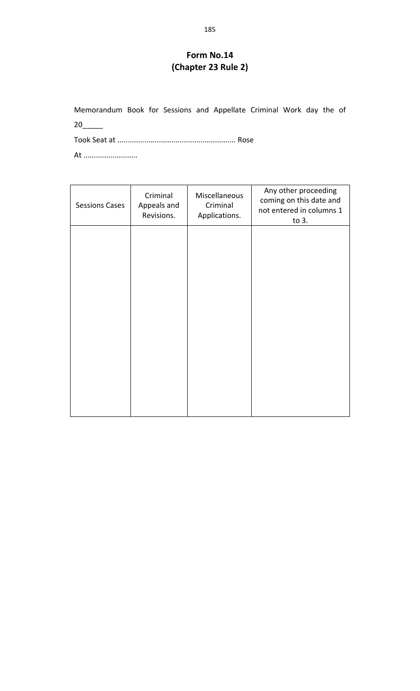#### **Form No.14 (Chapter 23 Rule 2)**

Memorandum Book for Sessions and Appellate Criminal Work day the of 20\_\_\_\_\_

Took Seat at ......................................................... Rose

At ..........................

| <b>Sessions Cases</b> | Criminal<br>Appeals and<br>Revisions. | Miscellaneous<br>Criminal<br>Applications. | Any other proceeding<br>coming on this date and<br>not entered in columns 1<br>to 3. |
|-----------------------|---------------------------------------|--------------------------------------------|--------------------------------------------------------------------------------------|
|                       |                                       |                                            |                                                                                      |
|                       |                                       |                                            |                                                                                      |
|                       |                                       |                                            |                                                                                      |
|                       |                                       |                                            |                                                                                      |
|                       |                                       |                                            |                                                                                      |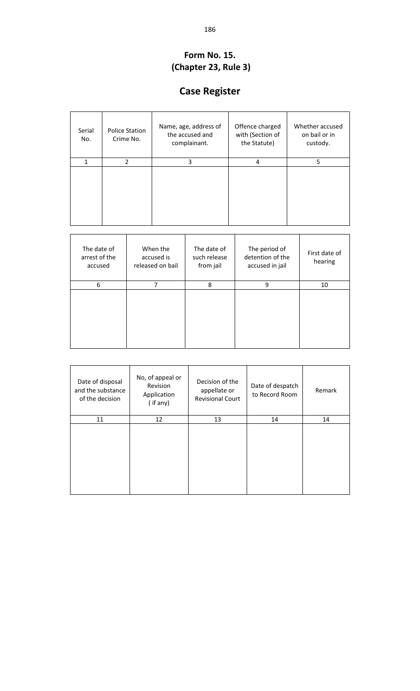#### **Form No. 15. (Chapter 23, Rule 3)**

# **Case Register**

| Serial<br>No. | <b>Police Station</b><br>Crime No. | Name, age, address of<br>the accused and<br>complainant. | Offence charged<br>with (Section of<br>the Statute) | Whether accused<br>on bail or in<br>custody. |
|---------------|------------------------------------|----------------------------------------------------------|-----------------------------------------------------|----------------------------------------------|
| 1             | $\mathcal{P}$                      | 3                                                        | 4                                                   | 5                                            |
|               |                                    |                                                          |                                                     |                                              |

| The date of<br>arrest of the<br>accused | When the<br>accused is<br>released on bail | The date of<br>such release<br>from jail | The period of<br>detention of the<br>accused in jail | First date of<br>hearing |
|-----------------------------------------|--------------------------------------------|------------------------------------------|------------------------------------------------------|--------------------------|
| 6                                       | 7                                          | 8                                        | 9                                                    | 10                       |
|                                         |                                            |                                          |                                                      |                          |

| Date of disposal<br>and the substance<br>of the decision | No, of appeal or<br>Revision<br>Application<br>$($ if any $)$ | Decision of the<br>appellate or<br><b>Revisional Court</b> | Date of despatch<br>to Record Room | Remark |
|----------------------------------------------------------|---------------------------------------------------------------|------------------------------------------------------------|------------------------------------|--------|
| 11                                                       | 12                                                            | 13                                                         | 14                                 | 14     |
|                                                          |                                                               |                                                            |                                    |        |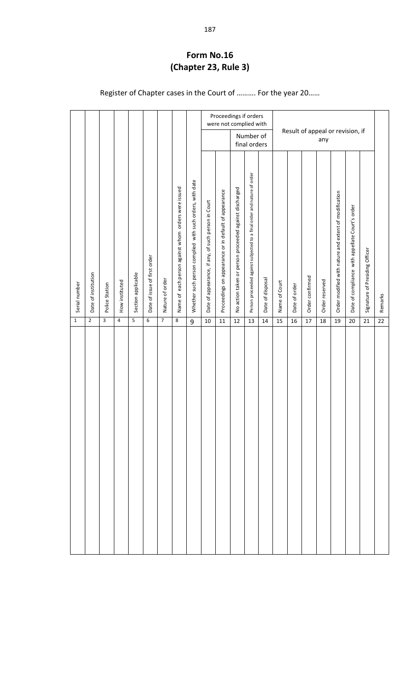#### **Form No.16 (Chapter 23, Rule 3)**

Register of Chapter cases in the Court of ………. For the year 20……

|               |                     |                |                |                    |                              |                 |                                                        |                                                          |                                                     |                                                       | Proceedings if orders<br>were not complied with        |                                                                         |                  |               | Result of appeal or revision, if |                 |                |                                                       |                                                 |                                |         |
|---------------|---------------------|----------------|----------------|--------------------|------------------------------|-----------------|--------------------------------------------------------|----------------------------------------------------------|-----------------------------------------------------|-------------------------------------------------------|--------------------------------------------------------|-------------------------------------------------------------------------|------------------|---------------|----------------------------------|-----------------|----------------|-------------------------------------------------------|-------------------------------------------------|--------------------------------|---------|
|               |                     |                |                |                    |                              |                 |                                                        |                                                          |                                                     |                                                       |                                                        | Number of<br>final orders                                               |                  |               |                                  |                 | any            |                                                       |                                                 |                                |         |
| Serial number | Date of institution | Police Station | How instituted | Section applicable | Date of issue of first order | Nature of order | each person against whom orders were issued<br>Name of | Whether such person complied with such orders, with date | Date of appearance, if any, of such person in Court | Proceedings on appearance or in default of appearance | No action taken or person proceeded against discharged | Person proceeded against subjected to a final order and nature of order | Date of disposal | Name of Court | Date of order                    | Order confirmed | Order reserved | Order modified with nature and extent of modification | Date of compliance with appellate Court's order | Signature of Presiding Officer | Remarks |
| $\mathbf{1}$  | $\mathbf 2$         | 3              | $\overline{4}$ | 5                  | 6                            | $\overline{7}$  | 8                                                      | 9                                                        | 10                                                  | $11\,$                                                | 12                                                     | 13                                                                      | 14               | 15            | 16                               | 17              | 18             | 19                                                    | 20                                              | 21                             | 22      |
|               |                     |                |                |                    |                              |                 |                                                        |                                                          |                                                     |                                                       |                                                        |                                                                         |                  |               |                                  |                 |                |                                                       |                                                 |                                |         |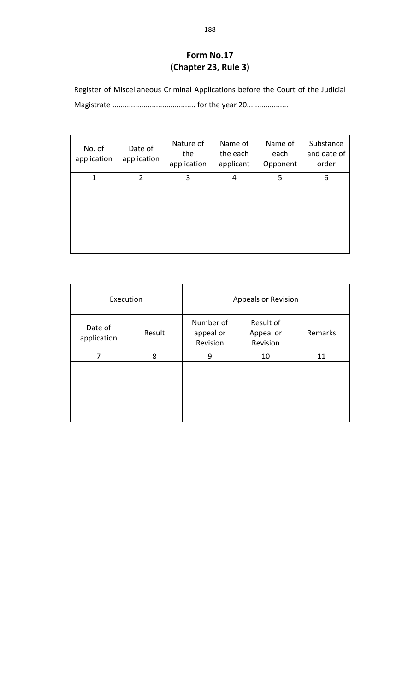#### **Form No.17 (Chapter 23, Rule 3)**

Register of Miscellaneous Criminal Applications before the Court of the Judicial Magistrate ........................................ for the year 20....................

| No. of<br>application | Date of<br>application | Nature of<br>the<br>application | Name of<br>the each<br>applicant | Name of<br>each<br>Opponent | Substance<br>and date of<br>order |
|-----------------------|------------------------|---------------------------------|----------------------------------|-----------------------------|-----------------------------------|
| 1                     | 2                      | 3                               | 4                                | 5                           | 6                                 |
|                       |                        |                                 |                                  |                             |                                   |

| Execution              |        | Appeals or Revision                |                                    |         |  |  |  |
|------------------------|--------|------------------------------------|------------------------------------|---------|--|--|--|
| Date of<br>application | Result | Number of<br>appeal or<br>Revision | Result of<br>Appeal or<br>Revision | Remarks |  |  |  |
| 7                      | 8      | 9                                  | 10                                 | 11      |  |  |  |
|                        |        |                                    |                                    |         |  |  |  |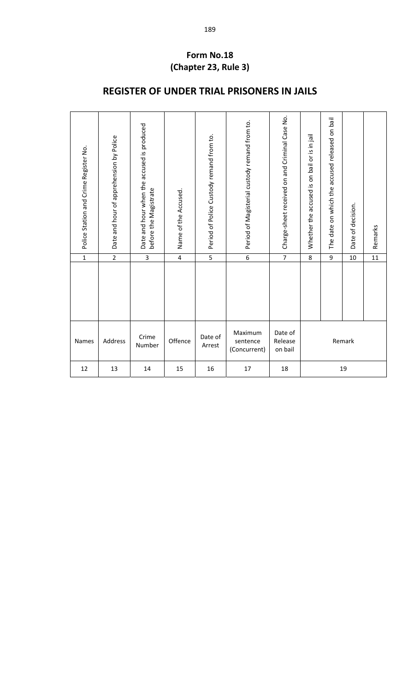#### **Form No.18 (Chapter 23, Rule 3)**

| Police Station and Crime Register No. | Date and hour of apprehension by Police | Date and hour when the accused is produced<br>before the Magistrate | Name of the Accused.    | Period of Police Custody remand from to. | Period of Magisterial custody remand from to. | Charge-sheet received on and Criminal Case No. | Whether the accused is on bail or is in jail | The date on which the accused released on bail | Date of decision. | Remarks         |
|---------------------------------------|-----------------------------------------|---------------------------------------------------------------------|-------------------------|------------------------------------------|-----------------------------------------------|------------------------------------------------|----------------------------------------------|------------------------------------------------|-------------------|-----------------|
| $\overline{1}$                        | $\overline{2}$                          | $\overline{3}$                                                      | $\overline{\mathbf{4}}$ | $\overline{5}$                           | $\overline{6}$                                | $\overline{7}$                                 | 8                                            | 9                                              | 10                | $\overline{11}$ |
|                                       |                                         |                                                                     |                         |                                          |                                               |                                                |                                              |                                                |                   |                 |
| Names                                 | Address                                 | Crime<br>Number                                                     | Offence                 | Date of<br>Arrest                        | Maximum<br>sentence<br>(Concurrent)           | Date of<br>Release<br>on bail                  |                                              |                                                | Remark            |                 |
| 12                                    | 13                                      | 14                                                                  | 15                      | 16                                       | 17                                            | 18                                             |                                              |                                                | 19                |                 |

## **REGISTER OF UNDER TRIAL PRISONERS IN JAILS**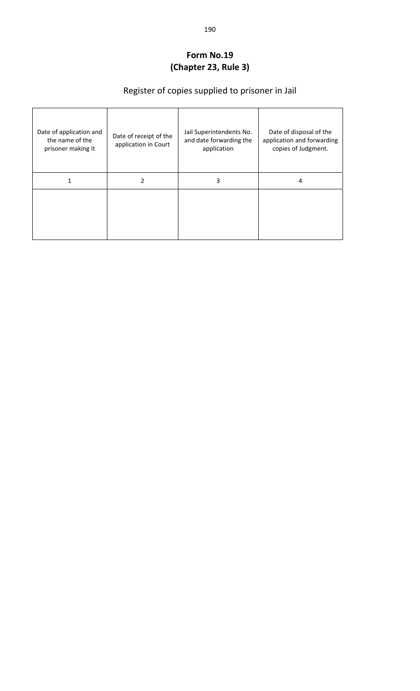#### **Form No.19 (Chapter 23, Rule 3)**

# Register of copies supplied to prisoner in Jail

| Date of application and<br>the name of the<br>prisoner making it | Date of receipt of the<br>application in Court | Jail Superintendents No.<br>and date forwarding the<br>application | Date of disposal of the<br>application and forwarding<br>copies of Judgment. |
|------------------------------------------------------------------|------------------------------------------------|--------------------------------------------------------------------|------------------------------------------------------------------------------|
|                                                                  | 2                                              | 3                                                                  | 4                                                                            |
|                                                                  |                                                |                                                                    |                                                                              |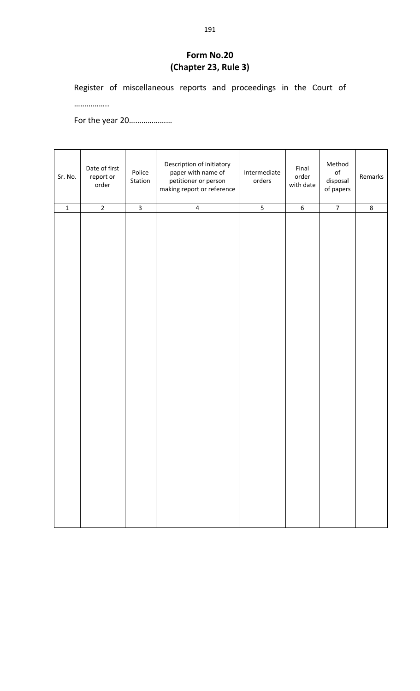#### **Form No.20 (Chapter 23, Rule 3)**

Register of miscellaneous reports and proceedings in the Court of

……………..

For the year 20…………………

| Sr. No.     | Date of first<br>report or<br>order | Police<br>Station | Description of initiatory<br>paper with name of<br>petitioner or person<br>making report or reference | Intermediate<br>orders | Final<br>order<br>with date | Method<br>$_{\mathsf{of}}$<br>disposal<br>of papers | Remarks |
|-------------|-------------------------------------|-------------------|-------------------------------------------------------------------------------------------------------|------------------------|-----------------------------|-----------------------------------------------------|---------|
| $\mathbf 1$ | $\overline{2}$                      | $\overline{3}$    | $\overline{\mathbf{4}}$                                                                               | $\overline{5}$         | $6\phantom{a}$              | $\overline{7}$                                      | $\,8\,$ |
|             |                                     |                   |                                                                                                       |                        |                             |                                                     |         |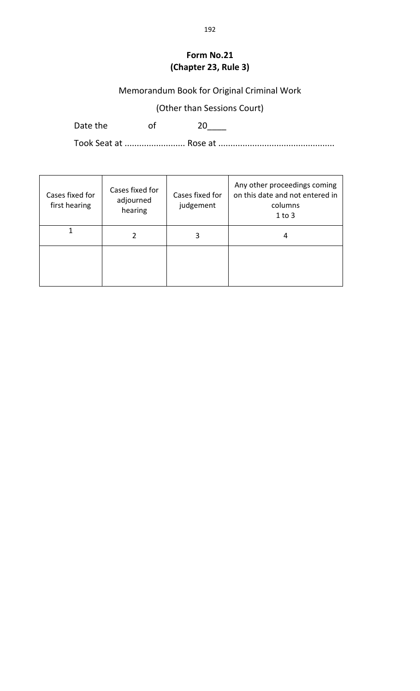#### **Form No.21 (Chapter 23, Rule 3)**

## Memorandum Book for Original Criminal Work

(Other than Sessions Court)

Date the of 20\_\_\_\_

Took Seat at ......................... Rose at ................................................

| Cases fixed for<br>first hearing | Cases fixed for<br>adjourned<br>hearing | Cases fixed for<br>judgement | Any other proceedings coming<br>on this date and not entered in<br>columns<br>$1$ to $3$ |
|----------------------------------|-----------------------------------------|------------------------------|------------------------------------------------------------------------------------------|
|                                  |                                         |                              | 4                                                                                        |
|                                  |                                         |                              |                                                                                          |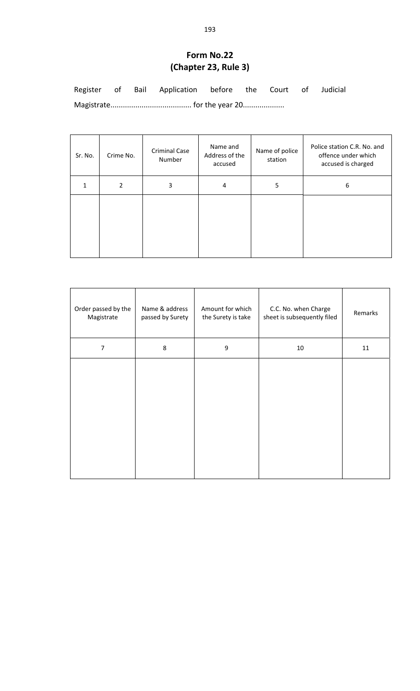#### **Form No.22 (Chapter 23, Rule 3)**

Register of Bail Application before the Court of Judicial Magistrate....................................... for the year 20....................

Sr. No. Crime No. Criminal Case Number Name and Address of the accused Name of police station Police station C.R. No. and offence under which accused is charged  $1 \t 2 \t 3 \t 4 \t 5 \t 6$ 

| Order passed by the<br>Magistrate | Name & address<br>passed by Surety | Amount for which<br>the Surety is take | C.C. No. when Charge<br>sheet is subsequently filed | Remarks |
|-----------------------------------|------------------------------------|----------------------------------------|-----------------------------------------------------|---------|
| 7                                 | 8                                  | 9                                      | 10                                                  | 11      |
|                                   |                                    |                                        |                                                     |         |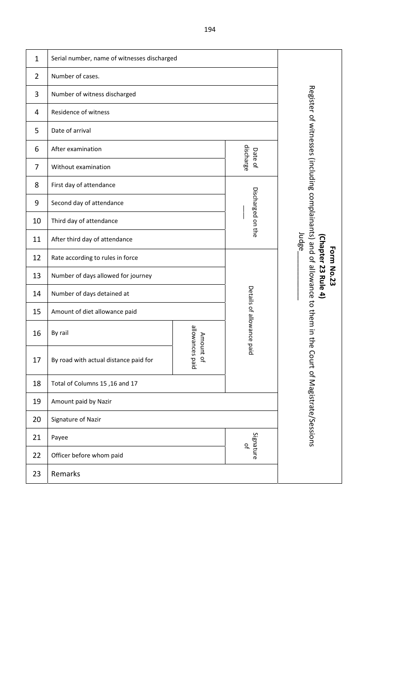| $\mathbf{1}$ | Serial number, name of witnesses discharged |                           |                                          |                                                                                |
|--------------|---------------------------------------------|---------------------------|------------------------------------------|--------------------------------------------------------------------------------|
| 2            | Number of cases.                            |                           |                                          |                                                                                |
| 3            | Number of witness discharged                |                           |                                          |                                                                                |
| 4            | Residence of witness                        |                           |                                          |                                                                                |
| 5            | Date of arrival                             |                           |                                          |                                                                                |
| 6            | After examination                           | discharge<br>Date of      |                                          |                                                                                |
| 7            | Without examination                         |                           |                                          |                                                                                |
| 8            | First day of attendance                     |                           |                                          |                                                                                |
| 9            | Second day of attendance                    | Discharged on the         |                                          |                                                                                |
| 10           | Third day of attendance                     |                           |                                          |                                                                                |
| 11           | After third day of attendance               |                           | Judge                                    |                                                                                |
| 12           | Rate according to rules in force            |                           | (Chapter 23 Rule 4)<br><b>Form No.23</b> |                                                                                |
| 13           | Number of days allowed for journey          |                           |                                          |                                                                                |
| 14           | Number of days detained at                  | Details of allowance paid |                                          |                                                                                |
| 15           | Amount of diet allowance paid               |                           |                                          |                                                                                |
| 16           | By rail                                     | allowances<br>Amount      |                                          | Register of witnesses (including complainants) and of allowance to them in the |
| 17           | By road with actual distance paid for       | pied<br>윽                 |                                          | Court of Magistrate/Sessions                                                   |
| 18           | Total of Columns 15, 16 and 17              |                           |                                          |                                                                                |
| 19           | Amount paid by Nazir                        |                           |                                          |                                                                                |
| 20           | Signature of Nazir                          |                           |                                          |                                                                                |
| 21           | Payee                                       | Signature<br>qf           |                                          |                                                                                |
| 22           | Officer before whom paid                    |                           |                                          |                                                                                |
| 23           | Remarks                                     |                           |                                          |                                                                                |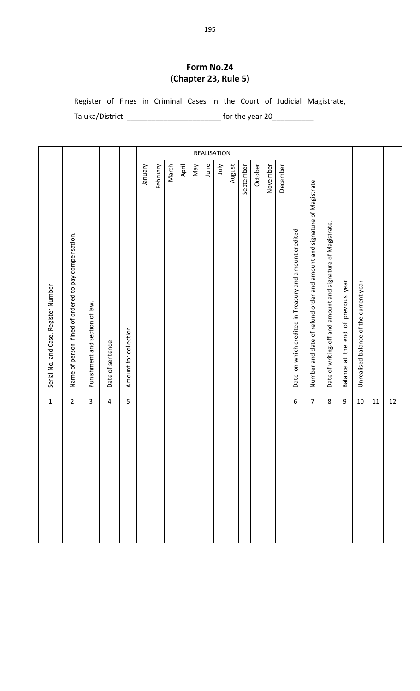#### **Form No.24 (Chapter 23, Rule 5)**

Register of Fines in Criminal Cases in the Court of Judicial Magistrate,

Taluka/District \_\_\_\_\_\_\_\_\_\_\_\_\_\_\_\_\_\_\_\_\_\_\_\_\_\_\_\_\_\_\_\_\_ for the year 20\_\_\_\_\_\_\_\_\_\_\_\_\_\_\_

| $\mathbf{1}$   | Serial No. and Case. Register Number                                   |             |
|----------------|------------------------------------------------------------------------|-------------|
| $\overline{2}$ | Name of person fined of ordered to pay compensation.                   |             |
| 3              | Punishment and section of law.                                         |             |
| 4              | Date of sentence                                                       |             |
| 5              | Amount for collection.                                                 |             |
|                | Vienuer                                                                |             |
|                | February                                                               |             |
|                | March                                                                  |             |
|                | April                                                                  |             |
|                | VeW                                                                    |             |
|                | June                                                                   |             |
|                | ylul                                                                   | REALISATION |
|                | August                                                                 |             |
|                | September                                                              |             |
|                | October                                                                |             |
|                | November                                                               |             |
|                | December                                                               |             |
| 6              | on which credited in Treasury and amount credited<br>Date              |             |
| 7              | Number and date of refund order and amount and signature of Magistrate |             |
| 8              | Date of writing-off and amount and signature of Magistrate.            |             |
| 9              | previous year<br>Ъ<br>end<br>at the<br><b>Balance</b>                  |             |
| 10             | Unrealised balance of the current year                                 |             |
| 11             |                                                                        |             |
| 12             |                                                                        |             |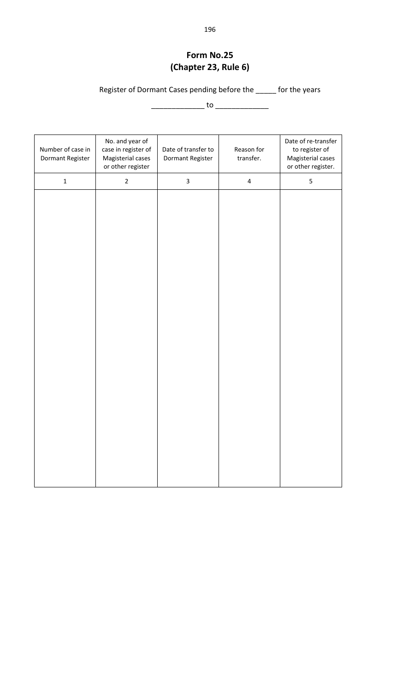#### **Form No.25 (Chapter 23, Rule 6)**

Register of Dormant Cases pending before the \_\_\_\_\_ for the years

\_\_\_\_\_\_\_\_\_\_\_\_\_ to \_\_\_\_\_\_\_\_\_\_\_\_\_

| Number of case in<br>Dormant Register | No. and year of<br>case in register of<br>Magisterial cases<br>or other register | Date of transfer to<br>Dormant Register | Reason for<br>transfer. | Date of re-transfer<br>to register of<br>Magisterial cases<br>or other register. |
|---------------------------------------|----------------------------------------------------------------------------------|-----------------------------------------|-------------------------|----------------------------------------------------------------------------------|
| $\mathbf 1$                           | $\overline{2}$                                                                   | $\mathbf{3}$                            | $\pmb{4}$               | $\mathsf S$                                                                      |
|                                       |                                                                                  |                                         |                         |                                                                                  |
|                                       |                                                                                  |                                         |                         |                                                                                  |
|                                       |                                                                                  |                                         |                         |                                                                                  |
|                                       |                                                                                  |                                         |                         |                                                                                  |
|                                       |                                                                                  |                                         |                         |                                                                                  |
|                                       |                                                                                  |                                         |                         |                                                                                  |
|                                       |                                                                                  |                                         |                         |                                                                                  |
|                                       |                                                                                  |                                         |                         |                                                                                  |
|                                       |                                                                                  |                                         |                         |                                                                                  |
|                                       |                                                                                  |                                         |                         |                                                                                  |
|                                       |                                                                                  |                                         |                         |                                                                                  |
|                                       |                                                                                  |                                         |                         |                                                                                  |
|                                       |                                                                                  |                                         |                         |                                                                                  |
|                                       |                                                                                  |                                         |                         |                                                                                  |
|                                       |                                                                                  |                                         |                         |                                                                                  |
|                                       |                                                                                  |                                         |                         |                                                                                  |
|                                       |                                                                                  |                                         |                         |                                                                                  |
|                                       |                                                                                  |                                         |                         |                                                                                  |
|                                       |                                                                                  |                                         |                         |                                                                                  |
|                                       |                                                                                  |                                         |                         |                                                                                  |
|                                       |                                                                                  |                                         |                         |                                                                                  |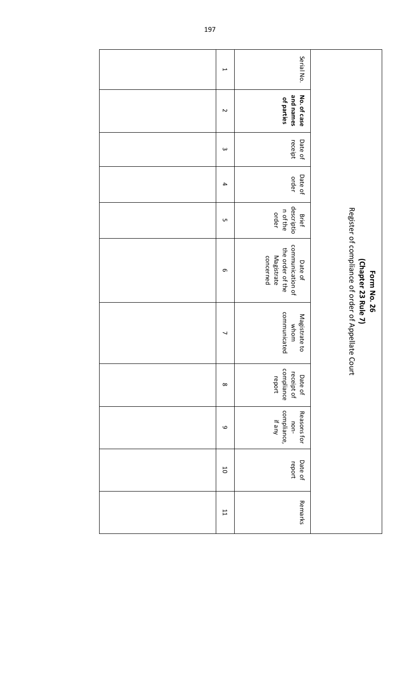| $\overline{\phantom{0}}$ | Serial No.                                                                                                                                                                    |
|--------------------------|-------------------------------------------------------------------------------------------------------------------------------------------------------------------------------|
| $\sim$                   | and names<br>No. of case<br>of parties                                                                                                                                        |
| $\omega$                 | Date of<br>receipt                                                                                                                                                            |
| $\overline{\mathbf{4}}$  | Date of<br>order                                                                                                                                                              |
| UП                       | descriptio<br>n of the<br>order<br><b>Brief</b>                                                                                                                               |
| G                        | Register of compliance of order of Appellate Court<br>communication of<br>the order of the<br>Magistrate<br>concerned<br>Date of<br>(Chapter 23 Rule 7)<br><b>Form No. 26</b> |
| ┙                        | communicated<br>Magistrate to<br>whom                                                                                                                                         |
| $\infty$                 | compliance<br>receipt of<br>Date of<br>report                                                                                                                                 |
| $\mathbf \omega$         | compliance,<br>if any<br>Reasons for<br>non-                                                                                                                                  |
| $\overline{0}$           | Date of<br>report                                                                                                                                                             |
| $\overline{11}$          | Remarks                                                                                                                                                                       |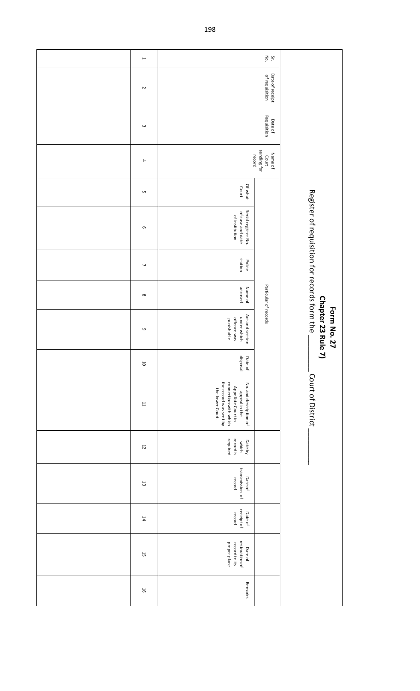| $\mapsto$                |                                                                                                                                      | $S_{\rm K}$ . $\geq$  |                                                                                            |
|--------------------------|--------------------------------------------------------------------------------------------------------------------------------------|-----------------------|--------------------------------------------------------------------------------------------|
| $\sim$                   |                                                                                                                                      |                       |                                                                                            |
| $\omega$                 |                                                                                                                                      |                       |                                                                                            |
| $\overline{\phantom{a}}$ | record                                                                                                                               |                       |                                                                                            |
| G                        | Of what<br>Court                                                                                                                     |                       |                                                                                            |
| G                        | Serial register No.<br>of case and date<br>of institution                                                                            |                       |                                                                                            |
| $\overline{\phantom{a}}$ | station<br>Police                                                                                                                    | Particular of records | Register of requisition for records form the<br>Chapter 23 Rule<br><b>Form No. 27</b><br>コ |
| $\infty$                 | accused<br>Name of                                                                                                                   |                       |                                                                                            |
| $\mathbf \circ$          | Act and section<br>under which<br>offence was<br>punishable                                                                          |                       |                                                                                            |
| $\overline{\mathbf{c}}$  | Date of<br>disposal                                                                                                                  |                       |                                                                                            |
| $\overline{\phantom{a}}$ | the record was sent by<br>connection with which<br>No. and description of<br>Appellate Court in<br>the lower Court.<br>appeal in the |                       | Court of District                                                                          |
| $\overline{5}$           | which<br>record is<br>required<br>Date by                                                                                            |                       |                                                                                            |
| $\Xi$                    | transmission of<br>Date of<br>record                                                                                                 |                       |                                                                                            |
| $\sharp 4$               | receipt of<br>Date of<br>record                                                                                                      |                       |                                                                                            |
| 5                        | restoration of<br>proper place<br>record to its<br>Date of                                                                           |                       |                                                                                            |
| $\overline{5}$           | Remarks                                                                                                                              |                       |                                                                                            |

198